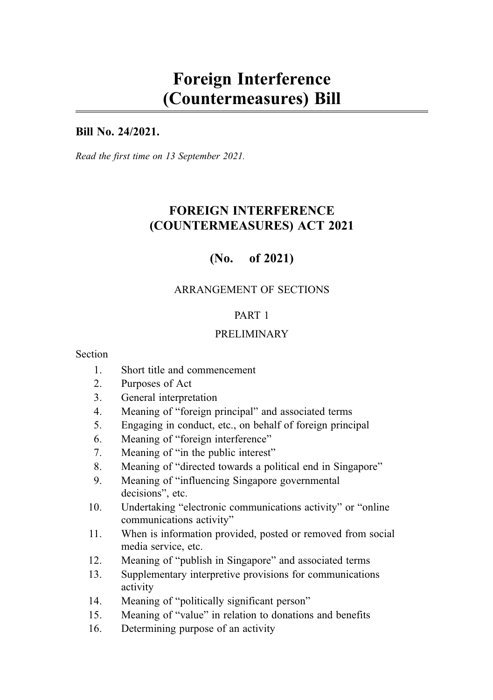# Foreign Interference (Countermeasures) Bill

## Bill No. 24/2021.

Read the first time on 13 September 2021.

## FOREIGN INTERFERENCE (COUNTERMEASURES) ACT 2021

## (No. of 2021)

## ARRANGEMENT OF SECTIONS

## PART 1

## PRELIMINARY

#### **Section**

- 1. Short title and commencement
- 2. Purposes of Act
- 3. General interpretation
- 4. Meaning of "foreign principal" and associated terms
- 5. Engaging in conduct, etc., on behalf of foreign principal
- 6. Meaning of "foreign interference"
- 7. Meaning of "in the public interest"
- 8. Meaning of "directed towards a political end in Singapore"
- 9. Meaning of "influencing Singapore governmental decisions", etc.
- 10. Undertaking "electronic communications activity" or "online communications activity"
- 11. When is information provided, posted or removed from social media service, etc.
- 12. Meaning of "publish in Singapore" and associated terms
- 13. Supplementary interpretive provisions for communications activity
- 14. Meaning of "politically significant person"
- 15. Meaning of "value" in relation to donations and benefits
- 16. Determining purpose of an activity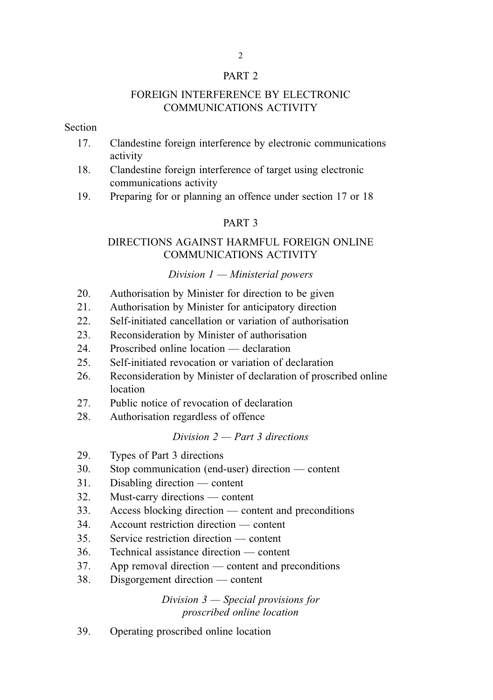#### PART 2

#### FOREIGN INTERFERENCE BY ELECTRONIC COMMUNICATIONS ACTIVITY

#### Section

- 17. Clandestine foreign interference by electronic communications activity
- 18. Clandestine foreign interference of target using electronic communications activity
- 19. Preparing for or planning an offence under section 17 or 18

#### PART 3

## DIRECTIONS AGAINST HARMFUL FOREIGN ONLINE COMMUNICATIONS ACTIVITY

#### Division  $1 -$ Ministerial powers

- 20. Authorisation by Minister for direction to be given
- 21. Authorisation by Minister for anticipatory direction
- 22. Self-initiated cancellation or variation of authorisation
- 23. Reconsideration by Minister of authorisation
- 24. Proscribed online location declaration
- 25. Self-initiated revocation or variation of declaration
- 26. Reconsideration by Minister of declaration of proscribed online location
- 27. Public notice of revocation of declaration
- 28. Authorisation regardless of offence

## Division  $2$  — Part 3 directions

- 29. Types of Part 3 directions
- 30. Stop communication (end-user) direction content
- 31. Disabling direction content
- 32. Must-carry directions content
- 33. Access blocking direction content and preconditions
- 34. Account restriction direction content
- 35. Service restriction direction content
- 36. Technical assistance direction content
- 37. App removal direction content and preconditions
- 38. Disgorgement direction content

Division 3 — Special provisions for proscribed online location

39. Operating proscribed online location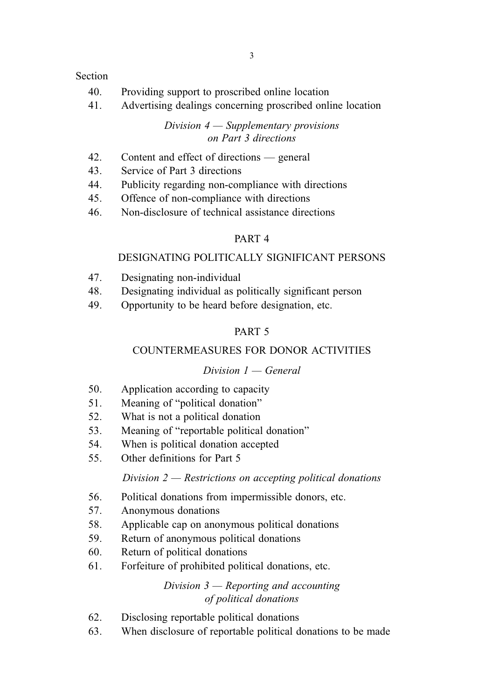#### Section

- 40. Providing support to proscribed online location
- 41. Advertising dealings concerning proscribed online location

Division  $4 -$  Supplementary provisions on Part 3 directions

- 42. Content and effect of directions general
- 43. Service of Part 3 directions
- 44. Publicity regarding non-compliance with directions
- 45. Offence of non-compliance with directions
- 46. Non-disclosure of technical assistance directions

## PART 4

## DESIGNATING POLITICALLY SIGNIFICANT PERSONS

- 47. Designating non-individual
- 48. Designating individual as politically significant person
- 49. Opportunity to be heard before designation, etc.

## PART 5

## COUNTERMEASURES FOR DONOR ACTIVITIES

### Division  $1 -$  General

- 50. Application according to capacity
- 51. Meaning of "political donation"
- 52. What is not a political donation
- 53. Meaning of "reportable political donation"
- 54. When is political donation accepted
- 55. Other definitions for Part 5

### Division  $2$  — Restrictions on accepting political donations

- 56. Political donations from impermissible donors, etc.
- 57. Anonymous donations
- 58. Applicable cap on anonymous political donations
- 59. Return of anonymous political donations
- 60. Return of political donations
- 61. Forfeiture of prohibited political donations, etc.

Division  $3$  — Reporting and accounting of political donations

- 62. Disclosing reportable political donations
- 63. When disclosure of reportable political donations to be made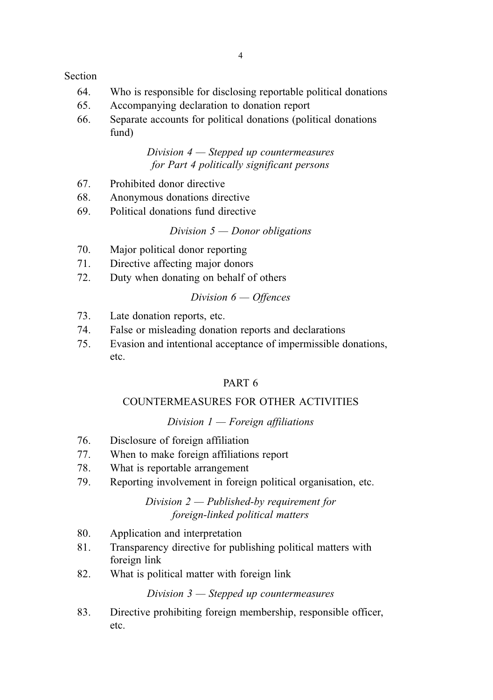#### Section

- 64. Who is responsible for disclosing reportable political donations
- 65. Accompanying declaration to donation report
- 66. Separate accounts for political donations (political donations fund)

### Division 4 — Stepped up countermeasures for Part 4 politically significant persons

- 67. Prohibited donor directive
- 68. Anonymous donations directive
- 69. Political donations fund directive

#### Division  $5$  — Donor obligations

- 70. Major political donor reporting
- 71. Directive affecting major donors
- 72. Duty when donating on behalf of others

### Division 6 — Offences

- 73. Late donation reports, etc.
- 74. False or misleading donation reports and declarations
- 75. Evasion and intentional acceptance of impermissible donations, etc.

## PART 6

### COUNTERMEASURES FOR OTHER ACTIVITIES

### Division  $1$  — Foreign affiliations

- 76. Disclosure of foreign affiliation
- 77. When to make foreign affiliations report
- 78. What is reportable arrangement
- 79. Reporting involvement in foreign political organisation, etc.

## Division 2 — Published-by requirement for foreign-linked political matters

- 80. Application and interpretation
- 81. Transparency directive for publishing political matters with foreign link
- 82. What is political matter with foreign link

Division 3 — Stepped up countermeasures

83. Directive prohibiting foreign membership, responsible officer, etc.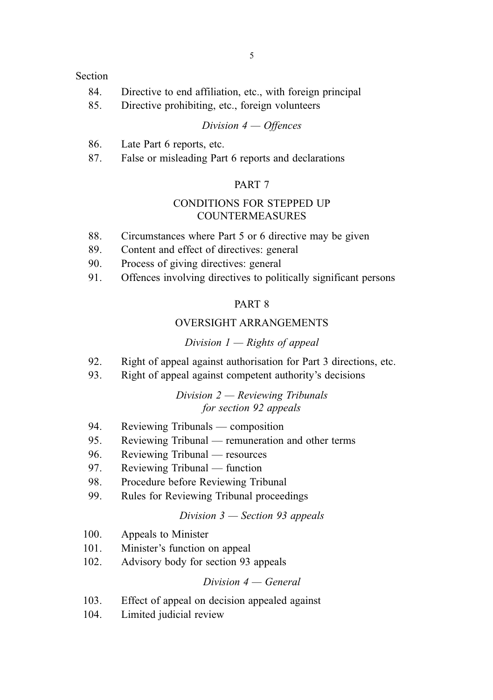#### Section

- 84. Directive to end affiliation, etc., with foreign principal
- 85. Directive prohibiting, etc., foreign volunteers

#### Division 4 — Offences

- 86. Late Part 6 reports, etc.
- 87. False or misleading Part 6 reports and declarations

#### PART 7

#### CONDITIONS FOR STEPPED UP COUNTERMEASURES

- 88. Circumstances where Part 5 or 6 directive may be given
- 89. Content and effect of directives: general
- 90. Process of giving directives: general
- 91. Offences involving directives to politically significant persons

#### PART 8

#### OVERSIGHT ARRANGEMENTS

#### Division  $1 -$  Rights of appeal

- 92. Right of appeal against authorisation for Part 3 directions, etc.
- 93. Right of appeal against competent authority's decisions

### Division 2 — Reviewing Tribunals for section 92 appeals

- 94. Reviewing Tribunals composition
- 95. Reviewing Tribunal remuneration and other terms
- 96. Reviewing Tribunal resources
- 97. Reviewing Tribunal function
- 98. Procedure before Reviewing Tribunal
- 99. Rules for Reviewing Tribunal proceedings

### Division 3 — Section 93 appeals

- 100. Appeals to Minister
- 101. Minister's function on appeal
- 102. Advisory body for section 93 appeals

#### $Division 4 - General$

- 103. Effect of appeal on decision appealed against
- 104. Limited judicial review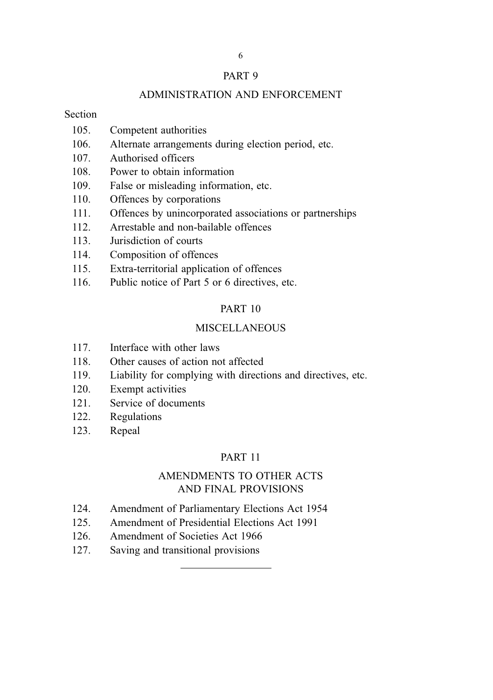#### PART 9

#### ADMINISTRATION AND ENFORCEMENT

#### Section

- 105. Competent authorities
- 106. Alternate arrangements during election period, etc.
- 107. Authorised officers
- 108. Power to obtain information
- 109. False or misleading information, etc.
- 110. Offences by corporations
- 111. Offences by unincorporated associations or partnerships
- 112. Arrestable and non-bailable offences
- 113. Jurisdiction of courts
- 114. Composition of offences
- 115. Extra-territorial application of offences
- 116. Public notice of Part 5 or 6 directives, etc.

#### PART 10

### MISCELL ANEOUS

- 117. Interface with other laws
- 118. Other causes of action not affected
- 119. Liability for complying with directions and directives, etc.
- 120. Exempt activities
- 121. Service of documents
- 122. Regulations
- 123. Repeal

## PART 11

## AMENDMENTS TO OTHER ACTS AND FINAL PROVISIONS

- 124. Amendment of Parliamentary Elections Act 1954
- 125. Amendment of Presidential Elections Act 1991
- 126. Amendment of Societies Act 1966
- 127. Saving and transitional provisions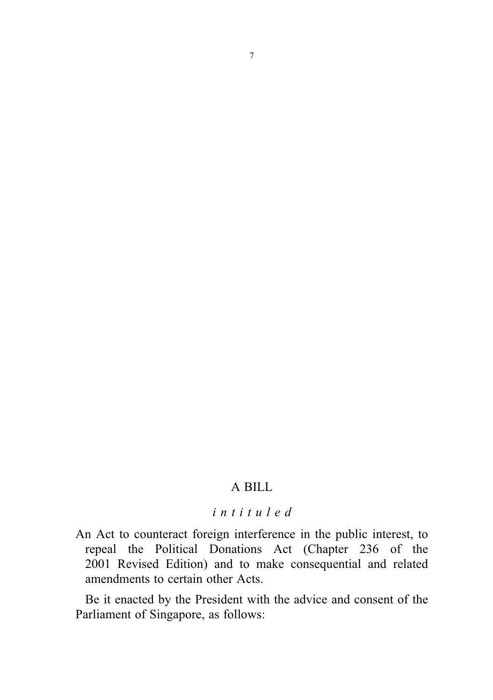## A BILL

## intituled

An Act to counteract foreign interference in the public interest, to repeal the Political Donations Act (Chapter 236 of the 2001 Revised Edition) and to make consequential and related amendments to certain other Acts.

Be it enacted by the President with the advice and consent of the Parliament of Singapore, as follows: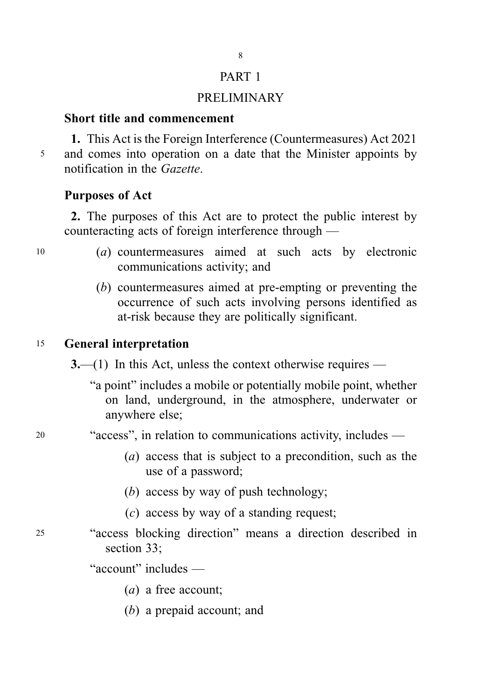## PART 1

8

## PRELIMINARY

## Short title and commencement

1. This Act is the Foreign Interference (Countermeasures) Act 2021 <sup>5</sup> and comes into operation on a date that the Minister appoints by notification in the Gazette.

## Purposes of Act

2. The purposes of this Act are to protect the public interest by counteracting acts of foreign interference through —

- <sup>10</sup> (a) countermeasures aimed at such acts by electronic communications activity; and
	- (b) countermeasures aimed at pre-empting or preventing the occurrence of such acts involving persons identified as at-risk because they are politically significant.

## <sup>15</sup> General interpretation

 $3$ —(1) In this Act, unless the context otherwise requires —

- "a point" includes a mobile or potentially mobile point, whether on land, underground, in the atmosphere, underwater or anywhere else;
- <sup>20</sup> "access", in relation to communications activity, includes
	- (a) access that is subject to a precondition, such as the use of a password;
	- (b) access by way of push technology;
	- (c) access by way of a standing request;
- <sup>25</sup> "access blocking direction" means a direction described in section 33.

"account" includes —

- (a) a free account;
- (b) a prepaid account; and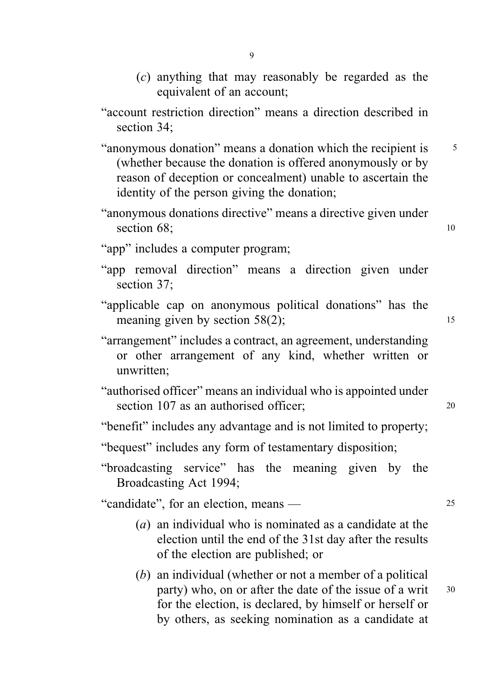- (c) anything that may reasonably be regarded as the equivalent of an account;
- "account restriction direction" means a direction described in section 34;
- "anonymous donation" means a donation which the recipient is  $\frac{5}{5}$ (whether because the donation is offered anonymously or by reason of deception or concealment) unable to ascertain the identity of the person giving the donation;
- "anonymous donations directive" means a directive given under section 68: 10
- "app" includes a computer program:
- "app removal direction" means a direction given under section 37;
- "applicable cap on anonymous political donations" has the meaning given by section  $58(2)$ ; 15
- "arrangement" includes a contract, an agreement, understanding or other arrangement of any kind, whether written or unwritten;
- "authorised officer" means an individual who is appointed under section 107 as an authorised officer: 20
- "benefit" includes any advantage and is not limited to property;
- "bequest" includes any form of testamentary disposition;
- "broadcasting service" has the meaning given by the Broadcasting Act 1994;

"candidate", for an election, means — <sup>25</sup>

- (a) an individual who is nominated as a candidate at the election until the end of the 31st day after the results of the election are published; or
- (b) an individual (whether or not a member of a political party) who, on or after the date of the issue of a writ 30 for the election, is declared, by himself or herself or by others, as seeking nomination as a candidate at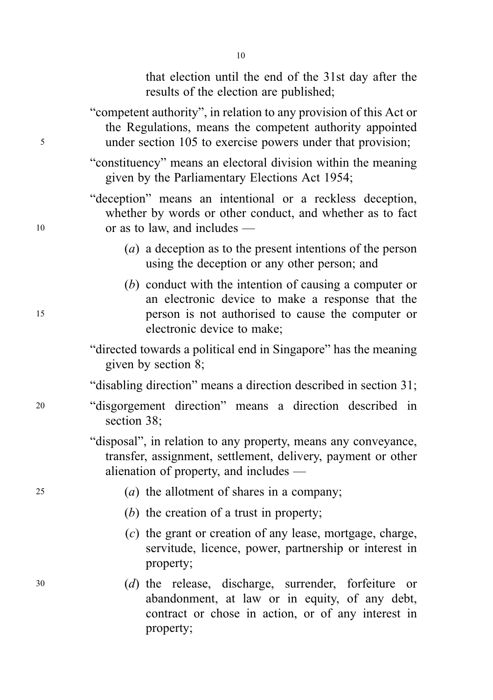that election until the end of the 31st day after the results of the election are published;

- "competent authority", in relation to any provision of this Act or the Regulations, means the competent authority appointed <sup>5</sup> under section 105 to exercise powers under that provision;
	- "constituency" means an electoral division within the meaning given by the Parliamentary Elections Act 1954;

"deception" means an intentional or a reckless deception, whether by words or other conduct, and whether as to fact <sup>10</sup> or as to law, and includes —

- (a) a deception as to the present intentions of the person using the deception or any other person; and
- (b) conduct with the intention of causing a computer or an electronic device to make a response that the <sup>15</sup> person is not authorised to cause the computer or electronic device to make;
	- "directed towards a political end in Singapore" has the meaning given by section 8;

"disabling direction" means a direction described in section 31;

- <sup>20</sup> "disgorgement direction" means a direction described in section 38;
	- "disposal", in relation to any property, means any conveyance, transfer, assignment, settlement, delivery, payment or other alienation of property, and includes —
- $(a)$  the allotment of shares in a company;
	- (b) the creation of a trust in property;
	- (c) the grant or creation of any lease, mortgage, charge, servitude, licence, power, partnership or interest in property;
- <sup>30</sup> (d) the release, discharge, surrender, forfeiture or abandonment, at law or in equity, of any debt, contract or chose in action, or of any interest in property;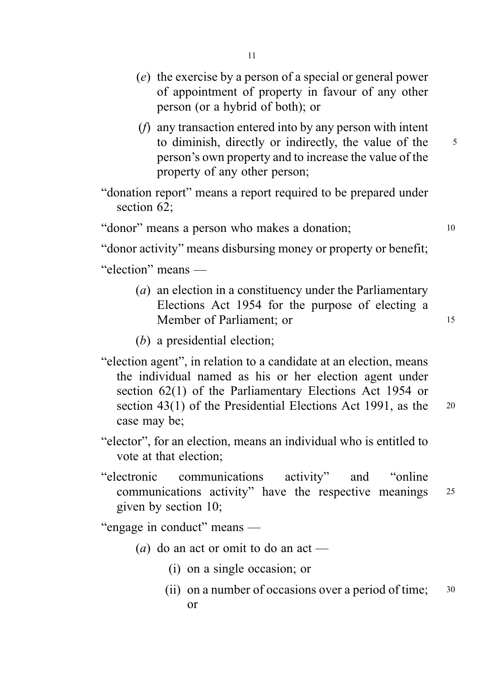- (e) the exercise by a person of a special or general power of appointment of property in favour of any other person (or a hybrid of both); or
- (f) any transaction entered into by any person with intent to diminish, directly or indirectly, the value of the 5 person's own property and to increase the value of the property of any other person;

"donation report" means a report required to be prepared under section 62:

"donor" means a person who makes a donation; 10

"donor activity" means disbursing money or property or benefit;

"election" means —

- (a) an election in a constituency under the Parliamentary Elections Act 1954 for the purpose of electing a Member of Parliament: or 15
- (b) a presidential election;
- "election agent", in relation to a candidate at an election, means the individual named as his or her election agent under section 62(1) of the Parliamentary Elections Act 1954 or section 43(1) of the Presidential Elections Act 1991, as the 20 case may be;
- "elector", for an election, means an individual who is entitled to vote at that election;
- "electronic communications activity" and "online communications activity" have the respective meanings <sup>25</sup> given by section 10;

"engage in conduct" means —

- (a) do an act or omit to do an act
	- (i) on a single occasion; or
	- (ii) on a number of occasions over a period of time; 30 or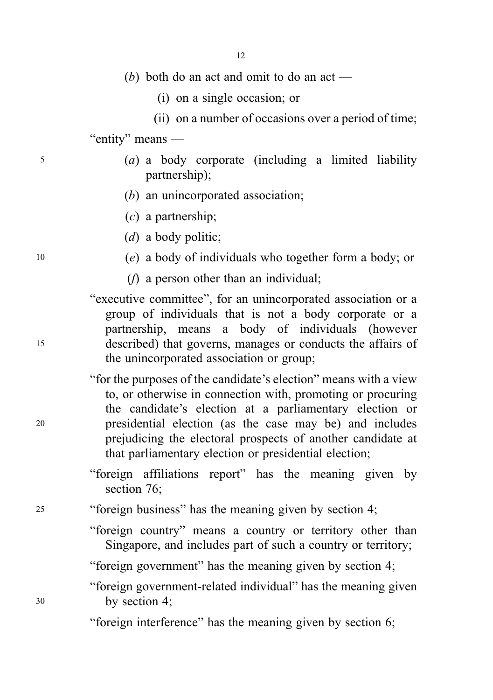|    | 12                                                                                                                                                                                                                                                                                                                                                                            |
|----|-------------------------------------------------------------------------------------------------------------------------------------------------------------------------------------------------------------------------------------------------------------------------------------------------------------------------------------------------------------------------------|
|    | (b) both do an act and omit to do an act —                                                                                                                                                                                                                                                                                                                                    |
|    | (i) on a single occasion; or                                                                                                                                                                                                                                                                                                                                                  |
|    | (ii) on a number of occasions over a period of time;                                                                                                                                                                                                                                                                                                                          |
|    | "entity" means —                                                                                                                                                                                                                                                                                                                                                              |
| 5  | (a) a body corporate (including a limited liability<br>partnership);                                                                                                                                                                                                                                                                                                          |
|    | $(b)$ an unincorporated association;                                                                                                                                                                                                                                                                                                                                          |
|    | $(c)$ a partnership;                                                                                                                                                                                                                                                                                                                                                          |
|    | $(d)$ a body politic;                                                                                                                                                                                                                                                                                                                                                         |
| 10 | (e) a body of individuals who together form a body; or                                                                                                                                                                                                                                                                                                                        |
|    | $(f)$ a person other than an individual;                                                                                                                                                                                                                                                                                                                                      |
| 15 | "executive committee", for an unincorporated association or a<br>group of individuals that is not a body corporate or a<br>partnership, means a body of individuals (however<br>described) that governs, manages or conducts the affairs of<br>the unincorporated association or group;                                                                                       |
| 20 | "for the purposes of the candidate's election" means with a view<br>to, or otherwise in connection with, promoting or procuring<br>the candidate's election at a parliamentary election or<br>presidential election (as the case may be) and includes<br>prejudicing the electoral prospects of another candidate at<br>that parliamentary election or presidential election; |
|    | "foreign affiliations report" has the meaning given by<br>section 76;                                                                                                                                                                                                                                                                                                         |
| 25 | "foreign business" has the meaning given by section 4;                                                                                                                                                                                                                                                                                                                        |
|    | "foreign country" means a country or territory other than<br>Singapore, and includes part of such a country or territory;                                                                                                                                                                                                                                                     |

"foreign government" has the meaning given by section 4;

"foreign government-related individual" has the meaning given <sup>30</sup> by section 4;

"foreign interference" has the meaning given by section 6;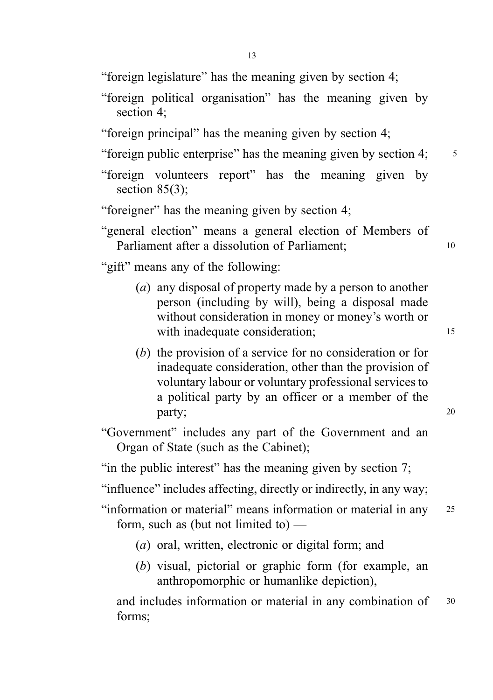"foreign legislature" has the meaning given by section 4;

- "foreign political organisation" has the meaning given by section 4;
- "foreign principal" has the meaning given by section 4;

"foreign public enterprise" has the meaning given by section 4;  $\frac{5}{5}$ 

- "foreign volunteers report" has the meaning given by section  $85(3)$ ;
- "foreigner" has the meaning given by section 4;
- "general election" means a general election of Members of Parliament after a dissolution of Parliament: 10

"gift" means any of the following:

- (a) any disposal of property made by a person to another person (including by will), being a disposal made without consideration in money or money's worth or with inadequate consideration; 15
- (b) the provision of a service for no consideration or for inadequate consideration, other than the provision of voluntary labour or voluntary professional services to a political party by an officer or a member of the party; 20
- "Government" includes any part of the Government and an Organ of State (such as the Cabinet);

"in the public interest" has the meaning given by section 7;

"influence" includes affecting, directly or indirectly, in any way;

- "information or material" means information or material in any <sup>25</sup> form, such as (but not limited to) —
	- (a) oral, written, electronic or digital form; and
	- (b) visual, pictorial or graphic form (for example, an anthropomorphic or humanlike depiction),

and includes information or material in any combination of 30 forms;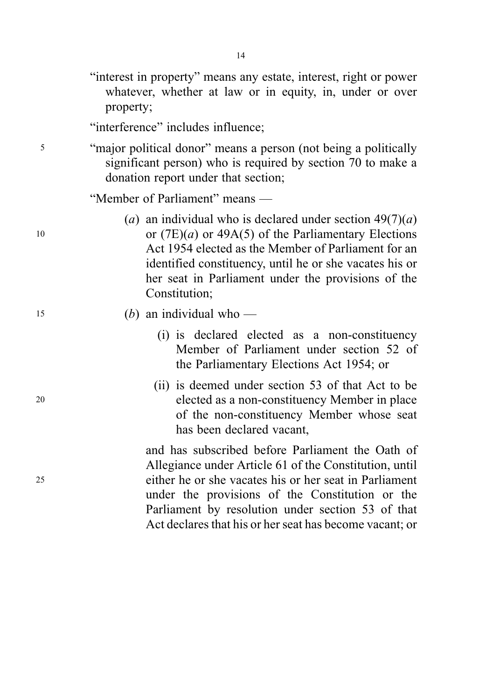|    | "interest in property" means any estate, interest, right or power<br>whatever, whether at law or in equity, in, under or over<br>property;                                                                                                                                                                                              |
|----|-----------------------------------------------------------------------------------------------------------------------------------------------------------------------------------------------------------------------------------------------------------------------------------------------------------------------------------------|
|    | "interference" includes influence;                                                                                                                                                                                                                                                                                                      |
| 5  | "major political donor" means a person (not being a politically<br>significant person) who is required by section 70 to make a<br>donation report under that section;                                                                                                                                                                   |
|    | "Member of Parliament" means —                                                                                                                                                                                                                                                                                                          |
| 10 | (a) an individual who is declared under section $49(7)(a)$<br>or $(7E)(a)$ or 49A(5) of the Parliamentary Elections<br>Act 1954 elected as the Member of Parliament for an<br>identified constituency, until he or she vacates his or<br>her seat in Parliament under the provisions of the<br>Constitution;                            |
| 15 | (b) an individual who —                                                                                                                                                                                                                                                                                                                 |
|    | (i) is declared elected as a non-constituency<br>Member of Parliament under section 52 of<br>the Parliamentary Elections Act 1954; or                                                                                                                                                                                                   |
| 20 | (ii) is deemed under section 53 of that Act to be<br>elected as a non-constituency Member in place<br>of the non-constituency Member whose seat<br>has been declared vacant,                                                                                                                                                            |
| 25 | and has subscribed before Parliament the Oath of<br>Allegiance under Article 61 of the Constitution, until<br>either he or she vacates his or her seat in Parliament<br>under the provisions of the Constitution or the<br>Parliament by resolution under section 53 of that<br>Act declares that his or her seat has become vacant; or |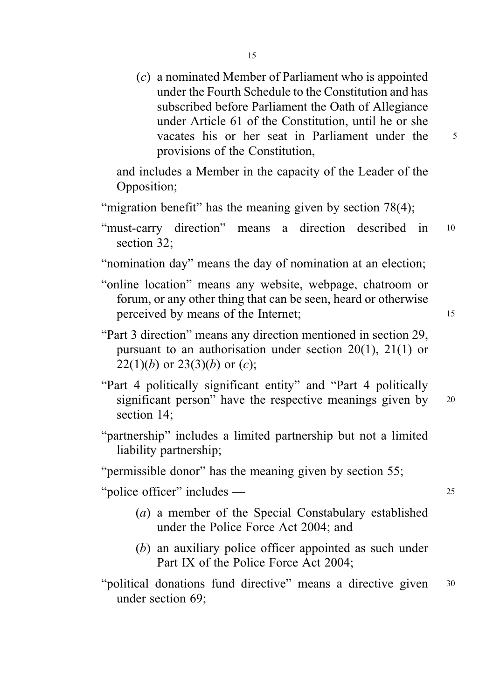(c) a nominated Member of Parliament who is appointed under the Fourth Schedule to the Constitution and has subscribed before Parliament the Oath of Allegiance under Article 61 of the Constitution, until he or she vacates his or her seat in Parliament under the 5 provisions of the Constitution,

and includes a Member in the capacity of the Leader of the Opposition;

- "migration benefit" has the meaning given by section 78(4);
- "must-carry direction" means a direction described in <sup>10</sup> section 32;
- "nomination day" means the day of nomination at an election;
- "online location" means any website, webpage, chatroom or forum, or any other thing that can be seen, heard or otherwise perceived by means of the Internet: 15
- "Part 3 direction" means any direction mentioned in section 29, pursuant to an authorisation under section 20(1), 21(1) or 22(1)(b) or 23(3)(b) or (c);
- "Part 4 politically significant entity" and "Part 4 politically significant person" have the respective meanings given by 20 section 14;
- "partnership" includes a limited partnership but not a limited liability partnership;

"permissible donor" has the meaning given by section 55;

"police officer" includes — <sup>25</sup>

- (a) a member of the Special Constabulary established under the Police Force Act 2004; and
- (b) an auxiliary police officer appointed as such under Part IX of the Police Force Act 2004;
- "political donations fund directive" means a directive given 30 under section 69;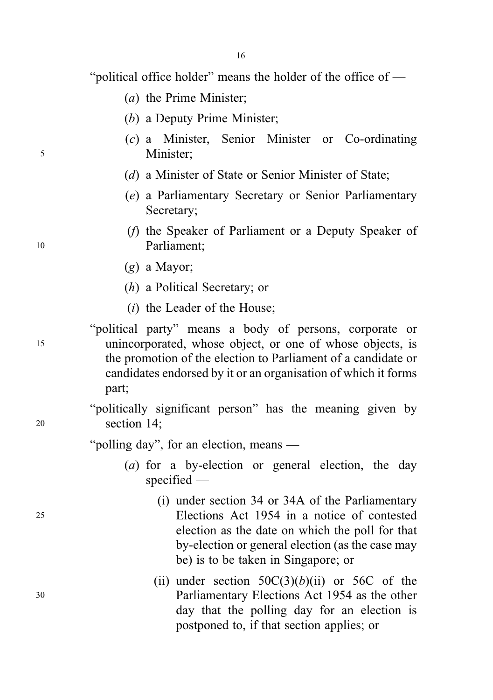"political office holder" means the holder of the office of —

- (a) the Prime Minister;
- (b) a Deputy Prime Minister;
- (c) a Minister, Senior Minister or Co-ordinating <sup>5</sup> Minister;
	- (d) a Minister of State or Senior Minister of State;
	- (e) a Parliamentary Secretary or Senior Parliamentary Secretary;
- (f) the Speaker of Parliament or a Deputy Speaker of <sup>10</sup> Parliament;
	- (g) a Mayor;
	- (h) a Political Secretary; or
	- (i) the Leader of the House;
- "political party" means a body of persons, corporate or <sup>15</sup> unincorporated, whose object, or one of whose objects, is the promotion of the election to Parliament of a candidate or candidates endorsed by it or an organisation of which it forms part;

"politically significant person" has the meaning given by <sup>20</sup> section 14;

"polling day", for an election, means —

- (a) for a by-election or general election, the day specified —
- (i) under section 34 or 34A of the Parliamentary <sup>25</sup> Elections Act 1954 in a notice of contested election as the date on which the poll for that by-election or general election (as the case may be) is to be taken in Singapore; or
- (ii) under section  $50C(3)(b)(ii)$  or  $56C$  of the <sup>30</sup> Parliamentary Elections Act 1954 as the other day that the polling day for an election is postponed to, if that section applies; or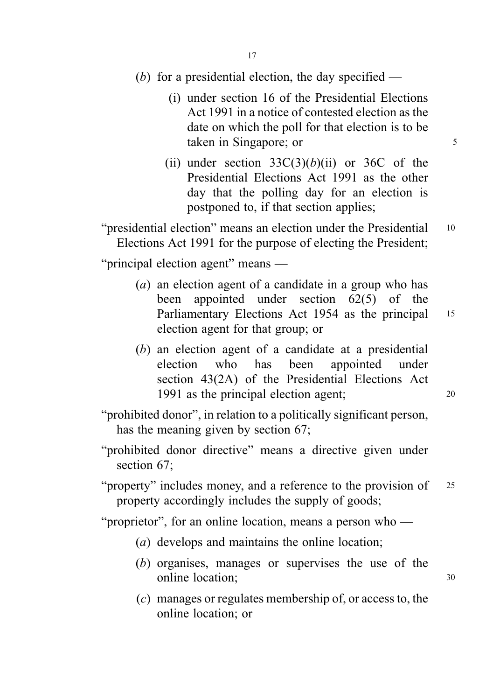- (b) for a presidential election, the day specified
	- (i) under section 16 of the Presidential Elections Act 1991 in a notice of contested election as the date on which the poll for that election is to be taken in Singapore; or 5
	- (ii) under section  $33C(3)(b)(ii)$  or  $36C$  of the Presidential Elections Act 1991 as the other day that the polling day for an election is postponed to, if that section applies;

"presidential election" means an election under the Presidential 10 Elections Act 1991 for the purpose of electing the President;

"principal election agent" means —

- (a) an election agent of a candidate in a group who has been appointed under section 62(5) of the Parliamentary Elections Act 1954 as the principal 15 election agent for that group; or
- (b) an election agent of a candidate at a presidential election who has been appointed under section 43(2A) of the Presidential Elections Act 1991 as the principal election agent; 20
- "prohibited donor", in relation to a politically significant person, has the meaning given by section 67;
- "prohibited donor directive" means a directive given under section 67;
- "property" includes money, and a reference to the provision of 25 property accordingly includes the supply of goods;

"proprietor", for an online location, means a person who —

- (a) develops and maintains the online location;
- (b) organises, manages or supervises the use of the online location; 30
- (c) manages or regulates membership of, or access to, the online location; or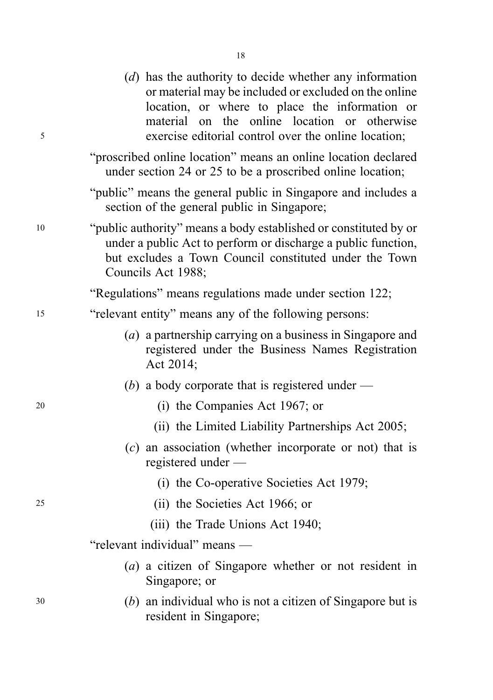| 5  | (d) has the authority to decide whether any information<br>or material may be included or excluded on the online<br>location, or where to place the information or<br>material on the online location or otherwise<br>exercise editorial control over the online location; |
|----|----------------------------------------------------------------------------------------------------------------------------------------------------------------------------------------------------------------------------------------------------------------------------|
|    | "proscribed online location" means an online location declared<br>under section 24 or 25 to be a proscribed online location;                                                                                                                                               |
|    | "public" means the general public in Singapore and includes a<br>section of the general public in Singapore;                                                                                                                                                               |
| 10 | "public authority" means a body established or constituted by or<br>under a public Act to perform or discharge a public function,<br>but excludes a Town Council constituted under the Town<br>Councils Act 1988;                                                          |
|    | "Regulations" means regulations made under section 122;                                                                                                                                                                                                                    |
| 15 | "relevant entity" means any of the following persons:                                                                                                                                                                                                                      |
|    | (a) a partnership carrying on a business in Singapore and<br>registered under the Business Names Registration<br>Act 2014;                                                                                                                                                 |
|    | (b) a body corporate that is registered under —                                                                                                                                                                                                                            |
| 20 | (i) the Companies Act 1967; or                                                                                                                                                                                                                                             |
|    | (ii) the Limited Liability Partnerships Act 2005;                                                                                                                                                                                                                          |
|    | (c) an association (whether incorporate or not) that is<br>registered under —                                                                                                                                                                                              |
|    | (i) the Co-operative Societies Act 1979;                                                                                                                                                                                                                                   |
| 25 | (ii) the Societies Act 1966; or                                                                                                                                                                                                                                            |
|    | (iii) the Trade Unions Act 1940;                                                                                                                                                                                                                                           |
|    | "relevant individual" means —                                                                                                                                                                                                                                              |
|    | (a) a citizen of Singapore whether or not resident in<br>Singapore; or                                                                                                                                                                                                     |
| 30 | $(b)$ an individual who is not a citizen of Singapore but is<br>resident in Singapore;                                                                                                                                                                                     |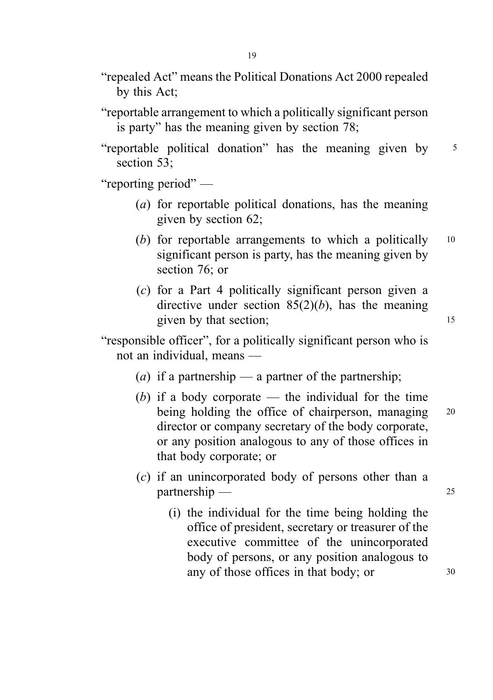- "repealed Act" means the Political Donations Act 2000 repealed by this Act;
- "reportable arrangement to which a politically significant person is party" has the meaning given by section 78;
- "reportable political donation" has the meaning given by <sup>5</sup> section 53;

"reporting period" —

- (a) for reportable political donations, has the meaning given by section 62;
- (b) for reportable arrangements to which a politically  $10$ significant person is party, has the meaning given by section 76; or
- (c) for a Part 4 politically significant person given a directive under section  $85(2)(b)$ , has the meaning given by that section; 15

"responsible officer", for a politically significant person who is not an individual, means —

- (*a*) if a partnership a partner of the partnership;
- (b) if a body corporate the individual for the time being holding the office of chairperson, managing 20 director or company secretary of the body corporate, or any position analogous to any of those offices in that body corporate; or
- (c) if an unincorporated body of persons other than a partnership — 25
	- (i) the individual for the time being holding the office of president, secretary or treasurer of the executive committee of the unincorporated body of persons, or any position analogous to any of those offices in that body; or  $30$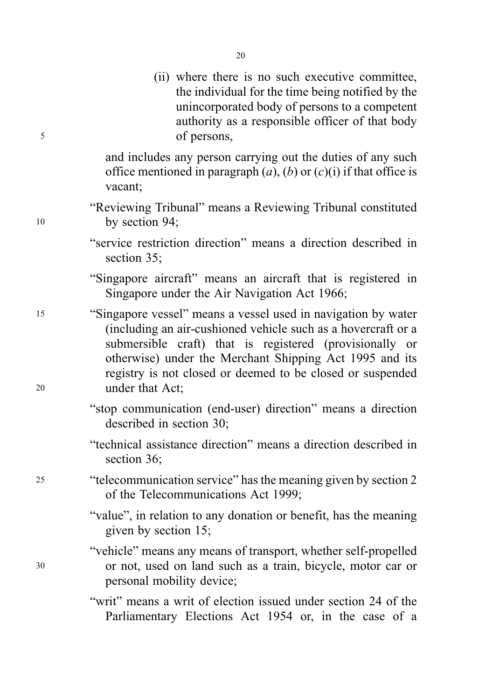(ii) where there is no such executive committee, the individual for the time being notified by the unincorporated body of persons to a competent authority as a responsible officer of that body <sup>5</sup> of persons,

> and includes any person carrying out the duties of any such office mentioned in paragraph  $(a)$ ,  $(b)$  or  $(c)(i)$  if that office is vacant;

- "Reviewing Tribunal" means a Reviewing Tribunal constituted <sup>10</sup> by section 94;
	- "service restriction direction" means a direction described in section 35;

"Singapore aircraft" means an aircraft that is registered in Singapore under the Air Navigation Act 1966;

- <sup>15</sup> "Singapore vessel" means a vessel used in navigation by water (including an air-cushioned vehicle such as a hovercraft or a submersible craft) that is registered (provisionally or otherwise) under the Merchant Shipping Act 1995 and its registry is not closed or deemed to be closed or suspended <sup>20</sup> under that Act;
	- "stop communication (end-user) direction" means a direction described in section 30;
	- "technical assistance direction" means a direction described in section 36;
- <sup>25</sup> "telecommunication service" has the meaning given by section 2 of the Telecommunications Act 1999;
	- "value", in relation to any donation or benefit, has the meaning given by section 15;
- "vehicle" means any means of transport, whether self-propelled <sup>30</sup> or not, used on land such as a train, bicycle, motor car or personal mobility device;
	- "writ" means a writ of election issued under section 24 of the Parliamentary Elections Act 1954 or, in the case of a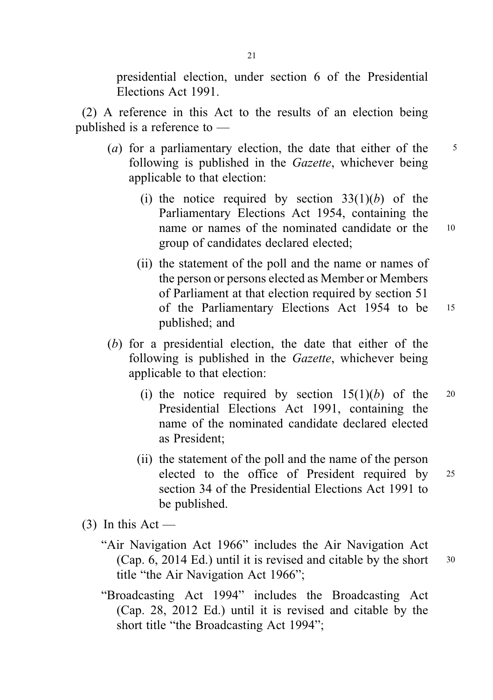presidential election, under section 6 of the Presidential Elections Act 1991.

(2) A reference in this Act to the results of an election being published is a reference to —

- (a) for a parliamentary election, the date that either of the  $\frac{5}{5}$ following is published in the *Gazette*, whichever being applicable to that election:
	- (i) the notice required by section  $33(1)(b)$  of the Parliamentary Elections Act 1954, containing the name or names of the nominated candidate or the 10 group of candidates declared elected;
	- (ii) the statement of the poll and the name or names of the person or persons elected as Member or Members of Parliament at that election required by section 51 of the Parliamentary Elections Act 1954 to be <sup>15</sup> published; and
- (b) for a presidential election, the date that either of the following is published in the Gazette, whichever being applicable to that election:
	- (i) the notice required by section  $15(1)(b)$  of the 20 Presidential Elections Act 1991, containing the name of the nominated candidate declared elected as President;
	- (ii) the statement of the poll and the name of the person elected to the office of President required by <sup>25</sup> section 34 of the Presidential Elections Act 1991 to be published.
- $(3)$  In this Act
	- "Air Navigation Act 1966" includes the Air Navigation Act (Cap. 6, 2014 Ed.) until it is revised and citable by the short  $30$ title "the Air Navigation Act 1966";
	- "Broadcasting Act 1994" includes the Broadcasting Act (Cap. 28, 2012 Ed.) until it is revised and citable by the short title "the Broadcasting Act 1994";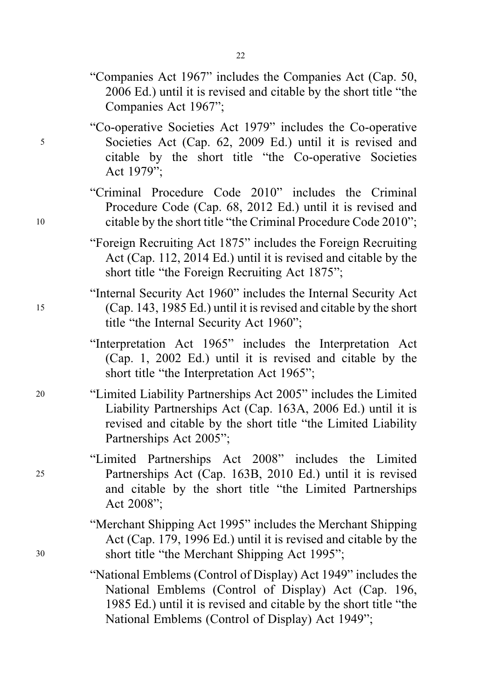- "Companies Act 1967" includes the Companies Act (Cap. 50, 2006 Ed.) until it is revised and citable by the short title "the Companies Act 1967";
- "Co-operative Societies Act 1979" includes the Co-operative <sup>5</sup> Societies Act (Cap. 62, 2009 Ed.) until it is revised and citable by the short title "the Co-operative Societies Act 1979";
- "Criminal Procedure Code 2010" includes the Criminal Procedure Code (Cap. 68, 2012 Ed.) until it is revised and <sup>10</sup> citable by the short title "the Criminal Procedure Code 2010";
	- "Foreign Recruiting Act 1875" includes the Foreign Recruiting Act (Cap. 112, 2014 Ed.) until it is revised and citable by the short title "the Foreign Recruiting Act 1875";
- "Internal Security Act 1960" includes the Internal Security Act <sup>15</sup> (Cap. 143, 1985 Ed.) until it is revised and citable by the short title "the Internal Security Act 1960";
	- "Interpretation Act 1965" includes the Interpretation Act (Cap. 1, 2002 Ed.) until it is revised and citable by the short title "the Interpretation Act 1965";
- <sup>20</sup> "Limited Liability Partnerships Act 2005" includes the Limited Liability Partnerships Act (Cap. 163A, 2006 Ed.) until it is revised and citable by the short title "the Limited Liability Partnerships Act 2005";
- "Limited Partnerships Act 2008" includes the Limited <sup>25</sup> Partnerships Act (Cap. 163B, 2010 Ed.) until it is revised and citable by the short title "the Limited Partnerships Act 2008";
- "Merchant Shipping Act 1995" includes the Merchant Shipping Act (Cap. 179, 1996 Ed.) until it is revised and citable by the <sup>30</sup> short title "the Merchant Shipping Act 1995";
	- "National Emblems (Control of Display) Act 1949" includes the National Emblems (Control of Display) Act (Cap. 196, 1985 Ed.) until it is revised and citable by the short title "the National Emblems (Control of Display) Act 1949";

22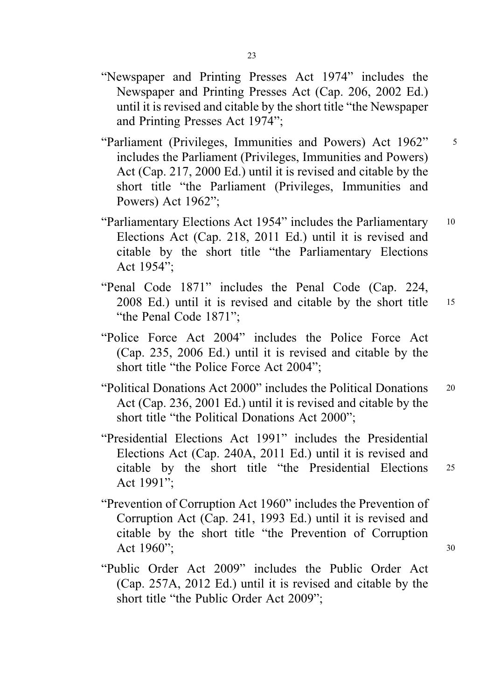- "Newspaper and Printing Presses Act 1974" includes the Newspaper and Printing Presses Act (Cap. 206, 2002 Ed.) until it is revised and citable by the short title "the Newspaper and Printing Presses Act 1974";
- "Parliament (Privileges, Immunities and Powers) Act 1962" <sup>5</sup> includes the Parliament (Privileges, Immunities and Powers) Act (Cap. 217, 2000 Ed.) until it is revised and citable by the short title "the Parliament (Privileges, Immunities and Powers) Act 1962";
- "Parliamentary Elections Act 1954" includes the Parliamentary <sup>10</sup> Elections Act (Cap. 218, 2011 Ed.) until it is revised and citable by the short title "the Parliamentary Elections Act 1954";
- "Penal Code 1871" includes the Penal Code (Cap. 224, 2008 Ed.) until it is revised and citable by the short title <sup>15</sup> "the Penal Code 1871";
- "Police Force Act 2004" includes the Police Force Act (Cap. 235, 2006 Ed.) until it is revised and citable by the short title "the Police Force Act 2004";
- "Political Donations Act 2000" includes the Political Donations <sup>20</sup> Act (Cap. 236, 2001 Ed.) until it is revised and citable by the short title "the Political Donations Act 2000";
- "Presidential Elections Act 1991" includes the Presidential Elections Act (Cap. 240A, 2011 Ed.) until it is revised and citable by the short title "the Presidential Elections <sup>25</sup> Act 1991";
- "Prevention of Corruption Act 1960" includes the Prevention of Corruption Act (Cap. 241, 1993 Ed.) until it is revised and citable by the short title "the Prevention of Corruption Act  $1960$ ";  $30$
- "Public Order Act 2009" includes the Public Order Act (Cap. 257A, 2012 Ed.) until it is revised and citable by the short title "the Public Order Act 2009";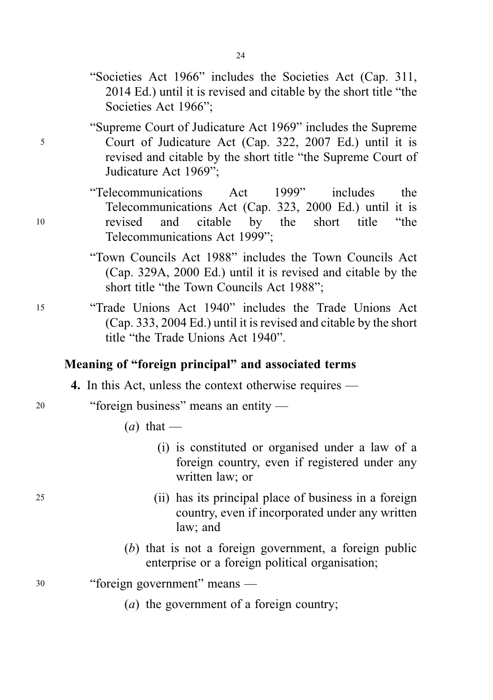- "Societies Act 1966" includes the Societies Act (Cap. 311, 2014 Ed.) until it is revised and citable by the short title "the Societies Act 1966";
- "Supreme Court of Judicature Act 1969" includes the Supreme <sup>5</sup> Court of Judicature Act (Cap. 322, 2007 Ed.) until it is revised and citable by the short title "the Supreme Court of Judicature Act 1969";
- "Telecommunications Act 1999" includes the Telecommunications Act (Cap. 323, 2000 Ed.) until it is <sup>10</sup> revised and citable by the short title "the Telecommunications Act 1999";
	- "Town Councils Act 1988" includes the Town Councils Act (Cap. 329A, 2000 Ed.) until it is revised and citable by the short title "the Town Councils Act 1988";
- <sup>15</sup> "Trade Unions Act 1940" includes the Trade Unions Act (Cap. 333, 2004 Ed.) until it is revised and citable by the short title "the Trade Unions Act 1940".

## Meaning of "foreign principal" and associated terms

4. In this Act, unless the context otherwise requires —

- <sup>20</sup> "foreign business" means an entity
	- $(a)$  that
		- (i) is constituted or organised under a law of a foreign country, even if registered under any written law; or
- <sup>25</sup> (ii) has its principal place of business in a foreign country, even if incorporated under any written law; and
	- (b) that is not a foreign government, a foreign public enterprise or a foreign political organisation;

<sup>30</sup> "foreign government" means —

(a) the government of a foreign country;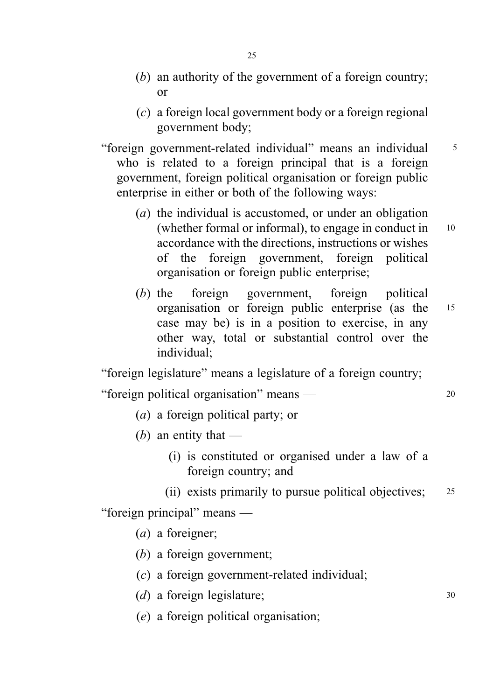- (b) an authority of the government of a foreign country; or
- (c) a foreign local government body or a foreign regional government body;
- "foreign government-related individual" means an individual <sup>5</sup> who is related to a foreign principal that is a foreign government, foreign political organisation or foreign public enterprise in either or both of the following ways:
	- (a) the individual is accustomed, or under an obligation (whether formal or informal), to engage in conduct in  $10$ accordance with the directions, instructions or wishes of the foreign government, foreign political organisation or foreign public enterprise;
	- (b) the foreign government, foreign political organisation or foreign public enterprise (as the <sup>15</sup> case may be) is in a position to exercise, in any other way, total or substantial control over the individual;

"foreign legislature" means a legislature of a foreign country;

"foreign political organisation" means — <sup>20</sup>

- (a) a foreign political party; or
- (b) an entity that  $-$ 
	- (i) is constituted or organised under a law of a foreign country; and

(ii) exists primarily to pursue political objectives; <sup>25</sup> "foreign principal" means —

- (a) a foreigner;
- (b) a foreign government;
- (c) a foreign government-related individual;
- (d) a foreign legislature; 30
- (e) a foreign political organisation;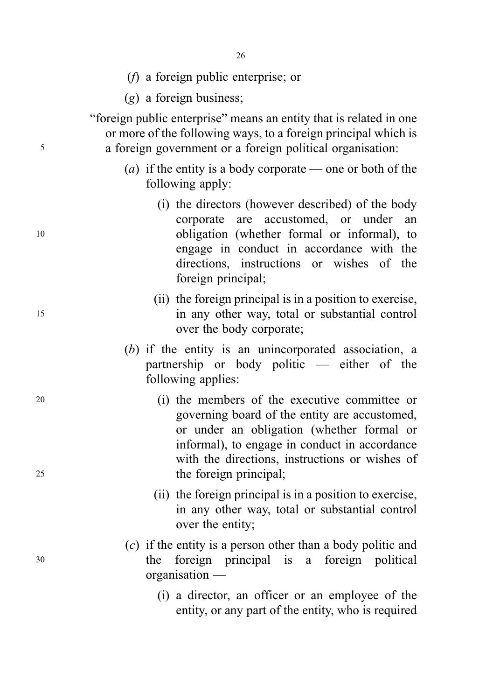- 26
- (f) a foreign public enterprise; or
- (g) a foreign business;

"foreign public enterprise" means an entity that is related in one or more of the following ways, to a foreign principal which is <sup>5</sup> a foreign government or a foreign political organisation:

- (*a*) if the entity is a body corporate one or both of the following apply:
- (i) the directors (however described) of the body corporate are accustomed, or under an <sup>10</sup> obligation (whether formal or informal), to engage in conduct in accordance with the directions, instructions or wishes of the foreign principal;
- (ii) the foreign principal is in a position to exercise, <sup>15</sup> in any other way, total or substantial control over the body corporate;
	- (b) if the entity is an unincorporated association, a partnership or body politic — either of the following applies:
- <sup>20</sup> (i) the members of the executive committee or governing board of the entity are accustomed, or under an obligation (whether formal or informal), to engage in conduct in accordance with the directions, instructions or wishes of 25 the foreign principal;
	- (ii) the foreign principal is in a position to exercise, in any other way, total or substantial control over the entity;
- (c) if the entity is a person other than a body politic and <sup>30</sup> the foreign principal is a foreign political organisation —
	- (i) a director, an officer or an employee of the entity, or any part of the entity, who is required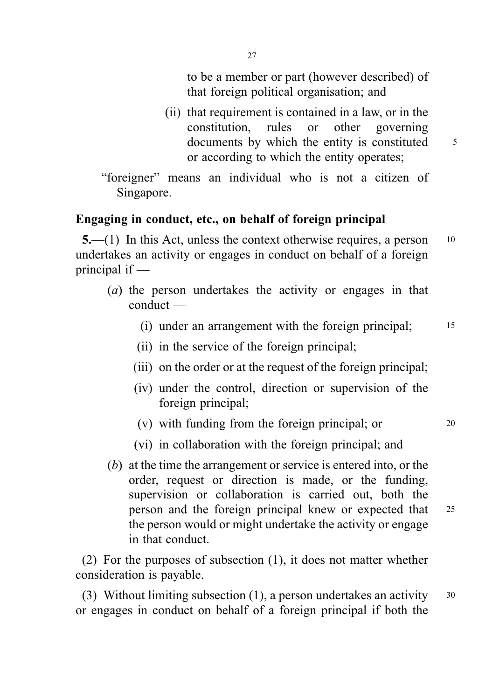to be a member or part (however described) of that foreign political organisation; and

- (ii) that requirement is contained in a law, or in the constitution, rules or other governing documents by which the entity is constituted  $\frac{5}{5}$ or according to which the entity operates;
- "foreigner" means an individual who is not a citizen of Singapore.

## Engaging in conduct, etc., on behalf of foreign principal

5.—(1) In this Act, unless the context otherwise requires, a person <sup>10</sup> undertakes an activity or engages in conduct on behalf of a foreign principal if —

- (a) the person undertakes the activity or engages in that conduct —
	- (i) under an arrangement with the foreign principal; <sup>15</sup>
	- (ii) in the service of the foreign principal;
	- (iii) on the order or at the request of the foreign principal;
	- (iv) under the control, direction or supervision of the foreign principal;
	- (v) with funding from the foreign principal; or  $20$
	- (vi) in collaboration with the foreign principal; and
- (b) at the time the arrangement or service is entered into, or the order, request or direction is made, or the funding, supervision or collaboration is carried out, both the person and the foreign principal knew or expected that <sup>25</sup> the person would or might undertake the activity or engage in that conduct.

(2) For the purposes of subsection (1), it does not matter whether consideration is payable.

(3) Without limiting subsection (1), a person undertakes an activity  $30$ or engages in conduct on behalf of a foreign principal if both the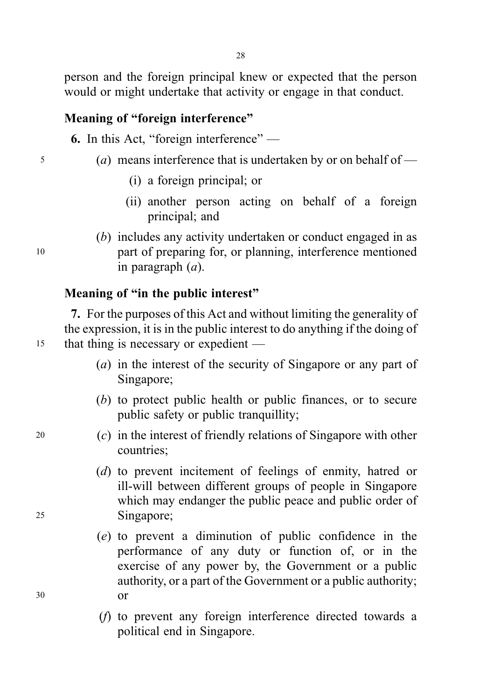person and the foreign principal knew or expected that the person would or might undertake that activity or engage in that conduct.

## Meaning of "foreign interference"

6. In this Act, "foreign interference" —

- <sup>5</sup> (a) means interference that is undertaken by or on behalf of
	- (i) a foreign principal; or
	- (ii) another person acting on behalf of a foreign principal; and
- (b) includes any activity undertaken or conduct engaged in as <sup>10</sup> part of preparing for, or planning, interference mentioned in paragraph  $(a)$ .

## Meaning of "in the public interest"

7. For the purposes of this Act and without limiting the generality of the expression, it is in the public interest to do anything if the doing of <sup>15</sup> that thing is necessary or expedient —

- (a) in the interest of the security of Singapore or any part of Singapore;
- (b) to protect public health or public finances, or to secure public safety or public tranquillity;
- <sup>20</sup> (c) in the interest of friendly relations of Singapore with other countries;
- (d) to prevent incitement of feelings of enmity, hatred or ill-will between different groups of people in Singapore which may endanger the public peace and public order of <sup>25</sup> Singapore;
- (e) to prevent a diminution of public confidence in the performance of any duty or function of, or in the exercise of any power by, the Government or a public authority, or a part of the Government or a public authority; <sup>30</sup> or
	- (f) to prevent any foreign interference directed towards a political end in Singapore.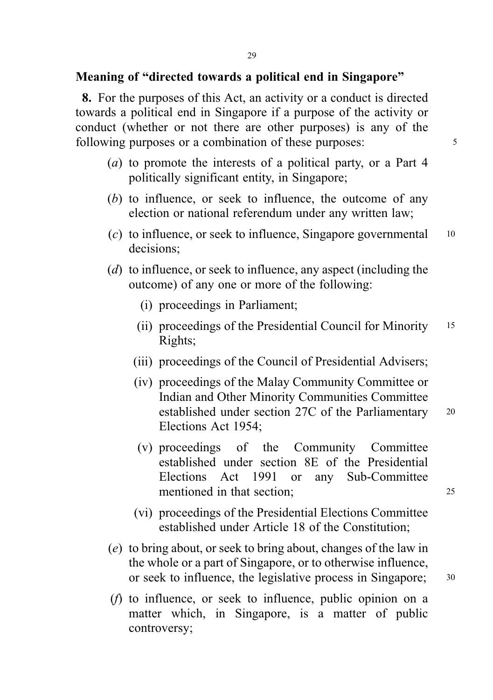## Meaning of "directed towards a political end in Singapore"

8. For the purposes of this Act, an activity or a conduct is directed towards a political end in Singapore if a purpose of the activity or conduct (whether or not there are other purposes) is any of the following purposes or a combination of these purposes:  $\frac{5}{5}$ 

- (a) to promote the interests of a political party, or a Part 4 politically significant entity, in Singapore;
- (b) to influence, or seek to influence, the outcome of any election or national referendum under any written law;
- $(c)$  to influence, or seek to influence, Singapore governmental  $10$ decisions;
- (d) to influence, or seek to influence, any aspect (including the outcome) of any one or more of the following:
	- (i) proceedings in Parliament;
	- (ii) proceedings of the Presidential Council for Minority <sup>15</sup> Rights;
	- (iii) proceedings of the Council of Presidential Advisers;
	- (iv) proceedings of the Malay Community Committee or Indian and Other Minority Communities Committee established under section 27C of the Parliamentary <sup>20</sup> Elections Act 1954;
	- (v) proceedings of the Community Committee established under section 8E of the Presidential Elections Act 1991 or any Sub-Committee mentioned in that section: 25
		-
	- (vi) proceedings of the Presidential Elections Committee established under Article 18 of the Constitution;
- (e) to bring about, or seek to bring about, changes of the law in the whole or a part of Singapore, or to otherwise influence, or seek to influence, the legislative process in Singapore; 30
- (f) to influence, or seek to influence, public opinion on a matter which, in Singapore, is a matter of public controversy;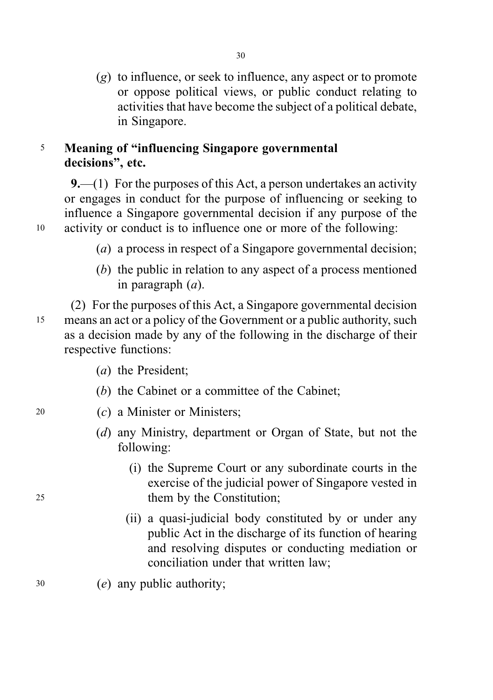$(g)$  to influence, or seek to influence, any aspect or to promote or oppose political views, or public conduct relating to activities that have become the subject of a political debate, in Singapore.

30

## <sup>5</sup> Meaning of "influencing Singapore governmental decisions", etc.

9.—(1) For the purposes of this Act, a person undertakes an activity or engages in conduct for the purpose of influencing or seeking to influence a Singapore governmental decision if any purpose of the <sup>10</sup> activity or conduct is to influence one or more of the following:

- - (a) a process in respect of a Singapore governmental decision:
	- (b) the public in relation to any aspect of a process mentioned in paragraph  $(a)$ .

(2) For the purposes of this Act, a Singapore governmental decision <sup>15</sup> means an act or a policy of the Government or a public authority, such as a decision made by any of the following in the discharge of their respective functions:

- (a) the President;
- (b) the Cabinet or a committee of the Cabinet;
- <sup>20</sup> (c) a Minister or Ministers;
	- (d) any Ministry, department or Organ of State, but not the following:
- (i) the Supreme Court or any subordinate courts in the exercise of the judicial power of Singapore vested in <sup>25</sup> them by the Constitution;
	- (ii) a quasi-judicial body constituted by or under any public Act in the discharge of its function of hearing and resolving disputes or conducting mediation or conciliation under that written law;
- <sup>30</sup> (e) any public authority;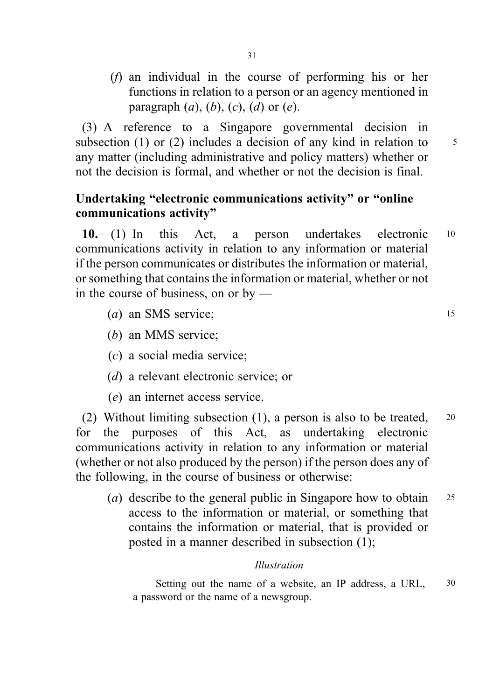(f) an individual in the course of performing his or her functions in relation to a person or an agency mentioned in paragraph  $(a)$ ,  $(b)$ ,  $(c)$ ,  $(d)$  or  $(e)$ .

(3) A reference to a Singapore governmental decision in subsection (1) or (2) includes a decision of any kind in relation to  $\frac{5}{5}$ any matter (including administrative and policy matters) whether or not the decision is formal, and whether or not the decision is final.

## Undertaking "electronic communications activity" or "online communications activity"

10.—(1) In this Act, a person undertakes electronic <sup>10</sup> communications activity in relation to any information or material if the person communicates or distributes the information or material, or something that contains the information or material, whether or not in the course of business, on or by —

- (a) an SMS service:  $\frac{15}{25}$
- (b) an MMS service;
- (c) a social media service;
- (d) a relevant electronic service; or
- (e) an internet access service.

(2) Without limiting subsection (1), a person is also to be treated, <sup>20</sup> for the purposes of this Act, as undertaking electronic communications activity in relation to any information or material (whether or not also produced by the person) if the person does any of the following, in the course of business or otherwise:

(*a*) describe to the general public in Singapore how to obtain 25 access to the information or material, or something that contains the information or material, that is provided or posted in a manner described in subsection (1);

#### . Illustration

Setting out the name of a website, an IP address, a URL,  $30$ a password or the name of a newsgroup.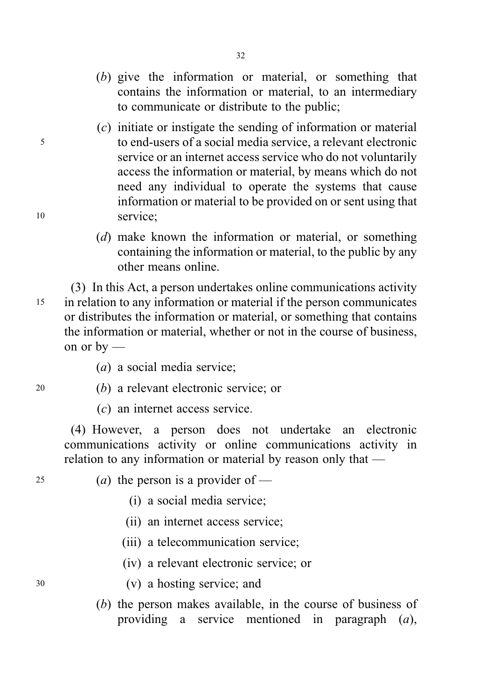(b) give the information or material, or something that contains the information or material, to an intermediary to communicate or distribute to the public;

32

- (c) initiate or instigate the sending of information or material <sup>5</sup> to end-users of a social media service, a relevant electronic service or an internet access service who do not voluntarily access the information or material, by means which do not need any individual to operate the systems that cause information or material to be provided on or sent using that <sup>10</sup> service;
	- (d) make known the information or material, or something containing the information or material, to the public by any other means online.

(3) In this Act, a person undertakes online communications activity <sup>15</sup> in relation to any information or material if the person communicates or distributes the information or material, or something that contains the information or material, whether or not in the course of business, on or by —

- (a) a social media service;
- <sup>20</sup> (b) a relevant electronic service; or
	- (c) an internet access service.

(4) However, a person does not undertake an electronic communications activity or online communications activity in relation to any information or material by reason only that —

- 25 (a) the person is a provider of  $-$ 
	- (i) a social media service;
	- (ii) an internet access service;
	- (iii) a telecommunication service;
	- (iv) a relevant electronic service; or
- <sup>30</sup> (v) a hosting service; and
	- (b) the person makes available, in the course of business of providing a service mentioned in paragraph (a),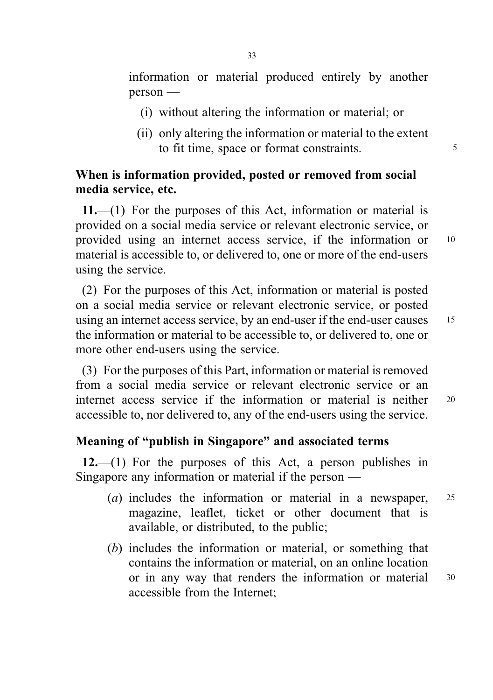information or material produced entirely by another person —

- (i) without altering the information or material; or
- (ii) only altering the information or material to the extent to fit time, space or format constraints.

## When is information provided, posted or removed from social media service, etc.

11.—(1) For the purposes of this Act, information or material is provided on a social media service or relevant electronic service, or provided using an internet access service, if the information or <sup>10</sup> material is accessible to, or delivered to, one or more of the end-users using the service.

(2) For the purposes of this Act, information or material is posted on a social media service or relevant electronic service, or posted using an internet access service, by an end-user if the end-user causes 15 the information or material to be accessible to, or delivered to, one or more other end-users using the service.

(3) For the purposes of this Part, information or material is removed from a social media service or relevant electronic service or an internet access service if the information or material is neither <sup>20</sup> accessible to, nor delivered to, any of the end-users using the service.

## Meaning of "publish in Singapore" and associated terms

12.—(1) For the purposes of this Act, a person publishes in Singapore any information or material if the person —

- (a) includes the information or material in a newspaper, <sup>25</sup> magazine, leaflet, ticket or other document that is available, or distributed, to the public;
- (b) includes the information or material, or something that contains the information or material, on an online location or in any way that renders the information or material 30 accessible from the Internet;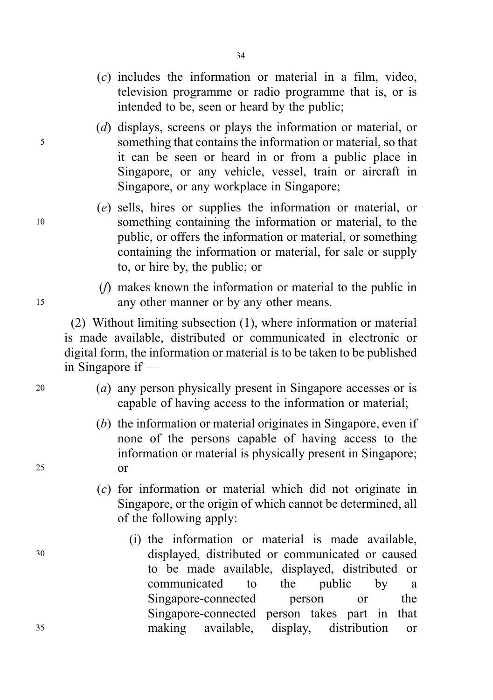(c) includes the information or material in a film, video, television programme or radio programme that is, or is intended to be, seen or heard by the public;

34

- (d) displays, screens or plays the information or material, or <sup>5</sup> something that contains the information or material, so that it can be seen or heard in or from a public place in Singapore, or any vehicle, vessel, train or aircraft in Singapore, or any workplace in Singapore;
- (e) sells, hires or supplies the information or material, or <sup>10</sup> something containing the information or material, to the public, or offers the information or material, or something containing the information or material, for sale or supply to, or hire by, the public; or
- (f) makes known the information or material to the public in <sup>15</sup> any other manner or by any other means.

(2) Without limiting subsection (1), where information or material is made available, distributed or communicated in electronic or digital form, the information or material is to be taken to be published in Singapore if —

- <sup>20</sup> (a) any person physically present in Singapore accesses or is capable of having access to the information or material;
- (b) the information or material originates in Singapore, even if none of the persons capable of having access to the information or material is physically present in Singapore; <sup>25</sup> or
	- (c) for information or material which did not originate in Singapore, or the origin of which cannot be determined, all of the following apply:
- (i) the information or material is made available, <sup>30</sup> displayed, distributed or communicated or caused to be made available, displayed, distributed or communicated to the public by a Singapore-connected person or the Singapore-connected person takes part in that <sup>35</sup> making available, display, distribution or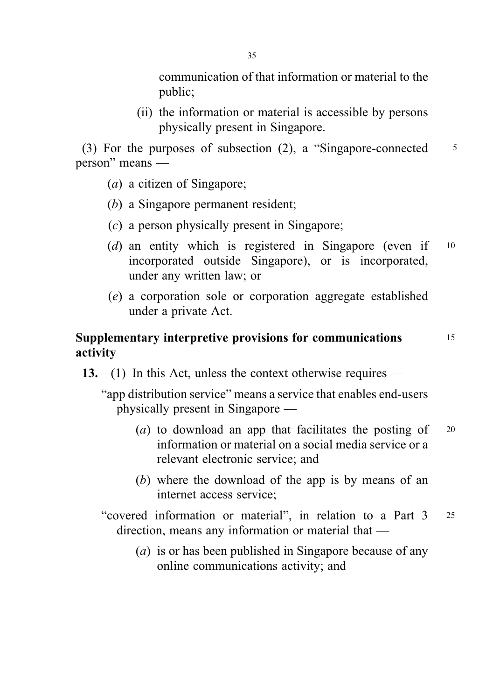communication of that information or material to the public;

(ii) the information or material is accessible by persons physically present in Singapore.

(3) For the purposes of subsection  $(2)$ , a "Singapore-connected  $\frac{5}{5}$ person" means —

- (a) a citizen of Singapore;
- (b) a Singapore permanent resident;
- (c) a person physically present in Singapore;
- (d) an entity which is registered in Singapore (even if  $10$ incorporated outside Singapore), or is incorporated, under any written law; or
- (e) a corporation sole or corporation aggregate established under a private Act.

## Supplementary interpretive provisions for communications 15 activity

13.—(1) In this Act, unless the context otherwise requires —

"app distribution service" means a service that enables end-users physically present in Singapore —

- (a) to download an app that facilitates the posting of  $20$ information or material on a social media service or a relevant electronic service; and
- (b) where the download of the app is by means of an internet access service;
- "covered information or material", in relation to a Part 3 <sup>25</sup> direction, means any information or material that —
	- (a) is or has been published in Singapore because of any online communications activity; and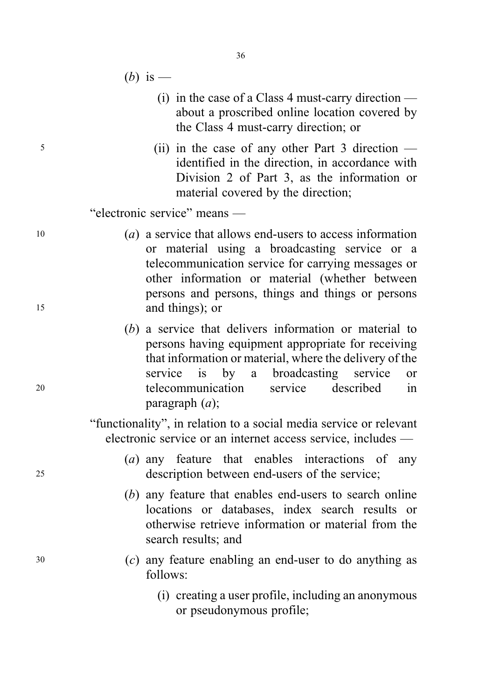- (b) is
	- (i) in the case of a Class 4 must-carry direction about a proscribed online location covered by the Class 4 must-carry direction; or
- <sup>5</sup> (ii) in the case of any other Part 3 direction identified in the direction, in accordance with Division 2 of Part 3, as the information or material covered by the direction;

"electronic service" means —

- <sup>10</sup> (a) a service that allows end-users to access information or material using a broadcasting service or a telecommunication service for carrying messages or other information or material (whether between persons and persons, things and things or persons <sup>15</sup> and things); or
- (b) a service that delivers information or material to persons having equipment appropriate for receiving that information or material, where the delivery of the service is by a broadcasting service or <sup>20</sup> telecommunication service described in paragraph  $(a)$ ;

"functionality", in relation to a social media service or relevant electronic service or an internet access service, includes —

- (a) any feature that enables interactions of any <sup>25</sup> description between end-users of the service;
	- (b) any feature that enables end-users to search online locations or databases, index search results or otherwise retrieve information or material from the search results; and
- <sup>30</sup> (c) any feature enabling an end-user to do anything as follows:
	- (i) creating a user profile, including an anonymous or pseudonymous profile;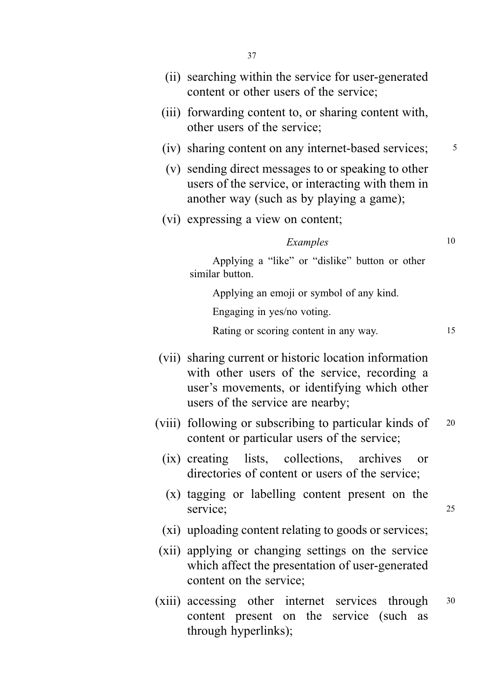- (ii) searching within the service for user-generated content or other users of the service;
- (iii) forwarding content to, or sharing content with, other users of the service;
- (iv) sharing content on any internet-based services;  $\frac{5}{10}$
- (v) sending direct messages to or speaking to other users of the service, or interacting with them in another way (such as by playing a game);
- (vi) expressing a view on content;

#### $Examples$  10

Applying a "like" or "dislike" button or other similar button.

Applying an emoji or symbol of any kind.

Engaging in yes/no voting.

Rating or scoring content in any way.

- (vii) sharing current or historic location information with other users of the service, recording a user's movements, or identifying which other users of the service are nearby;
- (viii) following or subscribing to particular kinds of <sup>20</sup> content or particular users of the service;
	- (ix) creating lists, collections, archives or directories of content or users of the service;
	- (x) tagging or labelling content present on the service: 25
	- (xi) uploading content relating to goods or services;
- (xii) applying or changing settings on the service which affect the presentation of user-generated content on the service;
- (xiii) accessing other internet services through <sup>30</sup> content present on the service (such as through hyperlinks);

15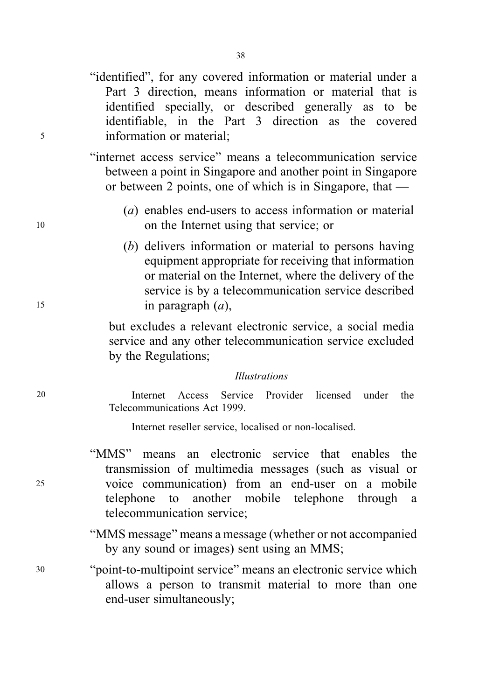"identified", for any covered information or material under a Part 3 direction, means information or material that is identified specially, or described generally as to be identifiable, in the Part 3 direction as the covered <sup>5</sup> information or material;

> "internet access service" means a telecommunication service between a point in Singapore and another point in Singapore or between 2 points, one of which is in Singapore, that —

- . (a) enables end-users to access information or material <sup>10</sup> on the Internet using that service; or
- (b) delivers information or material to persons having equipment appropriate for receiving that information or material on the Internet, where the delivery of the service is by a telecommunication service described 15 in paragraph  $(a)$ ,

but excludes a relevant electronic service, a social media service and any other telecommunication service excluded by the Regulations;

#### Illustrations

Internet Access Service Provider licensed under the Telecommunications Act 1999.

Internet reseller service, localised or non-localised.

"MMS" means an electronic service that enables the transmission of multimedia messages (such as visual or <sup>25</sup> voice communication) from an end-user on a mobile telephone to another mobile telephone through a telecommunication service;

> "MMS message" means a message (whether or not accompanied by any sound or images) sent using an MMS;

<sup>30</sup> "point-to-multipoint service" means an electronic service which allows a person to transmit material to more than one end-user simultaneously;

20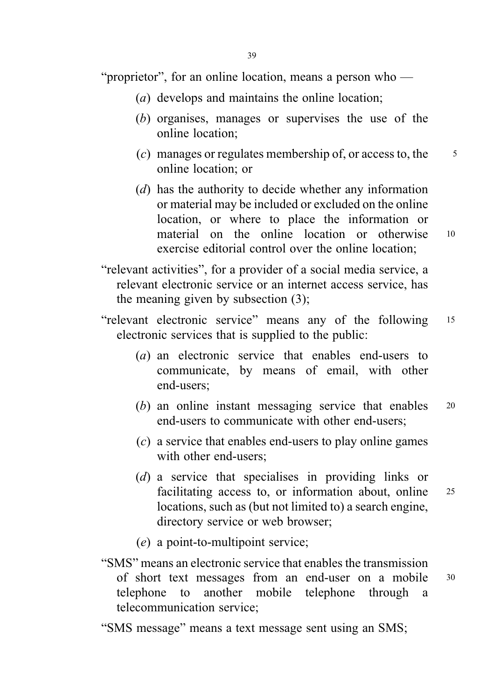"proprietor", for an online location, means a person who —

- (a) develops and maintains the online location;
- (b) organises, manages or supervises the use of the online location;
- (c) manages or regulates membership of, or access to, the  $\frac{5}{5}$ online location; or
- (d) has the authority to decide whether any information or material may be included or excluded on the online location, or where to place the information or material on the online location or otherwise <sup>10</sup> exercise editorial control over the online location;
- "relevant activities", for a provider of a social media service, a relevant electronic service or an internet access service, has the meaning given by subsection (3);
- "relevant electronic service" means any of the following <sup>15</sup> electronic services that is supplied to the public:
	- (a) an electronic service that enables end-users to communicate, by means of email, with other end-users;
	- (b) an online instant messaging service that enables 20 end-users to communicate with other end-users;
	- $(c)$  a service that enables end-users to play online games with other end-users;
	- (d) a service that specialises in providing links or facilitating access to, or information about, online 25 locations, such as (but not limited to) a search engine, directory service or web browser;
	- (e) a point-to-multipoint service;
- "SMS" means an electronic service that enables the transmission of short text messages from an end-user on a mobile <sup>30</sup> telephone to another mobile telephone through a telecommunication service;

"SMS message" means a text message sent using an SMS;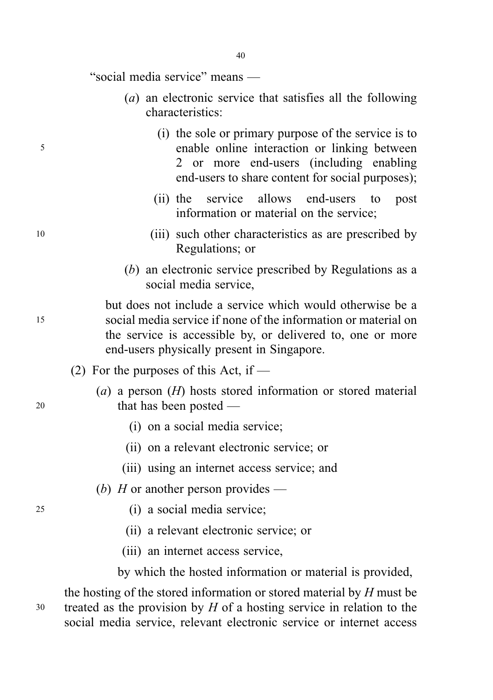"social media service" means —

- (a) an electronic service that satisfies all the following characteristics:
- (i) the sole or primary purpose of the service is to <sup>5</sup> enable online interaction or linking between 2 or more end-users (including enabling end-users to share content for social purposes);
	- (ii) the service allows end-users to post information or material on the service;
- <sup>10</sup> (iii) such other characteristics as are prescribed by Regulations; or
	- (b) an electronic service prescribed by Regulations as a social media service,

but does not include a service which would otherwise be a <sup>15</sup> social media service if none of the information or material on the service is accessible by, or delivered to, one or more end-users physically present in Singapore.

- (2) For the purposes of this Act, if  $-$
- (a) a person  $(H)$  hosts stored information or stored material 20 that has been posted —
	- (i) on a social media service;
	- (ii) on a relevant electronic service; or
	- (iii) using an internet access service; and
	- (b) H or another person provides —
- <sup>25</sup> (i) a social media service;
	- (ii) a relevant electronic service; or
	- (iii) an internet access service,

by which the hosted information or material is provided,

the hosting of the stored information or stored material by H must be  $30$  treated as the provision by H of a hosting service in relation to the social media service, relevant electronic service or internet access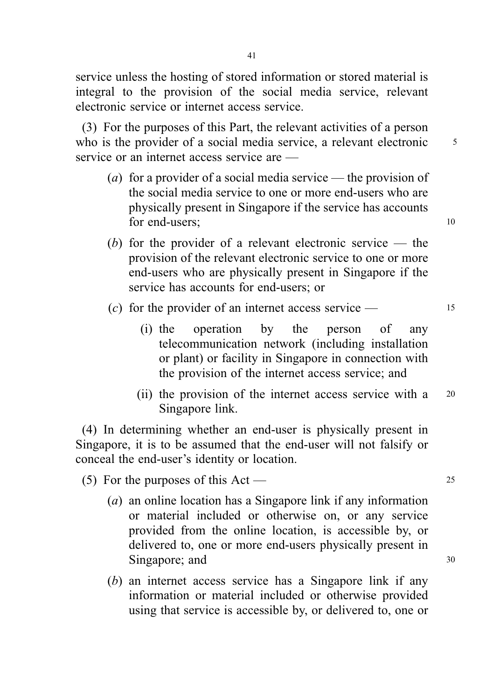service unless the hosting of stored information or stored material is integral to the provision of the social media service, relevant electronic service or internet access service.

(3) For the purposes of this Part, the relevant activities of a person who is the provider of a social media service, a relevant electronic 5 service or an internet access service are —

- (a) for a provider of a social media service the provision of the social media service to one or more end-users who are physically present in Singapore if the service has accounts for end-users; 10
- (b) for the provider of a relevant electronic service the provision of the relevant electronic service to one or more end-users who are physically present in Singapore if the service has accounts for end-users; or
- (c) for the provider of an internet access service  $-$  15
	- (i) the operation by the person of any telecommunication network (including installation or plant) or facility in Singapore in connection with the provision of the internet access service; and
	- (ii) the provision of the internet access service with a <sup>20</sup> Singapore link.

(4) In determining whether an end-user is physically present in Singapore, it is to be assumed that the end-user will not falsify or conceal the end-user's identity or location.

(5) For the purposes of this Act —  $25$ 

- (a) an online location has a Singapore link if any information or material included or otherwise on, or any service provided from the online location, is accessible by, or delivered to, one or more end-users physically present in Singapore; and 30
- (b) an internet access service has a Singapore link if any information or material included or otherwise provided using that service is accessible by, or delivered to, one or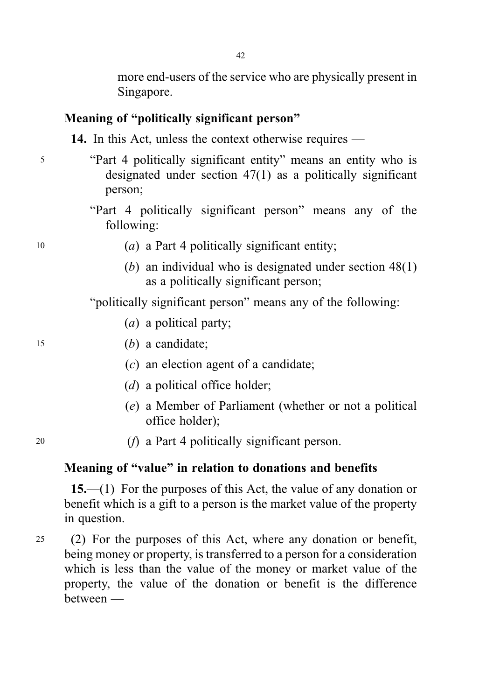more end-users of the service who are physically present in Singapore.

# Meaning of "politically significant person"

14. In this Act, unless the context otherwise requires —

- <sup>5</sup> "Part 4 politically significant entity" means an entity who is designated under section 47(1) as a politically significant person;
	- "Part 4 politically significant person" means any of the following:

- $(a)$  a Part 4 politically significant entity;
	- (b) an individual who is designated under section 48(1) as a politically significant person;

"politically significant person" means any of the following:

(a) a political party;

- 
- <sup>15</sup> (b) a candidate;
	- $(c)$  an election agent of a candidate;
	- $(d)$  a political office holder;
	- (e) a Member of Parliament (whether or not a political office holder);

- 
- <sup>20</sup> (f) a Part 4 politically significant person.

#### Meaning of "value" in relation to donations and benefits

15.—(1) For the purposes of this Act, the value of any donation or benefit which is a gift to a person is the market value of the property in question.

<sup>25</sup> (2) For the purposes of this Act, where any donation or benefit, being money or property, is transferred to a person for a consideration which is less than the value of the money or market value of the property, the value of the donation or benefit is the difference between —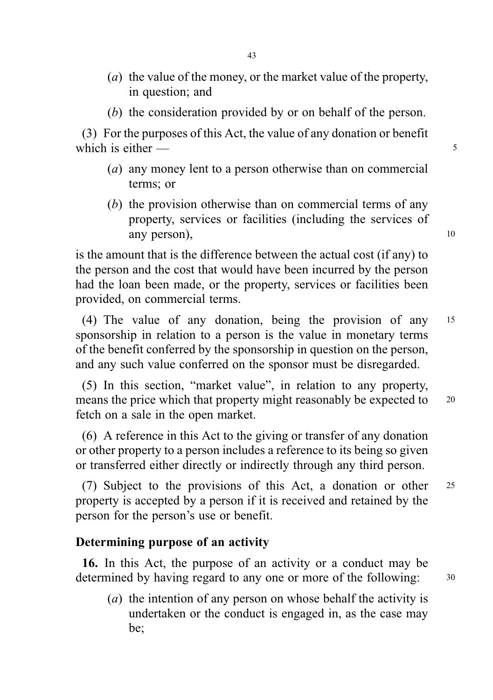- (a) the value of the money, or the market value of the property, in question; and
- (b) the consideration provided by or on behalf of the person.

(3) For the purposes of this Act, the value of any donation or benefit which is either — 5

- (a) any money lent to a person otherwise than on commercial terms; or
- (b) the provision otherwise than on commercial terms of any property, services or facilities (including the services of any person), 10

is the amount that is the difference between the actual cost (if any) to the person and the cost that would have been incurred by the person had the loan been made, or the property, services or facilities been provided, on commercial terms.

(4) The value of any donation, being the provision of any <sup>15</sup> sponsorship in relation to a person is the value in monetary terms of the benefit conferred by the sponsorship in question on the person, and any such value conferred on the sponsor must be disregarded.

(5) In this section, "market value", in relation to any property, means the price which that property might reasonably be expected to 20 fetch on a sale in the open market.

(6) A reference in this Act to the giving or transfer of any donation or other property to a person includes a reference to its being so given or transferred either directly or indirectly through any third person.

(7) Subject to the provisions of this Act, a donation or other <sup>25</sup> property is accepted by a person if it is received and retained by the person for the person's use or benefit.

#### Determining purpose of an activity

16. In this Act, the purpose of an activity or a conduct may be determined by having regard to any one or more of the following:  $30$ 

(a) the intention of any person on whose behalf the activity is undertaken or the conduct is engaged in, as the case may be;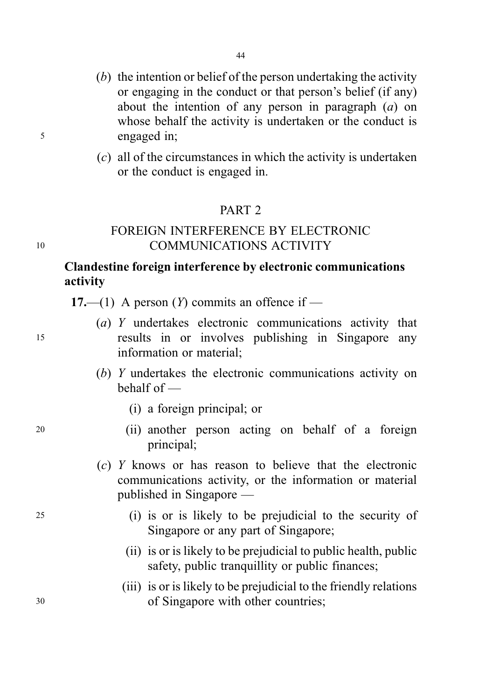- (b) the intention or belief of the person undertaking the activity or engaging in the conduct or that person's belief (if any) about the intention of any person in paragraph  $(a)$  on whose behalf the activity is undertaken or the conduct is <sup>5</sup> engaged in;
	- (c) all of the circumstances in which the activity is undertaken or the conduct is engaged in.

## PART 2

## FOREIGN INTERFERENCE BY ELECTRONIC <sup>10</sup> COMMUNICATIONS ACTIVITY

## Clandestine foreign interference by electronic communications activity

17.—(1) A person  $(Y)$  commits an offence if —

- (a) Y undertakes electronic communications activity that <sup>15</sup> results in or involves publishing in Singapore any information or material;
	- (b) Y undertakes the electronic communications activity on behalf of —
		- (i) a foreign principal; or
- <sup>20</sup> (ii) another person acting on behalf of a foreign principal;
	- $(c)$  Y knows or has reason to believe that the electronic communications activity, or the information or material published in Singapore —
- <sup>25</sup> (i) is or is likely to be prejudicial to the security of Singapore or any part of Singapore;
	- (ii) is or is likely to be prejudicial to public health, public safety, public tranquillity or public finances;
- (iii) is or is likely to be prejudicial to the friendly relations <sup>30</sup> of Singapore with other countries;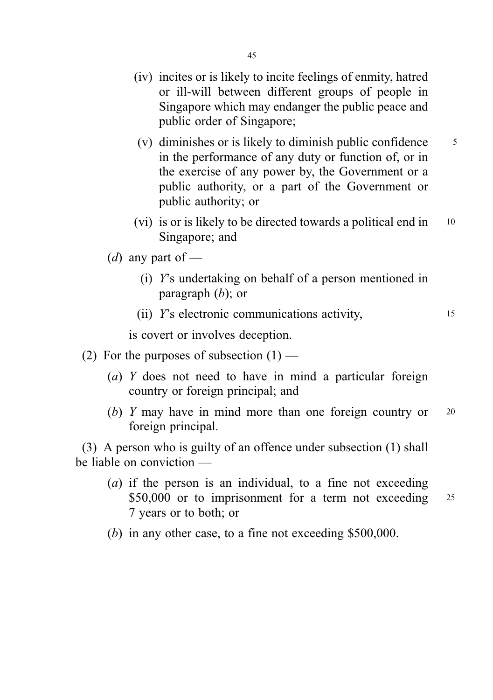- (iv) incites or is likely to incite feelings of enmity, hatred or ill-will between different groups of people in Singapore which may endanger the public peace and public order of Singapore;
- (v) diminishes or is likely to diminish public confidence  $\frac{5}{5}$ in the performance of any duty or function of, or in the exercise of any power by, the Government or a public authority, or a part of the Government or public authority; or
- (vi) is or is likely to be directed towards a political end in <sup>10</sup> Singapore; and
- (*d*) any part of
	- (i) Y's undertaking on behalf of a person mentioned in paragraph  $(b)$ ; or
	- (ii) Y's electronic communications activity, <sup>15</sup>

is covert or involves deception.

- (2) For the purposes of subsection  $(1)$ 
	- (a) Y does not need to have in mind a particular foreign country or foreign principal; and
	- (b) Y may have in mind more than one foreign country or 20 foreign principal.

(3) A person who is guilty of an offence under subsection (1) shall be liable on conviction —

- (a) if the person is an individual, to a fine not exceeding \$50,000 or to imprisonment for a term not exceeding 25 7 years or to both; or
- (b) in any other case, to a fine not exceeding \$500,000.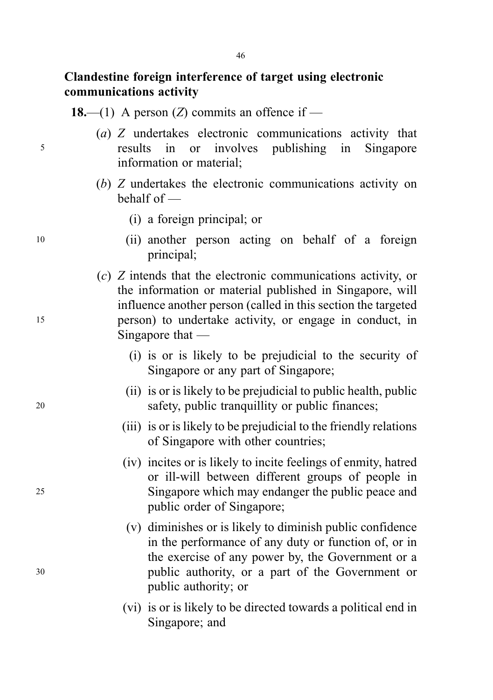## Clandestine foreign interference of target using electronic communications activity

18.—(1) A person (Z) commits an offence if —

- (a) Z undertakes electronic communications activity that <sup>5</sup> results in or involves publishing in Singapore information or material;
	- (b) Z undertakes the electronic communications activity on behalf of —
		- (i) a foreign principal; or
- <sup>10</sup> (ii) another person acting on behalf of a foreign principal;
- (c) Z intends that the electronic communications activity, or the information or material published in Singapore, will influence another person (called in this section the targeted <sup>15</sup> person) to undertake activity, or engage in conduct, in Singapore that —
	- (i) is or is likely to be prejudicial to the security of Singapore or any part of Singapore;
- (ii) is or is likely to be prejudicial to public health, public <sup>20</sup> safety, public tranquillity or public finances;
	- (iii) is or is likely to be prejudicial to the friendly relations of Singapore with other countries;
- (iv) incites or is likely to incite feelings of enmity, hatred or ill-will between different groups of people in <sup>25</sup> Singapore which may endanger the public peace and public order of Singapore;
- (v) diminishes or is likely to diminish public confidence in the performance of any duty or function of, or in the exercise of any power by, the Government or a <sup>30</sup> public authority, or a part of the Government or public authority; or
	- (vi) is or is likely to be directed towards a political end in Singapore; and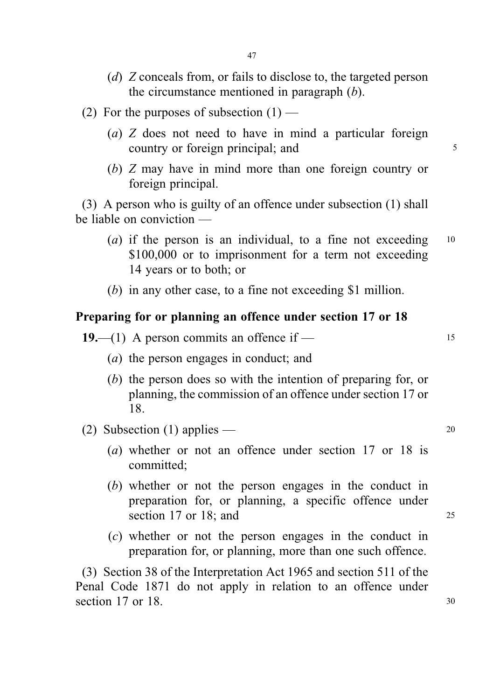- (d) Z conceals from, or fails to disclose to, the targeted person the circumstance mentioned in paragraph  $(b)$ .
- (2) For the purposes of subsection  $(1)$ 
	- (a) Z does not need to have in mind a particular foreign country or foreign principal; and  $\frac{5}{5}$
	- (b) Z may have in mind more than one foreign country or foreign principal.

(3) A person who is guilty of an offence under subsection (1) shall be liable on conviction —

- (a) if the person is an individual, to a fine not exceeding  $10$ \$100,000 or to imprisonment for a term not exceeding 14 years or to both; or
- (b) in any other case, to a fine not exceeding \$1 million.

#### Preparing for or planning an offence under section 17 or 18

19.—(1) A person commits an offence if —  $15$ 

- (a) the person engages in conduct; and
- (b) the person does so with the intention of preparing for, or planning, the commission of an offence under section 17 or 18.
- (2) Subsection (1) applies  $20$ 
	- (a) whether or not an offence under section 17 or 18 is committed;
	- (b) whether or not the person engages in the conduct in preparation for, or planning, a specific offence under section 17 or 18; and 25
	- (c) whether or not the person engages in the conduct in preparation for, or planning, more than one such offence.

(3) Section 38 of the Interpretation Act 1965 and section 511 of the Penal Code 1871 do not apply in relation to an offence under section 17 or 18. 30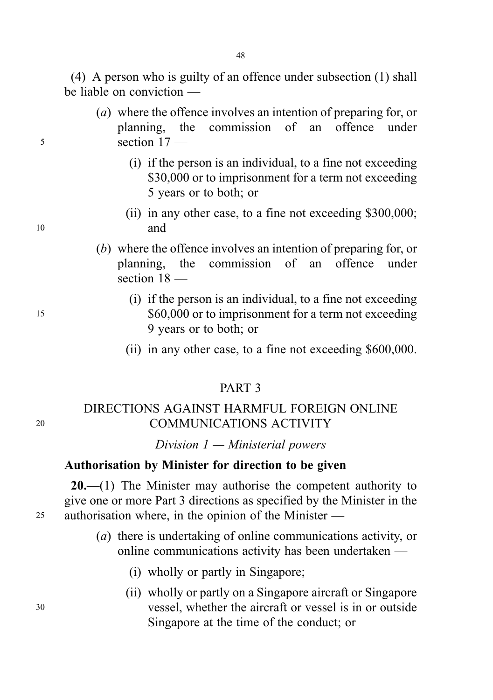(4) A person who is guilty of an offence under subsection (1) shall be liable on conviction —

- (a) where the offence involves an intention of preparing for, or planning, the commission of an offence under <sup>5</sup> section 17 —
	- (i) if the person is an individual, to a fine not exceeding \$30,000 or to imprisonment for a term not exceeding 5 years or to both; or
- (ii) in any other case, to a fine not exceeding \$300,000; <sup>10</sup> and
	- (b) where the offence involves an intention of preparing for, or planning, the commission of an offence under section  $18$  —
- (i) if the person is an individual, to a fine not exceeding 15  $$60,000$  or to imprisonment for a term not exceeding 9 years or to both; or
	- (ii) in any other case, to a fine not exceeding \$600,000.

## PART 3

## DIRECTIONS AGAINST HARMFUL FOREIGN ONLINE <sup>20</sup> COMMUNICATIONS ACTIVITY

Division  $1 -$  Ministerial powers

#### Authorisation by Minister for direction to be given

 $20$ .—(1) The Minister may authorise the competent authority to give one or more Part 3 directions as specified by the Minister in the <sup>25</sup> authorisation where, in the opinion of the Minister —

- (a) there is undertaking of online communications activity, or online communications activity has been undertaken —
	- (i) wholly or partly in Singapore;
- (ii) wholly or partly on a Singapore aircraft or Singapore <sup>30</sup> vessel, whether the aircraft or vessel is in or outside Singapore at the time of the conduct; or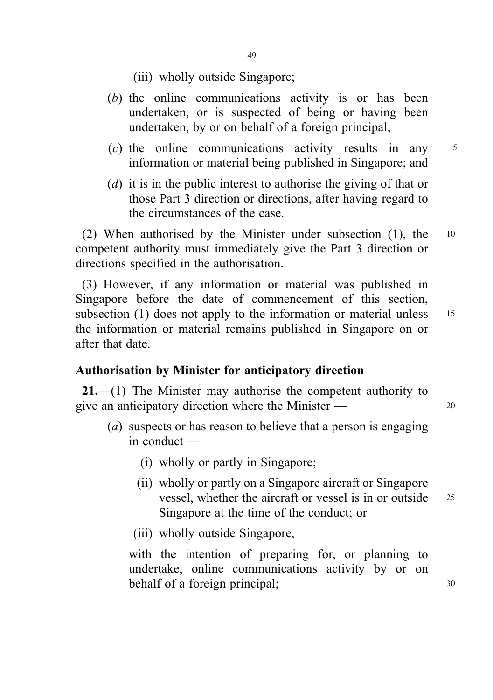- (iii) wholly outside Singapore;
- (b) the online communications activity is or has been undertaken, or is suspected of being or having been undertaken, by or on behalf of a foreign principal;
- (c) the online communications activity results in any <sup>5</sup> information or material being published in Singapore; and
- (d) it is in the public interest to authorise the giving of that or those Part 3 direction or directions, after having regard to the circumstances of the case.

(2) When authorised by the Minister under subsection (1), the <sup>10</sup> competent authority must immediately give the Part 3 direction or directions specified in the authorisation.

(3) However, if any information or material was published in Singapore before the date of commencement of this section, subsection (1) does not apply to the information or material unless 15 the information or material remains published in Singapore on or after that date.

#### Authorisation by Minister for anticipatory direction

21.—(1) The Minister may authorise the competent authority to give an anticipatory direction where the Minister — 20

- (a) suspects or has reason to believe that a person is engaging in conduct —
	- (i) wholly or partly in Singapore;
	- (ii) wholly or partly on a Singapore aircraft or Singapore vessel, whether the aircraft or vessel is in or outside <sup>25</sup> Singapore at the time of the conduct; or
	- (iii) wholly outside Singapore,

with the intention of preparing for, or planning to undertake, online communications activity by or on behalf of a foreign principal; 30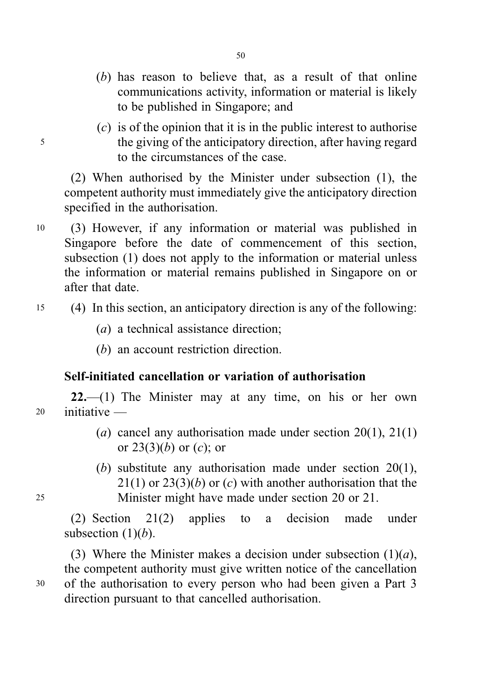- (b) has reason to believe that, as a result of that online communications activity, information or material is likely to be published in Singapore; and
- $(c)$  is of the opinion that it is in the public interest to authorise <sup>5</sup> the giving of the anticipatory direction, after having regard to the circumstances of the case.

(2) When authorised by the Minister under subsection (1), the competent authority must immediately give the anticipatory direction specified in the authorisation.

- <sup>10</sup> (3) However, if any information or material was published in Singapore before the date of commencement of this section, subsection (1) does not apply to the information or material unless the information or material remains published in Singapore on or after that date.
- <sup>15</sup> (4) In this section, an anticipatory direction is any of the following:
	- (a) a technical assistance direction;
	- (b) an account restriction direction.

# Self-initiated cancellation or variation of authorisation

 $22$ —(1) The Minister may at any time, on his or her own <sup>20</sup> initiative —

- (a) cancel any authorisation made under section  $20(1)$ ,  $21(1)$ or  $23(3)(b)$  or  $(c)$ ; or
- (b) substitute any authorisation made under section 20(1),  $21(1)$  or  $23(3)(b)$  or (c) with another authorisation that the <sup>25</sup> Minister might have made under section 20 or 21.

(2) Section 21(2) applies to a decision made under subsection  $(1)(b)$ .

(3) Where the Minister makes a decision under subsection  $(1)(a)$ , the competent authority must give written notice of the cancellation <sup>30</sup> of the authorisation to every person who had been given a Part 3 direction pursuant to that cancelled authorisation.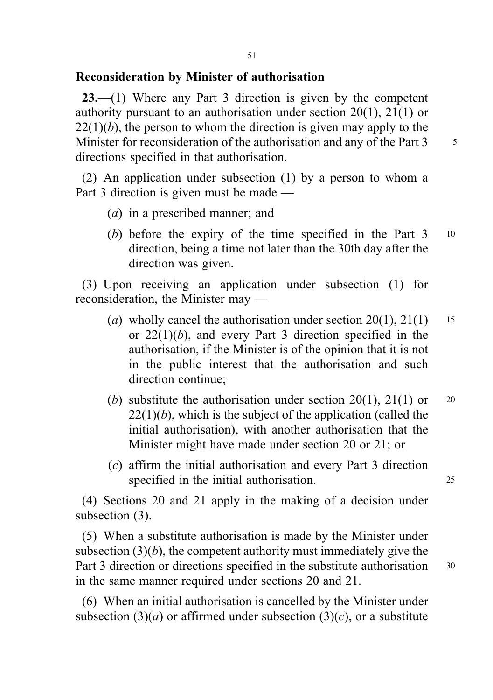#### Reconsideration by Minister of authorisation

23.—(1) Where any Part 3 direction is given by the competent authority pursuant to an authorisation under section 20(1), 21(1) or  $22(1)(b)$ , the person to whom the direction is given may apply to the Minister for reconsideration of the authorisation and any of the Part  $3 \times 5$ directions specified in that authorisation.

(2) An application under subsection (1) by a person to whom a Part 3 direction is given must be made —

- (a) in a prescribed manner; and
- (b) before the expiry of the time specified in the Part 3 10 direction, being a time not later than the 30th day after the direction was given.

(3) Upon receiving an application under subsection (1) for reconsideration, the Minister may —

- (a) wholly cancel the authorisation under section  $20(1)$ ,  $21(1)$  15 or  $22(1)(b)$ , and every Part 3 direction specified in the authorisation, if the Minister is of the opinion that it is not in the public interest that the authorisation and such direction continue;
- (b) substitute the authorisation under section 20(1), 21(1) or  $20$  $22(1)(b)$ , which is the subject of the application (called the initial authorisation), with another authorisation that the Minister might have made under section 20 or 21; or
- (c) affirm the initial authorisation and every Part 3 direction specified in the initial authorisation. 25

(4) Sections 20 and 21 apply in the making of a decision under subsection (3).

(5) When a substitute authorisation is made by the Minister under subsection  $(3)(b)$ , the competent authority must immediately give the Part 3 direction or directions specified in the substitute authorisation 30 in the same manner required under sections 20 and 21.

(6) When an initial authorisation is cancelled by the Minister under subsection (3)(*a*) or affirmed under subsection (3)(*c*), or a substitute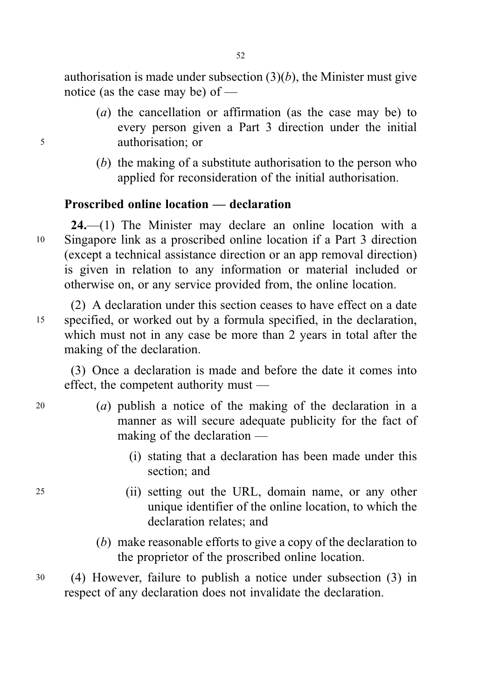authorisation is made under subsection  $(3)(b)$ , the Minister must give notice (as the case may be) of —

- (a) the cancellation or affirmation (as the case may be) to every person given a Part 3 direction under the initial <sup>5</sup> authorisation; or
	- (b) the making of a substitute authorisation to the person who applied for reconsideration of the initial authorisation.

# Proscribed online location — declaration

24.—(1) The Minister may declare an online location with a <sup>10</sup> Singapore link as a proscribed online location if a Part 3 direction (except a technical assistance direction or an app removal direction) is given in relation to any information or material included or otherwise on, or any service provided from, the online location.

(2) A declaration under this section ceases to have effect on a date <sup>15</sup> specified, or worked out by a formula specified, in the declaration, which must not in any case be more than 2 years in total after the making of the declaration.

(3) Once a declaration is made and before the date it comes into effect, the competent authority must —

- <sup>20</sup> (a) publish a notice of the making of the declaration in a manner as will secure adequate publicity for the fact of making of the declaration —
	- (i) stating that a declaration has been made under this section; and
- <sup>25</sup> (ii) setting out the URL, domain name, or any other unique identifier of the online location, to which the declaration relates; and
	- (b) make reasonable efforts to give a copy of the declaration to the proprietor of the proscribed online location.
- <sup>30</sup> (4) However, failure to publish a notice under subsection (3) in respect of any declaration does not invalidate the declaration.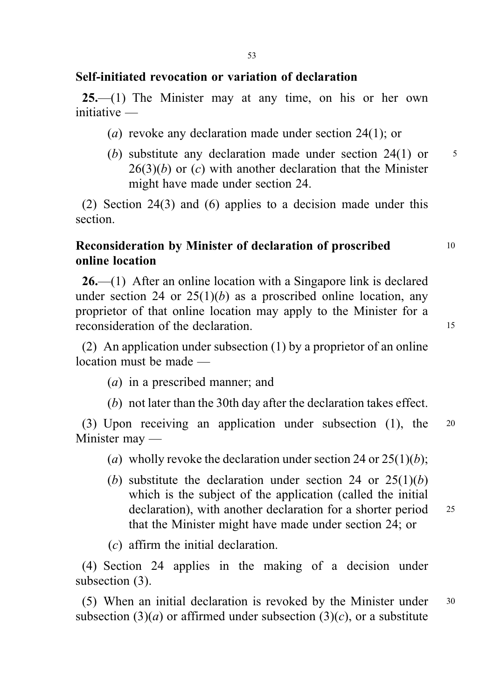## Self-initiated revocation or variation of declaration

 $25$ —(1) The Minister may at any time, on his or her own initiative —

- (a) revoke any declaration made under section 24(1); or
- (b) substitute any declaration made under section  $24(1)$  or  $5$  $26(3)(b)$  or  $(c)$  with another declaration that the Minister might have made under section 24.

(2) Section 24(3) and (6) applies to a decision made under this section.

## Reconsideration by Minister of declaration of proscribed 10 online location

26.—(1) After an online location with a Singapore link is declared under section 24 or  $25(1)(b)$  as a proscribed online location, any proprietor of that online location may apply to the Minister for a reconsideration of the declaration. 15

(2) An application under subsection (1) by a proprietor of an online location must be made —

- (a) in a prescribed manner; and
- (b) not later than the 30th day after the declaration takes effect.

(3) Upon receiving an application under subsection (1), the <sup>20</sup> Minister may —

- (a) wholly revoke the declaration under section 24 or  $25(1)(b)$ ;
- (b) substitute the declaration under section 24 or  $25(1)(b)$ which is the subject of the application (called the initial declaration), with another declaration for a shorter period 25 that the Minister might have made under section 24; or

(c) affirm the initial declaration.

(4) Section 24 applies in the making of a decision under subsection (3).

(5) When an initial declaration is revoked by the Minister under <sup>30</sup> subsection (3)(*a*) or affirmed under subsection (3)(*c*), or a substitute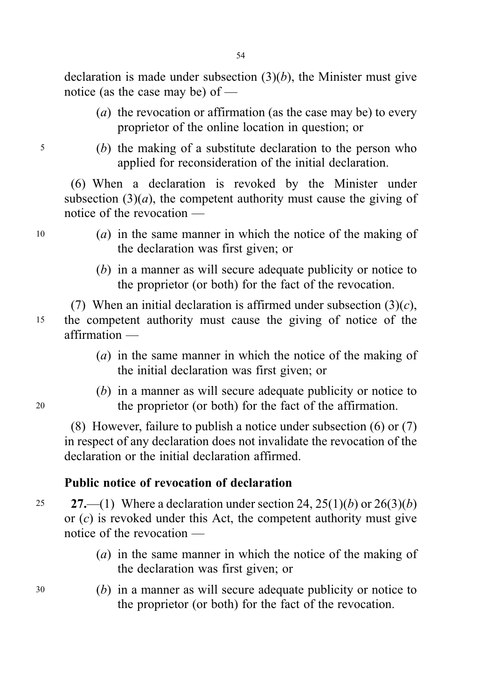declaration is made under subsection  $(3)(b)$ , the Minister must give notice (as the case may be) of —

- (a) the revocation or affirmation (as the case may be) to every proprietor of the online location in question; or
- <sup>5</sup> (b) the making of a substitute declaration to the person who applied for reconsideration of the initial declaration.

(6) When a declaration is revoked by the Minister under subsection  $(3)(a)$ , the competent authority must cause the giving of notice of the revocation —

- <sup>10</sup> (a) in the same manner in which the notice of the making of the declaration was first given; or
	- (b) in a manner as will secure adequate publicity or notice to the proprietor (or both) for the fact of the revocation.

(7) When an initial declaration is affirmed under subsection  $(3)(c)$ , <sup>15</sup> the competent authority must cause the giving of notice of the affirmation —

- (a) in the same manner in which the notice of the making of the initial declaration was first given; or
- (b) in a manner as will secure adequate publicity or notice to <sup>20</sup> the proprietor (or both) for the fact of the affirmation.

(8) However, failure to publish a notice under subsection (6) or (7) in respect of any declaration does not invalidate the revocation of the declaration or the initial declaration affirmed.

## Public notice of revocation of declaration

25 27.—(1) Where a declaration under section 24, 25(1)(b) or  $26(3)(b)$ or  $(c)$  is revoked under this Act, the competent authority must give notice of the revocation —

- (a) in the same manner in which the notice of the making of the declaration was first given; or
- <sup>30</sup> (b) in a manner as will secure adequate publicity or notice to the proprietor (or both) for the fact of the revocation.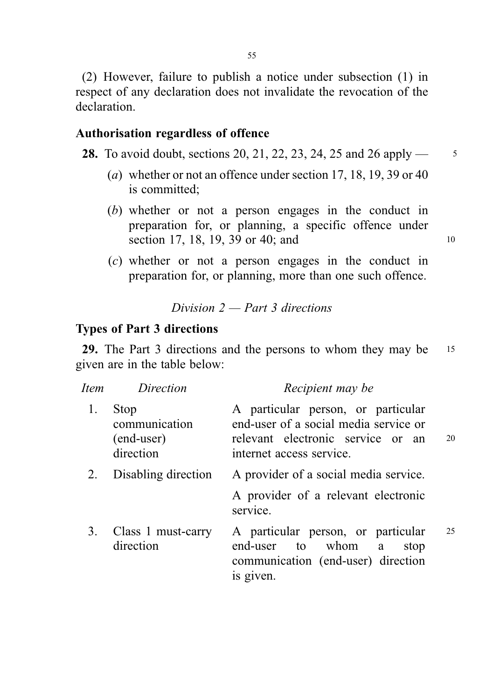(2) However, failure to publish a notice under subsection (1) in respect of any declaration does not invalidate the revocation of the declaration.

#### Authorisation regardless of offence

**28.** To avoid doubt, sections 20, 21, 22, 23, 24, 25 and 26 apply  $\frac{3}{5}$ 

- (a) whether or not an offence under section 17, 18, 19, 39 or 40 is committed;
- (b) whether or not a person engages in the conduct in preparation for, or planning, a specific offence under section 17, 18, 19, 39 or 40; and 10
- (c) whether or not a person engages in the conduct in preparation for, or planning, more than one such offence.

## Division  $2$  — Part 3 directions

## Types of Part 3 directions

29. The Part 3 directions and the persons to whom they may be 15 given are in the table below:

| Item | Direction                                        | Recipient may be                                                                                                                             |    |  |
|------|--------------------------------------------------|----------------------------------------------------------------------------------------------------------------------------------------------|----|--|
| 1.   | Stop<br>communication<br>(end-user)<br>direction | A particular person, or particular<br>end-user of a social media service or<br>relevant electronic service or an<br>internet access service. | 20 |  |
| 2.   | Disabling direction                              | A provider of a social media service.                                                                                                        |    |  |
|      |                                                  | A provider of a relevant electronic<br>service.                                                                                              |    |  |
| 3.   | Class 1 must-carry<br>direction                  | A particular person, or particular<br>end-user to whom<br>a<br>stop<br>communication (end-user) direction<br>is given.                       | 25 |  |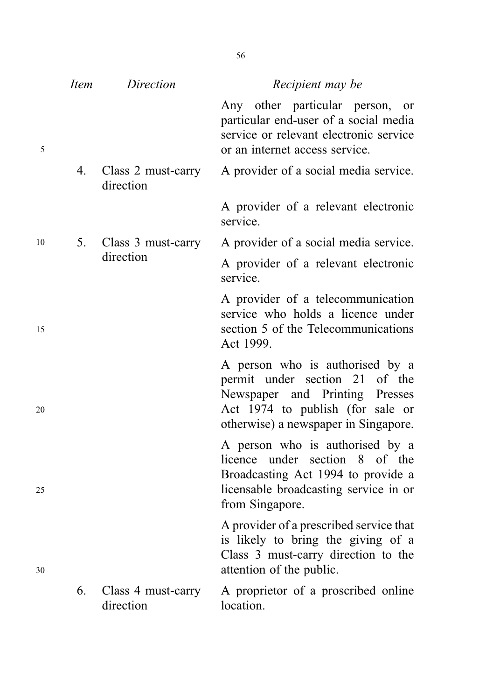|    | Item | Direction                       | Recipient may be                                                                                                                                                                |
|----|------|---------------------------------|---------------------------------------------------------------------------------------------------------------------------------------------------------------------------------|
| 5  |      |                                 | Any other particular person, or<br>particular end-user of a social media<br>service or relevant electronic service<br>or an internet access service.                            |
|    | 4.   | Class 2 must-carry<br>direction | A provider of a social media service.                                                                                                                                           |
|    |      |                                 | A provider of a relevant electronic<br>service.                                                                                                                                 |
| 10 |      | 5. Class 3 must-carry           | A provider of a social media service.                                                                                                                                           |
|    |      | direction                       | A provider of a relevant electronic<br>service.                                                                                                                                 |
| 15 |      |                                 | A provider of a telecommunication<br>service who holds a licence under<br>section 5 of the Telecommunications<br>Act 1999.                                                      |
| 20 |      |                                 | A person who is authorised by a<br>permit under section 21 of the<br>Newspaper and Printing Presses<br>Act 1974 to publish (for sale or<br>otherwise) a newspaper in Singapore. |
| 25 |      |                                 | A person who is authorised by a<br>licence under section 8 of the<br>Broadcasting Act 1994 to provide a<br>licensable broadcasting service in or<br>from Singapore.             |
| 30 |      |                                 | A provider of a prescribed service that<br>is likely to bring the giving of a<br>Class 3 must-carry direction to the<br>attention of the public.                                |
|    | 6.   | Class 4 must-carry<br>direction | A proprietor of a proscribed online<br>location.                                                                                                                                |

56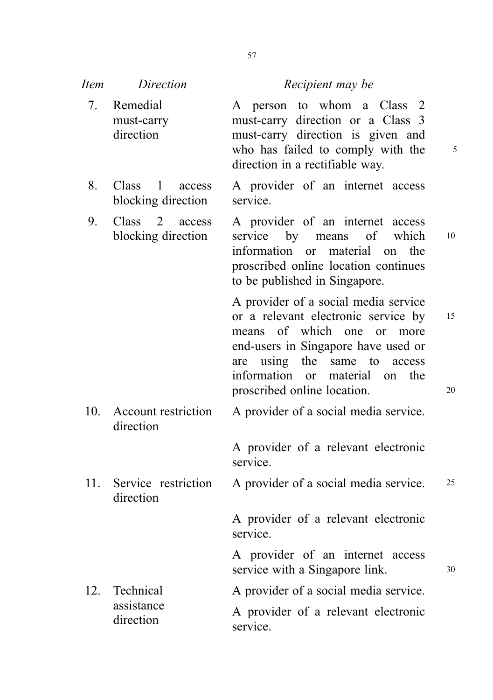| <i>Item</i> | Direction                                       | Recipient may be                                                                                                                                                                                                                                                    |          |
|-------------|-------------------------------------------------|---------------------------------------------------------------------------------------------------------------------------------------------------------------------------------------------------------------------------------------------------------------------|----------|
| 7.          | Remedial<br>must-carry<br>direction             | A person to whom a Class 2<br>must-carry direction or a Class 3<br>must-carry direction is given and<br>who has failed to comply with the<br>direction in a rectifiable way.                                                                                        | 5        |
| 8.          | $Class \t1$<br>access<br>blocking direction     | A provider of an internet access<br>service.                                                                                                                                                                                                                        |          |
| 9.          | $Class \quad 2$<br>access<br>blocking direction | A provider of an internet access<br>service by means of<br>which<br>information or material<br>the<br>on<br>proscribed online location continues<br>to be published in Singapore.                                                                                   | 10       |
|             |                                                 | A provider of a social media service<br>or a relevant electronic service by<br>means of which one or<br>more<br>end-users in Singapore have used or<br>using the<br>same to<br>are<br>access<br>information or material<br>the<br>on<br>proscribed online location. | 15<br>20 |
| 10.         | Account restriction<br>direction                | A provider of a social media service.                                                                                                                                                                                                                               |          |
|             |                                                 | A provider of a relevant electronic<br>service.                                                                                                                                                                                                                     |          |
| 11.         | Service restriction<br>direction                | A provider of a social media service.                                                                                                                                                                                                                               | 25       |
|             |                                                 | A provider of a relevant electronic<br>service.                                                                                                                                                                                                                     |          |
|             |                                                 | A provider of an internet access<br>service with a Singapore link.                                                                                                                                                                                                  | 30       |
| 12.         | Technical                                       | A provider of a social media service.                                                                                                                                                                                                                               |          |
|             | assistance<br>direction                         | A provider of a relevant electronic<br>service.                                                                                                                                                                                                                     |          |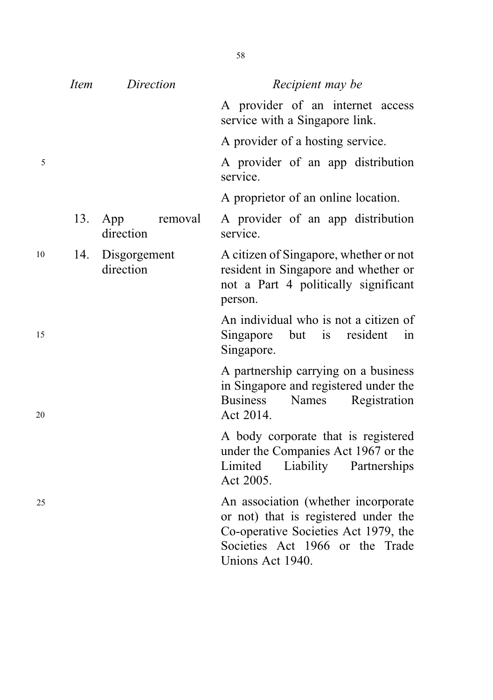|            | <i>Item</i> | Direction                 |         | Recipient may be                                                                                                                                                           |
|------------|-------------|---------------------------|---------|----------------------------------------------------------------------------------------------------------------------------------------------------------------------------|
|            |             |                           |         | A provider of an internet access<br>service with a Singapore link.                                                                                                         |
|            |             |                           |         | A provider of a hosting service.                                                                                                                                           |
| $\sqrt{5}$ |             |                           |         | A provider of an app distribution<br>service.                                                                                                                              |
|            |             |                           |         | A proprietor of an online location.                                                                                                                                        |
|            | 13.         | App<br>direction          | removal | A provider of an app distribution<br>service.                                                                                                                              |
| 10         | 14.         | Disgorgement<br>direction |         | A citizen of Singapore, whether or not<br>resident in Singapore and whether or<br>not a Part 4 politically significant<br>person.                                          |
| 15         |             |                           |         | An individual who is not a citizen of<br>but is resident<br>Singapore<br>in<br>Singapore.                                                                                  |
| 20         |             |                           |         | A partnership carrying on a business<br>in Singapore and registered under the<br><b>Business</b><br>Names<br>Registration<br>Act 2014.                                     |
|            |             |                           |         | A body corporate that is registered<br>under the Companies Act 1967 or the<br>Limited<br>Liability<br>Partnerships<br>Act 2005.                                            |
| 25         |             |                           |         | An association (whether incorporate<br>or not) that is registered under the<br>Co-operative Societies Act 1979, the<br>Societies Act 1966 or the Trade<br>Unions Act 1940. |

58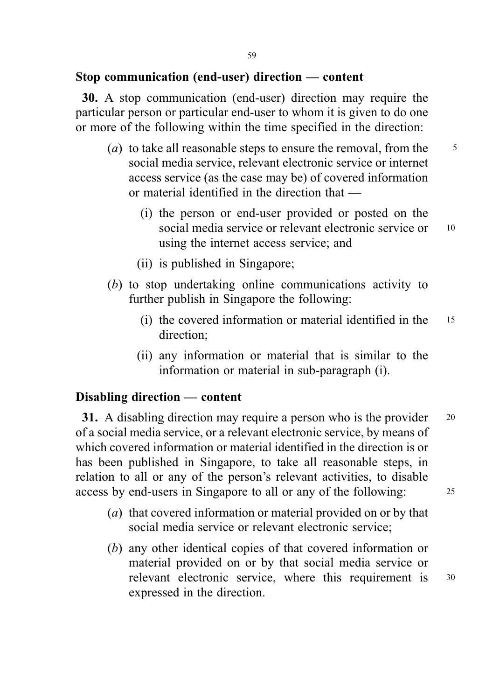#### Stop communication (end-user) direction — content

30. A stop communication (end-user) direction may require the particular person or particular end-user to whom it is given to do one or more of the following within the time specified in the direction:

- (*a*) to take all reasonable steps to ensure the removal, from the  $\frac{5}{5}$ social media service, relevant electronic service or internet access service (as the case may be) of covered information or material identified in the direction that —
	- (i) the person or end-user provided or posted on the social media service or relevant electronic service or 10 using the internet access service; and
	- (ii) is published in Singapore;
- (b) to stop undertaking online communications activity to further publish in Singapore the following:
	- (i) the covered information or material identified in the <sup>15</sup> direction;
	- (ii) any information or material that is similar to the information or material in sub-paragraph (i).

## Disabling direction — content

31. A disabling direction may require a person who is the provider 20 of a social media service, or a relevant electronic service, by means of which covered information or material identified in the direction is or has been published in Singapore, to take all reasonable steps, in relation to all or any of the person's relevant activities, to disable access by end-users in Singapore to all or any of the following: <sup>25</sup>

- (a) that covered information or material provided on or by that social media service or relevant electronic service;
- (b) any other identical copies of that covered information or material provided on or by that social media service or relevant electronic service, where this requirement is <sup>30</sup> expressed in the direction.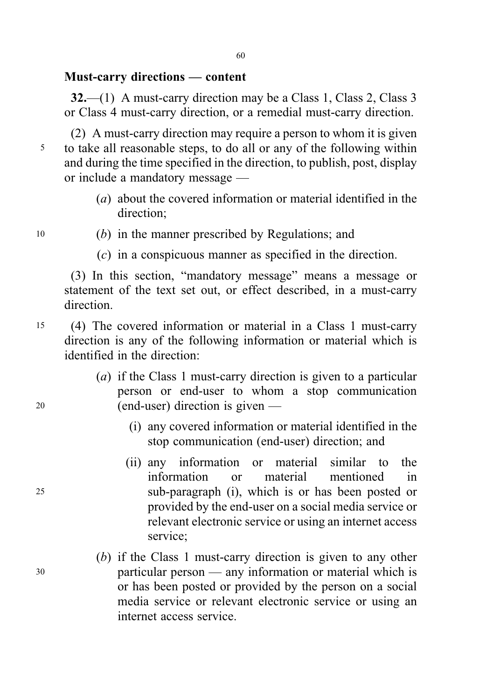### Must-carry directions — content

32.—(1) A must-carry direction may be a Class 1, Class 2, Class 3 or Class 4 must-carry direction, or a remedial must-carry direction.

(2) A must-carry direction may require a person to whom it is given <sup>5</sup> to take all reasonable steps, to do all or any of the following within and during the time specified in the direction, to publish, post, display or include a mandatory message —

- (a) about the covered information or material identified in the direction;
- 
- <sup>10</sup> (b) in the manner prescribed by Regulations; and
	- (c) in a conspicuous manner as specified in the direction.

(3) In this section, "mandatory message" means a message or statement of the text set out, or effect described, in a must-carry direction.

- <sup>15</sup> (4) The covered information or material in a Class 1 must-carry direction is any of the following information or material which is identified in the direction:
- (a) if the Class 1 must-carry direction is given to a particular person or end-user to whom a stop communication <sup>20</sup> (end-user) direction is given —
	- (i) any covered information or material identified in the stop communication (end-user) direction; and
- (ii) any information or material similar to the information or material mentioned in <sup>25</sup> sub-paragraph (i), which is or has been posted or provided by the end-user on a social media service or relevant electronic service or using an internet access service;
- (b) if the Class 1 must-carry direction is given to any other <sup>30</sup> particular person — any information or material which is or has been posted or provided by the person on a social media service or relevant electronic service or using an internet access service.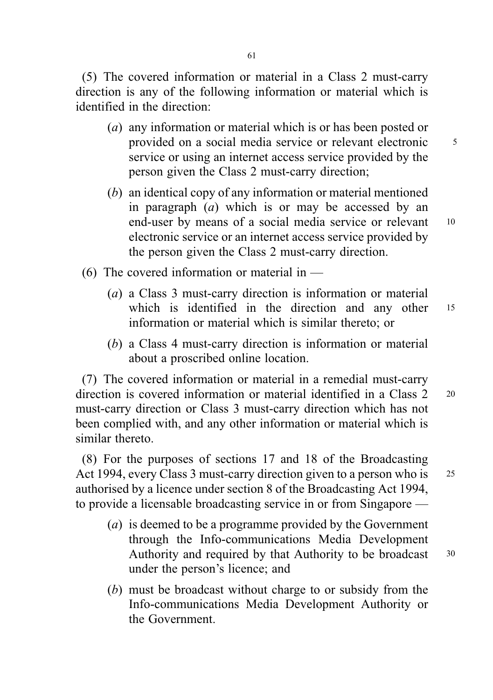(5) The covered information or material in a Class 2 must-carry direction is any of the following information or material which is identified in the direction:

- (a) any information or material which is or has been posted or provided on a social media service or relevant electronic 5 service or using an internet access service provided by the person given the Class 2 must-carry direction;
- (b) an identical copy of any information or material mentioned in paragraph  $(a)$  which is or may be accessed by an end-user by means of a social media service or relevant 10 electronic service or an internet access service provided by the person given the Class 2 must-carry direction.
- (6) The covered information or material in  $-$ 
	- (a) a Class 3 must-carry direction is information or material which is identified in the direction and any other 15 information or material which is similar thereto; or
	- (b) a Class 4 must-carry direction is information or material about a proscribed online location.

(7) The covered information or material in a remedial must-carry direction is covered information or material identified in a Class 2 20 must-carry direction or Class 3 must-carry direction which has not been complied with, and any other information or material which is similar thereto.

(8) For the purposes of sections 17 and 18 of the Broadcasting Act 1994, every Class 3 must-carry direction given to a person who is 25 authorised by a licence under section 8 of the Broadcasting Act 1994, to provide a licensable broadcasting service in or from Singapore —

- (a) is deemed to be a programme provided by the Government through the Info-communications Media Development Authority and required by that Authority to be broadcast 30 under the person's licence; and
- (b) must be broadcast without charge to or subsidy from the Info-communications Media Development Authority or the Government.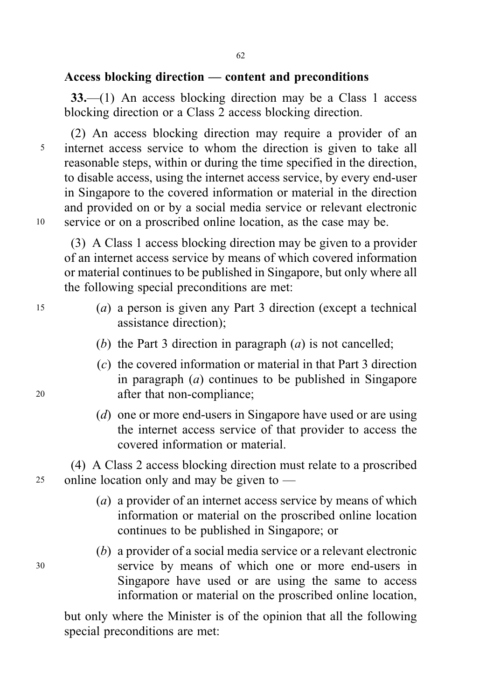## Access blocking direction — content and preconditions

33.—(1) An access blocking direction may be a Class 1 access blocking direction or a Class 2 access blocking direction.

(2) An access blocking direction may require a provider of an <sup>5</sup> internet access service to whom the direction is given to take all reasonable steps, within or during the time specified in the direction, to disable access, using the internet access service, by every end-user in Singapore to the covered information or material in the direction and provided on or by a social media service or relevant electronic <sup>10</sup> service or on a proscribed online location, as the case may be.

(3) A Class 1 access blocking direction may be given to a provider of an internet access service by means of which covered information or material continues to be published in Singapore, but only where all the following special preconditions are met:

- <sup>15</sup> (a) a person is given any Part 3 direction (except a technical assistance direction);
	- (b) the Part 3 direction in paragraph  $(a)$  is not cancelled;
- (c) the covered information or material in that Part 3 direction in paragraph  $(a)$  continues to be published in Singapore <sup>20</sup> after that non-compliance;
	- (d) one or more end-users in Singapore have used or are using the internet access service of that provider to access the covered information or material.

(4) A Class 2 access blocking direction must relate to a proscribed 25 online location only and may be given to  $-$ 

- (*a*) a provider of an internet access service by means of which information or material on the proscribed online location continues to be published in Singapore; or
- (b) a provider of a social media service or a relevant electronic <sup>30</sup> service by means of which one or more end-users in Singapore have used or are using the same to access information or material on the proscribed online location,

but only where the Minister is of the opinion that all the following special preconditions are met: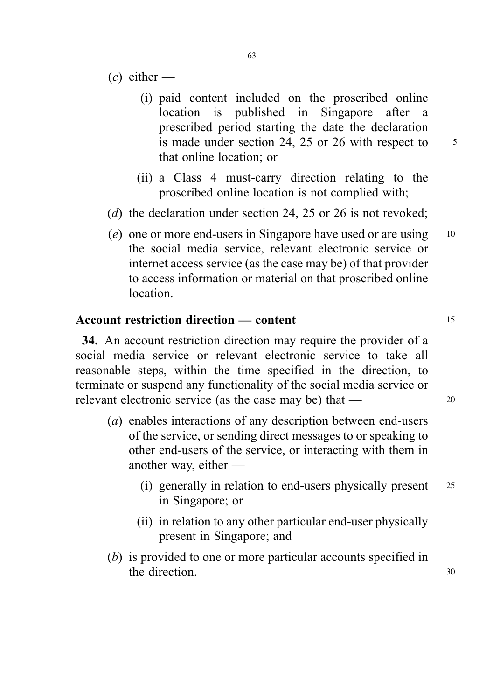- $(c)$  either
	- (i) paid content included on the proscribed online location is published in Singapore after a prescribed period starting the date the declaration is made under section 24, 25 or 26 with respect to  $\frac{5}{10}$ that online location; or
	- (ii) a Class 4 must-carry direction relating to the proscribed online location is not complied with;
- (d) the declaration under section 24, 25 or 26 is not revoked;
- (e) one or more end-users in Singapore have used or are using <sup>10</sup> the social media service, relevant electronic service or internet access service (as the case may be) of that provider to access information or material on that proscribed online location.

## Account restriction direction — content 15

34. An account restriction direction may require the provider of a social media service or relevant electronic service to take all reasonable steps, within the time specified in the direction, to terminate or suspend any functionality of the social media service or relevant electronic service (as the case may be) that — 20

- (a) enables interactions of any description between end-users of the service, or sending direct messages to or speaking to other end-users of the service, or interacting with them in another way, either —
	- (i) generally in relation to end-users physically present <sup>25</sup> in Singapore; or
	- (ii) in relation to any other particular end-user physically present in Singapore; and
- (b) is provided to one or more particular accounts specified in the direction. 30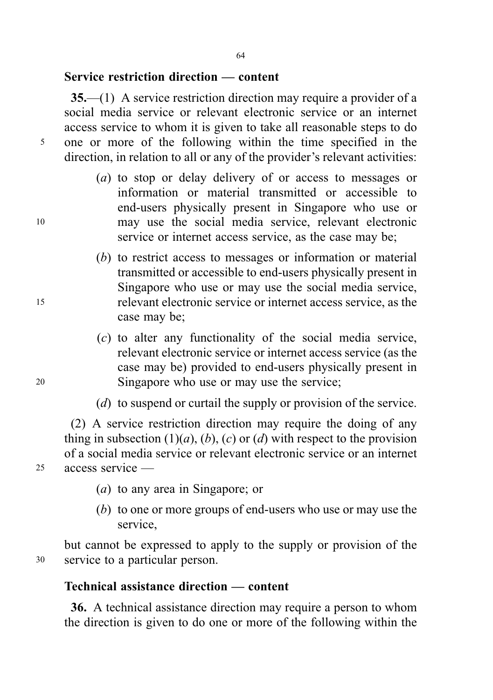## Service restriction direction — content

35.—(1) A service restriction direction may require a provider of a social media service or relevant electronic service or an internet access service to whom it is given to take all reasonable steps to do <sup>5</sup> one or more of the following within the time specified in the direction, in relation to all or any of the provider's relevant activities:

- (a) to stop or delay delivery of or access to messages or information or material transmitted or accessible to end-users physically present in Singapore who use or <sup>10</sup> may use the social media service, relevant electronic service or internet access service, as the case may be;
- (b) to restrict access to messages or information or material transmitted or accessible to end-users physically present in Singapore who use or may use the social media service, <sup>15</sup> relevant electronic service or internet access service, as the case may be;
- (c) to alter any functionality of the social media service, relevant electronic service or internet access service (as the case may be) provided to end-users physically present in <sup>20</sup> Singapore who use or may use the service;
	- (d) to suspend or curtail the supply or provision of the service.

(2) A service restriction direction may require the doing of any thing in subsection  $(1)(a)$ ,  $(b)$ ,  $(c)$  or  $(d)$  with respect to the provision of a social media service or relevant electronic service or an internet <sup>25</sup> access service —

(a) to any area in Singapore; or

(b) to one or more groups of end-users who use or may use the service,

but cannot be expressed to apply to the supply or provision of the <sup>30</sup> service to a particular person.

#### Technical assistance direction — content

36. A technical assistance direction may require a person to whom the direction is given to do one or more of the following within the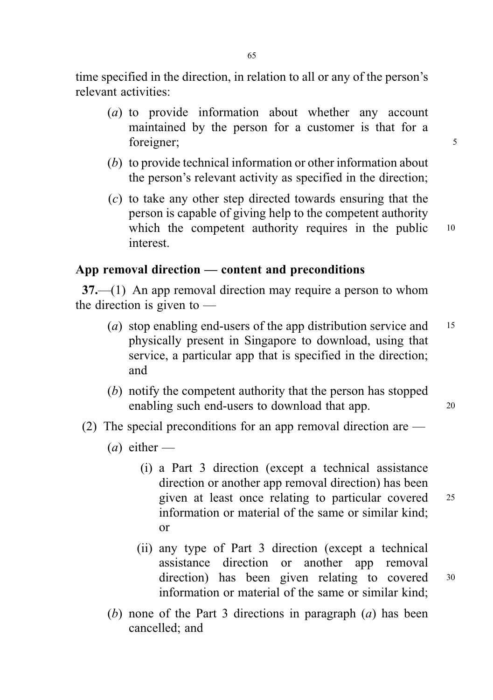time specified in the direction, in relation to all or any of the person's relevant activities:

- (a) to provide information about whether any account maintained by the person for a customer is that for a foreigner; 5
- (b) to provide technical information or other information about the person's relevant activity as specified in the direction;
- (c) to take any other step directed towards ensuring that the person is capable of giving help to the competent authority which the competent authority requires in the public 10 interest.

## App removal direction — content and preconditions

37.—(1) An app removal direction may require a person to whom the direction is given to —

- (a) stop enabling end-users of the app distribution service and  $15$ physically present in Singapore to download, using that service, a particular app that is specified in the direction; and
- (b) notify the competent authority that the person has stopped enabling such end-users to download that app. 20
- (2) The special preconditions for an app removal direction are
	- $(a)$  either
		- (i) a Part 3 direction (except a technical assistance direction or another app removal direction) has been given at least once relating to particular covered <sup>25</sup> information or material of the same or similar kind; or
		- (ii) any type of Part 3 direction (except a technical assistance direction or another app removal direction) has been given relating to covered <sup>30</sup> information or material of the same or similar kind;
	- (b) none of the Part 3 directions in paragraph  $(a)$  has been cancelled; and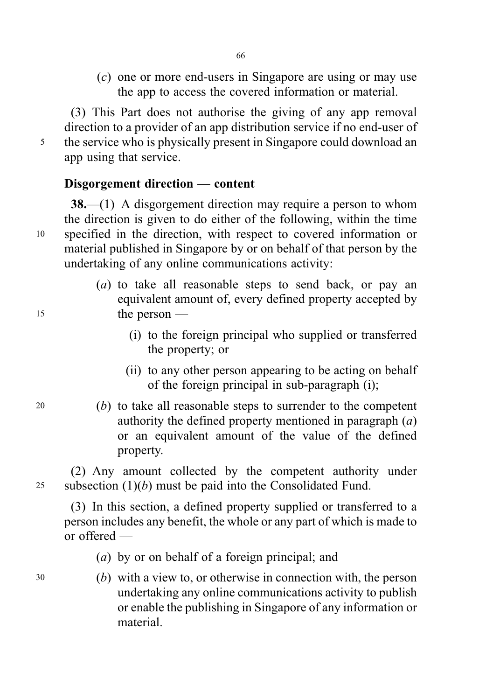(c) one or more end-users in Singapore are using or may use the app to access the covered information or material.

(3) This Part does not authorise the giving of any app removal direction to a provider of an app distribution service if no end-user of <sup>5</sup> the service who is physically present in Singapore could download an app using that service.

## Disgorgement direction — content

38.—(1) A disgorgement direction may require a person to whom the direction is given to do either of the following, within the time <sup>10</sup> specified in the direction, with respect to covered information or material published in Singapore by or on behalf of that person by the undertaking of any online communications activity:

- (a) to take all reasonable steps to send back, or pay an equivalent amount of, every defined property accepted by <sup>15</sup> the person —
	- (i) to the foreign principal who supplied or transferred the property; or
	- (ii) to any other person appearing to be acting on behalf of the foreign principal in sub-paragraph (i);
- <sup>20</sup> (b) to take all reasonable steps to surrender to the competent authority the defined property mentioned in paragraph  $(a)$ or an equivalent amount of the value of the defined property.

(2) Any amount collected by the competent authority under 25 subsection  $(1)(b)$  must be paid into the Consolidated Fund.

(3) In this section, a defined property supplied or transferred to a person includes any benefit, the whole or any part of which is made to or offered —

(a) by or on behalf of a foreign principal; and

<sup>30</sup> (b) with a view to, or otherwise in connection with, the person undertaking any online communications activity to publish or enable the publishing in Singapore of any information or material.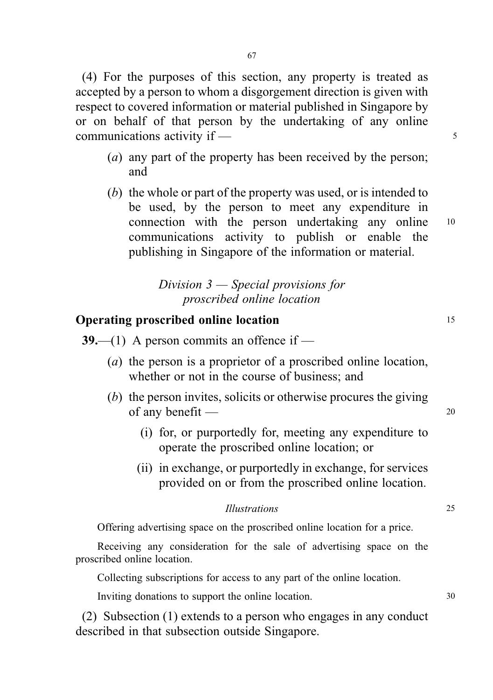(4) For the purposes of this section, any property is treated as accepted by a person to whom a disgorgement direction is given with respect to covered information or material published in Singapore by or on behalf of that person by the undertaking of any online  $commu$  incommunications activity if  $\frac{1}{\sqrt{2}}$ 

- (*a*) any part of the property has been received by the person; and
- (b) the whole or part of the property was used, or is intended to be used, by the person to meet any expenditure in connection with the person undertaking any online <sup>10</sup> communications activity to publish or enable the publishing in Singapore of the information or material.

# Division 3 — Special provisions for proscribed online location

## **Operating proscribed online location** 15

- **39.**—(1) A person commits an offence if
	- (a) the person is a proprietor of a proscribed online location, whether or not in the course of business; and
	- (b) the person invites, solicits or otherwise procures the giving of any benefit — <sup>20</sup>
		- (i) for, or purportedly for, meeting any expenditure to operate the proscribed online location; or
		- (ii) in exchange, or purportedly in exchange, for services provided on or from the proscribed online location.

#### Illustrations 25

Offering advertising space on the proscribed online location for a price.

Receiving any consideration for the sale of advertising space on the proscribed online location.

Collecting subscriptions for access to any part of the online location.

Inviting donations to support the online location. 30

(2) Subsection (1) extends to a person who engages in any conduct described in that subsection outside Singapore.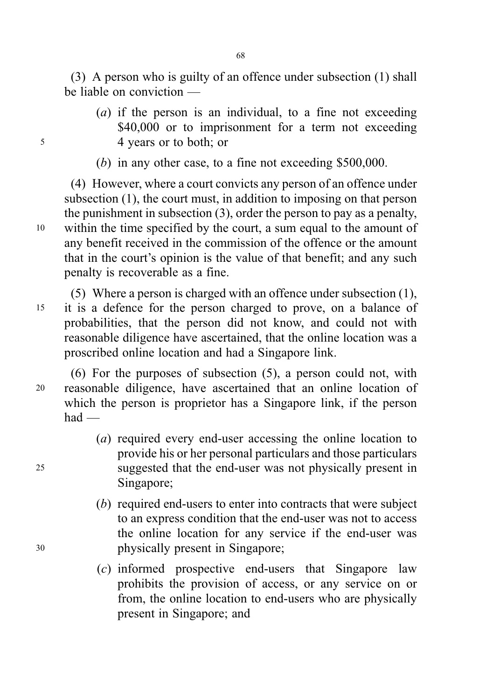(3) A person who is guilty of an offence under subsection (1) shall be liable on conviction —

- (a) if the person is an individual, to a fine not exceeding \$40,000 or to imprisonment for a term not exceeding <sup>5</sup> 4 years or to both; or
	- (b) in any other case, to a fine not exceeding \$500,000.

(4) However, where a court convicts any person of an offence under subsection (1), the court must, in addition to imposing on that person the punishment in subsection (3), order the person to pay as a penalty, <sup>10</sup> within the time specified by the court, a sum equal to the amount of any benefit received in the commission of the offence or the amount that in the court's opinion is the value of that benefit; and any such penalty is recoverable as a fine.

(5) Where a person is charged with an offence under subsection (1), <sup>15</sup> it is a defence for the person charged to prove, on a balance of probabilities, that the person did not know, and could not with reasonable diligence have ascertained, that the online location was a proscribed online location and had a Singapore link.

(6) For the purposes of subsection (5), a person could not, with <sup>20</sup> reasonable diligence, have ascertained that an online location of which the person is proprietor has a Singapore link, if the person had —

- (a) required every end-user accessing the online location to provide his or her personal particulars and those particulars <sup>25</sup> suggested that the end-user was not physically present in Singapore;
- (b) required end-users to enter into contracts that were subject to an express condition that the end-user was not to access the online location for any service if the end-user was <sup>30</sup> physically present in Singapore;
	- (c) informed prospective end-users that Singapore law prohibits the provision of access, or any service on or from, the online location to end-users who are physically present in Singapore; and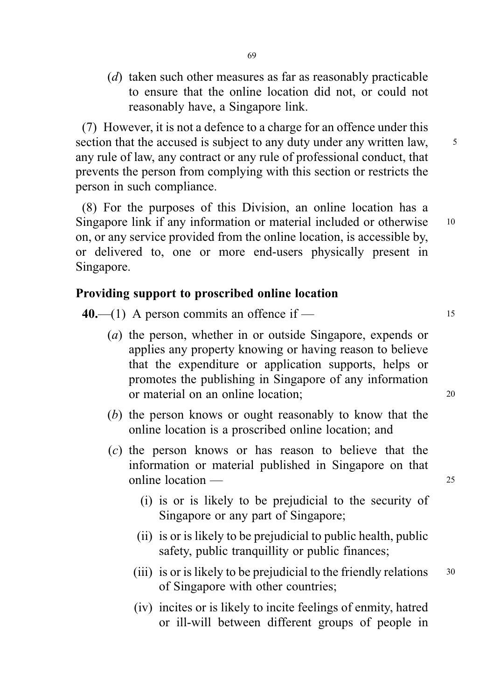(*d*) taken such other measures as far as reasonably practicable to ensure that the online location did not, or could not reasonably have, a Singapore link.

(7) However, it is not a defence to a charge for an offence under this section that the accused is subject to any duty under any written law,  $\frac{5}{10}$ any rule of law, any contract or any rule of professional conduct, that prevents the person from complying with this section or restricts the person in such compliance.

(8) For the purposes of this Division, an online location has a Singapore link if any information or material included or otherwise 10 on, or any service provided from the online location, is accessible by, or delivered to, one or more end-users physically present in Singapore.

## Providing support to proscribed online location

 $40$ —(1) A person commits an offence if — 15

- (a) the person, whether in or outside Singapore, expends or applies any property knowing or having reason to believe that the expenditure or application supports, helps or promotes the publishing in Singapore of any information or material on an online location; <sup>20</sup>
- (b) the person knows or ought reasonably to know that the online location is a proscribed online location; and
- (c) the person knows or has reason to believe that the information or material published in Singapore on that online location — <sup>25</sup>
	- (i) is or is likely to be prejudicial to the security of Singapore or any part of Singapore;
	- (ii) is or is likely to be prejudicial to public health, public safety, public tranquillity or public finances;
	- (iii) is or is likely to be prejudicial to the friendly relations  $30$ of Singapore with other countries;
	- (iv) incites or is likely to incite feelings of enmity, hatred or ill-will between different groups of people in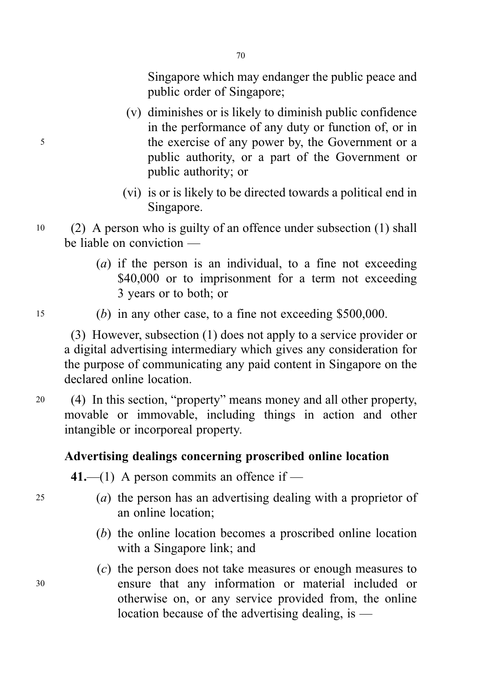Singapore which may endanger the public peace and public order of Singapore;

- (v) diminishes or is likely to diminish public confidence in the performance of any duty or function of, or in <sup>5</sup> the exercise of any power by, the Government or a public authority, or a part of the Government or public authority; or
	- (vi) is or is likely to be directed towards a political end in Singapore.
- <sup>10</sup> (2) A person who is guilty of an offence under subsection (1) shall be liable on conviction —

70

- (a) if the person is an individual, to a fine not exceeding \$40,000 or to imprisonment for a term not exceeding 3 years or to both; or
- 
- <sup>15</sup> (b) in any other case, to a fine not exceeding \$500,000.

(3) However, subsection (1) does not apply to a service provider or a digital advertising intermediary which gives any consideration for the purpose of communicating any paid content in Singapore on the declared online location.

<sup>20</sup> (4) In this section, "property" means money and all other property, movable or immovable, including things in action and other intangible or incorporeal property.

## Advertising dealings concerning proscribed online location

41.—(1) A person commits an offence if —

- <sup>25</sup> (a) the person has an advertising dealing with a proprietor of an online location;
	- (b) the online location becomes a proscribed online location with a Singapore link; and
- (c) the person does not take measures or enough measures to <sup>30</sup> ensure that any information or material included or otherwise on, or any service provided from, the online location because of the advertising dealing, is —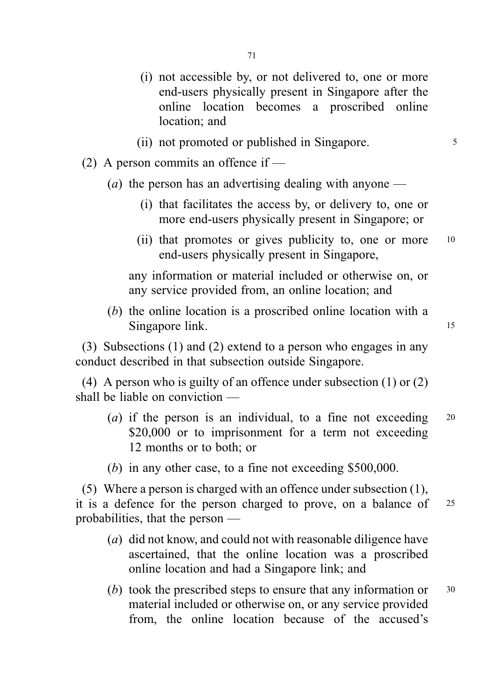- (i) not accessible by, or not delivered to, one or more end-users physically present in Singapore after the online location becomes a proscribed online location; and
- (ii) not promoted or published in Singapore.
- (2) A person commits an offence if  $-$ 
	- (*a*) the person has an advertising dealing with anyone
		- (i) that facilitates the access by, or delivery to, one or more end-users physically present in Singapore; or
		- (ii) that promotes or gives publicity to, one or more <sup>10</sup> end-users physically present in Singapore,

any information or material included or otherwise on, or any service provided from, an online location; and

(b) the online location is a proscribed online location with a Singapore link. 15

(3) Subsections (1) and (2) extend to a person who engages in any conduct described in that subsection outside Singapore.

(4) A person who is guilty of an offence under subsection (1) or (2) shall be liable on conviction —

- (a) if the person is an individual, to a fine not exceeding  $20$ \$20,000 or to imprisonment for a term not exceeding 12 months or to both; or
- (b) in any other case, to a fine not exceeding \$500,000.

(5) Where a person is charged with an offence under subsection (1), it is a defence for the person charged to prove, on a balance of <sup>25</sup> probabilities, that the person —

- (a) did not know, and could not with reasonable diligence have ascertained, that the online location was a proscribed online location and had a Singapore link; and
- (b) took the prescribed steps to ensure that any information or <sup>30</sup> material included or otherwise on, or any service provided from, the online location because of the accused's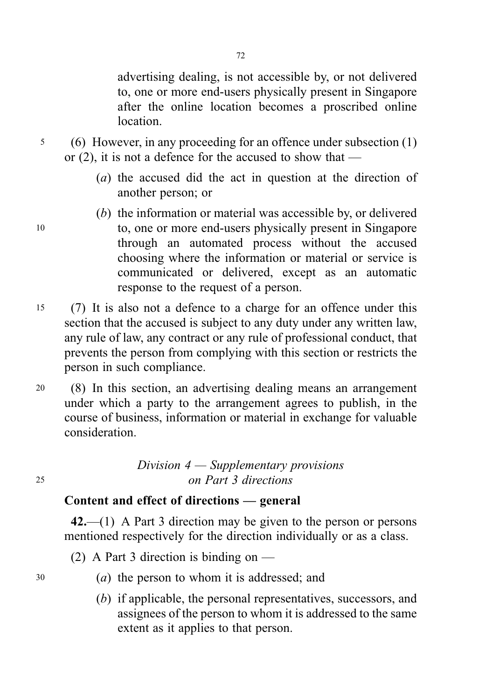advertising dealing, is not accessible by, or not delivered to, one or more end-users physically present in Singapore after the online location becomes a proscribed online location.

<sup>5</sup> (6) However, in any proceeding for an offence under subsection (1) or  $(2)$ , it is not a defence for the accused to show that —

- (a) the accused did the act in question at the direction of another person; or
- (b) the information or material was accessible by, or delivered <sup>10</sup> to, one or more end-users physically present in Singapore through an automated process without the accused choosing where the information or material or service is communicated or delivered, except as an automatic response to the request of a person.
- <sup>15</sup> (7) It is also not a defence to a charge for an offence under this section that the accused is subject to any duty under any written law, any rule of law, any contract or any rule of professional conduct, that prevents the person from complying with this section or restricts the person in such compliance.
- <sup>20</sup> (8) In this section, an advertising dealing means an arrangement under which a party to the arrangement agrees to publish, in the course of business, information or material in exchange for valuable consideration.

# Division 4 — Supplementary provisions <sup>25</sup> on Part 3 directions

## Content and effect of directions — general

42.—(1) A Part 3 direction may be given to the person or persons mentioned respectively for the direction individually or as a class.

- (2) A Part 3 direction is binding on —
- $30$  (a) the person to whom it is addressed; and
	- (b) if applicable, the personal representatives, successors, and assignees of the person to whom it is addressed to the same extent as it applies to that person.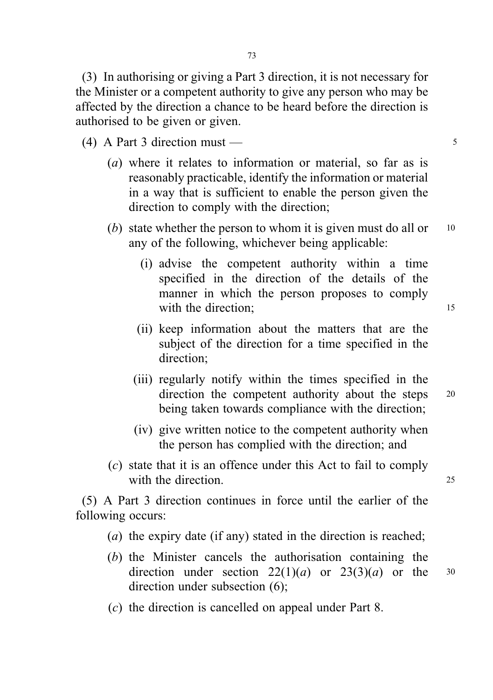(3) In authorising or giving a Part 3 direction, it is not necessary for the Minister or a competent authority to give any person who may be affected by the direction a chance to be heard before the direction is authorised to be given or given.

- (4) A Part 3 direction must <sup>5</sup>
	- (*a*) where it relates to information or material, so far as is reasonably practicable, identify the information or material in a way that is sufficient to enable the person given the direction to comply with the direction;
	- (b) state whether the person to whom it is given must do all or  $10$ any of the following, whichever being applicable:
		- (i) advise the competent authority within a time specified in the direction of the details of the manner in which the person proposes to comply with the direction: 15
		- (ii) keep information about the matters that are the subject of the direction for a time specified in the direction;
		- (iii) regularly notify within the times specified in the direction the competent authority about the steps 20 being taken towards compliance with the direction;
		- (iv) give written notice to the competent authority when the person has complied with the direction; and
	- (c) state that it is an offence under this Act to fail to comply with the direction. 25

(5) A Part 3 direction continues in force until the earlier of the following occurs:

- (a) the expiry date (if any) stated in the direction is reached;
- (b) the Minister cancels the authorisation containing the direction under section  $22(1)(a)$  or  $23(3)(a)$  or the 30 direction under subsection (6);
- 
- (c) the direction is cancelled on appeal under Part 8.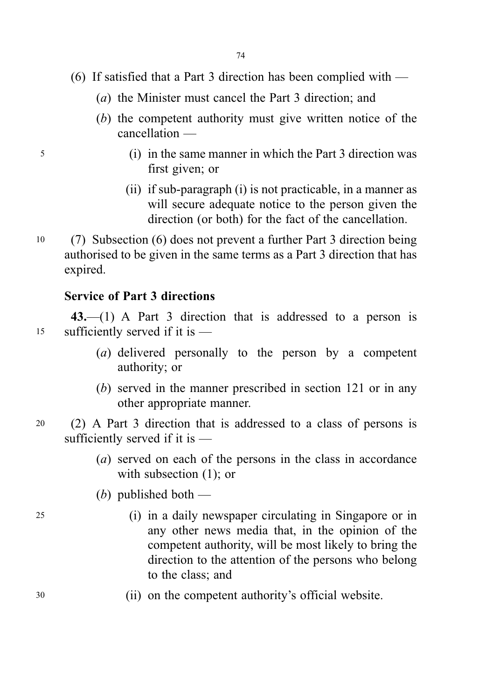- (6) If satisfied that a Part 3 direction has been complied with
	- (a) the Minister must cancel the Part 3 direction; and
	- (b) the competent authority must give written notice of the cancellation —
- <sup>5</sup> (i) in the same manner in which the Part 3 direction was first given; or
	- (ii) if sub-paragraph (i) is not practicable, in a manner as will secure adequate notice to the person given the direction (or both) for the fact of the cancellation.
- <sup>10</sup> (7) Subsection (6) does not prevent a further Part 3 direction being authorised to be given in the same terms as a Part 3 direction that has expired.

# Service of Part 3 directions

43.—(1) A Part 3 direction that is addressed to a person is <sup>15</sup> sufficiently served if it is —

- (a) delivered personally to the person by a competent authority; or
- (b) served in the manner prescribed in section 121 or in any other appropriate manner.
- <sup>20</sup> (2) A Part 3 direction that is addressed to a class of persons is sufficiently served if it is —
	- (a) served on each of the persons in the class in accordance with subsection  $(1)$ ; or
	- (b) published both  $-$
- <sup>25</sup> (i) in a daily newspaper circulating in Singapore or in any other news media that, in the opinion of the competent authority, will be most likely to bring the direction to the attention of the persons who belong to the class; and
- <sup>30</sup> (ii) on the competent authority's official website.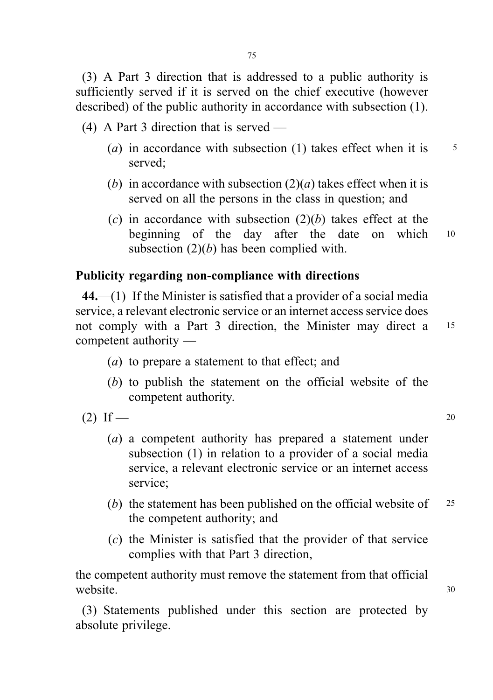(3) A Part 3 direction that is addressed to a public authority is sufficiently served if it is served on the chief executive (however described) of the public authority in accordance with subsection (1).

(4) A Part 3 direction that is served —

- (a) in accordance with subsection (1) takes effect when it is  $\frac{5}{5}$ served;
- (b) in accordance with subsection  $(2)(a)$  takes effect when it is served on all the persons in the class in question; and
- (c) in accordance with subsection  $(2)(b)$  takes effect at the beginning of the day after the date on which 10 subsection  $(2)(b)$  has been complied with.

# Publicity regarding non-compliance with directions

44.—(1) If the Minister is satisfied that a provider of a social media service, a relevant electronic service or an internet access service does not comply with a Part 3 direction, the Minister may direct a <sup>15</sup> competent authority —

- (a) to prepare a statement to that effect; and
- (b) to publish the statement on the official website of the competent authority.
- (2) If 20
	- (a) a competent authority has prepared a statement under subsection (1) in relation to a provider of a social media service, a relevant electronic service or an internet access service;
	- (b) the statement has been published on the official website of  $25$ the competent authority; and
	- (c) the Minister is satisfied that the provider of that service complies with that Part 3 direction,

the competent authority must remove the statement from that official website.  $30$ 

(3) Statements published under this section are protected by absolute privilege.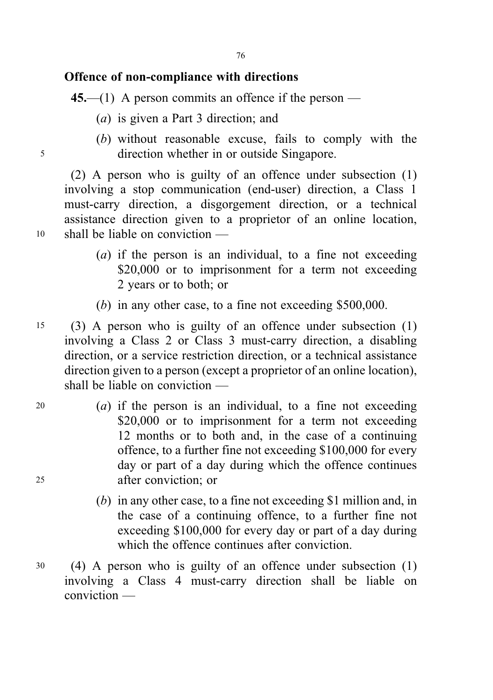# Offence of non-compliance with directions

45.—(1) A person commits an offence if the person —

- (a) is given a Part 3 direction; and
- (b) without reasonable excuse, fails to comply with the <sup>5</sup> direction whether in or outside Singapore.

(2) A person who is guilty of an offence under subsection (1) involving a stop communication (end-user) direction, a Class 1 must-carry direction, a disgorgement direction, or a technical assistance direction given to a proprietor of an online location, <sup>10</sup> shall be liable on conviction —

- (a) if the person is an individual, to a fine not exceeding \$20,000 or to imprisonment for a term not exceeding 2 years or to both; or
- (b) in any other case, to a fine not exceeding \$500,000.
- <sup>15</sup> (3) A person who is guilty of an offence under subsection (1) involving a Class 2 or Class 3 must-carry direction, a disabling direction, or a service restriction direction, or a technical assistance direction given to a person (except a proprietor of an online location), shall be liable on conviction —
- $20$  (a) if the person is an individual, to a fine not exceeding \$20,000 or to imprisonment for a term not exceeding 12 months or to both and, in the case of a continuing offence, to a further fine not exceeding \$100,000 for every day or part of a day during which the offence continues <sup>25</sup> after conviction; or
	- (b) in any other case, to a fine not exceeding \$1 million and, in the case of a continuing offence, to a further fine not exceeding \$100,000 for every day or part of a day during which the offence continues after conviction.
- <sup>30</sup> (4) A person who is guilty of an offence under subsection (1) involving a Class 4 must-carry direction shall be liable on conviction —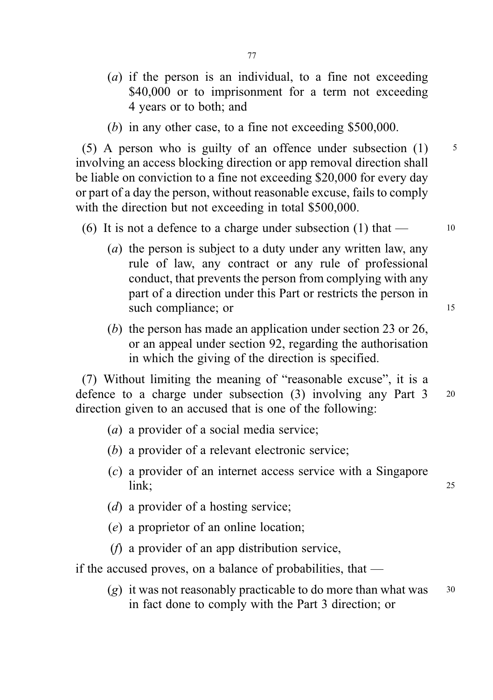- (a) if the person is an individual, to a fine not exceeding \$40,000 or to imprisonment for a term not exceeding 4 years or to both; and
- (b) in any other case, to a fine not exceeding \$500,000.

(5) A person who is guilty of an offence under subsection  $(1)$  5 involving an access blocking direction or app removal direction shall be liable on conviction to a fine not exceeding \$20,000 for every day or part of a day the person, without reasonable excuse, fails to comply with the direction but not exceeding in total \$500,000.

#### (6) It is not a defence to a charge under subsection (1) that  $-$  10

- (a) the person is subject to a duty under any written law, any rule of law, any contract or any rule of professional conduct, that prevents the person from complying with any part of a direction under this Part or restricts the person in such compliance; or 15
- (b) the person has made an application under section 23 or 26, or an appeal under section 92, regarding the authorisation in which the giving of the direction is specified.

(7) Without limiting the meaning of "reasonable excuse", it is a defence to a charge under subsection (3) involving any Part 3 <sup>20</sup> direction given to an accused that is one of the following:

- (a) a provider of a social media service;
- (b) a provider of a relevant electronic service;
- (c) a provider of an internet access service with a Singapore **link**; 25
- (d) a provider of a hosting service;
- (e) a proprietor of an online location;
- (f) a provider of an app distribution service,

if the accused proves, on a balance of probabilities, that —

(g) it was not reasonably practicable to do more than what was  $30$ in fact done to comply with the Part 3 direction; or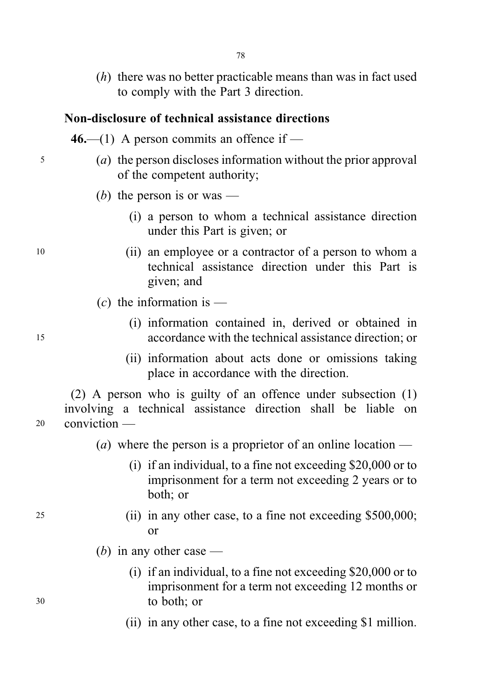$(h)$  there was no better practicable means than was in fact used to comply with the Part 3 direction.

# Non-disclosure of technical assistance directions

- 46.—(1) A person commits an offence if —
- <sup>5</sup> (a) the person discloses information without the prior approval of the competent authority;
	- (b) the person is or was
		- (i) a person to whom a technical assistance direction under this Part is given; or
- <sup>10</sup> (ii) an employee or a contractor of a person to whom a technical assistance direction under this Part is given; and
	- $(c)$  the information is —
- (i) information contained in, derived or obtained in <sup>15</sup> accordance with the technical assistance direction; or
	- (ii) information about acts done or omissions taking place in accordance with the direction.

(2) A person who is guilty of an offence under subsection (1) involving a technical assistance direction shall be liable on <sup>20</sup> conviction —

- (*a*) where the person is a proprietor of an online location
	- (i) if an individual, to a fine not exceeding \$20,000 or to imprisonment for a term not exceeding 2 years or to both; or
- <sup>25</sup> (ii) in any other case, to a fine not exceeding \$500,000; or
	- (*b*) in any other case —
- (i) if an individual, to a fine not exceeding \$20,000 or to imprisonment for a term not exceeding 12 months or <sup>30</sup> to both; or
	- (ii) in any other case, to a fine not exceeding \$1 million.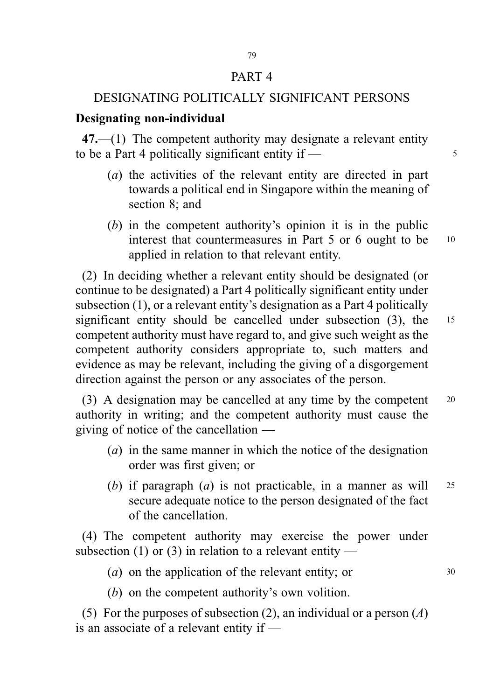#### PART 4

#### DESIGNATING POLITICALLY SIGNIFICANT PERSONS

#### Designating non-individual

47.—(1) The competent authority may designate a relevant entity to be a Part 4 politically significant entity if  $\frac{5}{5}$ 

- (a) the activities of the relevant entity are directed in part towards a political end in Singapore within the meaning of section 8; and
- (b) in the competent authority's opinion it is in the public interest that countermeasures in Part 5 or 6 ought to be <sup>10</sup> applied in relation to that relevant entity.

(2) In deciding whether a relevant entity should be designated (or continue to be designated) a Part 4 politically significant entity under subsection (1), or a relevant entity's designation as a Part 4 politically significant entity should be cancelled under subsection (3), the 15 competent authority must have regard to, and give such weight as the competent authority considers appropriate to, such matters and evidence as may be relevant, including the giving of a disgorgement direction against the person or any associates of the person.

(3) A designation may be cancelled at any time by the competent <sup>20</sup> authority in writing; and the competent authority must cause the giving of notice of the cancellation —

- (a) in the same manner in which the notice of the designation order was first given; or
- (b) if paragraph  $(a)$  is not practicable, in a manner as will 25 secure adequate notice to the person designated of the fact of the cancellation.

(4) The competent authority may exercise the power under subsection (1) or (3) in relation to a relevant entity —

(*a*) on the application of the relevant entity; or  $30$ 

(b) on the competent authority's own volition.

(5) For the purposes of subsection (2), an individual or a person (A) is an associate of a relevant entity if —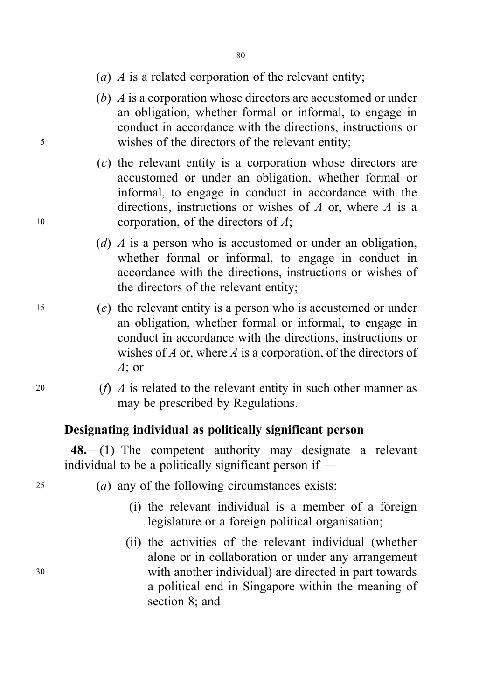- (a)  $\Lambda$  is a related corporation of the relevant entity;
- (b) A is a corporation whose directors are accustomed or under an obligation, whether formal or informal, to engage in conduct in accordance with the directions, instructions or <sup>5</sup> wishes of the directors of the relevant entity;
- (c) the relevant entity is a corporation whose directors are accustomed or under an obligation, whether formal or informal, to engage in conduct in accordance with the directions, instructions or wishes of A or, where A is a 10 corporation, of the directors of  $A$ ;
	- (d) A is a person who is accustomed or under an obligation, whether formal or informal, to engage in conduct in accordance with the directions, instructions or wishes of the directors of the relevant entity;
- <sup>15</sup> (e) the relevant entity is a person who is accustomed or under an obligation, whether formal or informal, to engage in conduct in accordance with the directions, instructions or wishes of  $A$  or, where  $A$  is a corporation, of the directors of A; or
- 20  $(f)$  A is related to the relevant entity in such other manner as may be prescribed by Regulations.

### Designating individual as politically significant person

48.—(1) The competent authority may designate a relevant individual to be a politically significant person if —

- <sup>25</sup> (a) any of the following circumstances exists:
	- (i) the relevant individual is a member of a foreign legislature or a foreign political organisation;
- (ii) the activities of the relevant individual (whether alone or in collaboration or under any arrangement <sup>30</sup> with another individual) are directed in part towards a political end in Singapore within the meaning of section 8; and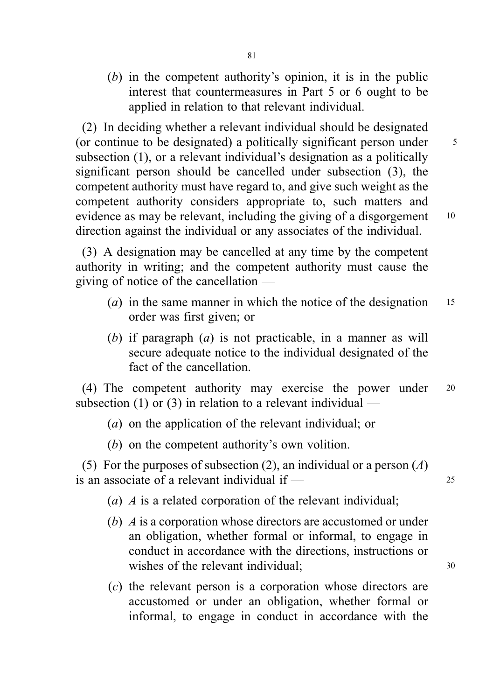(b) in the competent authority's opinion, it is in the public interest that countermeasures in Part 5 or 6 ought to be applied in relation to that relevant individual.

(2) In deciding whether a relevant individual should be designated (or continue to be designated) a politically significant person under <sup>5</sup> subsection (1), or a relevant individual's designation as a politically significant person should be cancelled under subsection (3), the competent authority must have regard to, and give such weight as the competent authority considers appropriate to, such matters and evidence as may be relevant, including the giving of a disgorgement 10 direction against the individual or any associates of the individual.

(3) A designation may be cancelled at any time by the competent authority in writing; and the competent authority must cause the giving of notice of the cancellation —

- (*a*) in the same manner in which the notice of the designation  $15$ order was first given; or
- (b) if paragraph  $(a)$  is not practicable, in a manner as will secure adequate notice to the individual designated of the fact of the cancellation.

(4) The competent authority may exercise the power under <sup>20</sup> subsection  $(1)$  or  $(3)$  in relation to a relevant individual —

- (a) on the application of the relevant individual; or
- (b) on the competent authority's own volition.

(5) For the purposes of subsection (2), an individual or a person (A) is an associate of a relevant individual if  $\frac{1}{25}$ 

(a) A is a related corporation of the relevant individual;

- (b) A is a corporation whose directors are accustomed or under an obligation, whether formal or informal, to engage in conduct in accordance with the directions, instructions or wishes of the relevant individual: 30
- (c) the relevant person is a corporation whose directors are accustomed or under an obligation, whether formal or informal, to engage in conduct in accordance with the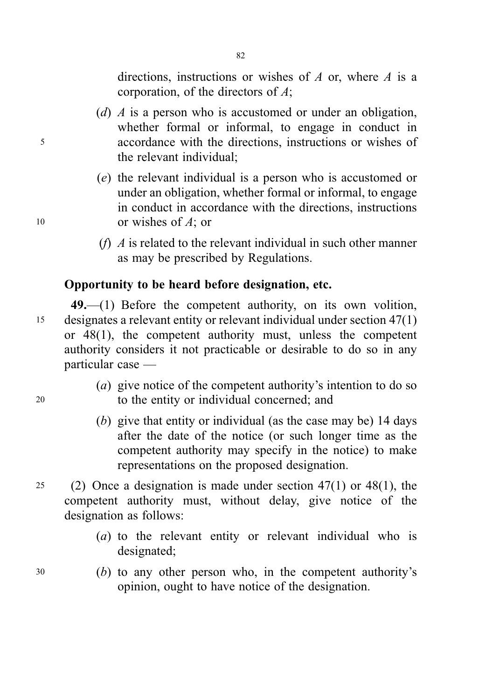directions, instructions or wishes of  $A$  or, where  $A$  is a corporation, of the directors of A;

(d) A is a person who is accustomed or under an obligation, whether formal or informal, to engage in conduct in <sup>5</sup> accordance with the directions, instructions or wishes of the relevant individual;

82

- (e) the relevant individual is a person who is accustomed or under an obligation, whether formal or informal, to engage in conduct in accordance with the directions, instructions 10 or wishes of A; or
	- (f)  $\vec{A}$  is related to the relevant individual in such other manner as may be prescribed by Regulations.

# Opportunity to be heard before designation, etc.

49.—(1) Before the competent authority, on its own volition, <sup>15</sup> designates a relevant entity or relevant individual under section 47(1) or 48(1), the competent authority must, unless the competent authority considers it not practicable or desirable to do so in any particular case —

- (a) give notice of the competent authority's intention to do so <sup>20</sup> to the entity or individual concerned; and
	- (b) give that entity or individual (as the case may be) 14 days after the date of the notice (or such longer time as the competent authority may specify in the notice) to make representations on the proposed designation.
- 25 (2) Once a designation is made under section  $47(1)$  or  $48(1)$ , the competent authority must, without delay, give notice of the designation as follows:
	- (a) to the relevant entity or relevant individual who is designated;
- <sup>30</sup> (b) to any other person who, in the competent authority's opinion, ought to have notice of the designation.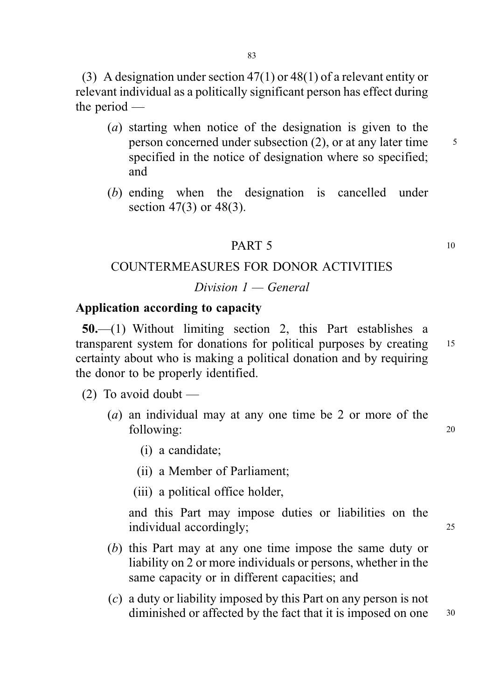(3) A designation under section 47(1) or 48(1) of a relevant entity or relevant individual as a politically significant person has effect during the period —

- (a) starting when notice of the designation is given to the person concerned under subsection  $(2)$ , or at any later time  $\frac{5}{5}$ specified in the notice of designation where so specified; and
- (b) ending when the designation is cancelled under section 47(3) or 48(3).

#### **PART 5** 10

## COUNTERMEASURES FOR DONOR ACTIVITIES

### Division  $1 -$  General

# Application according to capacity

50.—(1) Without limiting section 2, this Part establishes a transparent system for donations for political purposes by creating 15 certainty about who is making a political donation and by requiring the donor to be properly identified.

 $(2)$  To avoid doubt —

- (a) an individual may at any one time be 2 or more of the following: 20
	- (i) a candidate;

(ii) a Member of Parliament;

(iii) a political office holder,

and this Part may impose duties or liabilities on the individual accordingly; 25

- (b) this Part may at any one time impose the same duty or liability on 2 or more individuals or persons, whether in the same capacity or in different capacities; and
- (c) a duty or liability imposed by this Part on any person is not diminished or affected by the fact that it is imposed on one 30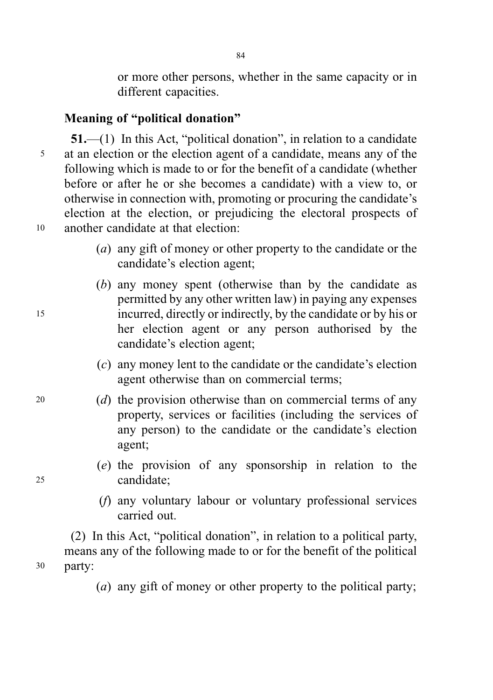or more other persons, whether in the same capacity or in different capacities.

# Meaning of "political donation"

51.—(1) In this Act, "political donation", in relation to a candidate <sup>5</sup> at an election or the election agent of a candidate, means any of the following which is made to or for the benefit of a candidate (whether before or after he or she becomes a candidate) with a view to, or otherwise in connection with, promoting or procuring the candidate's election at the election, or prejudicing the electoral prospects of <sup>10</sup> another candidate at that election:

- (a) any gift of money or other property to the candidate or the candidate's election agent;
- (b) any money spent (otherwise than by the candidate as permitted by any other written law) in paying any expenses <sup>15</sup> incurred, directly or indirectly, by the candidate or by his or her election agent or any person authorised by the candidate's election agent;
	- (c) any money lent to the candidate or the candidate's election agent otherwise than on commercial terms;
- <sup>20</sup> (d) the provision otherwise than on commercial terms of any property, services or facilities (including the services of any person) to the candidate or the candidate's election agent;
- (e) the provision of any sponsorship in relation to the <sup>25</sup> candidate;
	- (f) any voluntary labour or voluntary professional services carried out.

(2) In this Act, "political donation", in relation to a political party, means any of the following made to or for the benefit of the political <sup>30</sup> party:

(a) any gift of money or other property to the political party;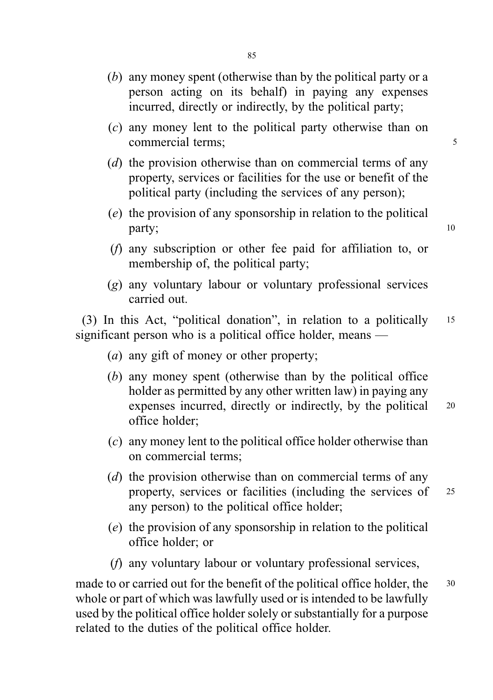- (b) any money spent (otherwise than by the political party or a person acting on its behalf) in paying any expenses incurred, directly or indirectly, by the political party;
- (c) any money lent to the political party otherwise than on commercial terms: 5
- (d) the provision otherwise than on commercial terms of any property, services or facilities for the use or benefit of the political party (including the services of any person);
- (e) the provision of any sponsorship in relation to the political party; 10
- (f) any subscription or other fee paid for affiliation to, or membership of, the political party;
- (g) any voluntary labour or voluntary professional services carried out.

(3) In this Act, "political donation", in relation to a politically <sup>15</sup> significant person who is a political office holder, means —

- (a) any gift of money or other property;
- (b) any money spent (otherwise than by the political office holder as permitted by any other written law) in paying any expenses incurred, directly or indirectly, by the political 20 office holder;
- (c) any money lent to the political office holder otherwise than on commercial terms;
- (d) the provision otherwise than on commercial terms of any property, services or facilities (including the services of <sup>25</sup> any person) to the political office holder;
- (e) the provision of any sponsorship in relation to the political office holder; or
- (f) any voluntary labour or voluntary professional services,

made to or carried out for the benefit of the political office holder, the 30 whole or part of which was lawfully used or is intended to be lawfully used by the political office holder solely or substantially for a purpose related to the duties of the political office holder.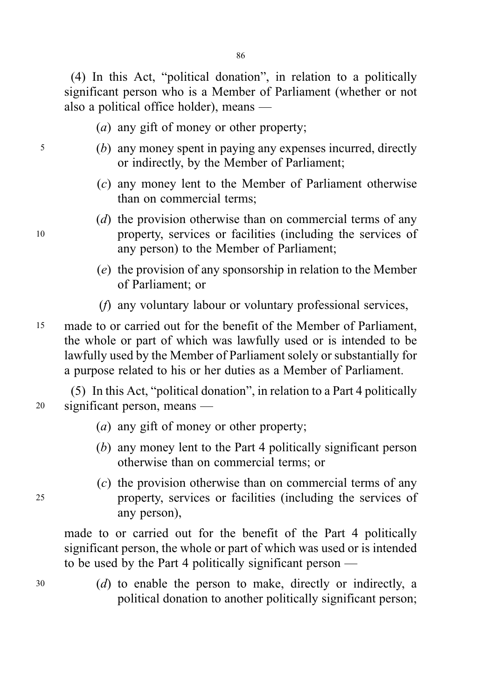(4) In this Act, "political donation", in relation to a politically significant person who is a Member of Parliament (whether or not also a political office holder), means —

- (a) any gift of money or other property;
- <sup>5</sup> (b) any money spent in paying any expenses incurred, directly or indirectly, by the Member of Parliament;
	- (c) any money lent to the Member of Parliament otherwise than on commercial terms;
- (d) the provision otherwise than on commercial terms of any <sup>10</sup> property, services or facilities (including the services of any person) to the Member of Parliament;
	- (e) the provision of any sponsorship in relation to the Member of Parliament; or
	- (f) any voluntary labour or voluntary professional services,
- <sup>15</sup> made to or carried out for the benefit of the Member of Parliament, the whole or part of which was lawfully used or is intended to be lawfully used by the Member of Parliament solely or substantially for a purpose related to his or her duties as a Member of Parliament.

(5) In this Act, "political donation", in relation to a Part 4 politically <sup>20</sup> significant person, means —

- (a) any gift of money or other property;
- (b) any money lent to the Part 4 politically significant person otherwise than on commercial terms; or
- (c) the provision otherwise than on commercial terms of any <sup>25</sup> property, services or facilities (including the services of any person),

made to or carried out for the benefit of the Part 4 politically significant person, the whole or part of which was used or is intended to be used by the Part 4 politically significant person —

<sup>30</sup> (d) to enable the person to make, directly or indirectly, a political donation to another politically significant person;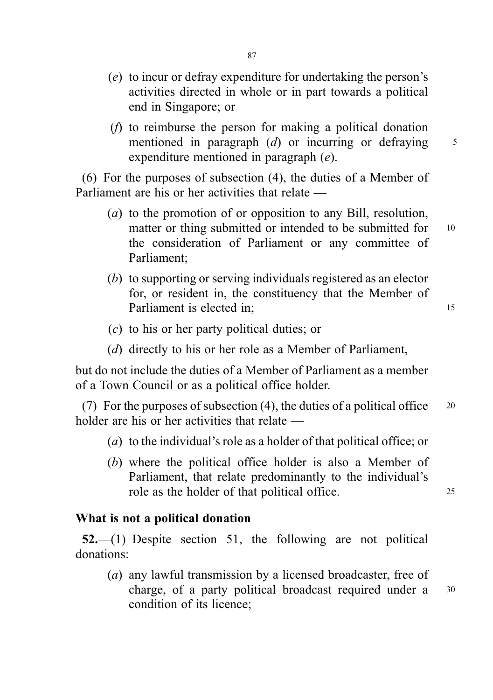- (e) to incur or defray expenditure for undertaking the person's activities directed in whole or in part towards a political end in Singapore; or
- (f) to reimburse the person for making a political donation mentioned in paragraph  $(d)$  or incurring or defraying  $\frac{5}{3}$ expenditure mentioned in paragraph (e).

(6) For the purposes of subsection (4), the duties of a Member of Parliament are his or her activities that relate —

- (a) to the promotion of or opposition to any Bill, resolution, matter or thing submitted or intended to be submitted for 10 the consideration of Parliament or any committee of Parliament;
- (b) to supporting or serving individuals registered as an elector for, or resident in, the constituency that the Member of Parliament is elected in; 15
- (c) to his or her party political duties; or
- (d) directly to his or her role as a Member of Parliament,

but do not include the duties of a Member of Parliament as a member of a Town Council or as a political office holder.

(7) For the purposes of subsection (4), the duties of a political office  $20$ holder are his or her activities that relate —

- ( $a$ ) to the individual's role as a holder of that political office; or
- (b) where the political office holder is also a Member of Parliament, that relate predominantly to the individual's role as the holder of that political office.

#### What is not a political donation

52.—(1) Despite section 51, the following are not political donations:

(a) any lawful transmission by a licensed broadcaster, free of charge, of a party political broadcast required under a <sup>30</sup> condition of its licence;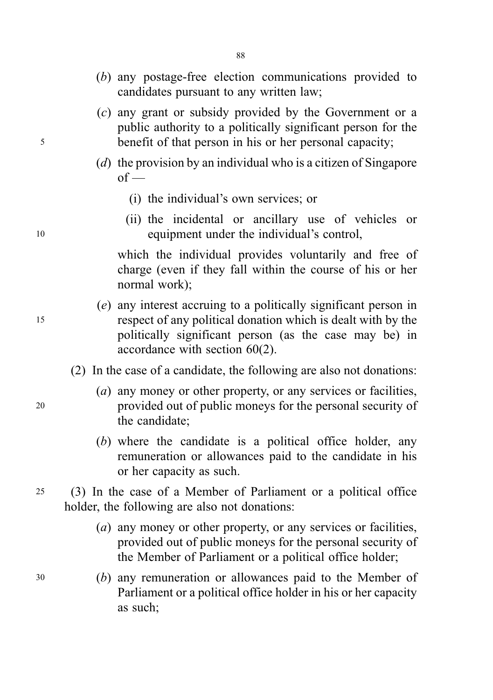- (b) any postage-free election communications provided to candidates pursuant to any written law;
- (c) any grant or subsidy provided by the Government or a public authority to a politically significant person for the <sup>5</sup> benefit of that person in his or her personal capacity;
	- (d) the provision by an individual who is a citizen of Singapore  $of$  —
		- (i) the individual's own services; or
- (ii) the incidental or ancillary use of vehicles or <sup>10</sup> equipment under the individual's control,

which the individual provides voluntarily and free of charge (even if they fall within the course of his or her normal work);

- (e) any interest accruing to a politically significant person in <sup>15</sup> respect of any political donation which is dealt with by the politically significant person (as the case may be) in accordance with section 60(2).
	- (2) In the case of a candidate, the following are also not donations:
- (*a*) any money or other property, or any services or facilities, <sup>20</sup> provided out of public moneys for the personal security of the candidate;
	- (b) where the candidate is a political office holder, any remuneration or allowances paid to the candidate in his or her capacity as such.

<sup>25</sup> (3) In the case of a Member of Parliament or a political office holder, the following are also not donations:

- (a) any money or other property, or any services or facilities, provided out of public moneys for the personal security of the Member of Parliament or a political office holder;
- <sup>30</sup> (b) any remuneration or allowances paid to the Member of Parliament or a political office holder in his or her capacity as such;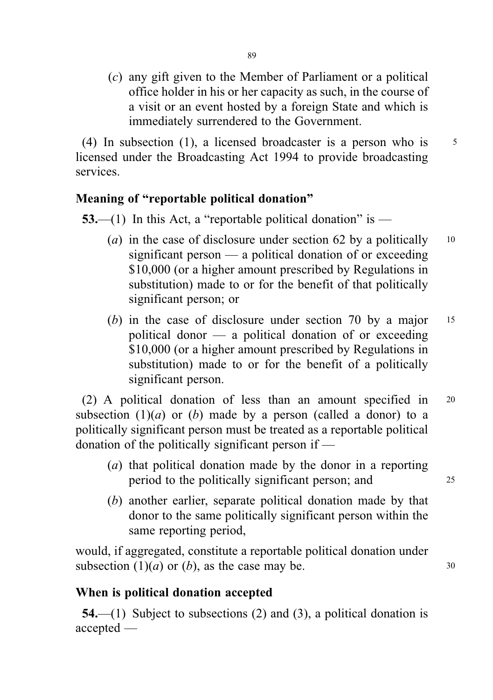(c) any gift given to the Member of Parliament or a political office holder in his or her capacity as such, in the course of a visit or an event hosted by a foreign State and which is immediately surrendered to the Government.

(4) In subsection (1), a licensed broadcaster is a person who is  $5<sup>5</sup>$ licensed under the Broadcasting Act 1994 to provide broadcasting services.

# Meaning of "reportable political donation"

53.—(1) In this Act, a "reportable political donation" is —

- (a) in the case of disclosure under section 62 by a politically  $10$ significant person — a political donation of or exceeding \$10,000 (or a higher amount prescribed by Regulations in substitution) made to or for the benefit of that politically significant person; or
- (b) in the case of disclosure under section 70 by a major 15 political donor — a political donation of or exceeding \$10,000 (or a higher amount prescribed by Regulations in substitution) made to or for the benefit of a politically significant person.

(2) A political donation of less than an amount specified in <sup>20</sup> subsection  $(1)(a)$  or  $(b)$  made by a person (called a donor) to a politically significant person must be treated as a reportable political donation of the politically significant person if —

- (a) that political donation made by the donor in a reporting period to the politically significant person; and <sup>25</sup>
- (b) another earlier, separate political donation made by that donor to the same politically significant person within the same reporting period,

would, if aggregated, constitute a reportable political donation under subsection  $(1)(a)$  or  $(b)$ , as the case may be. 30

# When is political donation accepted

54.—(1) Subject to subsections (2) and (3), a political donation is accepted —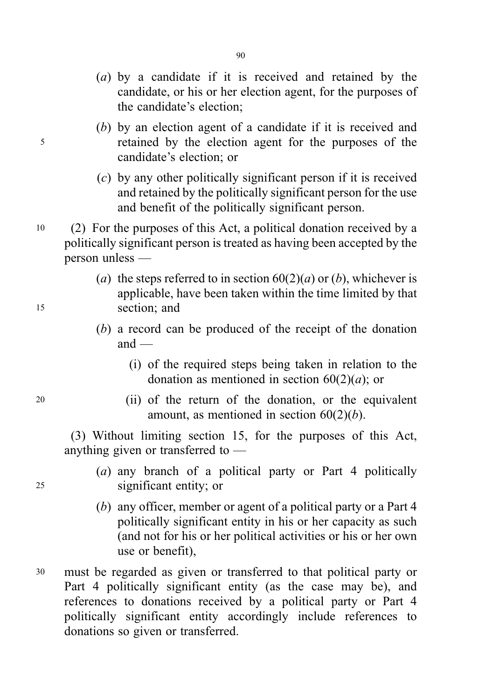- (a) by a candidate if it is received and retained by the candidate, or his or her election agent, for the purposes of the candidate's election;
- (b) by an election agent of a candidate if it is received and <sup>5</sup> retained by the election agent for the purposes of the candidate's election; or
	- (c) by any other politically significant person if it is received and retained by the politically significant person for the use and benefit of the politically significant person.
- <sup>10</sup> (2) For the purposes of this Act, a political donation received by a politically significant person is treated as having been accepted by the person unless —
- (a) the steps referred to in section  $60(2)(a)$  or (b), whichever is applicable, have been taken within the time limited by that <sup>15</sup> section; and
	- (b) a record can be produced of the receipt of the donation  $and =$ 
		- (i) of the required steps being taken in relation to the donation as mentioned in section  $60(2)(a)$ ; or
- <sup>20</sup> (ii) of the return of the donation, or the equivalent amount, as mentioned in section  $60(2)(b)$ .

(3) Without limiting section 15, for the purposes of this Act, anything given or transferred to —

- (a) any branch of a political party or Part 4 politically <sup>25</sup> significant entity; or
	- (b) any officer, member or agent of a political party or a Part 4 politically significant entity in his or her capacity as such (and not for his or her political activities or his or her own use or benefit),
- <sup>30</sup> must be regarded as given or transferred to that political party or Part 4 politically significant entity (as the case may be), and references to donations received by a political party or Part 4 politically significant entity accordingly include references to donations so given or transferred.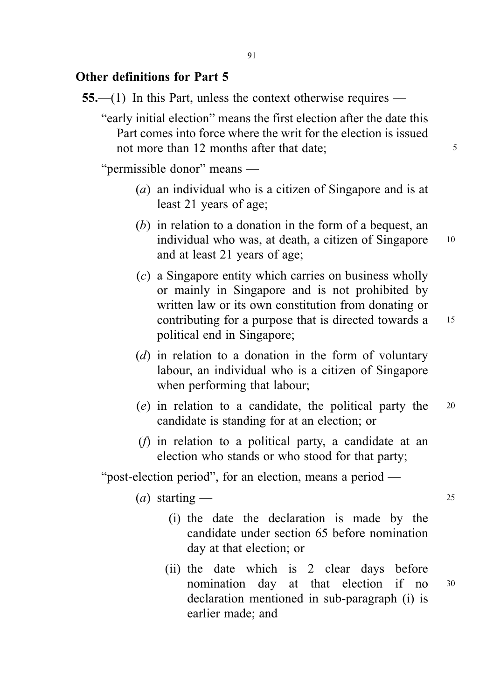### Other definitions for Part 5

- 55.—(1) In this Part, unless the context otherwise requires
	- "early initial election" means the first election after the date this Part comes into force where the writ for the election is issued not more than 12 months after that date:

"permissible donor" means —

- (a) an individual who is a citizen of Singapore and is at least 21 years of age;
- (b) in relation to a donation in the form of a bequest, an individual who was, at death, a citizen of Singapore 10 and at least 21 years of age;
- $(c)$  a Singapore entity which carries on business wholly or mainly in Singapore and is not prohibited by written law or its own constitution from donating or contributing for a purpose that is directed towards a 15 political end in Singapore;
	-

- (d) in relation to a donation in the form of voluntary labour, an individual who is a citizen of Singapore when performing that labour;
- (e) in relation to a candidate, the political party the <sup>20</sup> candidate is standing for at an election; or
- (f) in relation to a political party, a candidate at an election who stands or who stood for that party;

"post-election period", for an election, means a period —

(a) starting  $\frac{1}{25}$ 

- (i) the date the declaration is made by the candidate under section 65 before nomination day at that election; or
- (ii) the date which is 2 clear days before nomination day at that election if no <sup>30</sup> declaration mentioned in sub-paragraph (i) is earlier made; and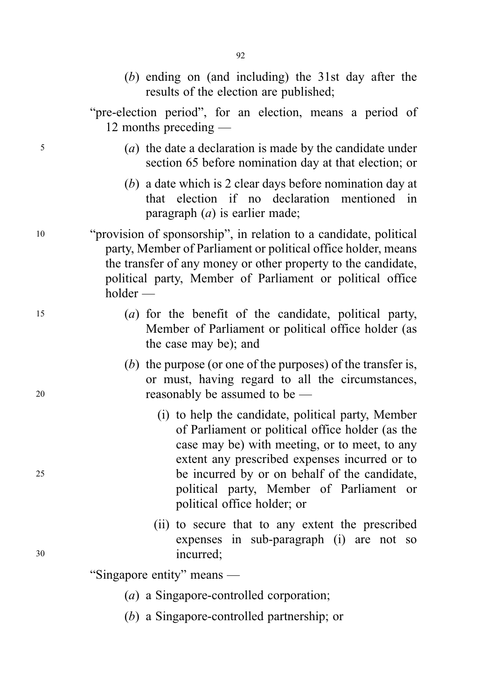(b) ending on (and including) the 31st day after the results of the election are published;

"pre-election period", for an election, means a period of 12 months preceding —

- <sup>5</sup> (a) the date a declaration is made by the candidate under section 65 before nomination day at that election; or
	- (b) a date which is 2 clear days before nomination day at that election if no declaration mentioned in paragraph  $(a)$  is earlier made:
- <sup>10</sup> "provision of sponsorship", in relation to a candidate, political party, Member of Parliament or political office holder, means the transfer of any money or other property to the candidate, political party, Member of Parliament or political office holder —
- <sup>15</sup> (a) for the benefit of the candidate, political party, Member of Parliament or political office holder (as the case may be); and
- (b) the purpose (or one of the purposes) of the transfer is, or must, having regard to all the circumstances, <sup>20</sup> reasonably be assumed to be —
- (i) to help the candidate, political party, Member of Parliament or political office holder (as the case may be) with meeting, or to meet, to any extent any prescribed expenses incurred or to <sup>25</sup> be incurred by or on behalf of the candidate, political party, Member of Parliament or political office holder; or
- (ii) to secure that to any extent the prescribed expenses in sub-paragraph (i) are not so <sup>30</sup> incurred;

"Singapore entity" means —

- (a) a Singapore-controlled corporation;
- (b) a Singapore-controlled partnership; or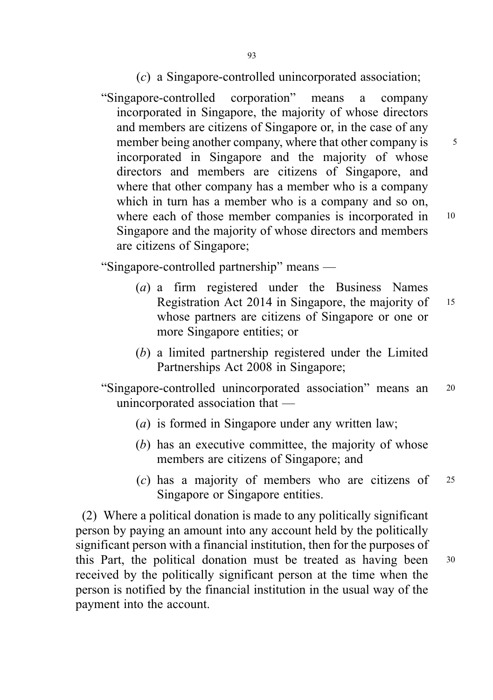"Singapore-controlled corporation" means a company incorporated in Singapore, the majority of whose directors and members are citizens of Singapore or, in the case of any member being another company, where that other company is  $5^{\circ}$ incorporated in Singapore and the majority of whose directors and members are citizens of Singapore, and where that other company has a member who is a company which in turn has a member who is a company and so on, where each of those member companies is incorporated in 10 Singapore and the majority of whose directors and members are citizens of Singapore;

"Singapore-controlled partnership" means —

- (a) a firm registered under the Business Names Registration Act 2014 in Singapore, the majority of 15 whose partners are citizens of Singapore or one or more Singapore entities; or
- (b) a limited partnership registered under the Limited Partnerships Act 2008 in Singapore;

"Singapore-controlled unincorporated association" means an <sup>20</sup> unincorporated association that —

- (a) is formed in Singapore under any written law;
- (b) has an executive committee, the majority of whose members are citizens of Singapore; and
- (c) has a majority of members who are citizens of <sup>25</sup> Singapore or Singapore entities.

(2) Where a political donation is made to any politically significant person by paying an amount into any account held by the politically significant person with a financial institution, then for the purposes of this Part, the political donation must be treated as having been <sup>30</sup> received by the politically significant person at the time when the person is notified by the financial institution in the usual way of the payment into the account.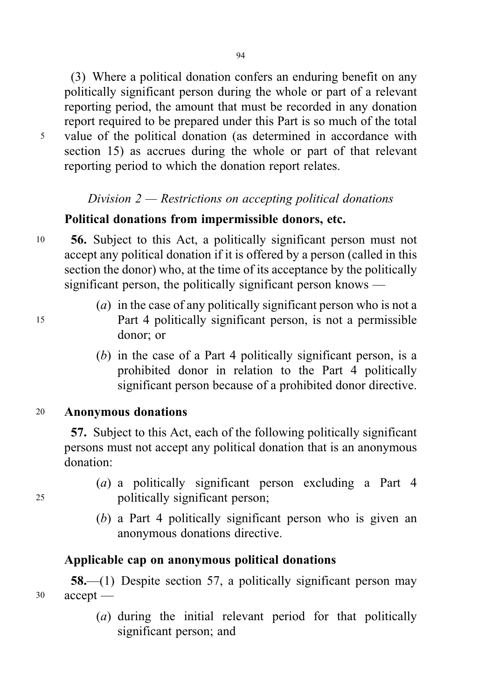94

(3) Where a political donation confers an enduring benefit on any politically significant person during the whole or part of a relevant reporting period, the amount that must be recorded in any donation report required to be prepared under this Part is so much of the total <sup>5</sup> value of the political donation (as determined in accordance with section 15) as accrues during the whole or part of that relevant reporting period to which the donation report relates.

# Division  $2$  — Restrictions on accepting political donations

# Political donations from impermissible donors, etc.

- <sup>10</sup> 56. Subject to this Act, a politically significant person must not accept any political donation if it is offered by a person (called in this section the donor) who, at the time of its acceptance by the politically significant person, the politically significant person knows —
- (*a*) in the case of any politically significant person who is not a <sup>15</sup> Part 4 politically significant person, is not a permissible donor; or
	- (b) in the case of a Part 4 politically significant person, is a prohibited donor in relation to the Part 4 politically significant person because of a prohibited donor directive.

#### <sup>20</sup> Anonymous donations

57. Subject to this Act, each of the following politically significant persons must not accept any political donation that is an anonymous donation:

- (a) a politically significant person excluding a Part 4 <sup>25</sup> politically significant person;
	- (b) a Part 4 politically significant person who is given an anonymous donations directive.

### Applicable cap on anonymous political donations

58.—(1) Despite section 57, a politically significant person may <sup>30</sup> accept —

> (a) during the initial relevant period for that politically significant person; and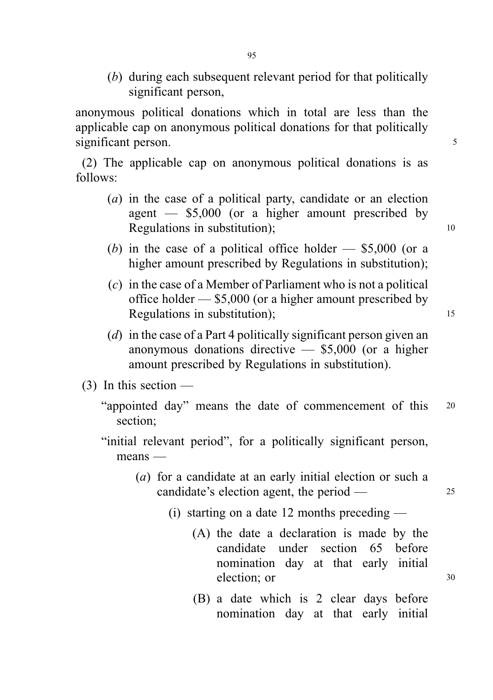(b) during each subsequent relevant period for that politically significant person,

anonymous political donations which in total are less than the applicable cap on anonymous political donations for that politically significant person. 5

(2) The applicable cap on anonymous political donations is as follows:

- (a) in the case of a political party, candidate or an election agent — \$5,000 (or a higher amount prescribed by Regulations in substitution); 10
- (b) in the case of a political office holder  $-$  \$5,000 (or a higher amount prescribed by Regulations in substitution);
- (c) in the case of a Member of Parliament who is not a political office holder — \$5,000 (or a higher amount prescribed by Regulations in substitution); 15
	-
- (d) in the case of a Part 4 politically significant person given an anonymous donations directive — \$5,000 (or a higher amount prescribed by Regulations in substitution).
- (3) In this section
	- "appointed day" means the date of commencement of this <sup>20</sup> section;
	- "initial relevant period", for a politically significant person, means —
		- (a) for a candidate at an early initial election or such a candidate's election agent, the period — 25
			- (i) starting on a date 12 months preceding
				- (A) the date a declaration is made by the candidate under section 65 before nomination day at that early initial election: or 30
				- (B) a date which is 2 clear days before nomination day at that early initial

95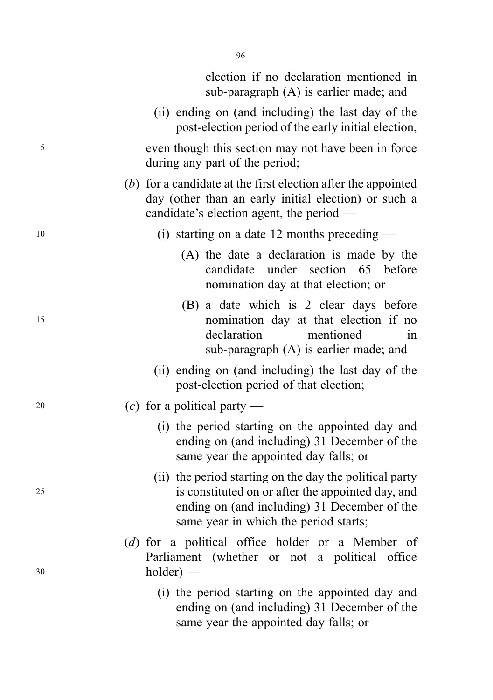election if no declaration mentioned in sub-paragraph (A) is earlier made; and

- (ii) ending on (and including) the last day of the post-election period of the early initial election,
- <sup>5</sup> even though this section may not have been in force during any part of the period;
	- (b) for a candidate at the first election after the appointed day (other than an early initial election) or such a candidate's election agent, the period —
- <sup>10</sup> (i) starting on a date 12 months preceding
	- (A) the date a declaration is made by the candidate under section 65 before nomination day at that election; or
- (B) a date which is 2 clear days before <sup>15</sup> nomination day at that election if no declaration mentioned in sub-paragraph (A) is earlier made; and
	- (ii) ending on (and including) the last day of the post-election period of that election;
- 20 (c) for a political party
	- (i) the period starting on the appointed day and ending on (and including) 31 December of the same year the appointed day falls; or
- (ii) the period starting on the day the political party <sup>25</sup> is constituted on or after the appointed day, and ending on (and including) 31 December of the same year in which the period starts;
- (d) for a political office holder or a Member of Parliament (whether or not a political office <sup>30</sup> holder) —
	- (i) the period starting on the appointed day and ending on (and including) 31 December of the same year the appointed day falls; or

96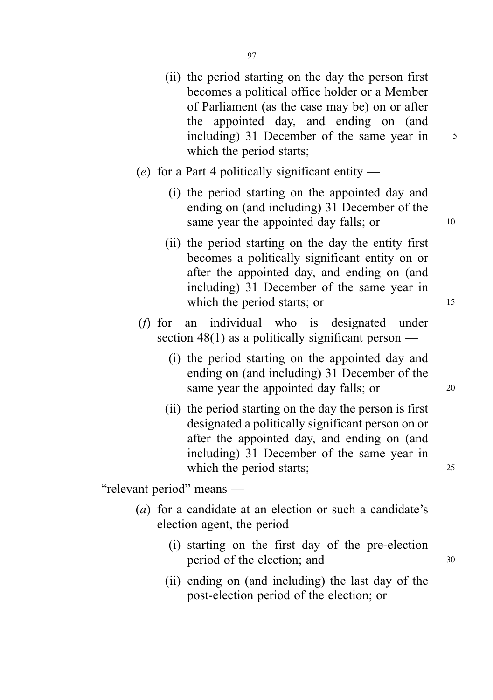- (ii) the period starting on the day the person first becomes a political office holder or a Member of Parliament (as the case may be) on or after the appointed day, and ending on (and including) 31 December of the same year in  $5$ which the period starts;
- (e) for a Part 4 politically significant entity  $-$ 
	- (i) the period starting on the appointed day and ending on (and including) 31 December of the same year the appointed day falls; or 10
	- (ii) the period starting on the day the entity first becomes a politically significant entity on or after the appointed day, and ending on (and including) 31 December of the same year in which the period starts; or 15
- (f) for an individual who is designated under section 48(1) as a politically significant person —
	- (i) the period starting on the appointed day and ending on (and including) 31 December of the same year the appointed day falls; or 20
	- (ii) the period starting on the day the person is first designated a politically significant person on or after the appointed day, and ending on (and including) 31 December of the same year in which the period starts; 25

"relevant period" means —

- (a) for a candidate at an election or such a candidate's election agent, the period —
	- (i) starting on the first day of the pre-election period of the election; and  $30$
	- (ii) ending on (and including) the last day of the post-election period of the election; or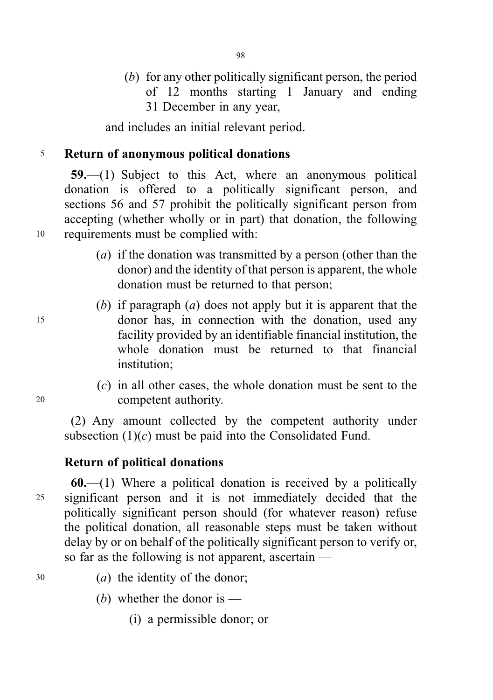(b) for any other politically significant person, the period of 12 months starting 1 January and ending 31 December in any year,

and includes an initial relevant period.

# <sup>5</sup> Return of anonymous political donations

59.—(1) Subject to this Act, where an anonymous political donation is offered to a politically significant person, and sections 56 and 57 prohibit the politically significant person from accepting (whether wholly or in part) that donation, the following <sup>10</sup> requirements must be complied with:

- (a) if the donation was transmitted by a person (other than the donor) and the identity of that person is apparent, the whole donation must be returned to that person;
- (b) if paragraph (a) does not apply but it is apparent that the <sup>15</sup> donor has, in connection with the donation, used any facility provided by an identifiable financial institution, the whole donation must be returned to that financial institution:
- (c) in all other cases, the whole donation must be sent to the <sup>20</sup> competent authority.

(2) Any amount collected by the competent authority under subsection  $(1)(c)$  must be paid into the Consolidated Fund.

# Return of political donations

 $60$ ,—(1) Where a political donation is received by a politically <sup>25</sup> significant person and it is not immediately decided that the politically significant person should (for whatever reason) refuse the political donation, all reasonable steps must be taken without delay by or on behalf of the politically significant person to verify or, so far as the following is not apparent, ascertain —

- <sup>30</sup> (a) the identity of the donor;
	- (b) whether the donor is  $-$ 
		- (i) a permissible donor; or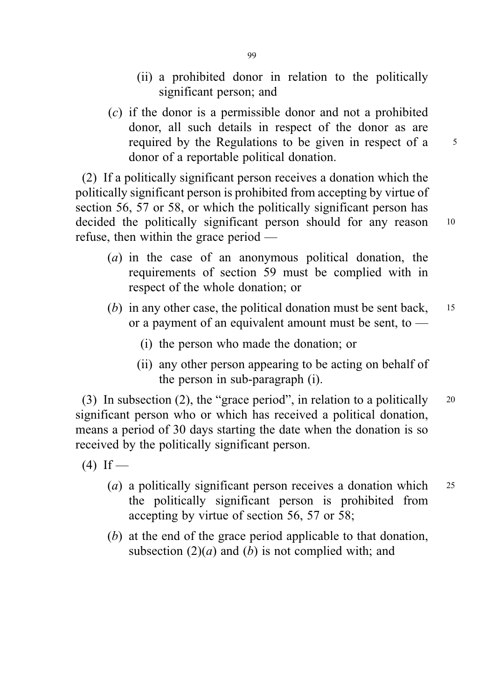- (ii) a prohibited donor in relation to the politically significant person; and
- (c) if the donor is a permissible donor and not a prohibited donor, all such details in respect of the donor as are required by the Regulations to be given in respect of a 5 donor of a reportable political donation.

(2) If a politically significant person receives a donation which the politically significant person is prohibited from accepting by virtue of section 56, 57 or 58, or which the politically significant person has decided the politically significant person should for any reason 10 refuse, then within the grace period —

- (a) in the case of an anonymous political donation, the requirements of section 59 must be complied with in respect of the whole donation; or
- (b) in any other case, the political donation must be sent back, 15 or a payment of an equivalent amount must be sent, to —
	- (i) the person who made the donation; or
	- (ii) any other person appearing to be acting on behalf of the person in sub-paragraph (i).

(3) In subsection (2), the "grace period", in relation to a politically  $20$ significant person who or which has received a political donation, means a period of 30 days starting the date when the donation is so received by the politically significant person.

 $(4)$  If —

- (*a*) a politically significant person receives a donation which  $25$ the politically significant person is prohibited from accepting by virtue of section 56, 57 or 58;
- (b) at the end of the grace period applicable to that donation, subsection  $(2)(a)$  and  $(b)$  is not complied with; and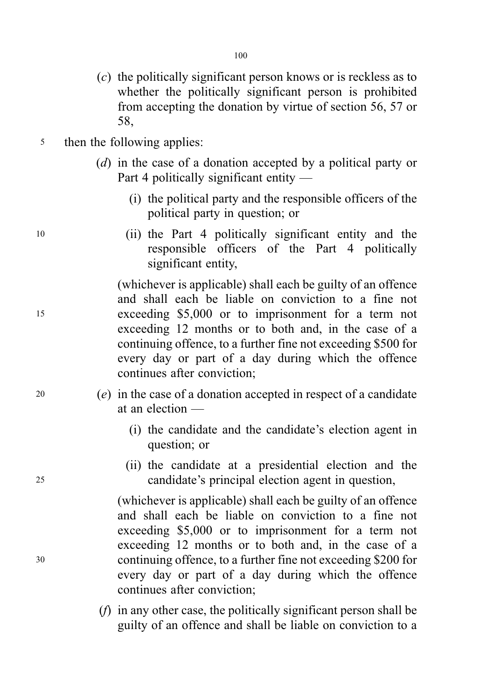- (c) the politically significant person knows or is reckless as to whether the politically significant person is prohibited from accepting the donation by virtue of section 56, 57 or 58,
- <sup>5</sup> then the following applies:
	- (d) in the case of a donation accepted by a political party or Part 4 politically significant entity —
		- (i) the political party and the responsible officers of the political party in question; or
- <sup>10</sup> (ii) the Part 4 politically significant entity and the responsible officers of the Part 4 politically significant entity,

(whichever is applicable) shall each be guilty of an offence and shall each be liable on conviction to a fine not <sup>15</sup> exceeding \$5,000 or to imprisonment for a term not exceeding 12 months or to both and, in the case of a continuing offence, to a further fine not exceeding \$500 for every day or part of a day during which the offence continues after conviction;

- <sup>20</sup> (e) in the case of a donation accepted in respect of a candidate at an election —
	- (i) the candidate and the candidate's election agent in question; or
- (ii) the candidate at a presidential election and the <sup>25</sup> candidate's principal election agent in question,

(whichever is applicable) shall each be guilty of an offence and shall each be liable on conviction to a fine not exceeding \$5,000 or to imprisonment for a term not exceeding 12 months or to both and, in the case of a <sup>30</sup> continuing offence, to a further fine not exceeding \$200 for every day or part of a day during which the offence continues after conviction;

> (f) in any other case, the politically significant person shall be guilty of an offence and shall be liable on conviction to a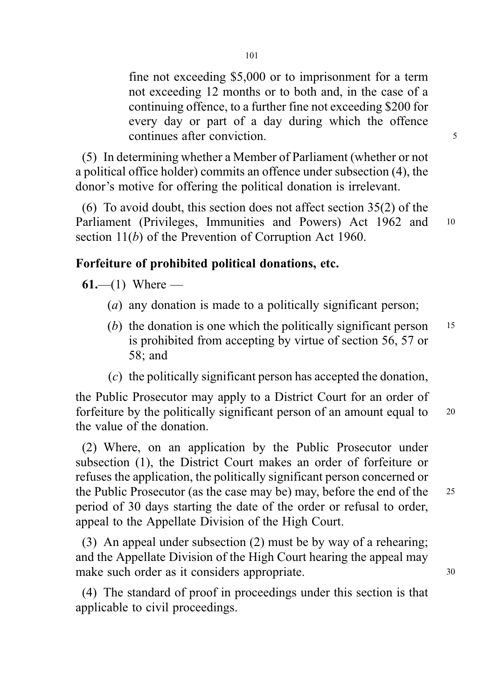fine not exceeding \$5,000 or to imprisonment for a term not exceeding 12 months or to both and, in the case of a continuing offence, to a further fine not exceeding \$200 for every day or part of a day during which the offence continues after conviction. 5

(5) In determining whether a Member of Parliament (whether or not a political office holder) commits an offence under subsection (4), the donor's motive for offering the political donation is irrelevant.

(6) To avoid doubt, this section does not affect section 35(2) of the Parliament (Privileges, Immunities and Powers) Act 1962 and <sup>10</sup> section 11(b) of the Prevention of Corruption Act 1960.

# Forfeiture of prohibited political donations, etc.

61.—(1) Where —

- (*a*) any donation is made to a politically significant person;
- (b) the donation is one which the politically significant person  $15$ is prohibited from accepting by virtue of section 56, 57 or 58; and
- (c) the politically significant person has accepted the donation,

the Public Prosecutor may apply to a District Court for an order of forfeiture by the politically significant person of an amount equal to <sup>20</sup> the value of the donation.

(2) Where, on an application by the Public Prosecutor under subsection (1), the District Court makes an order of forfeiture or refuses the application, the politically significant person concerned or the Public Prosecutor (as the case may be) may, before the end of the <sup>25</sup> period of 30 days starting the date of the order or refusal to order, appeal to the Appellate Division of the High Court.

(3) An appeal under subsection (2) must be by way of a rehearing; and the Appellate Division of the High Court hearing the appeal may make such order as it considers appropriate. 30

(4) The standard of proof in proceedings under this section is that applicable to civil proceedings.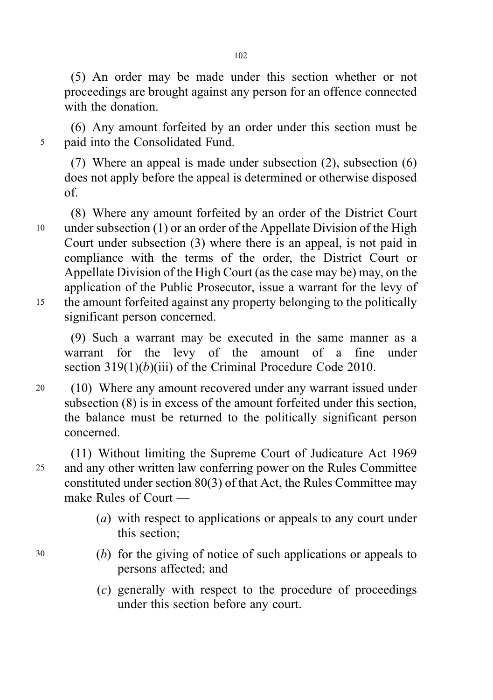(5) An order may be made under this section whether or not proceedings are brought against any person for an offence connected with the donation.

(6) Any amount forfeited by an order under this section must be <sup>5</sup> paid into the Consolidated Fund.

(7) Where an appeal is made under subsection (2), subsection (6) does not apply before the appeal is determined or otherwise disposed of.

(8) Where any amount forfeited by an order of the District Court <sup>10</sup> under subsection (1) or an order of the Appellate Division of the High Court under subsection (3) where there is an appeal, is not paid in compliance with the terms of the order, the District Court or Appellate Division of the High Court (as the case may be) may, on the application of the Public Prosecutor, issue a warrant for the levy of <sup>15</sup> the amount forfeited against any property belonging to the politically significant person concerned.

(9) Such a warrant may be executed in the same manner as a warrant for the levy of the amount of a fine under section 319(1)(b)(iii) of the Criminal Procedure Code 2010.

<sup>20</sup> (10) Where any amount recovered under any warrant issued under subsection (8) is in excess of the amount forfeited under this section, the balance must be returned to the politically significant person concerned.

(11) Without limiting the Supreme Court of Judicature Act 1969 <sup>25</sup> and any other written law conferring power on the Rules Committee constituted under section 80(3) of that Act, the Rules Committee may make Rules of Court —

- (a) with respect to applications or appeals to any court under this section;
- <sup>30</sup> (b) for the giving of notice of such applications or appeals to persons affected; and
	- (c) generally with respect to the procedure of proceedings under this section before any court.

102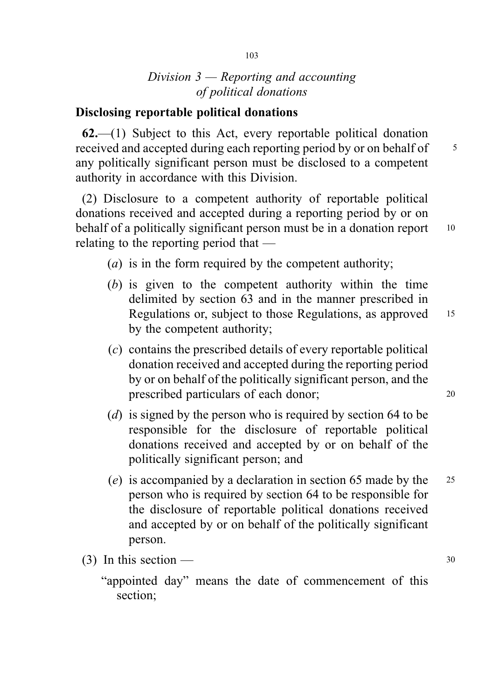# Division  $3$  — Reporting and accounting of political donations

### Disclosing reportable political donations

62.—(1) Subject to this Act, every reportable political donation received and accepted during each reporting period by or on behalf of  $\frac{5}{5}$ any politically significant person must be disclosed to a competent authority in accordance with this Division.

(2) Disclosure to a competent authority of reportable political donations received and accepted during a reporting period by or on behalf of a politically significant person must be in a donation report 10 relating to the reporting period that —

- (*a*) is in the form required by the competent authority;
- (b) is given to the competent authority within the time delimited by section 63 and in the manner prescribed in Regulations or, subject to those Regulations, as approved 15 by the competent authority;
- (c) contains the prescribed details of every reportable political donation received and accepted during the reporting period by or on behalf of the politically significant person, and the prescribed particulars of each donor; <sup>20</sup>
- (d) is signed by the person who is required by section 64 to be responsible for the disclosure of reportable political donations received and accepted by or on behalf of the politically significant person; and
- (e) is accompanied by a declaration in section 65 made by the <sup>25</sup> person who is required by section 64 to be responsible for the disclosure of reportable political donations received and accepted by or on behalf of the politically significant person.
- (3) In this section  $\frac{30}{2}$

<sup>&</sup>quot;appointed day" means the date of commencement of this section;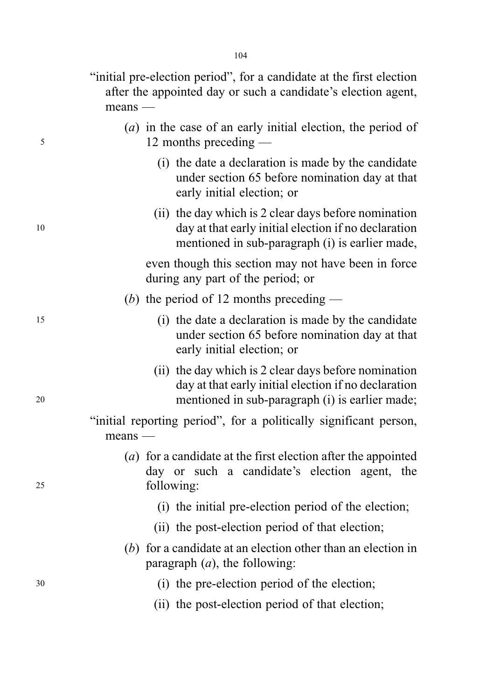"initial pre-election period", for a candidate at the first election after the appointed day or such a candidate's election agent, means —

- (a) in the case of an early initial election, the period of <sup>5</sup> 12 months preceding —
	- (i) the date a declaration is made by the candidate under section 65 before nomination day at that early initial election; or
- (ii) the day which is 2 clear days before nomination <sup>10</sup> day at that early initial election if no declaration mentioned in sub-paragraph (i) is earlier made,

even though this section may not have been in force during any part of the period; or

- (b) the period of 12 months preceding  $-$
- <sup>15</sup> (i) the date a declaration is made by the candidate under section 65 before nomination day at that early initial election; or
- (ii) the day which is 2 clear days before nomination day at that early initial election if no declaration <sup>20</sup> mentioned in sub-paragraph (i) is earlier made;
	- "initial reporting period", for a politically significant person, means —
- (a) for a candidate at the first election after the appointed day or such a candidate's election agent, the <sup>25</sup> following:
	- (i) the initial pre-election period of the election;
	- (ii) the post-election period of that election;
	- (b) for a candidate at an election other than an election in paragraph  $(a)$ , the following:
- <sup>30</sup> (i) the pre-election period of the election;
	- (ii) the post-election period of that election;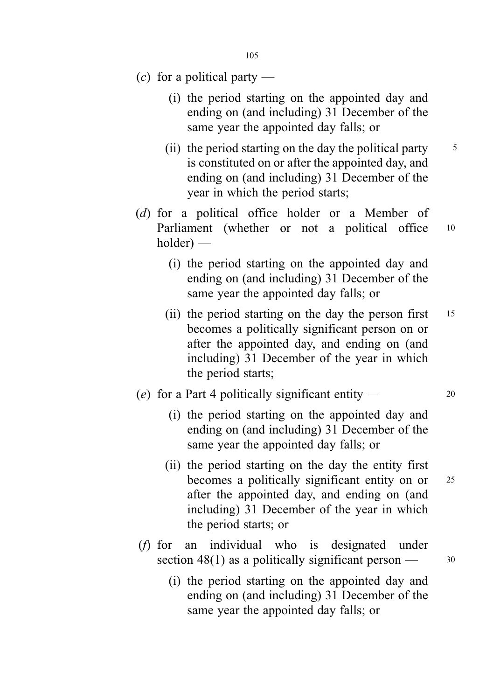- (c) for a political party  $-$ 
	- (i) the period starting on the appointed day and ending on (and including) 31 December of the same year the appointed day falls; or
	- (ii) the period starting on the day the political party  $\frac{5}{5}$ is constituted on or after the appointed day, and ending on (and including) 31 December of the year in which the period starts;
- (d) for a political office holder or a Member of Parliament (whether or not a political office 10 holder) —
	- (i) the period starting on the appointed day and ending on (and including) 31 December of the same year the appointed day falls; or
	- (ii) the period starting on the day the person first  $15$ becomes a politically significant person on or after the appointed day, and ending on (and including) 31 December of the year in which the period starts;
- (e) for a Part 4 politically significant entity  $\frac{1}{20}$ 
	- (i) the period starting on the appointed day and ending on (and including) 31 December of the same year the appointed day falls; or
	- (ii) the period starting on the day the entity first becomes a politically significant entity on or 25 after the appointed day, and ending on (and including) 31 December of the year in which the period starts; or
- (f) for an individual who is designated under section 48(1) as a politically significant person  $\frac{30}{2}$ 
	- (i) the period starting on the appointed day and ending on (and including) 31 December of the same year the appointed day falls; or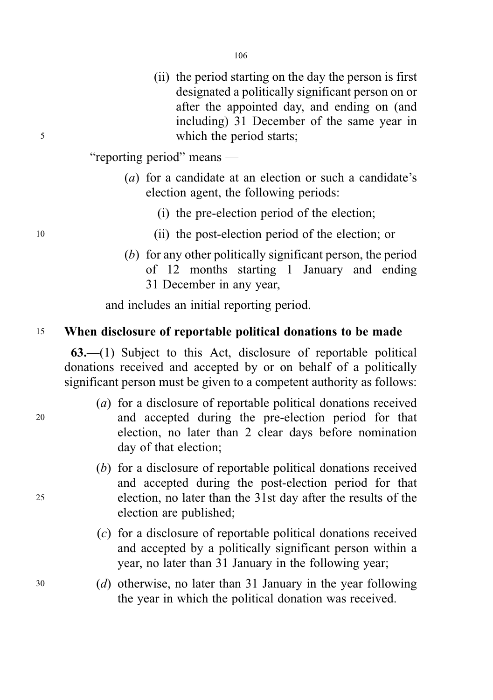(ii) the period starting on the day the person is first designated a politically significant person on or after the appointed day, and ending on (and including) 31 December of the same year in <sup>5</sup> which the period starts;

"reporting period" means —

- (a) for a candidate at an election or such a candidate's election agent, the following periods:
	- (i) the pre-election period of the election;
- <sup>10</sup> (ii) the post-election period of the election; or
	- (b) for any other politically significant person, the period of 12 months starting 1 January and ending 31 December in any year,

and includes an initial reporting period.

#### <sup>15</sup> When disclosure of reportable political donations to be made

63.—(1) Subject to this Act, disclosure of reportable political donations received and accepted by or on behalf of a politically significant person must be given to a competent authority as follows:

- (a) for a disclosure of reportable political donations received <sup>20</sup> and accepted during the pre-election period for that election, no later than 2 clear days before nomination day of that election;
- (b) for a disclosure of reportable political donations received and accepted during the post-election period for that <sup>25</sup> election, no later than the 31st day after the results of the election are published;
	- (c) for a disclosure of reportable political donations received and accepted by a politically significant person within a year, no later than 31 January in the following year;
- <sup>30</sup> (d) otherwise, no later than 31 January in the year following the year in which the political donation was received.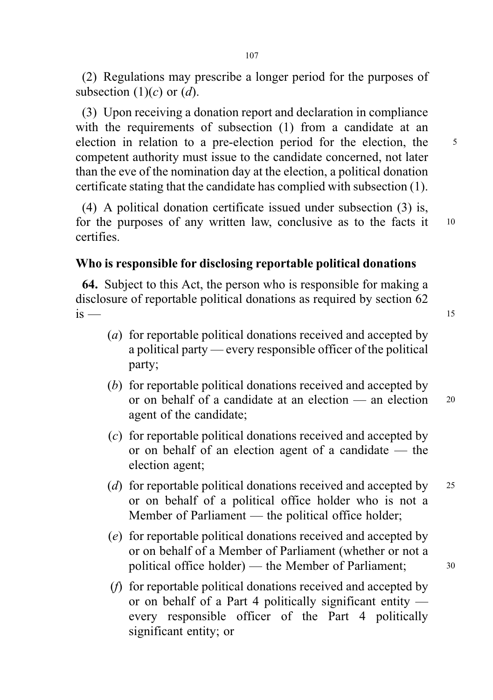(2) Regulations may prescribe a longer period for the purposes of subsection  $(1)(c)$  or  $(d)$ .

(3) Upon receiving a donation report and declaration in compliance with the requirements of subsection (1) from a candidate at an election in relation to a pre-election period for the election, the 5 competent authority must issue to the candidate concerned, not later than the eve of the nomination day at the election, a political donation certificate stating that the candidate has complied with subsection (1).

(4) A political donation certificate issued under subsection (3) is, for the purposes of any written law, conclusive as to the facts it 10 certifies.

# Who is responsible for disclosing reportable political donations

64. Subject to this Act, the person who is responsible for making a disclosure of reportable political donations as required by section 62  $is$  — 15

- (a) for reportable political donations received and accepted by a political party — every responsible officer of the political party;
- (b) for reportable political donations received and accepted by or on behalf of a candidate at an election — an election <sup>20</sup> agent of the candidate;
- (c) for reportable political donations received and accepted by or on behalf of an election agent of a candidate — the election agent;
- (d) for reportable political donations received and accepted by 25 or on behalf of a political office holder who is not a Member of Parliament — the political office holder;
- (e) for reportable political donations received and accepted by or on behalf of a Member of Parliament (whether or not a political office holder) — the Member of Parliament: 30
- (f) for reportable political donations received and accepted by or on behalf of a Part 4 politically significant entity every responsible officer of the Part 4 politically significant entity; or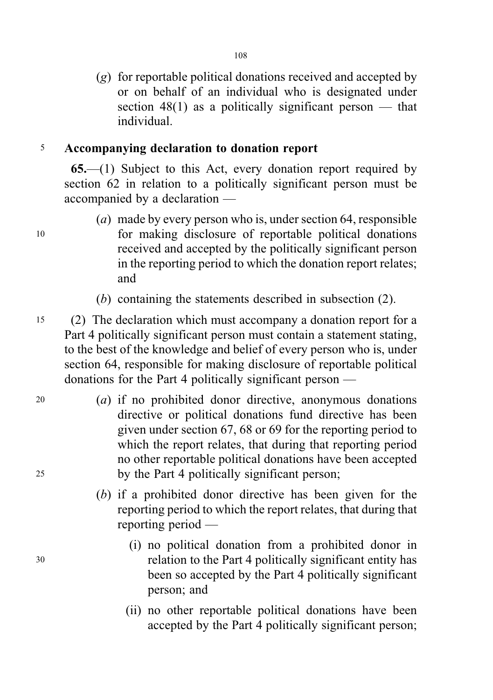(g) for reportable political donations received and accepted by or on behalf of an individual who is designated under section  $48(1)$  as a politically significant person — that individual.

# <sup>5</sup> Accompanying declaration to donation report

65.—(1) Subject to this Act, every donation report required by section 62 in relation to a politically significant person must be accompanied by a declaration —

- (a) made by every person who is, under section 64, responsible <sup>10</sup> for making disclosure of reportable political donations received and accepted by the politically significant person in the reporting period to which the donation report relates; and
	- (b) containing the statements described in subsection (2).
- <sup>15</sup> (2) The declaration which must accompany a donation report for a Part 4 politically significant person must contain a statement stating, to the best of the knowledge and belief of every person who is, under section 64, responsible for making disclosure of reportable political donations for the Part 4 politically significant person —
- <sup>20</sup> (a) if no prohibited donor directive, anonymous donations directive or political donations fund directive has been given under section 67, 68 or 69 for the reporting period to which the report relates, that during that reporting period no other reportable political donations have been accepted <sup>25</sup> by the Part 4 politically significant person;
	- (b) if a prohibited donor directive has been given for the reporting period to which the report relates, that during that reporting period —
- (i) no political donation from a prohibited donor in <sup>30</sup> relation to the Part 4 politically significant entity has been so accepted by the Part 4 politically significant person; and
	- (ii) no other reportable political donations have been accepted by the Part 4 politically significant person;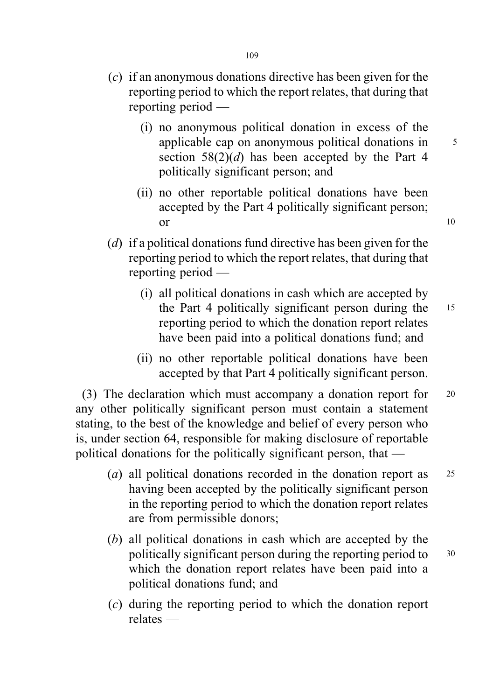- (c) if an anonymous donations directive has been given for the reporting period to which the report relates, that during that reporting period —
	- (i) no anonymous political donation in excess of the applicable cap on anonymous political donations in 5 section  $58(2)(d)$  has been accepted by the Part 4 politically significant person; and
	- (ii) no other reportable political donations have been accepted by the Part 4 politically significant person; or 10
- (d) if a political donations fund directive has been given for the reporting period to which the report relates, that during that reporting period —
	- (i) all political donations in cash which are accepted by the Part 4 politically significant person during the <sup>15</sup> reporting period to which the donation report relates have been paid into a political donations fund; and
	- (ii) no other reportable political donations have been accepted by that Part 4 politically significant person.

(3) The declaration which must accompany a donation report for <sup>20</sup> any other politically significant person must contain a statement stating, to the best of the knowledge and belief of every person who is, under section 64, responsible for making disclosure of reportable political donations for the politically significant person, that —

- (a) all political donations recorded in the donation report as <sup>25</sup> having been accepted by the politically significant person in the reporting period to which the donation report relates are from permissible donors;
- (b) all political donations in cash which are accepted by the politically significant person during the reporting period to 30 which the donation report relates have been paid into a political donations fund; and
- (c) during the reporting period to which the donation report relates —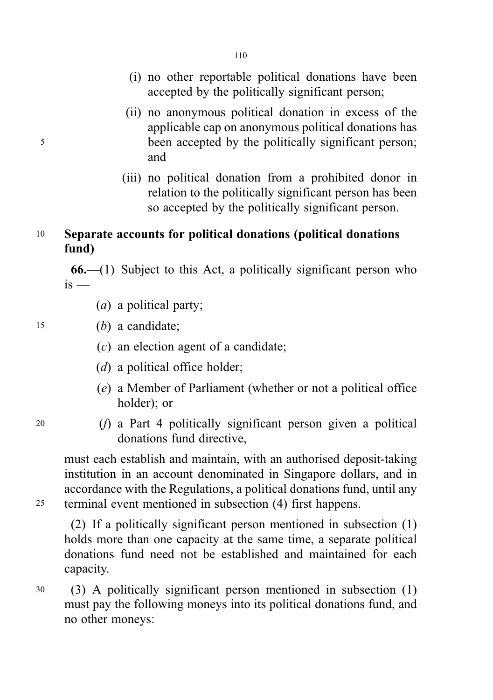- (i) no other reportable political donations have been accepted by the politically significant person;
- (ii) no anonymous political donation in excess of the applicable cap on anonymous political donations has <sup>5</sup> been accepted by the politically significant person; and
	- (iii) no political donation from a prohibited donor in relation to the politically significant person has been so accepted by the politically significant person.

# <sup>10</sup> Separate accounts for political donations (political donations fund)

 $66$ —(1) Subject to this Act, a politically significant person who  $is -$ 

(a) a political party;

<sup>15</sup> (b) a candidate;

- $(c)$  an election agent of a candidate:
- $(d)$  a political office holder;
- (e) a Member of Parliament (whether or not a political office holder); or
- 
- <sup>20</sup> (f) a Part 4 politically significant person given a political donations fund directive,

must each establish and maintain, with an authorised deposit-taking institution in an account denominated in Singapore dollars, and in accordance with the Regulations, a political donations fund, until any <sup>25</sup> terminal event mentioned in subsection (4) first happens.

(2) If a politically significant person mentioned in subsection (1) holds more than one capacity at the same time, a separate political donations fund need not be established and maintained for each capacity.

<sup>30</sup> (3) A politically significant person mentioned in subsection (1) must pay the following moneys into its political donations fund, and no other moneys: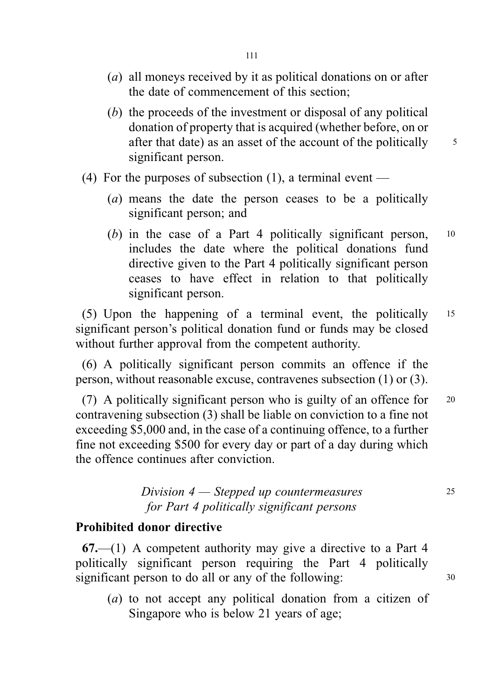- (a) all moneys received by it as political donations on or after the date of commencement of this section;
- (b) the proceeds of the investment or disposal of any political donation of property that is acquired (whether before, on or after that date) as an asset of the account of the politically  $\frac{5}{5}$ significant person.
- (4) For the purposes of subsection (1), a terminal event
	- (a) means the date the person ceases to be a politically significant person; and
	- (b) in the case of a Part 4 politically significant person,  $10$ includes the date where the political donations fund directive given to the Part 4 politically significant person ceases to have effect in relation to that politically significant person.

(5) Upon the happening of a terminal event, the politically <sup>15</sup> significant person's political donation fund or funds may be closed without further approval from the competent authority.

(6) A politically significant person commits an offence if the person, without reasonable excuse, contravenes subsection (1) or (3).

(7) A politically significant person who is guilty of an offence for <sup>20</sup> contravening subsection (3) shall be liable on conviction to a fine not exceeding \$5,000 and, in the case of a continuing offence, to a further fine not exceeding \$500 for every day or part of a day during which the offence continues after conviction.

# $Division 4—Stepped up countermeasures$  25 for Part 4 politically significant persons

### Prohibited donor directive

67.—(1) A competent authority may give a directive to a Part 4 politically significant person requiring the Part 4 politically significant person to do all or any of the following: 30

(a) to not accept any political donation from a citizen of Singapore who is below 21 years of age;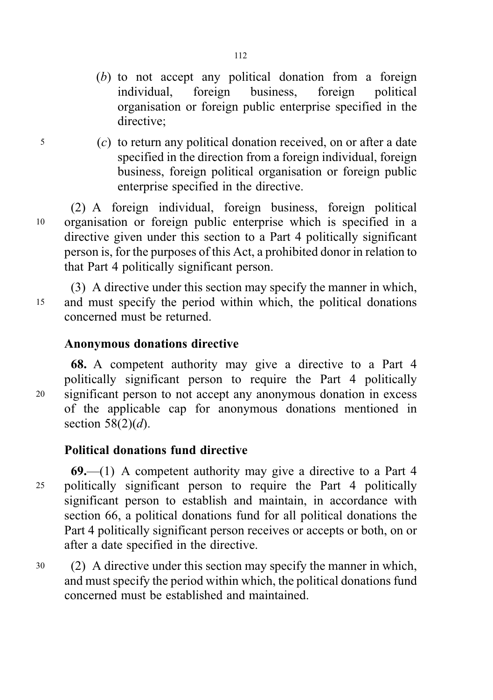- (b) to not accept any political donation from a foreign<br>individual, foreign business, foreign political individual, foreign business, foreign political organisation or foreign public enterprise specified in the directive;
- <sup>5</sup> (c) to return any political donation received, on or after a date specified in the direction from a foreign individual, foreign business, foreign political organisation or foreign public enterprise specified in the directive.

(2) A foreign individual, foreign business, foreign political <sup>10</sup> organisation or foreign public enterprise which is specified in a directive given under this section to a Part 4 politically significant person is, for the purposes of this Act, a prohibited donor in relation to that Part 4 politically significant person.

(3) A directive under this section may specify the manner in which, <sup>15</sup> and must specify the period within which, the political donations concerned must be returned.

# Anonymous donations directive

68. A competent authority may give a directive to a Part 4 politically significant person to require the Part 4 politically <sup>20</sup> significant person to not accept any anonymous donation in excess of the applicable cap for anonymous donations mentioned in section  $58(2)(d)$ .

# Political donations fund directive

 $69$ —(1) A competent authority may give a directive to a Part 4 <sup>25</sup> politically significant person to require the Part 4 politically significant person to establish and maintain, in accordance with section 66, a political donations fund for all political donations the Part 4 politically significant person receives or accepts or both, on or after a date specified in the directive.

<sup>30</sup> (2) A directive under this section may specify the manner in which, and must specify the period within which, the political donations fund concerned must be established and maintained.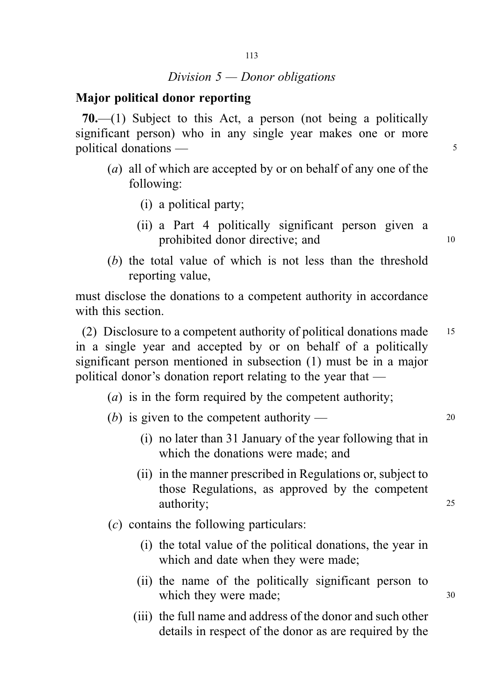# Division  $5$  — Donor obligations

#### Major political donor reporting

70.—(1) Subject to this Act, a person (not being a politically significant person) who in any single year makes one or more political donations — 5

- (a) all of which are accepted by or on behalf of any one of the following:
	- (i) a political party;
	- (ii) a Part 4 politically significant person given a prohibited donor directive; and 10
- (b) the total value of which is not less than the threshold reporting value,

must disclose the donations to a competent authority in accordance with this section.

(2) Disclosure to a competent authority of political donations made <sup>15</sup> in a single year and accepted by or on behalf of a politically significant person mentioned in subsection (1) must be in a major political donor's donation report relating to the year that —

- (*a*) is in the form required by the competent authority;
- (b) is given to the competent authority  $20$ 
	- (i) no later than 31 January of the year following that in which the donations were made; and
	- (ii) in the manner prescribed in Regulations or, subject to those Regulations, as approved by the competent authority: 25
- (c) contains the following particulars:
	- (i) the total value of the political donations, the year in which and date when they were made;
	- (ii) the name of the politically significant person to which they were made; 30
	- (iii) the full name and address of the donor and such other details in respect of the donor as are required by the

113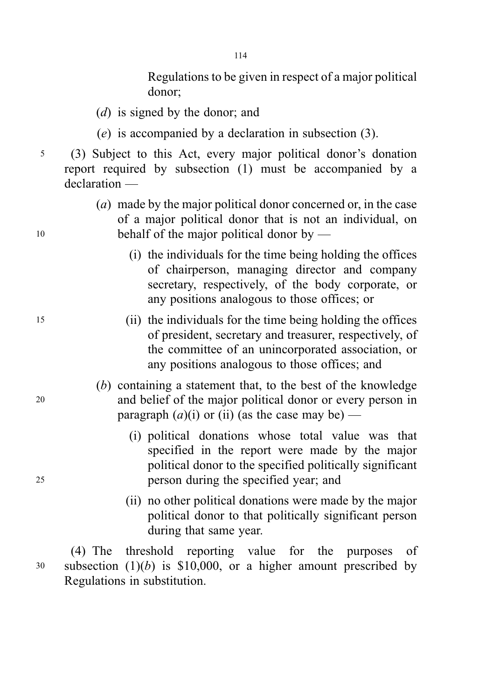114

Regulations to be given in respect of a major political donor;

- (*d*) is signed by the donor; and
- (e) is accompanied by a declaration in subsection (3).
- <sup>5</sup> (3) Subject to this Act, every major political donor's donation report required by subsection (1) must be accompanied by a declaration —
- (a) made by the major political donor concerned or, in the case of a major political donor that is not an individual, on 10 behalf of the major political donor by —
	- (i) the individuals for the time being holding the offices of chairperson, managing director and company secretary, respectively, of the body corporate, or any positions analogous to those offices; or
- <sup>15</sup> (ii) the individuals for the time being holding the offices of president, secretary and treasurer, respectively, of the committee of an unincorporated association, or any positions analogous to those offices; and
- (b) containing a statement that, to the best of the knowledge <sup>20</sup> and belief of the major political donor or every person in paragraph  $(a)(i)$  or (ii) (as the case may be) —
- (i) political donations whose total value was that specified in the report were made by the major political donor to the specified politically significant <sup>25</sup> person during the specified year; and
	- (ii) no other political donations were made by the major political donor to that politically significant person during that same year.

(4) The threshold reporting value for the purposes of  $30$  subsection  $(1)(b)$  is \$10,000, or a higher amount prescribed by Regulations in substitution.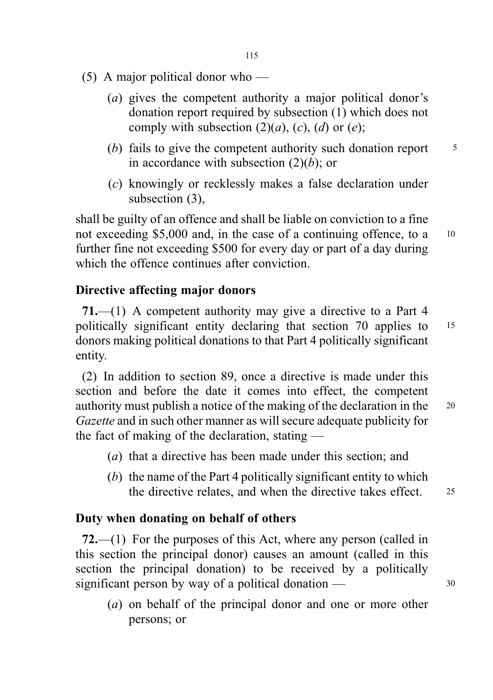- (5) A major political donor who
	- (a) gives the competent authority a major political donor's donation report required by subsection (1) which does not comply with subsection  $(2)(a)$ ,  $(c)$ ,  $(d)$  or  $(e)$ ;
	- (b) fails to give the competent authority such donation report  $\frac{5}{5}$ in accordance with subsection  $(2)(b)$ ; or
	- (c) knowingly or recklessly makes a false declaration under subsection (3),

shall be guilty of an offence and shall be liable on conviction to a fine not exceeding \$5,000 and, in the case of a continuing offence, to a 10 further fine not exceeding \$500 for every day or part of a day during which the offence continues after conviction.

# Directive affecting major donors

71.—(1) A competent authority may give a directive to a Part 4 politically significant entity declaring that section 70 applies to <sup>15</sup> donors making political donations to that Part 4 politically significant entity.

(2) In addition to section 89, once a directive is made under this section and before the date it comes into effect, the competent authority must publish a notice of the making of the declaration in the <sup>20</sup> Gazette and in such other manner as will secure adequate publicity for the fact of making of the declaration, stating —

- (a) that a directive has been made under this section; and
- (b) the name of the Part 4 politically significant entity to which the directive relates, and when the directive takes effect. 25

# Duty when donating on behalf of others

72.—(1) For the purposes of this Act, where any person (called in this section the principal donor) causes an amount (called in this section the principal donation) to be received by a politically significant person by way of a political donation  $\frac{30}{2}$ 

(a) on behalf of the principal donor and one or more other persons; or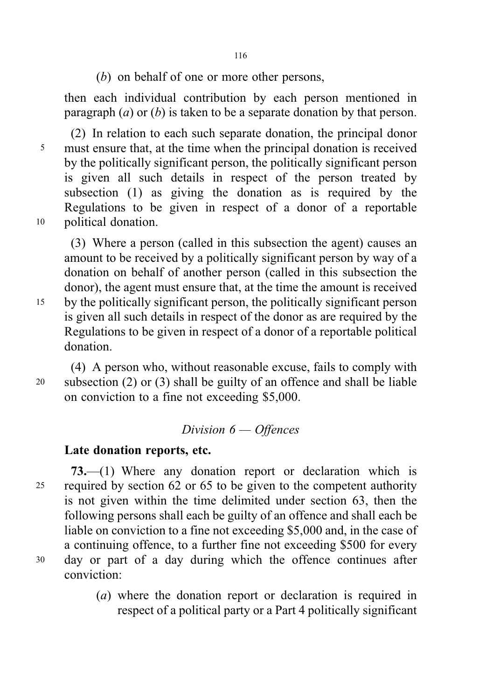(b) on behalf of one or more other persons,

then each individual contribution by each person mentioned in paragraph  $(a)$  or  $(b)$  is taken to be a separate donation by that person.

(2) In relation to each such separate donation, the principal donor <sup>5</sup> must ensure that, at the time when the principal donation is received by the politically significant person, the politically significant person is given all such details in respect of the person treated by subsection (1) as giving the donation as is required by the Regulations to be given in respect of a donor of a reportable <sup>10</sup> political donation.

(3) Where a person (called in this subsection the agent) causes an amount to be received by a politically significant person by way of a donation on behalf of another person (called in this subsection the donor), the agent must ensure that, at the time the amount is received <sup>15</sup> by the politically significant person, the politically significant person is given all such details in respect of the donor as are required by the Regulations to be given in respect of a donor of a reportable political donation.

(4) A person who, without reasonable excuse, fails to comply with <sup>20</sup> subsection (2) or (3) shall be guilty of an offence and shall be liable on conviction to a fine not exceeding \$5,000.

# Division 6 — Offences

#### Late donation reports, etc.

73.—(1) Where any donation report or declaration which is <sup>25</sup> required by section 62 or 65 to be given to the competent authority is not given within the time delimited under section 63, then the following persons shall each be guilty of an offence and shall each be liable on conviction to a fine not exceeding \$5,000 and, in the case of a continuing offence, to a further fine not exceeding \$500 for every <sup>30</sup> day or part of a day during which the offence continues after conviction:

> (a) where the donation report or declaration is required in respect of a political party or a Part 4 politically significant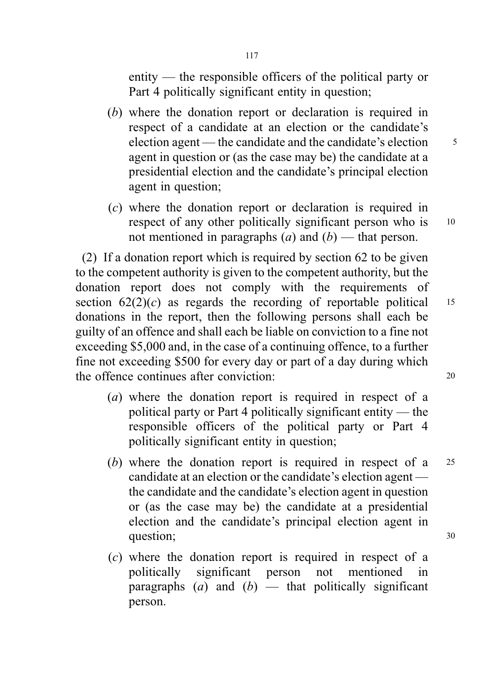entity — the responsible officers of the political party or Part 4 politically significant entity in question;

- (b) where the donation report or declaration is required in respect of a candidate at an election or the candidate's election agent — the candidate and the candidate's election  $\frac{5}{5}$ agent in question or (as the case may be) the candidate at a presidential election and the candidate's principal election agent in question;
- (c) where the donation report or declaration is required in respect of any other politically significant person who is 10 not mentioned in paragraphs (a) and  $(b)$  — that person.

(2) If a donation report which is required by section 62 to be given to the competent authority is given to the competent authority, but the donation report does not comply with the requirements of section  $62(2)(c)$  as regards the recording of reportable political 15 donations in the report, then the following persons shall each be guilty of an offence and shall each be liable on conviction to a fine not exceeding \$5,000 and, in the case of a continuing offence, to a further fine not exceeding \$500 for every day or part of a day during which the offence continues after conviction: <sup>20</sup>

- (a) where the donation report is required in respect of a political party or Part 4 politically significant entity — the responsible officers of the political party or Part 4 politically significant entity in question;
- (b) where the donation report is required in respect of a <sup>25</sup> candidate at an election or the candidate's election agent the candidate and the candidate's election agent in question or (as the case may be) the candidate at a presidential election and the candidate's principal election agent in question; 30
- (c) where the donation report is required in respect of a politically significant person not mentioned in paragraphs (a) and  $(b)$  — that politically significant person.

117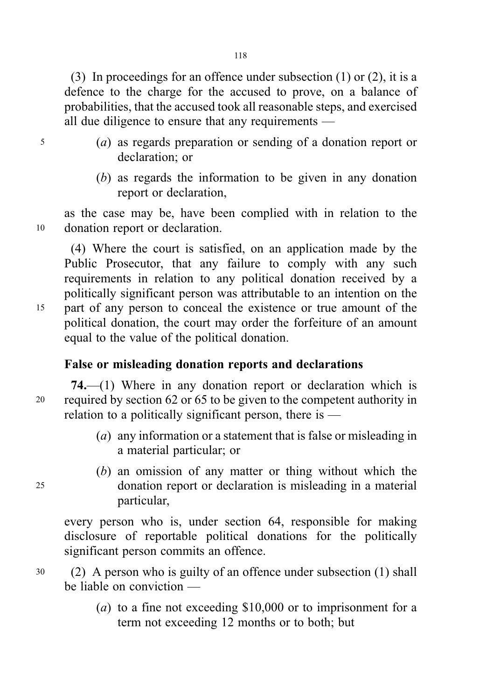(3) In proceedings for an offence under subsection (1) or (2), it is a defence to the charge for the accused to prove, on a balance of probabilities, that the accused took all reasonable steps, and exercised all due diligence to ensure that any requirements —

- <sup>5</sup> (a) as regards preparation or sending of a donation report or declaration; or
	- (b) as regards the information to be given in any donation report or declaration,

as the case may be, have been complied with in relation to the <sup>10</sup> donation report or declaration.

(4) Where the court is satisfied, on an application made by the Public Prosecutor, that any failure to comply with any such requirements in relation to any political donation received by a politically significant person was attributable to an intention on the <sup>15</sup> part of any person to conceal the existence or true amount of the political donation, the court may order the forfeiture of an amount equal to the value of the political donation.

# False or misleading donation reports and declarations

74.—(1) Where in any donation report or declaration which is <sup>20</sup> required by section 62 or 65 to be given to the competent authority in relation to a politically significant person, there is —

- (a) any information or a statement that is false or misleading in a material particular; or
- (b) an omission of any matter or thing without which the <sup>25</sup> donation report or declaration is misleading in a material particular,

every person who is, under section 64, responsible for making disclosure of reportable political donations for the politically significant person commits an offence.

- <sup>30</sup> (2) A person who is guilty of an offence under subsection (1) shall be liable on conviction —
	- (*a*) to a fine not exceeding  $$10,000$  or to imprisonment for a term not exceeding 12 months or to both; but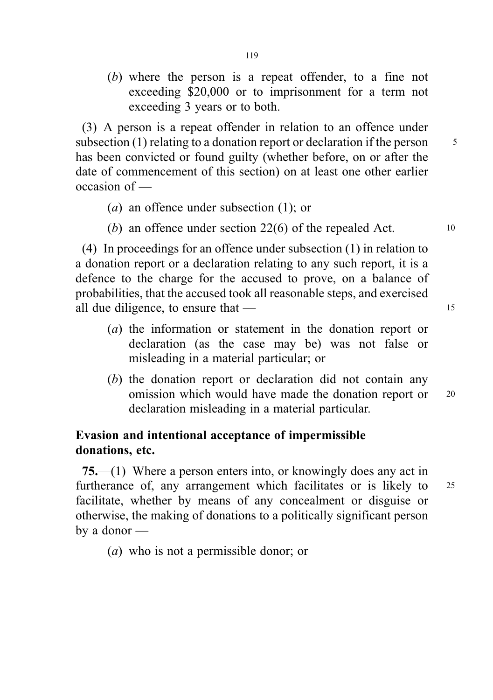(b) where the person is a repeat offender, to a fine not exceeding \$20,000 or to imprisonment for a term not exceeding 3 years or to both.

(3) A person is a repeat offender in relation to an offence under subsection (1) relating to a donation report or declaration if the person  $\frac{5}{5}$ has been convicted or found guilty (whether before, on or after the date of commencement of this section) on at least one other earlier occasion of —

- (a) an offence under subsection (1); or
- (b) an offence under section  $22(6)$  of the repealed Act.  $10$

(4) In proceedings for an offence under subsection (1) in relation to a donation report or a declaration relating to any such report, it is a defence to the charge for the accused to prove, on a balance of probabilities, that the accused took all reasonable steps, and exercised all due diligence, to ensure that — 15

- (a) the information or statement in the donation report or declaration (as the case may be) was not false or misleading in a material particular; or
- (b) the donation report or declaration did not contain any omission which would have made the donation report or 20 declaration misleading in a material particular.

# Evasion and intentional acceptance of impermissible donations, etc.

75.—(1) Where a person enters into, or knowingly does any act in furtherance of, any arrangement which facilitates or is likely to 25 facilitate, whether by means of any concealment or disguise or otherwise, the making of donations to a politically significant person by a donor —

(a) who is not a permissible donor; or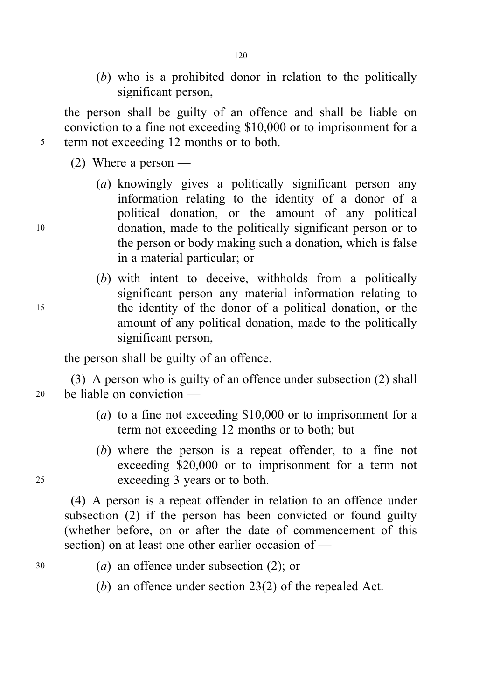(b) who is a prohibited donor in relation to the politically significant person,

the person shall be guilty of an offence and shall be liable on conviction to a fine not exceeding \$10,000 or to imprisonment for a <sup>5</sup> term not exceeding 12 months or to both.

120

(2) Where a person —

- (a) knowingly gives a politically significant person any information relating to the identity of a donor of a political donation, or the amount of any political <sup>10</sup> donation, made to the politically significant person or to the person or body making such a donation, which is false in a material particular; or
- (b) with intent to deceive, withholds from a politically significant person any material information relating to <sup>15</sup> the identity of the donor of a political donation, or the amount of any political donation, made to the politically significant person,

the person shall be guilty of an offence.

(3) A person who is guilty of an offence under subsection (2) shall <sup>20</sup> be liable on conviction —

- (*a*) to a fine not exceeding  $$10,000$  or to imprisonment for a term not exceeding 12 months or to both; but
- (b) where the person is a repeat offender, to a fine not exceeding \$20,000 or to imprisonment for a term not <sup>25</sup> exceeding 3 years or to both.

(4) A person is a repeat offender in relation to an offence under subsection (2) if the person has been convicted or found guilty (whether before, on or after the date of commencement of this section) on at least one other earlier occasion of —

- <sup>30</sup> (a) an offence under subsection (2); or
	- (b) an offence under section 23(2) of the repealed Act.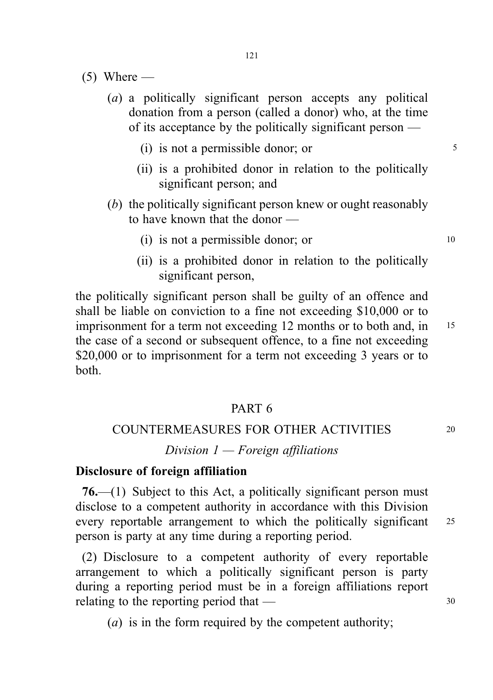- $(5)$  Where
	- (a) a politically significant person accepts any political donation from a person (called a donor) who, at the time of its acceptance by the politically significant person —
		- $(i)$  is not a permissible donor; or  $5$
		- (ii) is a prohibited donor in relation to the politically significant person; and
	- (b) the politically significant person knew or ought reasonably to have known that the donor —
		- (i) is not a permissible donor; or  $10$
		- (ii) is a prohibited donor in relation to the politically significant person,

the politically significant person shall be guilty of an offence and shall be liable on conviction to a fine not exceeding \$10,000 or to imprisonment for a term not exceeding 12 months or to both and, in 15 the case of a second or subsequent offence, to a fine not exceeding \$20,000 or to imprisonment for a term not exceeding 3 years or to both.

#### PART 6

#### COUNTERMEASURES FOR OTHER ACTIVITIES <sup>20</sup>

#### Division  $1$  — Foreign affiliations

#### Disclosure of foreign affiliation

76.—(1) Subject to this Act, a politically significant person must disclose to a competent authority in accordance with this Division every reportable arrangement to which the politically significant 25 person is party at any time during a reporting period.

(2) Disclosure to a competent authority of every reportable arrangement to which a politically significant person is party during a reporting period must be in a foreign affiliations report relating to the reporting period that  $-$  30

(a) is in the form required by the competent authority;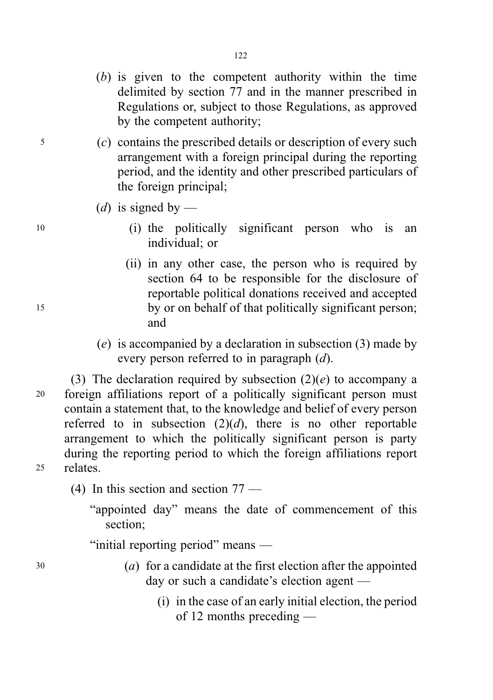- (b) is given to the competent authority within the time delimited by section 77 and in the manner prescribed in Regulations or, subject to those Regulations, as approved by the competent authority;
- <sup>5</sup> (c) contains the prescribed details or description of every such arrangement with a foreign principal during the reporting period, and the identity and other prescribed particulars of the foreign principal;
	- (d) is signed by —
- <sup>10</sup> (i) the politically significant person who is an individual; or
- (ii) in any other case, the person who is required by section 64 to be responsible for the disclosure of reportable political donations received and accepted <sup>15</sup> by or on behalf of that politically significant person; and
	- (e) is accompanied by a declaration in subsection (3) made by every person referred to in paragraph (d).

(3) The declaration required by subsection  $(2)(e)$  to accompany a <sup>20</sup> foreign affiliations report of a politically significant person must contain a statement that, to the knowledge and belief of every person referred to in subsection  $(2)(d)$ , there is no other reportable arrangement to which the politically significant person is party during the reporting period to which the foreign affiliations report <sup>25</sup> relates.

(4) In this section and section 77 —

"appointed day" means the date of commencement of this section;

"initial reporting period" means —

- <sup>30</sup> (a) for a candidate at the first election after the appointed day or such a candidate's election agent —
	- (i) in the case of an early initial election, the period of 12 months preceding —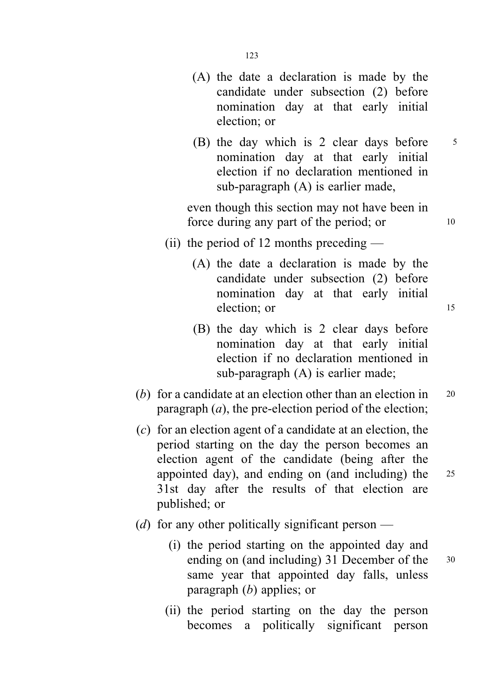- (A) the date a declaration is made by the candidate under subsection (2) before nomination day at that early initial election; or
- (B) the day which is 2 clear days before 5 nomination day at that early initial election if no declaration mentioned in sub-paragraph (A) is earlier made,

even though this section may not have been in force during any part of the period; or 10

- (ii) the period of 12 months preceding
	- (A) the date a declaration is made by the candidate under subsection (2) before nomination day at that early initial election; or 15
	- (B) the day which is 2 clear days before nomination day at that early initial election if no declaration mentioned in sub-paragraph (A) is earlier made;
- (b) for a candidate at an election other than an election in  $20$ paragraph  $(a)$ , the pre-election period of the election;
- (c) for an election agent of a candidate at an election, the period starting on the day the person becomes an election agent of the candidate (being after the appointed day), and ending on (and including) the <sup>25</sup> 31st day after the results of that election are published; or
- (*d*) for any other politically significant person
	- (i) the period starting on the appointed day and ending on (and including) 31 December of the 30 same year that appointed day falls, unless paragraph (b) applies; or
	- (ii) the period starting on the day the person becomes a politically significant person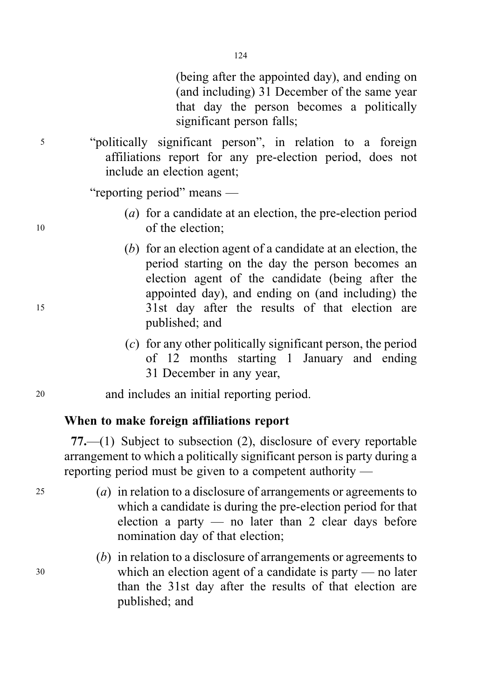(being after the appointed day), and ending on (and including) 31 December of the same year that day the person becomes a politically significant person falls;

<sup>5</sup> "politically significant person", in relation to a foreign affiliations report for any pre-election period, does not include an election agent;

"reporting period" means —

- (a) for a candidate at an election, the pre-election period <sup>10</sup> of the election;
- (b) for an election agent of a candidate at an election, the period starting on the day the person becomes an election agent of the candidate (being after the appointed day), and ending on (and including) the <sup>15</sup> 31st day after the results of that election are published; and
	- (c) for any other politically significant person, the period of 12 months starting 1 January and ending 31 December in any year,
- <sup>20</sup> and includes an initial reporting period.

# When to make foreign affiliations report

77.—(1) Subject to subsection (2), disclosure of every reportable arrangement to which a politically significant person is party during a reporting period must be given to a competent authority —

- <sup>25</sup> (a) in relation to a disclosure of arrangements or agreements to which a candidate is during the pre-election period for that election a party — no later than 2 clear days before nomination day of that election;
- (b) in relation to a disclosure of arrangements or agreements to <sup>30</sup> which an election agent of a candidate is party — no later than the 31st day after the results of that election are published; and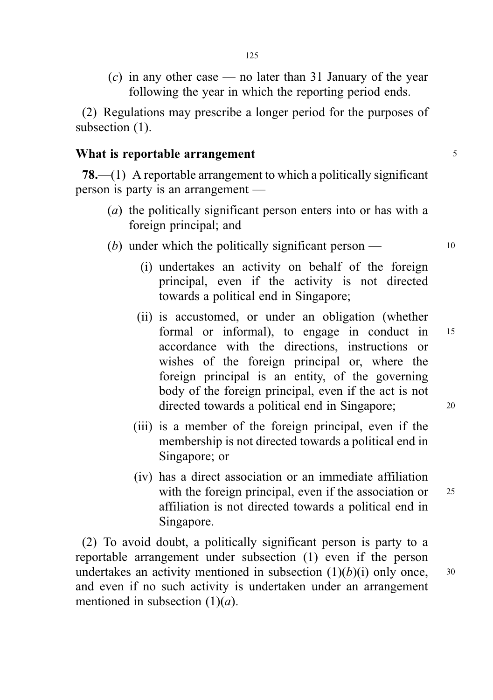$(c)$  in any other case — no later than 31 January of the year following the year in which the reporting period ends.

(2) Regulations may prescribe a longer period for the purposes of subsection  $(1)$ .

# What is reportable arrangement  $\frac{5}{5}$

78.—(1) A reportable arrangement to which a politically significant person is party is an arrangement —

- (a) the politically significant person enters into or has with a foreign principal; and
- (b) under which the politically significant person  $-$  10
	- (i) undertakes an activity on behalf of the foreign principal, even if the activity is not directed towards a political end in Singapore;
	- (ii) is accustomed, or under an obligation (whether formal or informal), to engage in conduct in <sup>15</sup> accordance with the directions, instructions or wishes of the foreign principal or, where the foreign principal is an entity, of the governing body of the foreign principal, even if the act is not directed towards a political end in Singapore; <sup>20</sup>
	- (iii) is a member of the foreign principal, even if the membership is not directed towards a political end in Singapore; or
	- (iv) has a direct association or an immediate affiliation with the foreign principal, even if the association or 25 affiliation is not directed towards a political end in Singapore.

(2) To avoid doubt, a politically significant person is party to a reportable arrangement under subsection (1) even if the person undertakes an activity mentioned in subsection  $(1)(b)(i)$  only once,  $30$ and even if no such activity is undertaken under an arrangement mentioned in subsection  $(1)(a)$ .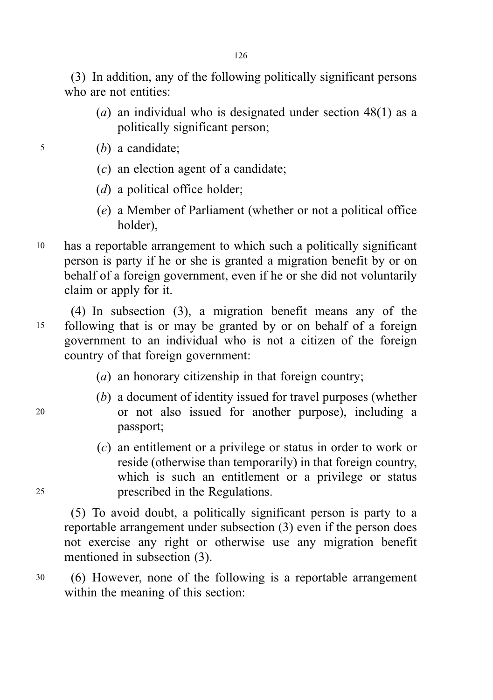(3) In addition, any of the following politically significant persons who are not entities:

- (a) an individual who is designated under section  $48(1)$  as a politically significant person;
- <sup>5</sup> (b) a candidate;
	- $(c)$  an election agent of a candidate;
	- (*d*) a political office holder;
	- (e) a Member of Parliament (whether or not a political office holder),
- <sup>10</sup> has a reportable arrangement to which such a politically significant person is party if he or she is granted a migration benefit by or on behalf of a foreign government, even if he or she did not voluntarily claim or apply for it.

(4) In subsection (3), a migration benefit means any of the <sup>15</sup> following that is or may be granted by or on behalf of a foreign government to an individual who is not a citizen of the foreign country of that foreign government:

- (a) an honorary citizenship in that foreign country;
- (b) a document of identity issued for travel purposes (whether <sup>20</sup> or not also issued for another purpose), including a passport;
- (c) an entitlement or a privilege or status in order to work or reside (otherwise than temporarily) in that foreign country, which is such an entitlement or a privilege or status <sup>25</sup> prescribed in the Regulations.

(5) To avoid doubt, a politically significant person is party to a reportable arrangement under subsection (3) even if the person does not exercise any right or otherwise use any migration benefit mentioned in subsection (3).

<sup>30</sup> (6) However, none of the following is a reportable arrangement within the meaning of this section: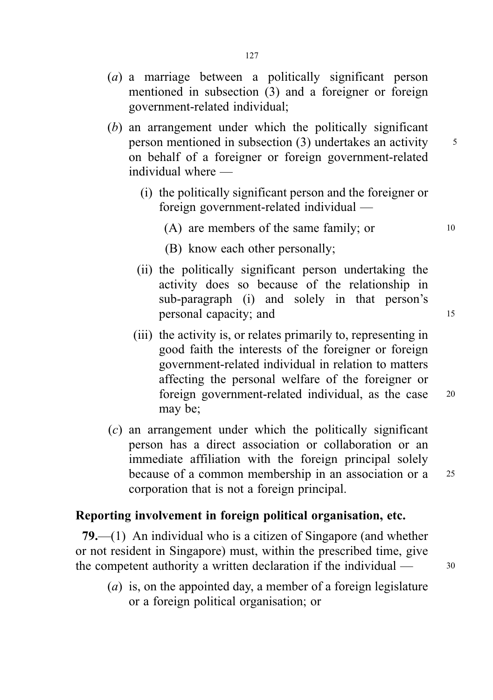- (a) a marriage between a politically significant person mentioned in subsection (3) and a foreigner or foreign government-related individual;
- (b) an arrangement under which the politically significant person mentioned in subsection  $(3)$  undertakes an activity  $\frac{5}{3}$ on behalf of a foreigner or foreign government-related individual where —
	- (i) the politically significant person and the foreigner or foreign government-related individual —
		- $(A)$  are members of the same family; or  $10$
		- (B) know each other personally;
	- (ii) the politically significant person undertaking the activity does so because of the relationship in sub-paragraph (i) and solely in that person's personal capacity; and 15
	- (iii) the activity is, or relates primarily to, representing in good faith the interests of the foreigner or foreign government-related individual in relation to matters affecting the personal welfare of the foreigner or foreign government-related individual, as the case <sup>20</sup> may be;
- (c) an arrangement under which the politically significant person has a direct association or collaboration or an immediate affiliation with the foreign principal solely because of a common membership in an association or a <sup>25</sup> corporation that is not a foreign principal.

### Reporting involvement in foreign political organisation, etc.

79.—(1) An individual who is a citizen of Singapore (and whether or not resident in Singapore) must, within the prescribed time, give the competent authority a written declaration if the individual  $\frac{30}{2}$ 

(a) is, on the appointed day, a member of a foreign legislature or a foreign political organisation; or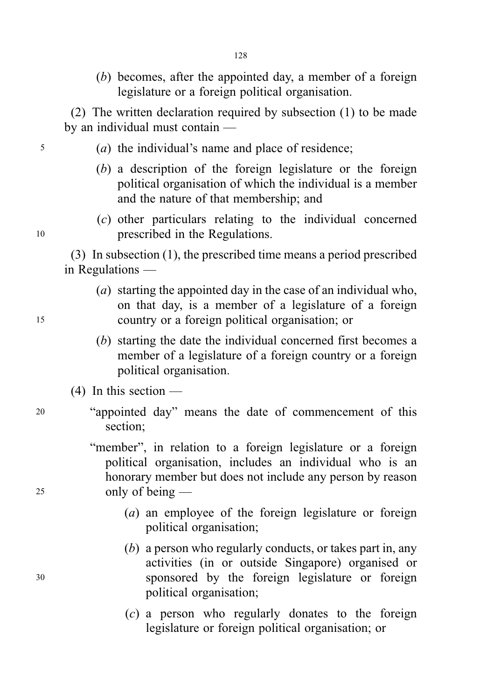(b) becomes, after the appointed day, a member of a foreign legislature or a foreign political organisation.

(2) The written declaration required by subsection (1) to be made by an individual must contain —

- <sup>5</sup> (a) the individual's name and place of residence;
	- (b) a description of the foreign legislature or the foreign political organisation of which the individual is a member and the nature of that membership; and
- (c) other particulars relating to the individual concerned <sup>10</sup> prescribed in the Regulations.

(3) In subsection (1), the prescribed time means a period prescribed in Regulations —

- (a) starting the appointed day in the case of an individual who, on that day, is a member of a legislature of a foreign <sup>15</sup> country or a foreign political organisation; or
	- (b) starting the date the individual concerned first becomes a member of a legislature of a foreign country or a foreign political organisation.
	- (4) In this section —
- <sup>20</sup> "appointed day" means the date of commencement of this section;
- "member", in relation to a foreign legislature or a foreign political organisation, includes an individual who is an honorary member but does not include any person by reason <sup>25</sup> only of being —
	- (a) an employee of the foreign legislature or foreign political organisation;
- (b) a person who regularly conducts, or takes part in, any activities (in or outside Singapore) organised or <sup>30</sup> sponsored by the foreign legislature or foreign political organisation;
	- (c) a person who regularly donates to the foreign legislature or foreign political organisation; or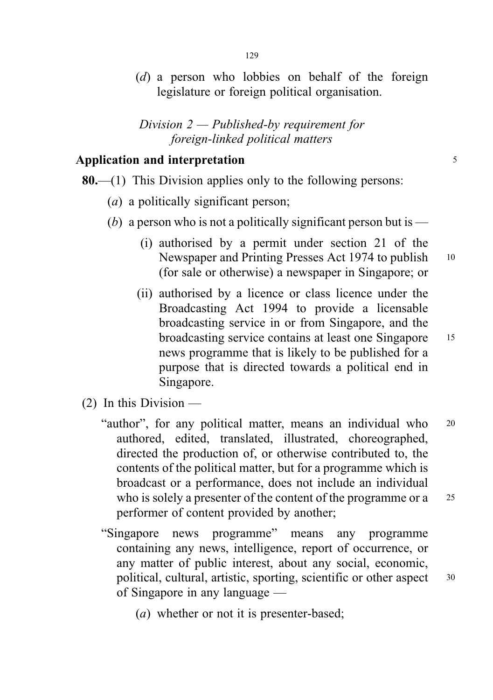(d) a person who lobbies on behalf of the foreign legislature or foreign political organisation.

Division 2 — Published-by requirement for foreign-linked political matters

# Application and interpretation 5

### 80.—(1) This Division applies only to the following persons:

- (*a*) a politically significant person;
- (b) a person who is not a politically significant person but is  $-$ 
	- (i) authorised by a permit under section 21 of the Newspaper and Printing Presses Act 1974 to publish 10 (for sale or otherwise) a newspaper in Singapore; or
	- (ii) authorised by a licence or class licence under the Broadcasting Act 1994 to provide a licensable broadcasting service in or from Singapore, and the broadcasting service contains at least one Singapore <sup>15</sup> news programme that is likely to be published for a purpose that is directed towards a political end in Singapore.
- (2) In this Division
	- "author", for any political matter, means an individual who 20 authored, edited, translated, illustrated, choreographed, directed the production of, or otherwise contributed to, the contents of the political matter, but for a programme which is broadcast or a performance, does not include an individual who is solely a presenter of the content of the programme or a 25 performer of content provided by another;
	- "Singapore news programme" means any programme containing any news, intelligence, report of occurrence, or any matter of public interest, about any social, economic, political, cultural, artistic, sporting, scientific or other aspect <sup>30</sup> of Singapore in any language —
		- (a) whether or not it is presenter-based;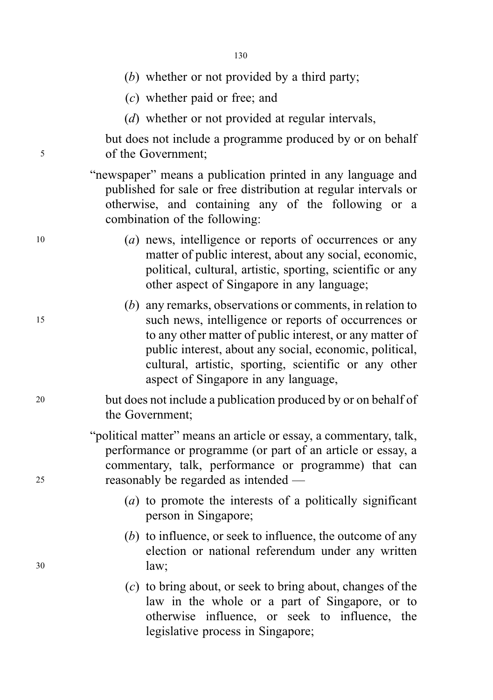- (b) whether or not provided by a third party;
- (c) whether paid or free; and
- (*d*) whether or not provided at regular intervals,

but does not include a programme produced by or on behalf <sup>5</sup> of the Government;

> "newspaper" means a publication printed in any language and published for sale or free distribution at regular intervals or otherwise, and containing any of the following or a combination of the following:

- <sup>10</sup> (a) news, intelligence or reports of occurrences or any matter of public interest, about any social, economic, political, cultural, artistic, sporting, scientific or any other aspect of Singapore in any language;
- (b) any remarks, observations or comments, in relation to <sup>15</sup> such news, intelligence or reports of occurrences or to any other matter of public interest, or any matter of public interest, about any social, economic, political, cultural, artistic, sporting, scientific or any other aspect of Singapore in any language,

# <sup>20</sup> but does not include a publication produced by or on behalf of the Government;

"political matter" means an article or essay, a commentary, talk, performance or programme (or part of an article or essay, a commentary, talk, performance or programme) that can <sup>25</sup> reasonably be regarded as intended —

- (a) to promote the interests of a politically significant person in Singapore;
- (b) to influence, or seek to influence, the outcome of any election or national referendum under any written <sup>30</sup> law;
	- (c) to bring about, or seek to bring about, changes of the law in the whole or a part of Singapore, or to otherwise influence, or seek to influence, the legislative process in Singapore;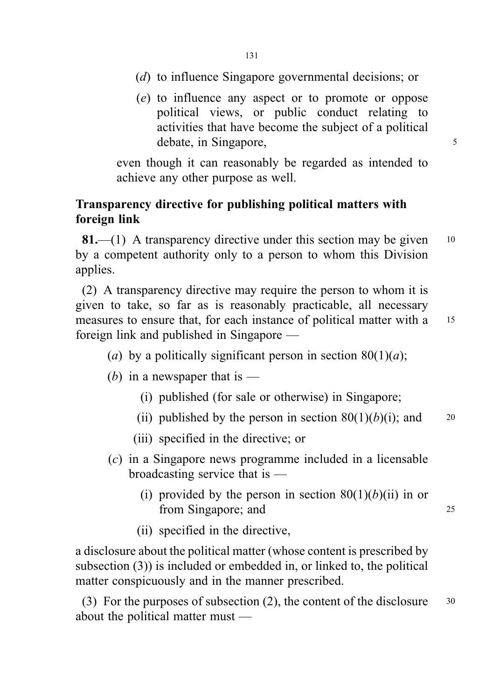- (d) to influence Singapore governmental decisions; or
- (e) to influence any aspect or to promote or oppose political views, or public conduct relating to activities that have become the subject of a political debate, in Singapore, 5

even though it can reasonably be regarded as intended to achieve any other purpose as well.

# Transparency directive for publishing political matters with foreign link

**81.**—(1) A transparency directive under this section may be given  $10$ by a competent authority only to a person to whom this Division applies.

(2) A transparency directive may require the person to whom it is given to take, so far as is reasonably practicable, all necessary measures to ensure that, for each instance of political matter with a 15 foreign link and published in Singapore —

- (a) by a politically significant person in section  $80(1)(a)$ ;
- (b) in a newspaper that is  $-$ 
	- (i) published (for sale or otherwise) in Singapore;
	- (ii) published by the person in section  $80(1)(b)(i)$ ; and 20
	- (iii) specified in the directive; or
- (c) in a Singapore news programme included in a licensable broadcasting service that is —
	- (i) provided by the person in section  $80(1)(b)(ii)$  in or from Singapore; and 25
	- (ii) specified in the directive,

a disclosure about the political matter (whose content is prescribed by subsection (3)) is included or embedded in, or linked to, the political matter conspicuously and in the manner prescribed.

(3) For the purposes of subsection (2), the content of the disclosure  $30$ about the political matter must —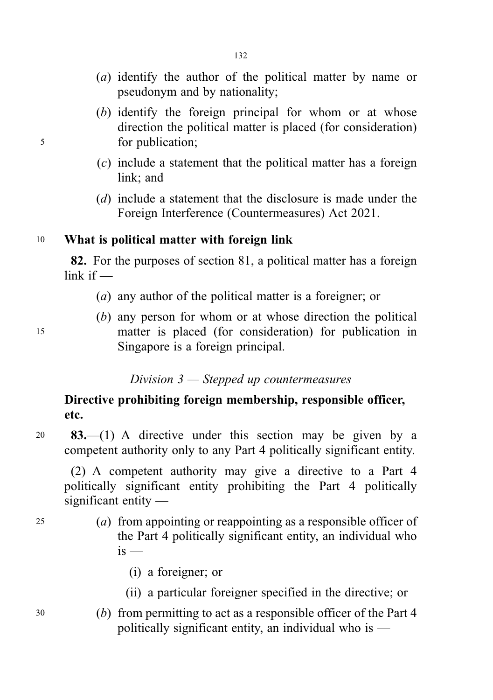- (a) identify the author of the political matter by name or pseudonym and by nationality;
- (b) identify the foreign principal for whom or at whose direction the political matter is placed (for consideration) <sup>5</sup> for publication;
	- (c) include a statement that the political matter has a foreign link; and
	- (d) include a statement that the disclosure is made under the Foreign Interference (Countermeasures) Act 2021.

# <sup>10</sup> What is political matter with foreign link

82. For the purposes of section 81, a political matter has a foreign link if —

- (a) any author of the political matter is a foreigner; or
- (b) any person for whom or at whose direction the political <sup>15</sup> matter is placed (for consideration) for publication in Singapore is a foreign principal.

### Division 3 — Stepped up countermeasures

# Directive prohibiting foreign membership, responsible officer, etc.

<sup>20</sup> 83.—(1) A directive under this section may be given by a competent authority only to any Part 4 politically significant entity.

(2) A competent authority may give a directive to a Part 4 politically significant entity prohibiting the Part 4 politically significant entity —

- <sup>25</sup> (a) from appointing or reappointing as a responsible officer of the Part 4 politically significant entity, an individual who  $i<sub>s</sub>$  —
	- (i) a foreigner; or
	- (ii) a particular foreigner specified in the directive; or
- <sup>30</sup> (b) from permitting to act as a responsible officer of the Part 4 politically significant entity, an individual who is  $-$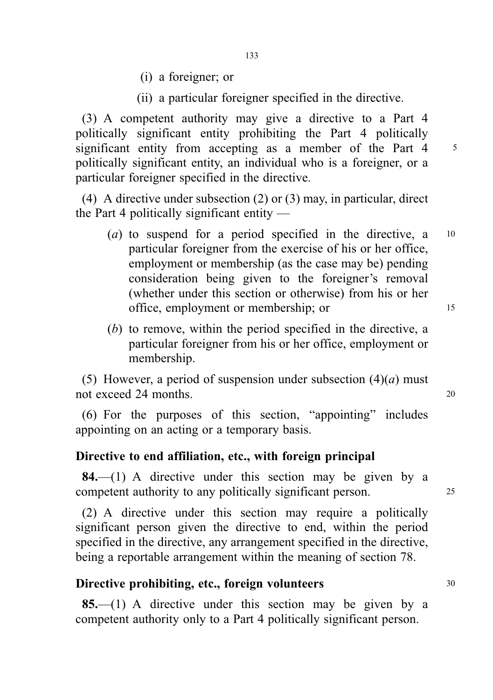- (i) a foreigner; or
- (ii) a particular foreigner specified in the directive.

(3) A competent authority may give a directive to a Part 4 politically significant entity prohibiting the Part 4 politically significant entity from accepting as a member of the Part 4 5 politically significant entity, an individual who is a foreigner, or a particular foreigner specified in the directive.

(4) A directive under subsection (2) or (3) may, in particular, direct the Part 4 politically significant entity —

- (a) to suspend for a period specified in the directive,  $a = 10$ particular foreigner from the exercise of his or her office, employment or membership (as the case may be) pending consideration being given to the foreigner's removal (whether under this section or otherwise) from his or her office, employment or membership; or 15
- (b) to remove, within the period specified in the directive, a particular foreigner from his or her office, employment or membership.

(5) However, a period of suspension under subsection  $(4)(a)$  must not exceed 24 months. 20

(6) For the purposes of this section, "appointing" includes appointing on an acting or a temporary basis.

#### Directive to end affiliation, etc., with foreign principal

**84.**—(1) A directive under this section may be given by a competent authority to any politically significant person. <sup>25</sup>

(2) A directive under this section may require a politically significant person given the directive to end, within the period specified in the directive, any arrangement specified in the directive, being a reportable arrangement within the meaning of section 78.

# Directive prohibiting, etc., foreign volunteers 30

85.—(1) A directive under this section may be given by a competent authority only to a Part 4 politically significant person.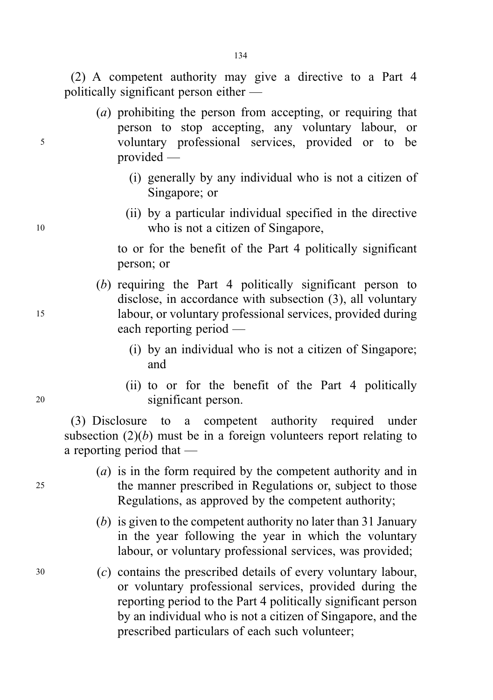(2) A competent authority may give a directive to a Part 4 politically significant person either —

- (a) prohibiting the person from accepting, or requiring that person to stop accepting, any voluntary labour, or <sup>5</sup> voluntary professional services, provided or to be provided —
	- (i) generally by any individual who is not a citizen of Singapore; or
- (ii) by a particular individual specified in the directive <sup>10</sup> who is not a citizen of Singapore,

to or for the benefit of the Part 4 politically significant person; or

- (b) requiring the Part 4 politically significant person to disclose, in accordance with subsection (3), all voluntary <sup>15</sup> labour, or voluntary professional services, provided during each reporting period —
	- (i) by an individual who is not a citizen of Singapore; and
- (ii) to or for the benefit of the Part 4 politically <sup>20</sup> significant person.

(3) Disclosure to a competent authority required under subsection  $(2)(b)$  must be in a foreign volunteers report relating to a reporting period that —

- (a) is in the form required by the competent authority and in <sup>25</sup> the manner prescribed in Regulations or, subject to those Regulations, as approved by the competent authority;
	- (b) is given to the competent authority no later than 31 January in the year following the year in which the voluntary labour, or voluntary professional services, was provided;
- <sup>30</sup> (c) contains the prescribed details of every voluntary labour, or voluntary professional services, provided during the reporting period to the Part 4 politically significant person by an individual who is not a citizen of Singapore, and the prescribed particulars of each such volunteer;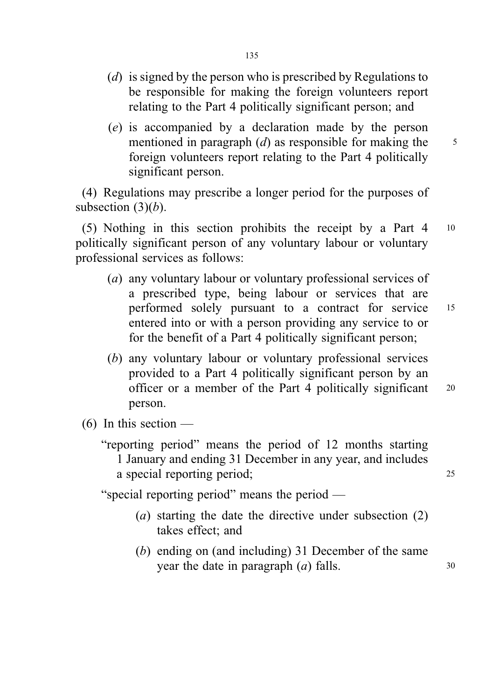- (*d*) is signed by the person who is prescribed by Regulations to be responsible for making the foreign volunteers report relating to the Part 4 politically significant person; and
- (e) is accompanied by a declaration made by the person mentioned in paragraph  $(d)$  as responsible for making the  $5$ foreign volunteers report relating to the Part 4 politically significant person.

(4) Regulations may prescribe a longer period for the purposes of subsection  $(3)(b)$ .

(5) Nothing in this section prohibits the receipt by a Part 4 <sup>10</sup> politically significant person of any voluntary labour or voluntary professional services as follows:

- (a) any voluntary labour or voluntary professional services of a prescribed type, being labour or services that are performed solely pursuant to a contract for service <sup>15</sup> entered into or with a person providing any service to or for the benefit of a Part 4 politically significant person;
- (b) any voluntary labour or voluntary professional services provided to a Part 4 politically significant person by an officer or a member of the Part 4 politically significant <sup>20</sup> person.
- $(6)$  In this section
	- "reporting period" means the period of 12 months starting 1 January and ending 31 December in any year, and includes a special reporting period; 25

"special reporting period" means the period —

- (a) starting the date the directive under subsection (2) takes effect; and
- (b) ending on (and including) 31 December of the same year the date in paragraph  $(a)$  falls.  $30$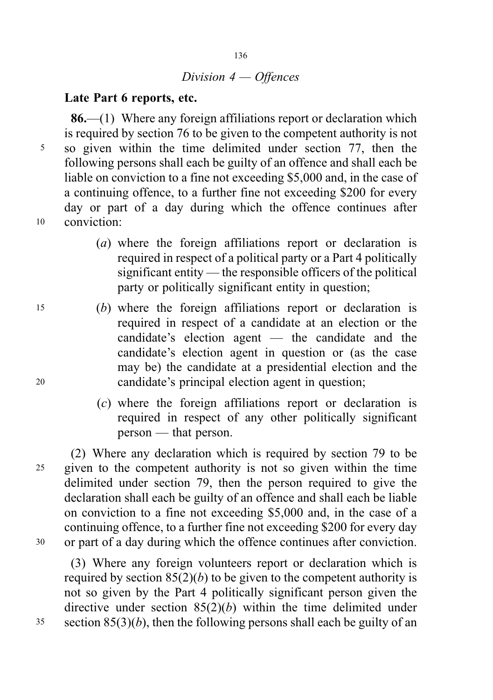# Division 4 — Offences

#### Late Part 6 reports, etc.

86.—(1) Where any foreign affiliations report or declaration which is required by section 76 to be given to the competent authority is not <sup>5</sup> so given within the time delimited under section 77, then the following persons shall each be guilty of an offence and shall each be liable on conviction to a fine not exceeding \$5,000 and, in the case of a continuing offence, to a further fine not exceeding \$200 for every day or part of a day during which the offence continues after <sup>10</sup> conviction:

- (a) where the foreign affiliations report or declaration is required in respect of a political party or a Part 4 politically significant entity — the responsible officers of the political party or politically significant entity in question;
- <sup>15</sup> (b) where the foreign affiliations report or declaration is required in respect of a candidate at an election or the candidate's election agent — the candidate and the candidate's election agent in question or (as the case may be) the candidate at a presidential election and the <sup>20</sup> candidate's principal election agent in question;
	- (c) where the foreign affiliations report or declaration is required in respect of any other politically significant person — that person.

(2) Where any declaration which is required by section 79 to be <sup>25</sup> given to the competent authority is not so given within the time delimited under section 79, then the person required to give the declaration shall each be guilty of an offence and shall each be liable on conviction to a fine not exceeding \$5,000 and, in the case of a continuing offence, to a further fine not exceeding \$200 for every day <sup>30</sup> or part of a day during which the offence continues after conviction.

(3) Where any foreign volunteers report or declaration which is required by section  $85(2)(b)$  to be given to the competent authority is not so given by the Part 4 politically significant person given the directive under section  $85(2)(b)$  within the time delimited under  $35$  section  $85(3)(b)$ , then the following persons shall each be guilty of an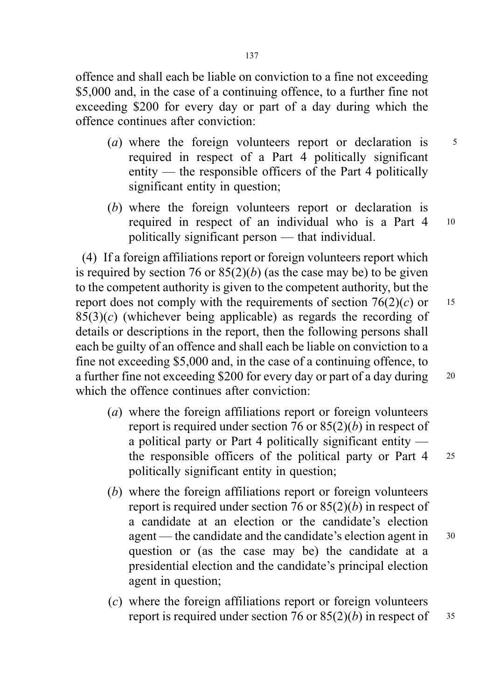offence and shall each be liable on conviction to a fine not exceeding \$5,000 and, in the case of a continuing offence, to a further fine not exceeding \$200 for every day or part of a day during which the offence continues after conviction:

- (a) where the foreign volunteers report or declaration is  $5$ required in respect of a Part 4 politically significant entity — the responsible officers of the Part 4 politically significant entity in question;
- (b) where the foreign volunteers report or declaration is required in respect of an individual who is a Part 4 <sup>10</sup> politically significant person — that individual.

(4) If a foreign affiliations report or foreign volunteers report which is required by section 76 or  $85(2)(b)$  (as the case may be) to be given to the competent authority is given to the competent authority, but the report does not comply with the requirements of section  $76(2)(c)$  or 15  $85(3)(c)$  (whichever being applicable) as regards the recording of details or descriptions in the report, then the following persons shall each be guilty of an offence and shall each be liable on conviction to a fine not exceeding \$5,000 and, in the case of a continuing offence, to a further fine not exceeding \$200 for every day or part of a day during 20 which the offence continues after conviction:

- (a) where the foreign affiliations report or foreign volunteers report is required under section 76 or  $85(2)(b)$  in respect of a political party or Part 4 politically significant entity the responsible officers of the political party or Part 4 <sup>25</sup> politically significant entity in question;
- (b) where the foreign affiliations report or foreign volunteers report is required under section 76 or  $85(2)(b)$  in respect of a candidate at an election or the candidate's election agent — the candidate and the candidate's election agent in 30 question or (as the case may be) the candidate at a presidential election and the candidate's principal election agent in question;
- (c) where the foreign affiliations report or foreign volunteers report is required under section 76 or  $85(2)(b)$  in respect of  $35$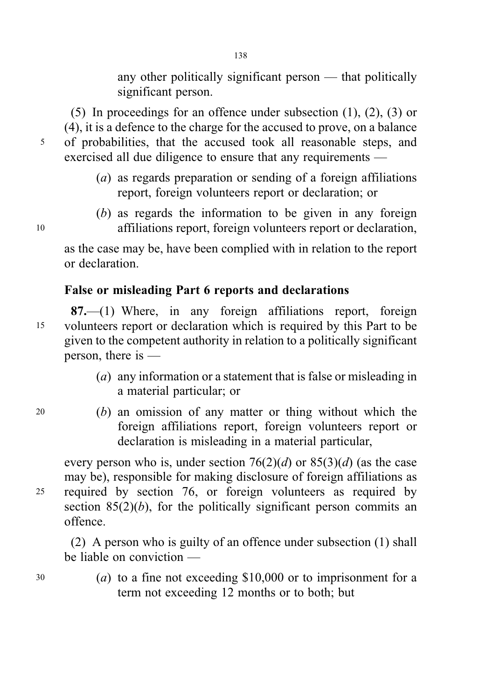any other politically significant person — that politically significant person.

(5) In proceedings for an offence under subsection (1), (2), (3) or (4), it is a defence to the charge for the accused to prove, on a balance <sup>5</sup> of probabilities, that the accused took all reasonable steps, and exercised all due diligence to ensure that any requirements —

- (a) as regards preparation or sending of a foreign affiliations report, foreign volunteers report or declaration; or
- (b) as regards the information to be given in any foreign <sup>10</sup> affiliations report, foreign volunteers report or declaration,

as the case may be, have been complied with in relation to the report or declaration.

# False or misleading Part 6 reports and declarations

87.—(1) Where, in any foreign affiliations report, foreign <sup>15</sup> volunteers report or declaration which is required by this Part to be given to the competent authority in relation to a politically significant person, there is —

- (a) any information or a statement that is false or misleading in a material particular; or
- <sup>20</sup> (b) an omission of any matter or thing without which the foreign affiliations report, foreign volunteers report or declaration is misleading in a material particular,

every person who is, under section  $76(2)(d)$  or  $85(3)(d)$  (as the case may be), responsible for making disclosure of foreign affiliations as <sup>25</sup> required by section 76, or foreign volunteers as required by section  $85(2)(b)$ , for the politically significant person commits an offence.

(2) A person who is guilty of an offence under subsection (1) shall be liable on conviction —

<sup>30</sup> (a) to a fine not exceeding \$10,000 or to imprisonment for a term not exceeding 12 months or to both; but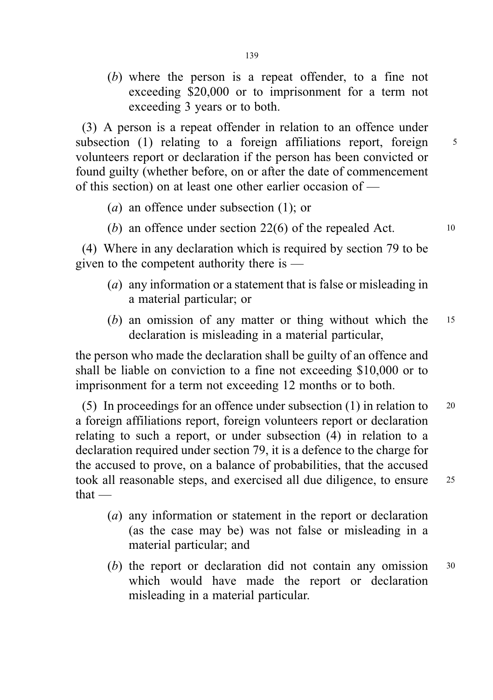(b) where the person is a repeat offender, to a fine not exceeding \$20,000 or to imprisonment for a term not exceeding 3 years or to both.

(3) A person is a repeat offender in relation to an offence under subsection (1) relating to a foreign affiliations report, foreign  $5$ volunteers report or declaration if the person has been convicted or found guilty (whether before, on or after the date of commencement of this section) on at least one other earlier occasion of —

- (a) an offence under subsection (1); or
- (b) an offence under section  $22(6)$  of the repealed Act.  $10$

(4) Where in any declaration which is required by section 79 to be given to the competent authority there is —

- (a) any information or a statement that is false or misleading in a material particular; or
- (b) an omission of any matter or thing without which the <sup>15</sup> declaration is misleading in a material particular,

the person who made the declaration shall be guilty of an offence and shall be liable on conviction to a fine not exceeding \$10,000 or to imprisonment for a term not exceeding 12 months or to both.

(5) In proceedings for an offence under subsection (1) in relation to <sup>20</sup> a foreign affiliations report, foreign volunteers report or declaration relating to such a report, or under subsection (4) in relation to a declaration required under section 79, it is a defence to the charge for the accused to prove, on a balance of probabilities, that the accused took all reasonable steps, and exercised all due diligence, to ensure <sup>25</sup> that —

- (a) any information or statement in the report or declaration (as the case may be) was not false or misleading in a material particular; and
- (b) the report or declaration did not contain any omission <sup>30</sup> which would have made the report or declaration misleading in a material particular.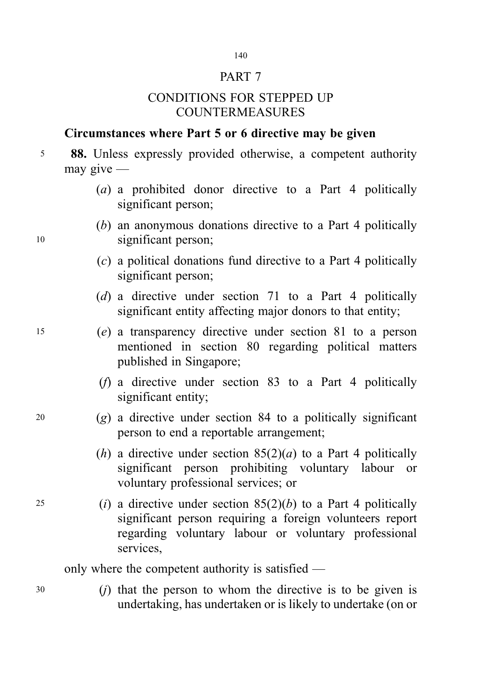# 140

# PART 7

# CONDITIONS FOR STEPPED UP COUNTERMEASURES

# Circumstances where Part 5 or 6 directive may be given

<sup>5</sup> 88. Unless expressly provided otherwise, a competent authority may give —

- (a) a prohibited donor directive to a Part 4 politically significant person;
- (b) an anonymous donations directive to a Part 4 politically <sup>10</sup> significant person;
	- (c) a political donations fund directive to a Part 4 politically significant person;
	- (d) a directive under section 71 to a Part 4 politically significant entity affecting major donors to that entity;
- <sup>15</sup> (e) a transparency directive under section 81 to a person mentioned in section 80 regarding political matters published in Singapore;
	- (f) a directive under section 83 to a Part 4 politically significant entity;
- $20$  (g) a directive under section 84 to a politically significant person to end a reportable arrangement;
	- (h) a directive under section  $85(2)(a)$  to a Part 4 politically significant person prohibiting voluntary labour or voluntary professional services; or
- 25 (i) a directive under section  $85(2)(b)$  to a Part 4 politically significant person requiring a foreign volunteers report regarding voluntary labour or voluntary professional services,

only where the competent authority is satisfied —

<sup>30</sup> (j) that the person to whom the directive is to be given is undertaking, has undertaken or is likely to undertake (on or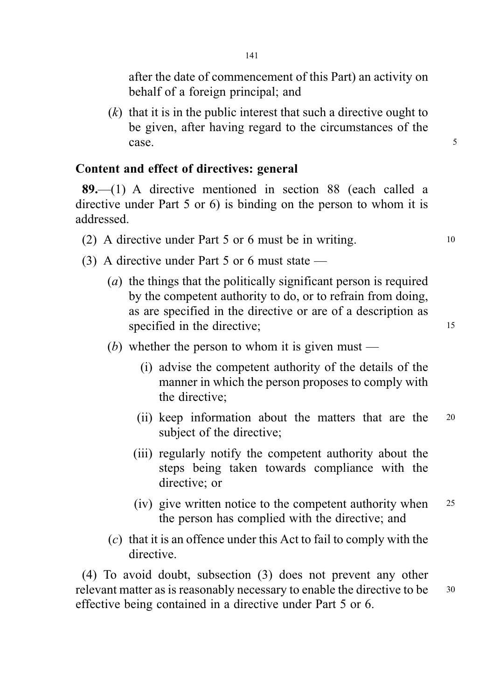after the date of commencement of this Part) an activity on behalf of a foreign principal; and

 $(k)$  that it is in the public interest that such a directive ought to be given, after having regard to the circumstances of the case.

### Content and effect of directives: general

89.—(1) A directive mentioned in section 88 (each called a directive under Part 5 or 6) is binding on the person to whom it is addressed.

- (2) A directive under Part 5 or 6 must be in writing. <sup>10</sup>
- (3) A directive under Part 5 or 6 must state
	- (a) the things that the politically significant person is required by the competent authority to do, or to refrain from doing, as are specified in the directive or are of a description as specified in the directive: 15
	- (b) whether the person to whom it is given must
		- (i) advise the competent authority of the details of the manner in which the person proposes to comply with the directive;
		- (ii) keep information about the matters that are the <sup>20</sup> subject of the directive;
		- (iii) regularly notify the competent authority about the steps being taken towards compliance with the directive; or
		- (iv) give written notice to the competent authority when <sup>25</sup> the person has complied with the directive; and
	- (c) that it is an offence under this Act to fail to comply with the directive.

(4) To avoid doubt, subsection (3) does not prevent any other relevant matter as is reasonably necessary to enable the directive to be  $30$ effective being contained in a directive under Part 5 or 6.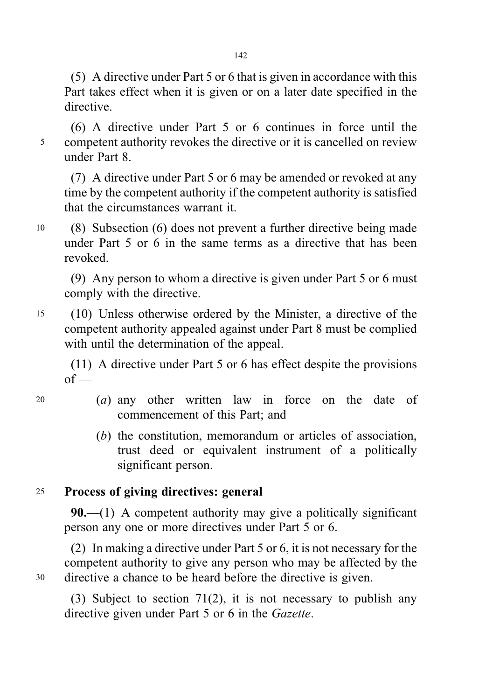(5) A directive under Part 5 or 6 that is given in accordance with this Part takes effect when it is given or on a later date specified in the directive.

(6) A directive under Part 5 or 6 continues in force until the <sup>5</sup> competent authority revokes the directive or it is cancelled on review under Part 8.

(7) A directive under Part 5 or 6 may be amended or revoked at any time by the competent authority if the competent authority is satisfied that the circumstances warrant it.

<sup>10</sup> (8) Subsection (6) does not prevent a further directive being made under Part 5 or 6 in the same terms as a directive that has been revoked.

(9) Any person to whom a directive is given under Part 5 or 6 must comply with the directive.

<sup>15</sup> (10) Unless otherwise ordered by the Minister, a directive of the competent authority appealed against under Part 8 must be complied with until the determination of the appeal.

(11) A directive under Part 5 or 6 has effect despite the provisions  $of -$ 

- 
- <sup>20</sup> (a) any other written law in force on the date of commencement of this Part; and
	- (b) the constitution, memorandum or articles of association, trust deed or equivalent instrument of a politically significant person.

# <sup>25</sup> Process of giving directives: general

90.— $(1)$  A competent authority may give a politically significant person any one or more directives under Part 5 or 6.

(2) In making a directive under Part 5 or 6, it is not necessary for the competent authority to give any person who may be affected by the <sup>30</sup> directive a chance to be heard before the directive is given.

(3) Subject to section 71(2), it is not necessary to publish any directive given under Part 5 or 6 in the Gazette.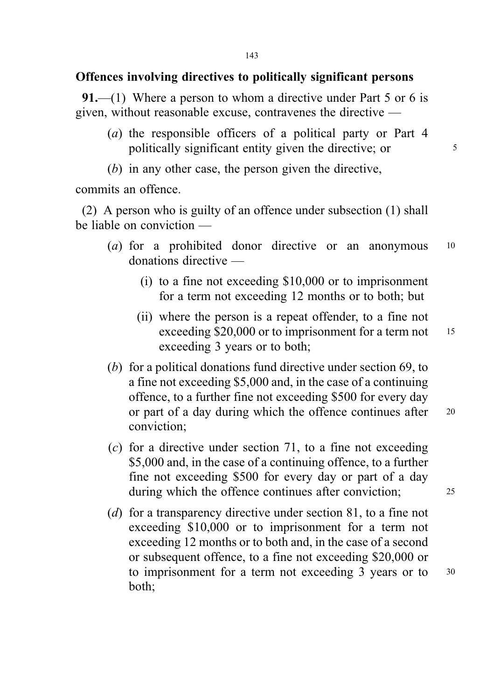# Offences involving directives to politically significant persons

**91.**—(1) Where a person to whom a directive under Part 5 or 6 is given, without reasonable excuse, contravenes the directive —

- (a) the responsible officers of a political party or Part 4 politically significant entity given the directive; or  $5^{\circ}$
- (b) in any other case, the person given the directive,

commits an offence.

(2) A person who is guilty of an offence under subsection (1) shall be liable on conviction —

- (a) for a prohibited donor directive or an anonymous 10 donations directive —
	- (i) to a fine not exceeding \$10,000 or to imprisonment for a term not exceeding 12 months or to both; but
	- (ii) where the person is a repeat offender, to a fine not exceeding \$20,000 or to imprisonment for a term not 15 exceeding 3 years or to both;
- (b) for a political donations fund directive under section 69, to a fine not exceeding \$5,000 and, in the case of a continuing offence, to a further fine not exceeding \$500 for every day or part of a day during which the offence continues after 20 conviction;
- $(c)$  for a directive under section 71, to a fine not exceeding \$5,000 and, in the case of a continuing offence, to a further fine not exceeding \$500 for every day or part of a day during which the offence continues after conviction: 25
- (d) for a transparency directive under section 81, to a fine not exceeding \$10,000 or to imprisonment for a term not exceeding 12 months or to both and, in the case of a second or subsequent offence, to a fine not exceeding \$20,000 or to imprisonment for a term not exceeding 3 years or to 30 both;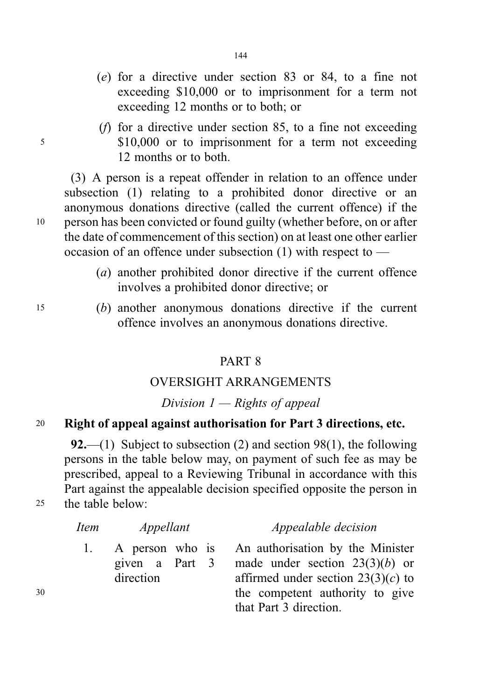- (e) for a directive under section 83 or 84, to a fine not exceeding \$10,000 or to imprisonment for a term not exceeding 12 months or to both; or
- (f) for a directive under section 85, to a fine not exceeding <sup>5</sup> \$10,000 or to imprisonment for a term not exceeding 12 months or to both.

(3) A person is a repeat offender in relation to an offence under subsection (1) relating to a prohibited donor directive or an anonymous donations directive (called the current offence) if the <sup>10</sup> person has been convicted or found guilty (whether before, on or after the date of commencement of this section) on at least one other earlier occasion of an offence under subsection (1) with respect to —

- (a) another prohibited donor directive if the current offence involves a prohibited donor directive; or
- <sup>15</sup> (b) another anonymous donations directive if the current offence involves an anonymous donations directive.

### PART 8

#### OVERSIGHT ARRANGEMENTS

#### Division  $1 -$  Rights of appeal

### <sup>20</sup> Right of appeal against authorisation for Part 3 directions, etc.

92.—(1) Subject to subsection (2) and section 98(1), the following persons in the table below may, on payment of such fee as may be prescribed, appeal to a Reviewing Tribunal in accordance with this Part against the appealable decision specified opposite the person in <sup>25</sup> the table below:

|    | <i>Item</i> | Appellant      | <i>Appealable decision</i>                                                              |
|----|-------------|----------------|-----------------------------------------------------------------------------------------|
|    |             | given a Part 3 | 1. A person who is An authorisation by the Minister<br>made under section $23(3)(b)$ or |
|    |             | direction      | affirmed under section $23(3)(c)$ to                                                    |
| 30 |             |                | the competent authority to give                                                         |
|    |             |                | that Part 3 direction.                                                                  |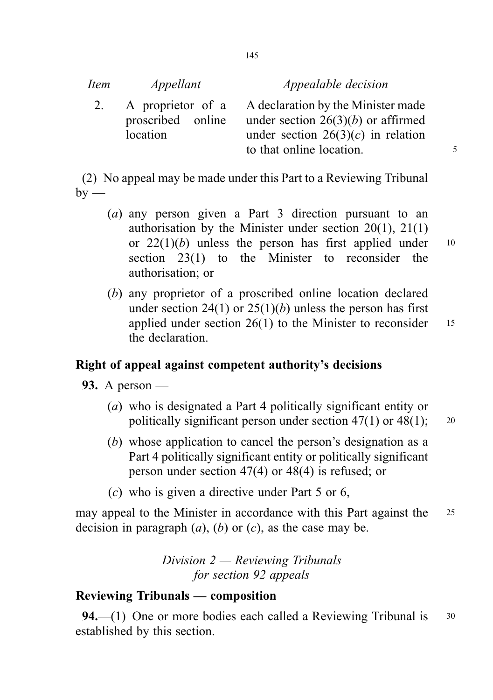#### Appealable decision

2. A proprietor of a proscribed online location A declaration by the Minister made under section  $26(3)(b)$  or affirmed under section  $26(3)(c)$  in relation to that online location.

(2) No appeal may be made under this Part to a Reviewing Tribunal  $by -$ 

- (a) any person given a Part 3 direction pursuant to an authorisation by the Minister under section 20(1), 21(1) or  $22(1)(b)$  unless the person has first applied under 10 section 23(1) to the Minister to reconsider the authorisation; or
- (b) any proprietor of a proscribed online location declared under section 24(1) or  $25(1)(b)$  unless the person has first applied under section  $26(1)$  to the Minister to reconsider 15 the declaration.

#### Right of appeal against competent authority's decisions

- **93.** A person
	- (a) who is designated a Part 4 politically significant entity or politically significant person under section  $47(1)$  or  $48(1)$ ; 20
	- (b) whose application to cancel the person's designation as a Part 4 politically significant entity or politically significant person under section 47(4) or 48(4) is refused; or
	- (c) who is given a directive under Part 5 or 6,

may appeal to the Minister in accordance with this Part against the 25 decision in paragraph  $(a)$ ,  $(b)$  or  $(c)$ , as the case may be.

> Division 2 — Reviewing Tribunals for section 92 appeals

## Reviewing Tribunals — composition

**94.**—(1) One or more bodies each called a Reviewing Tribunal is  $\frac{30}{2}$ established by this section.

145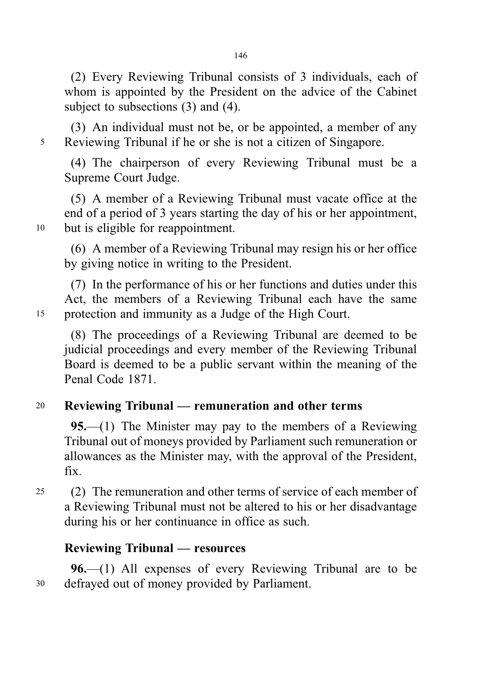(2) Every Reviewing Tribunal consists of 3 individuals, each of whom is appointed by the President on the advice of the Cabinet subject to subsections (3) and (4).

(3) An individual must not be, or be appointed, a member of any <sup>5</sup> Reviewing Tribunal if he or she is not a citizen of Singapore.

(4) The chairperson of every Reviewing Tribunal must be a Supreme Court Judge.

(5) A member of a Reviewing Tribunal must vacate office at the end of a period of 3 years starting the day of his or her appointment, <sup>10</sup> but is eligible for reappointment.

(6) A member of a Reviewing Tribunal may resign his or her office by giving notice in writing to the President.

(7) In the performance of his or her functions and duties under this Act, the members of a Reviewing Tribunal each have the same <sup>15</sup> protection and immunity as a Judge of the High Court.

(8) The proceedings of a Reviewing Tribunal are deemed to be judicial proceedings and every member of the Reviewing Tribunal Board is deemed to be a public servant within the meaning of the Penal Code 1871.

## <sup>20</sup> Reviewing Tribunal — remuneration and other terms

95.—(1) The Minister may pay to the members of a Reviewing Tribunal out of moneys provided by Parliament such remuneration or allowances as the Minister may, with the approval of the President, fix.

<sup>25</sup> (2) The remuneration and other terms of service of each member of a Reviewing Tribunal must not be altered to his or her disadvantage during his or her continuance in office as such.

## Reviewing Tribunal — resources

96.—(1) All expenses of every Reviewing Tribunal are to be <sup>30</sup> defrayed out of money provided by Parliament.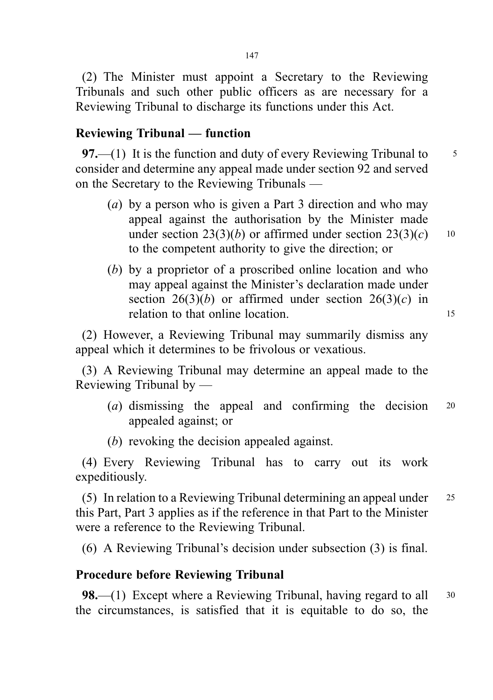(2) The Minister must appoint a Secretary to the Reviewing Tribunals and such other public officers as are necessary for a Reviewing Tribunal to discharge its functions under this Act.

### Reviewing Tribunal — function

97.—(1) It is the function and duty of every Reviewing Tribunal to  $\frac{5}{5}$ consider and determine any appeal made under section 92 and served on the Secretary to the Reviewing Tribunals —

- (a) by a person who is given a Part 3 direction and who may appeal against the authorisation by the Minister made under section 23(3)(b) or affirmed under section  $23(3)(c)$  10 to the competent authority to give the direction; or
- (b) by a proprietor of a proscribed online location and who may appeal against the Minister's declaration made under section  $26(3)(b)$  or affirmed under section  $26(3)(c)$  in relation to that online location. 15

(2) However, a Reviewing Tribunal may summarily dismiss any appeal which it determines to be frivolous or vexatious.

(3) A Reviewing Tribunal may determine an appeal made to the Reviewing Tribunal by —

- (a) dismissing the appeal and confirming the decision <sup>20</sup> appealed against; or
- (b) revoking the decision appealed against.

(4) Every Reviewing Tribunal has to carry out its work expeditiously.

(5) In relation to a Reviewing Tribunal determining an appeal under <sup>25</sup> this Part, Part 3 applies as if the reference in that Part to the Minister were a reference to the Reviewing Tribunal.

(6) A Reviewing Tribunal's decision under subsection (3) is final.

#### Procedure before Reviewing Tribunal

**98.**—(1) Except where a Reviewing Tribunal, having regard to all  $\frac{30}{2}$ the circumstances, is satisfied that it is equitable to do so, the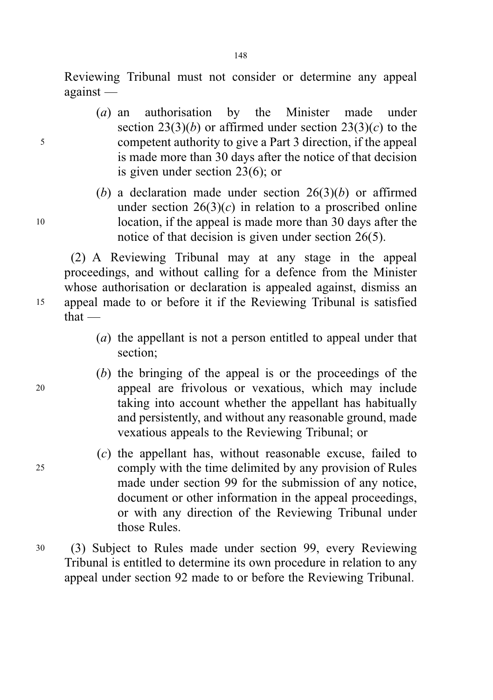Reviewing Tribunal must not consider or determine any appeal against —

- (a) an authorisation by the Minister made under section 23(3)(b) or affirmed under section 23(3)(c) to the <sup>5</sup> competent authority to give a Part 3 direction, if the appeal is made more than 30 days after the notice of that decision is given under section 23(6); or
- (b) a declaration made under section  $26(3)(b)$  or affirmed under section  $26(3)(c)$  in relation to a proscribed online <sup>10</sup> location, if the appeal is made more than 30 days after the notice of that decision is given under section 26(5).

(2) A Reviewing Tribunal may at any stage in the appeal proceedings, and without calling for a defence from the Minister whose authorisation or declaration is appealed against, dismiss an <sup>15</sup> appeal made to or before it if the Reviewing Tribunal is satisfied that —

- (a) the appellant is not a person entitled to appeal under that section;
- (b) the bringing of the appeal is or the proceedings of the <sup>20</sup> appeal are frivolous or vexatious, which may include taking into account whether the appellant has habitually and persistently, and without any reasonable ground, made vexatious appeals to the Reviewing Tribunal; or
- (c) the appellant has, without reasonable excuse, failed to <sup>25</sup> comply with the time delimited by any provision of Rules made under section 99 for the submission of any notice, document or other information in the appeal proceedings, or with any direction of the Reviewing Tribunal under those Rules.
- <sup>30</sup> (3) Subject to Rules made under section 99, every Reviewing Tribunal is entitled to determine its own procedure in relation to any appeal under section 92 made to or before the Reviewing Tribunal.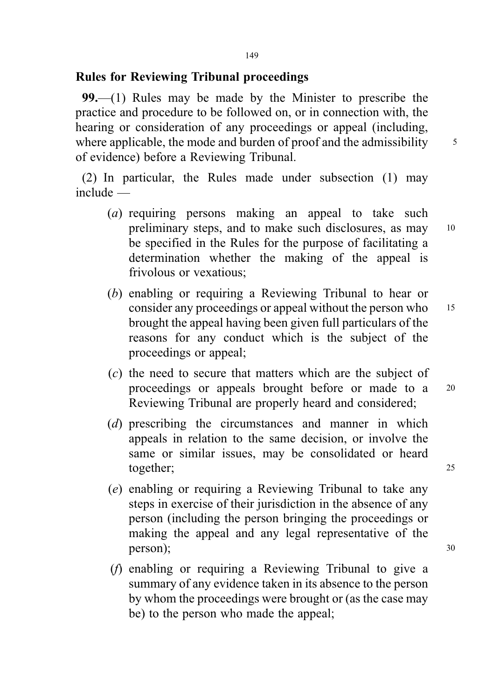## Rules for Reviewing Tribunal proceedings

99.—(1) Rules may be made by the Minister to prescribe the practice and procedure to be followed on, or in connection with, the hearing or consideration of any proceedings or appeal (including, where applicable, the mode and burden of proof and the admissibility  $\frac{5}{5}$ of evidence) before a Reviewing Tribunal.

(2) In particular, the Rules made under subsection (1) may include —

- (a) requiring persons making an appeal to take such preliminary steps, and to make such disclosures, as may <sup>10</sup> be specified in the Rules for the purpose of facilitating a determination whether the making of the appeal is frivolous or vexatious;
- (b) enabling or requiring a Reviewing Tribunal to hear or consider any proceedings or appeal without the person who 15 brought the appeal having been given full particulars of the reasons for any conduct which is the subject of the proceedings or appeal;
- (c) the need to secure that matters which are the subject of proceedings or appeals brought before or made to a <sup>20</sup> Reviewing Tribunal are properly heard and considered;
- (d) prescribing the circumstances and manner in which appeals in relation to the same decision, or involve the same or similar issues, may be consolidated or heard together; 25
- (e) enabling or requiring a Reviewing Tribunal to take any steps in exercise of their jurisdiction in the absence of any person (including the person bringing the proceedings or making the appeal and any legal representative of the person); 30
- (f) enabling or requiring a Reviewing Tribunal to give a summary of any evidence taken in its absence to the person by whom the proceedings were brought or (as the case may be) to the person who made the appeal;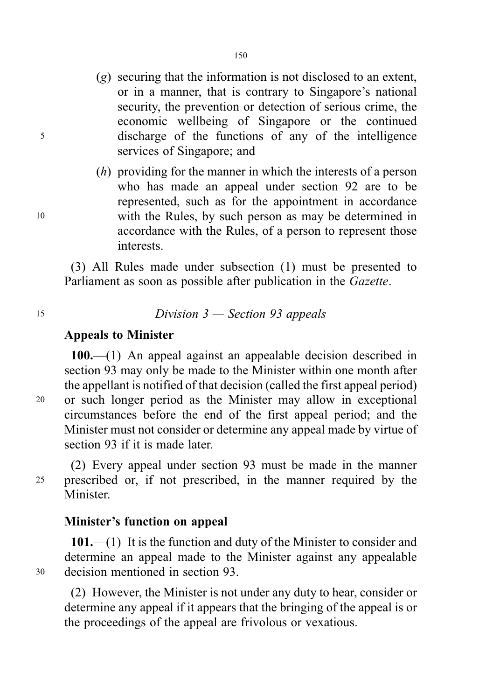- (g) securing that the information is not disclosed to an extent, or in a manner, that is contrary to Singapore's national security, the prevention or detection of serious crime, the economic wellbeing of Singapore or the continued <sup>5</sup> discharge of the functions of any of the intelligence services of Singapore; and
- (h) providing for the manner in which the interests of a person who has made an appeal under section 92 are to be represented, such as for the appointment in accordance <sup>10</sup> with the Rules, by such person as may be determined in accordance with the Rules, of a person to represent those interests.

(3) All Rules made under subsection (1) must be presented to Parliament as soon as possible after publication in the Gazette.

# <sup>15</sup> Division 3 — Section 93 appeals

#### Appeals to Minister

100.—(1) An appeal against an appealable decision described in section 93 may only be made to the Minister within one month after the appellant is notified of that decision (called the first appeal period) <sup>20</sup> or such longer period as the Minister may allow in exceptional circumstances before the end of the first appeal period; and the Minister must not consider or determine any appeal made by virtue of section 93 if it is made later.

(2) Every appeal under section 93 must be made in the manner <sup>25</sup> prescribed or, if not prescribed, in the manner required by the Minister.

## Minister's function on appeal

101.—(1) It is the function and duty of the Minister to consider and determine an appeal made to the Minister against any appealable <sup>30</sup> decision mentioned in section 93.

(2) However, the Minister is not under any duty to hear, consider or determine any appeal if it appears that the bringing of the appeal is or the proceedings of the appeal are frivolous or vexatious.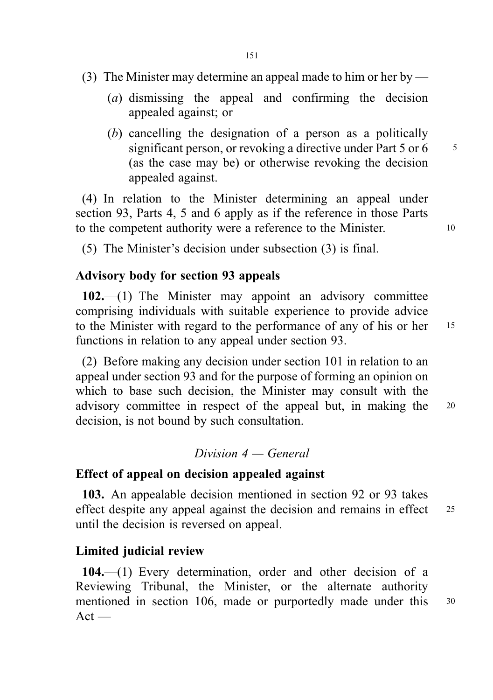- (3) The Minister may determine an appeal made to him or her by
	- (a) dismissing the appeal and confirming the decision appealed against; or
	- (b) cancelling the designation of a person as a politically significant person, or revoking a directive under Part  $5$  or  $6 = 5$ (as the case may be) or otherwise revoking the decision appealed against.

(4) In relation to the Minister determining an appeal under section 93, Parts 4, 5 and 6 apply as if the reference in those Parts to the competent authority were a reference to the Minister. 10

(5) The Minister's decision under subsection (3) is final.

#### Advisory body for section 93 appeals

102.—(1) The Minister may appoint an advisory committee comprising individuals with suitable experience to provide advice to the Minister with regard to the performance of any of his or her 15 functions in relation to any appeal under section 93.

(2) Before making any decision under section 101 in relation to an appeal under section 93 and for the purpose of forming an opinion on which to base such decision, the Minister may consult with the advisory committee in respect of the appeal but, in making the <sup>20</sup> decision, is not bound by such consultation.

#### $Division 4 - General$

#### Effect of appeal on decision appealed against

103. An appealable decision mentioned in section 92 or 93 takes effect despite any appeal against the decision and remains in effect 25 until the decision is reversed on appeal.

### Limited judicial review

104.—(1) Every determination, order and other decision of a Reviewing Tribunal, the Minister, or the alternate authority mentioned in section 106, made or purportedly made under this 30  $Act$  —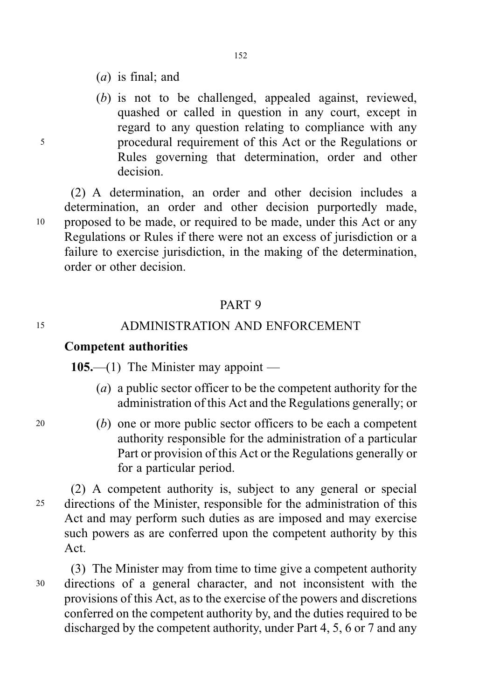- (a) is final; and
- (b) is not to be challenged, appealed against, reviewed, quashed or called in question in any court, except in regard to any question relating to compliance with any <sup>5</sup> procedural requirement of this Act or the Regulations or Rules governing that determination, order and other decision.

(2) A determination, an order and other decision includes a determination, an order and other decision purportedly made, <sup>10</sup> proposed to be made, or required to be made, under this Act or any Regulations or Rules if there were not an excess of jurisdiction or a failure to exercise jurisdiction, in the making of the determination, order or other decision.

#### PART 9

#### <sup>15</sup> ADMINISTRATION AND ENFORCEMENT

#### Competent authorities

105.—(1) The Minister may appoint —

- (a) a public sector officer to be the competent authority for the administration of this Act and the Regulations generally; or
- <sup>20</sup> (b) one or more public sector officers to be each a competent authority responsible for the administration of a particular Part or provision of this Act or the Regulations generally or for a particular period.

(2) A competent authority is, subject to any general or special <sup>25</sup> directions of the Minister, responsible for the administration of this Act and may perform such duties as are imposed and may exercise such powers as are conferred upon the competent authority by this Act.

(3) The Minister may from time to time give a competent authority <sup>30</sup> directions of a general character, and not inconsistent with the provisions of this Act, as to the exercise of the powers and discretions conferred on the competent authority by, and the duties required to be discharged by the competent authority, under Part 4, 5, 6 or 7 and any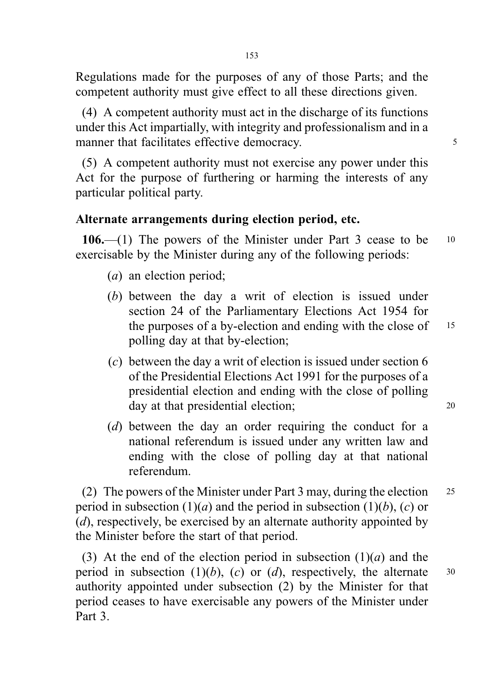Regulations made for the purposes of any of those Parts; and the competent authority must give effect to all these directions given.

(4) A competent authority must act in the discharge of its functions under this Act impartially, with integrity and professionalism and in a manner that facilitates effective democracy.  $\frac{5}{5}$ 

(5) A competent authority must not exercise any power under this Act for the purpose of furthering or harming the interests of any particular political party.

### Alternate arrangements during election period, etc.

106.—(1) The powers of the Minister under Part 3 cease to be <sup>10</sup> exercisable by the Minister during any of the following periods:

- (a) an election period;
- (b) between the day a writ of election is issued under section 24 of the Parliamentary Elections Act 1954 for the purposes of a by-election and ending with the close of  $15$ polling day at that by-election;
- (c) between the day a writ of election is issued under section 6 of the Presidential Elections Act 1991 for the purposes of a presidential election and ending with the close of polling day at that presidential election; 20
- (d) between the day an order requiring the conduct for a national referendum is issued under any written law and ending with the close of polling day at that national referendum.

(2) The powers of the Minister under Part 3 may, during the election <sup>25</sup> period in subsection  $(1)(a)$  and the period in subsection  $(1)(b)$ ,  $(c)$  or (d), respectively, be exercised by an alternate authority appointed by the Minister before the start of that period.

(3) At the end of the election period in subsection  $(1)(a)$  and the period in subsection  $(1)(b)$ ,  $(c)$  or  $(d)$ , respectively, the alternate 30 authority appointed under subsection (2) by the Minister for that period ceases to have exercisable any powers of the Minister under Part 3.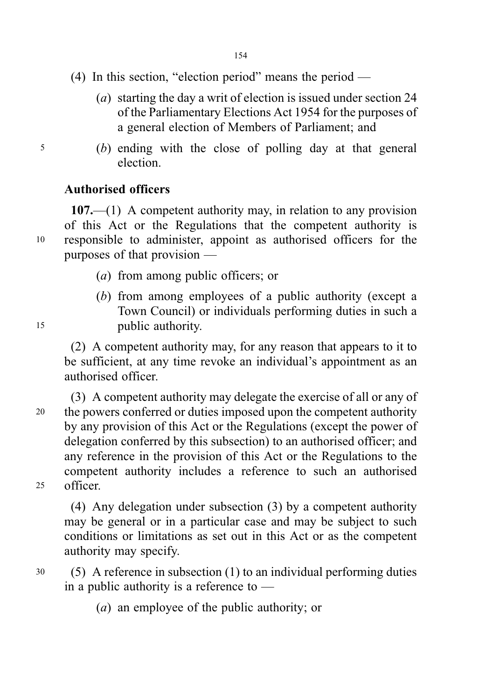- (4) In this section, "election period" means the period
	- (a) starting the day a writ of election is issued under section 24 of the Parliamentary Elections Act 1954 for the purposes of a general election of Members of Parliament; and
- <sup>5</sup> (b) ending with the close of polling day at that general election.

## Authorised officers

107.—(1) A competent authority may, in relation to any provision of this Act or the Regulations that the competent authority is <sup>10</sup> responsible to administer, appoint as authorised officers for the purposes of that provision —

- (a) from among public officers; or
- (b) from among employees of a public authority (except a Town Council) or individuals performing duties in such a <sup>15</sup> public authority.

(2) A competent authority may, for any reason that appears to it to be sufficient, at any time revoke an individual's appointment as an authorised officer.

(3) A competent authority may delegate the exercise of all or any of <sup>20</sup> the powers conferred or duties imposed upon the competent authority by any provision of this Act or the Regulations (except the power of delegation conferred by this subsection) to an authorised officer; and any reference in the provision of this Act or the Regulations to the competent authority includes a reference to such an authorised <sup>25</sup> officer.

(4) Any delegation under subsection (3) by a competent authority may be general or in a particular case and may be subject to such conditions or limitations as set out in this Act or as the competent authority may specify.

- <sup>30</sup> (5) A reference in subsection (1) to an individual performing duties in a public authority is a reference to —
	- (a) an employee of the public authority; or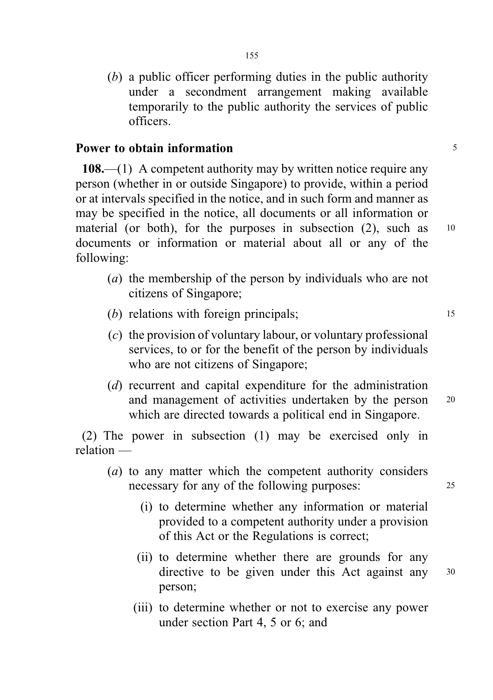(b) a public officer performing duties in the public authority under a secondment arrangement making available temporarily to the public authority the services of public officers.

### Power to obtain information **5** and 5 and 5 and 5 and 5 and 5 and 5 and 5 and 5 and 5 and 5 and 5 and 5 and 5 and 5 and 5 and 5 and 5 and 5 and 5 and 5 and 5 and 5 and 5 and 5 and 5 and 5 and 5 and 5 and 5 and 5 and 5 and

108.—(1) A competent authority may by written notice require any person (whether in or outside Singapore) to provide, within a period or at intervals specified in the notice, and in such form and manner as may be specified in the notice, all documents or all information or material (or both), for the purposes in subsection (2), such as 10 documents or information or material about all or any of the following:

- (a) the membership of the person by individuals who are not citizens of Singapore;
- (b) relations with foreign principals;  $15$
- (c) the provision of voluntary labour, or voluntary professional services, to or for the benefit of the person by individuals who are not citizens of Singapore;
- (d) recurrent and capital expenditure for the administration and management of activities undertaken by the person <sup>20</sup> which are directed towards a political end in Singapore.

(2) The power in subsection (1) may be exercised only in relation —

- (a) to any matter which the competent authority considers necessary for any of the following purposes: 25
	- (i) to determine whether any information or material provided to a competent authority under a provision of this Act or the Regulations is correct;
	- (ii) to determine whether there are grounds for any directive to be given under this Act against any 30 person;
	- (iii) to determine whether or not to exercise any power under section Part 4, 5 or 6; and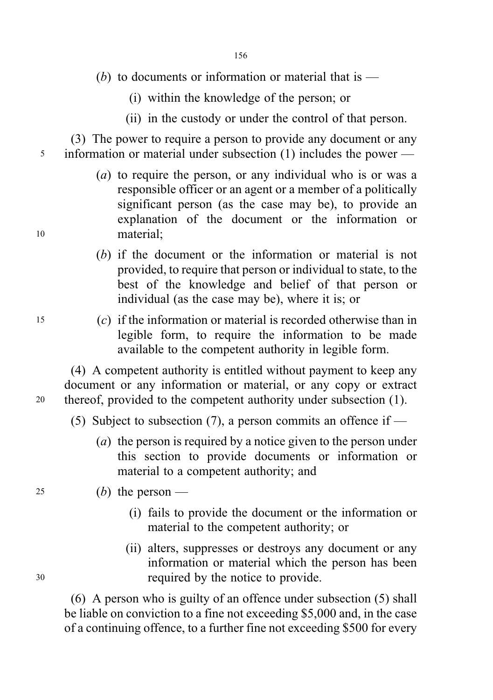- (b) to documents or information or material that is  $-$ 
	- (i) within the knowledge of the person; or
	- (ii) in the custody or under the control of that person.

(3) The power to require a person to provide any document or any <sup>5</sup> information or material under subsection (1) includes the power —

- (a) to require the person, or any individual who is or was a responsible officer or an agent or a member of a politically significant person (as the case may be), to provide an explanation of the document or the information or <sup>10</sup> material;
	- (b) if the document or the information or material is not provided, to require that person or individual to state, to the best of the knowledge and belief of that person or individual (as the case may be), where it is; or
- <sup>15</sup> (c) if the information or material is recorded otherwise than in legible form, to require the information to be made available to the competent authority in legible form.

(4) A competent authority is entitled without payment to keep any document or any information or material, or any copy or extract <sup>20</sup> thereof, provided to the competent authority under subsection (1).

- (5) Subject to subsection (7), a person commits an offence if
	- (a) the person is required by a notice given to the person under this section to provide documents or information or material to a competent authority; and
- 25 (b) the person
	- (i) fails to provide the document or the information or material to the competent authority; or
- (ii) alters, suppresses or destroys any document or any information or material which the person has been <sup>30</sup> required by the notice to provide.

(6) A person who is guilty of an offence under subsection (5) shall be liable on conviction to a fine not exceeding \$5,000 and, in the case of a continuing offence, to a further fine not exceeding \$500 for every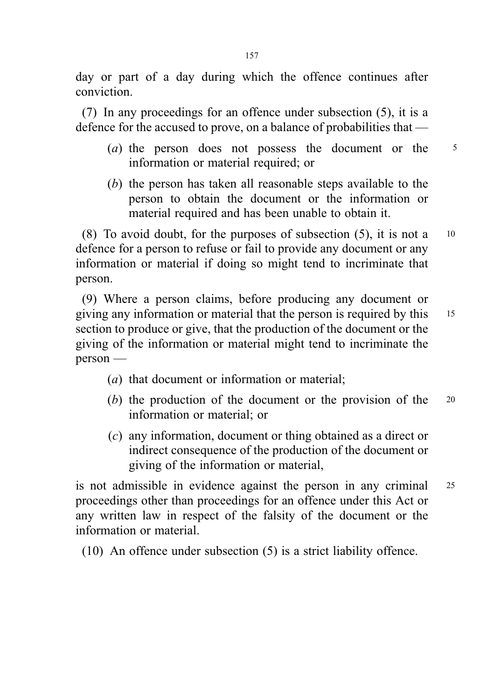day or part of a day during which the offence continues after conviction.

(7) In any proceedings for an offence under subsection (5), it is a defence for the accused to prove, on a balance of probabilities that —

- (a) the person does not possess the document or the 5 information or material required; or
- (b) the person has taken all reasonable steps available to the person to obtain the document or the information or material required and has been unable to obtain it.

(8) To avoid doubt, for the purposes of subsection  $(5)$ , it is not a 10 defence for a person to refuse or fail to provide any document or any information or material if doing so might tend to incriminate that person.

(9) Where a person claims, before producing any document or giving any information or material that the person is required by this <sup>15</sup> section to produce or give, that the production of the document or the giving of the information or material might tend to incriminate the person —

- (a) that document or information or material;
- (b) the production of the document or the provision of the 20 information or material; or
- (c) any information, document or thing obtained as a direct or indirect consequence of the production of the document or giving of the information or material,

is not admissible in evidence against the person in any criminal <sup>25</sup> proceedings other than proceedings for an offence under this Act or any written law in respect of the falsity of the document or the information or material.

(10) An offence under subsection (5) is a strict liability offence.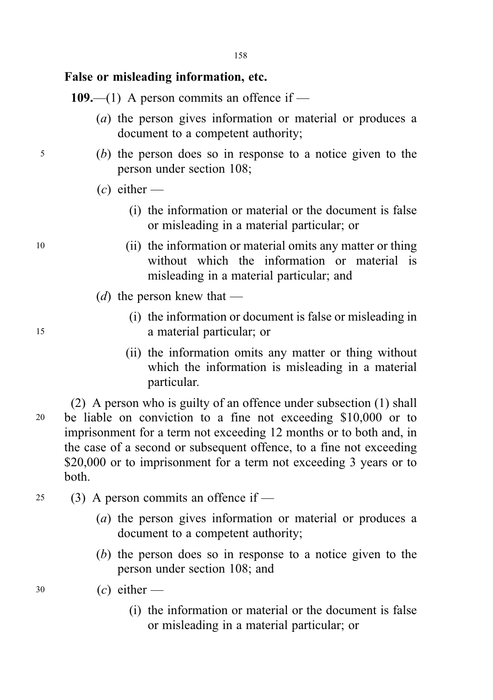## False or misleading information, etc.

109.—(1) A person commits an offence if —

- (a) the person gives information or material or produces a document to a competent authority;
- <sup>5</sup> (b) the person does so in response to a notice given to the person under section 108;
	- $(c)$  either
		- (i) the information or material or the document is false or misleading in a material particular; or
- <sup>10</sup> (ii) the information or material omits any matter or thing without which the information or material is misleading in a material particular; and
	- (*d*) the person knew that —
- (i) the information or document is false or misleading in <sup>15</sup> a material particular; or
	- (ii) the information omits any matter or thing without which the information is misleading in a material particular.

(2) A person who is guilty of an offence under subsection (1) shall <sup>20</sup> be liable on conviction to a fine not exceeding \$10,000 or to imprisonment for a term not exceeding 12 months or to both and, in the case of a second or subsequent offence, to a fine not exceeding \$20,000 or to imprisonment for a term not exceeding 3 years or to both.

- 25 (3) A person commits an offence if  $-$ 
	- (a) the person gives information or material or produces a document to a competent authority;
	- (b) the person does so in response to a notice given to the person under section 108; and
- $30$  (c) either
	- (i) the information or material or the document is false or misleading in a material particular; or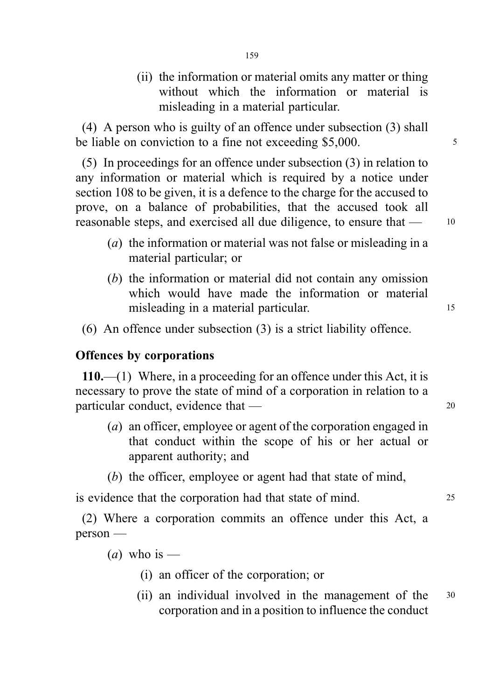(ii) the information or material omits any matter or thing without which the information or material is misleading in a material particular.

(4) A person who is guilty of an offence under subsection (3) shall be liable on conviction to a fine not exceeding \$5,000.

(5) In proceedings for an offence under subsection (3) in relation to any information or material which is required by a notice under section 108 to be given, it is a defence to the charge for the accused to prove, on a balance of probabilities, that the accused took all reasonable steps, and exercised all due diligence, to ensure that — <sup>10</sup>

- (a) the information or material was not false or misleading in a material particular; or
- (b) the information or material did not contain any omission which would have made the information or material misleading in a material particular.
- (6) An offence under subsection (3) is a strict liability offence.

#### Offences by corporations

110.—(1) Where, in a proceeding for an offence under this Act, it is necessary to prove the state of mind of a corporation in relation to a particular conduct, evidence that — 20

- (a) an officer, employee or agent of the corporation engaged in that conduct within the scope of his or her actual or apparent authority; and
- (b) the officer, employee or agent had that state of mind,

is evidence that the corporation had that state of mind. 25

(2) Where a corporation commits an offence under this Act, a person —

(*a*) who is —

- (i) an officer of the corporation; or
- (ii) an individual involved in the management of the <sup>30</sup> corporation and in a position to influence the conduct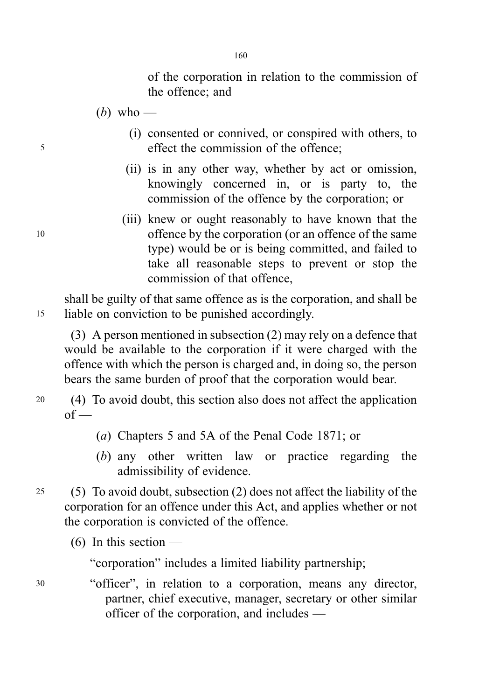of the corporation in relation to the commission of the offence; and

- (*b*) who —
- (i) consented or connived, or conspired with others, to <sup>5</sup> effect the commission of the offence;
	- (ii) is in any other way, whether by act or omission, knowingly concerned in, or is party to, the commission of the offence by the corporation; or
- (iii) knew or ought reasonably to have known that the <sup>10</sup> offence by the corporation (or an offence of the same type) would be or is being committed, and failed to take all reasonable steps to prevent or stop the commission of that offence,

shall be guilty of that same offence as is the corporation, and shall be <sup>15</sup> liable on conviction to be punished accordingly.

(3) A person mentioned in subsection (2) may rely on a defence that would be available to the corporation if it were charged with the offence with which the person is charged and, in doing so, the person bears the same burden of proof that the corporation would bear.

- <sup>20</sup> (4) To avoid doubt, this section also does not affect the application  $of -$ 
	- (a) Chapters 5 and 5A of the Penal Code 1871; or
	- (b) any other written law or practice regarding the admissibility of evidence.
- <sup>25</sup> (5) To avoid doubt, subsection (2) does not affect the liability of the corporation for an offence under this Act, and applies whether or not the corporation is convicted of the offence.
	- $(6)$  In this section —

"corporation" includes a limited liability partnership;

<sup>30</sup> "officer", in relation to a corporation, means any director, partner, chief executive, manager, secretary or other similar officer of the corporation, and includes —

160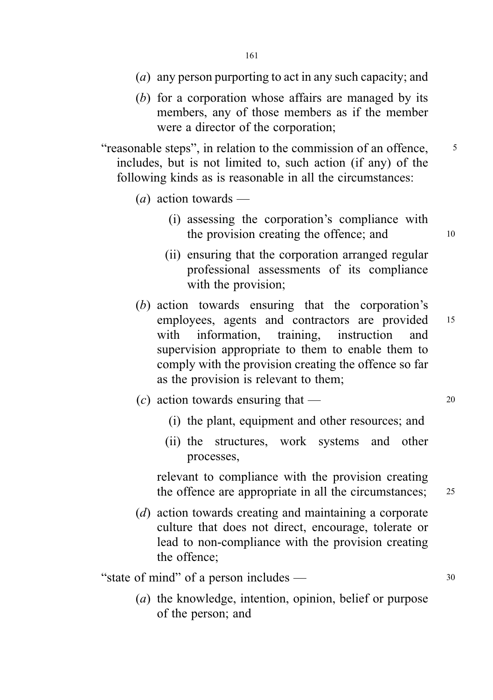- (a) any person purporting to act in any such capacity; and
- (b) for a corporation whose affairs are managed by its members, any of those members as if the member were a director of the corporation;

"reasonable steps", in relation to the commission of an offence,  $\frac{5}{10}$ includes, but is not limited to, such action (if any) of the following kinds as is reasonable in all the circumstances:

- (*a*) action towards
	- (i) assessing the corporation's compliance with the provision creating the offence; and  $10$
	- (ii) ensuring that the corporation arranged regular professional assessments of its compliance with the provision;
- (b) action towards ensuring that the corporation's employees, agents and contractors are provided 15 with information, training, instruction and supervision appropriate to them to enable them to comply with the provision creating the offence so far as the provision is relevant to them;
- (c) action towards ensuring that  $\frac{1}{20}$ 
	- (i) the plant, equipment and other resources; and
	- (ii) the structures, work systems and other processes,

relevant to compliance with the provision creating the offence are appropriate in all the circumstances; 25

(d) action towards creating and maintaining a corporate culture that does not direct, encourage, tolerate or lead to non-compliance with the provision creating the offence;

"state of mind" of a person includes — 30

(a) the knowledge, intention, opinion, belief or purpose of the person; and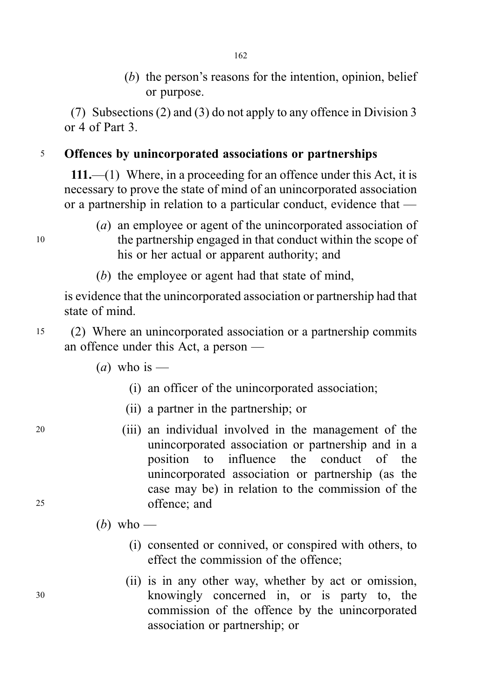(b) the person's reasons for the intention, opinion, belief or purpose.

(7) Subsections (2) and (3) do not apply to any offence in Division 3 or 4 of Part 3.

## <sup>5</sup> Offences by unincorporated associations or partnerships

111.—(1) Where, in a proceeding for an offence under this Act, it is necessary to prove the state of mind of an unincorporated association or a partnership in relation to a particular conduct, evidence that —

- (a) an employee or agent of the unincorporated association of <sup>10</sup> the partnership engaged in that conduct within the scope of his or her actual or apparent authority; and
	- (b) the employee or agent had that state of mind,

is evidence that the unincorporated association or partnership had that state of mind.

- <sup>15</sup> (2) Where an unincorporated association or a partnership commits an offence under this Act, a person —
	- (*a*) who is
		- (i) an officer of the unincorporated association;
		- (ii) a partner in the partnership; or
- <sup>20</sup> (iii) an individual involved in the management of the unincorporated association or partnership and in a position to influence the conduct of the unincorporated association or partnership (as the case may be) in relation to the commission of the <sup>25</sup> offence; and

(b) who —

- (i) consented or connived, or conspired with others, to effect the commission of the offence;
- (ii) is in any other way, whether by act or omission, <sup>30</sup> knowingly concerned in, or is party to, the commission of the offence by the unincorporated association or partnership; or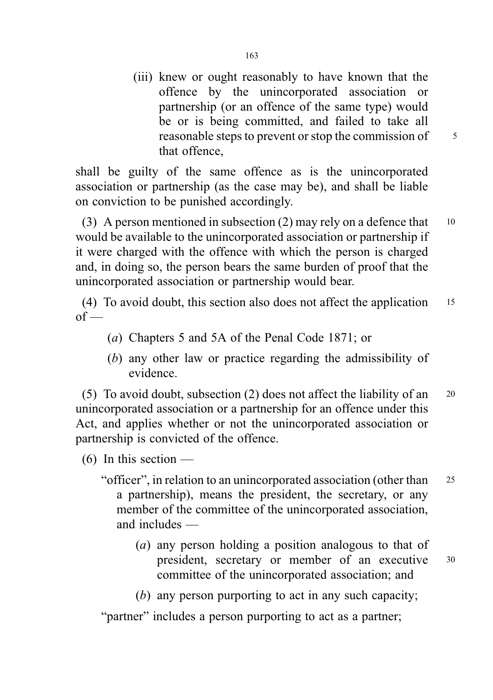(iii) knew or ought reasonably to have known that the offence by the unincorporated association or partnership (or an offence of the same type) would be or is being committed, and failed to take all reasonable steps to prevent or stop the commission of  $\frac{5}{5}$ that offence,

shall be guilty of the same offence as is the unincorporated association or partnership (as the case may be), and shall be liable on conviction to be punished accordingly.

(3) A person mentioned in subsection (2) may rely on a defence that  $10$ would be available to the unincorporated association or partnership if it were charged with the offence with which the person is charged and, in doing so, the person bears the same burden of proof that the unincorporated association or partnership would bear.

(4) To avoid doubt, this section also does not affect the application <sup>15</sup>  $of$  —

- (a) Chapters 5 and 5A of the Penal Code 1871; or
- (b) any other law or practice regarding the admissibility of evidence.

(5) To avoid doubt, subsection (2) does not affect the liability of an <sup>20</sup> unincorporated association or a partnership for an offence under this Act, and applies whether or not the unincorporated association or partnership is convicted of the offence.

(6) In this section —

- "officer", in relation to an unincorporated association (other than <sup>25</sup> a partnership), means the president, the secretary, or any member of the committee of the unincorporated association, and includes —
	- (a) any person holding a position analogous to that of president, secretary or member of an executive <sup>30</sup> committee of the unincorporated association; and
	- (b) any person purporting to act in any such capacity;

"partner" includes a person purporting to act as a partner;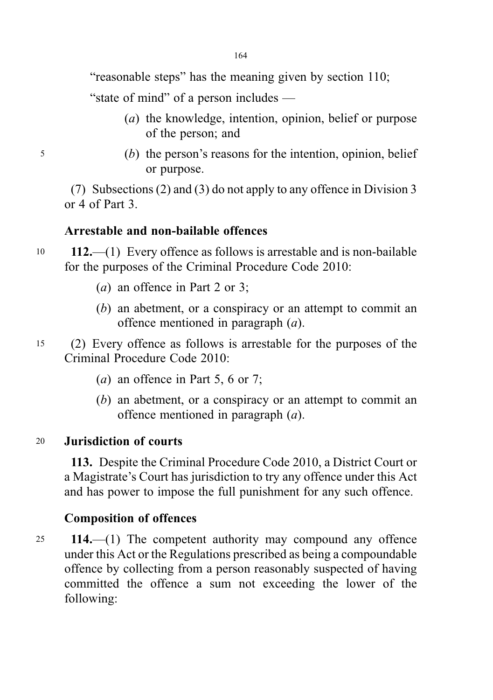"reasonable steps" has the meaning given by section 110;

"state of mind" of a person includes —

- (a) the knowledge, intention, opinion, belief or purpose of the person; and
- <sup>5</sup> (b) the person's reasons for the intention, opinion, belief or purpose.

(7) Subsections (2) and (3) do not apply to any offence in Division 3 or 4 of Part 3.

## Arrestable and non-bailable offences

- <sup>10</sup> 112.—(1) Every offence as follows is arrestable and is non-bailable for the purposes of the Criminal Procedure Code 2010:
	- (*a*) an offence in Part 2 or 3;
	- (b) an abetment, or a conspiracy or an attempt to commit an offence mentioned in paragraph (a).
- <sup>15</sup> (2) Every offence as follows is arrestable for the purposes of the Criminal Procedure Code 2010:
	- (*a*) an offence in Part 5, 6 or 7;
	- (b) an abetment, or a conspiracy or an attempt to commit an offence mentioned in paragraph (a).

## <sup>20</sup> Jurisdiction of courts

113. Despite the Criminal Procedure Code 2010, a District Court or a Magistrate's Court has jurisdiction to try any offence under this Act and has power to impose the full punishment for any such offence.

## Composition of offences

<sup>25</sup> 114.—(1) The competent authority may compound any offence under this Act or the Regulations prescribed as being a compoundable offence by collecting from a person reasonably suspected of having committed the offence a sum not exceeding the lower of the following: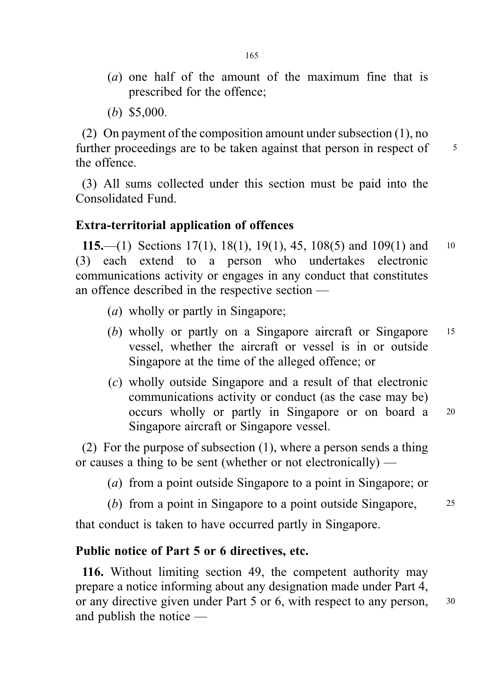- (a) one half of the amount of the maximum fine that is prescribed for the offence;
- (b) \$5,000.

(2) On payment of the composition amount under subsection (1), no further proceedings are to be taken against that person in respect of  $\frac{5}{5}$ the offence.

(3) All sums collected under this section must be paid into the Consolidated Fund.

#### Extra-territorial application of offences

115.—(1) Sections 17(1), 18(1), 19(1), 45, 108(5) and 109(1) and 10 (3) each extend to a person who undertakes electronic communications activity or engages in any conduct that constitutes an offence described in the respective section —

- (a) wholly or partly in Singapore;
- (b) wholly or partly on a Singapore aircraft or Singapore <sup>15</sup> vessel, whether the aircraft or vessel is in or outside Singapore at the time of the alleged offence; or
- (c) wholly outside Singapore and a result of that electronic communications activity or conduct (as the case may be) occurs wholly or partly in Singapore or on board a <sup>20</sup> Singapore aircraft or Singapore vessel.

(2) For the purpose of subsection (1), where a person sends a thing or causes a thing to be sent (whether or not electronically) —

- (a) from a point outside Singapore to a point in Singapore; or
- (b) from a point in Singapore to a point outside Singapore, 25

that conduct is taken to have occurred partly in Singapore.

## Public notice of Part 5 or 6 directives, etc.

116. Without limiting section 49, the competent authority may prepare a notice informing about any designation made under Part 4, or any directive given under Part 5 or 6, with respect to any person,  $30$ and publish the notice —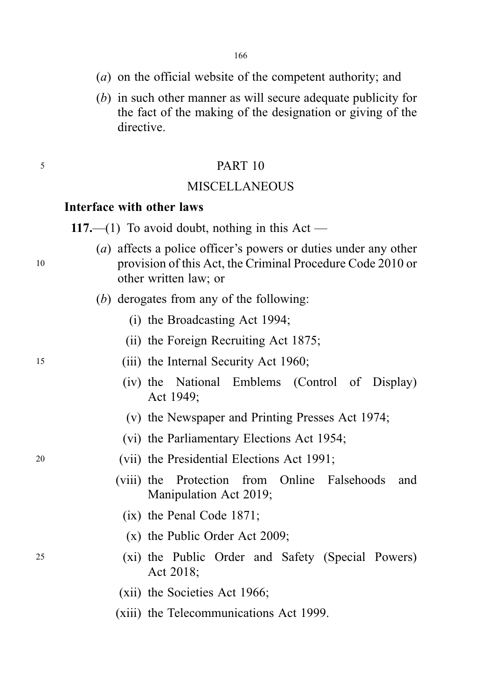- (a) on the official website of the competent authority; and
- (b) in such other manner as will secure adequate publicity for the fact of the making of the designation or giving of the directive.

### <sup>5</sup> PART 10

### **MISCELLANEOUS**

#### Interface with other laws

117.—(1) To avoid doubt, nothing in this Act —

- (a) affects a police officer's powers or duties under any other <sup>10</sup> provision of this Act, the Criminal Procedure Code 2010 or other written law; or
	- (b) derogates from any of the following:
		- (i) the Broadcasting Act 1994;
		- (ii) the Foreign Recruiting Act 1875;
- <sup>15</sup> (iii) the Internal Security Act 1960;
	- (iv) the National Emblems (Control of Display) Act 1949;
	- (v) the Newspaper and Printing Presses Act 1974;
	- (vi) the Parliamentary Elections Act 1954;
- <sup>20</sup> (vii) the Presidential Elections Act 1991;
	- (viii) the Protection from Online Falsehoods and Manipulation Act 2019;
		- (ix) the Penal Code 1871;
		- (x) the Public Order Act 2009;
- <sup>25</sup> (xi) the Public Order and Safety (Special Powers) Act 2018;
	- (xii) the Societies Act 1966;
	- (xiii) the Telecommunications Act 1999.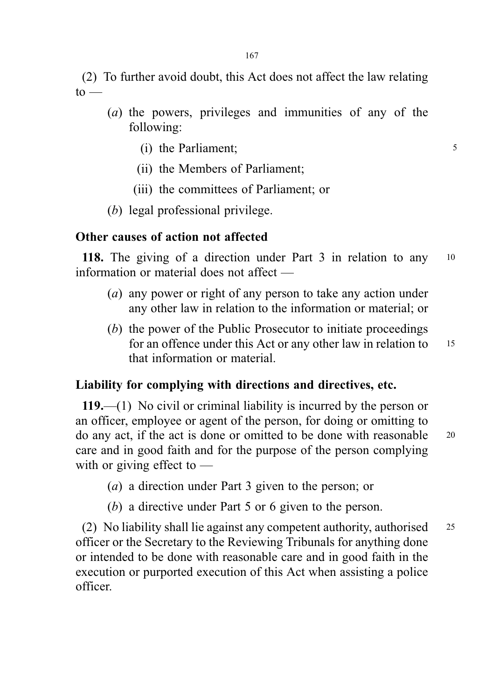(2) To further avoid doubt, this Act does not affect the law relating  $to -$ 

- (a) the powers, privileges and immunities of any of the following:
	- (i) the Parliament; 5
	- (ii) the Members of Parliament;
	- (iii) the committees of Parliament; or
- (b) legal professional privilege.

#### Other causes of action not affected

118. The giving of a direction under Part 3 in relation to any 10 information or material does not affect —

- (a) any power or right of any person to take any action under any other law in relation to the information or material; or
- (b) the power of the Public Prosecutor to initiate proceedings for an offence under this Act or any other law in relation to 15 that information or material.

## Liability for complying with directions and directives, etc.

119.—(1) No civil or criminal liability is incurred by the person or an officer, employee or agent of the person, for doing or omitting to do any act, if the act is done or omitted to be done with reasonable <sup>20</sup> care and in good faith and for the purpose of the person complying with or giving effect to —

- (a) a direction under Part 3 given to the person; or
- (b) a directive under Part 5 or 6 given to the person.

(2) No liability shall lie against any competent authority, authorised <sup>25</sup> officer or the Secretary to the Reviewing Tribunals for anything done or intended to be done with reasonable care and in good faith in the execution or purported execution of this Act when assisting a police officer.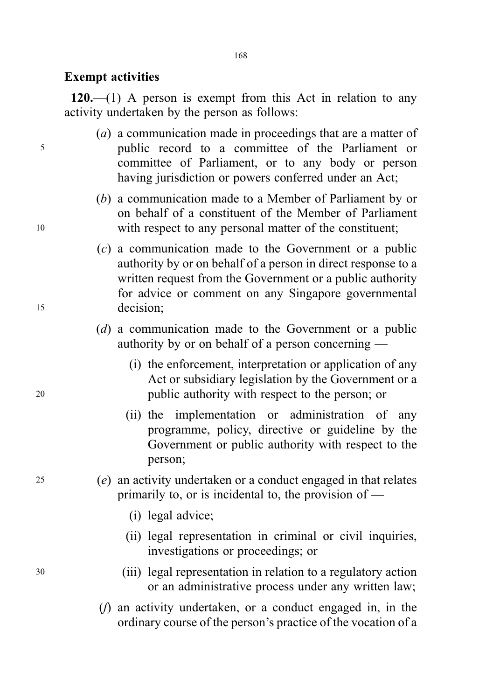#### Exempt activities

 $120$ .—(1) A person is exempt from this Act in relation to any activity undertaken by the person as follows:

- (a) a communication made in proceedings that are a matter of <sup>5</sup> public record to a committee of the Parliament or committee of Parliament, or to any body or person having jurisdiction or powers conferred under an Act;
- (b) a communication made to a Member of Parliament by or on behalf of a constituent of the Member of Parliament <sup>10</sup> with respect to any personal matter of the constituent;
- (c) a communication made to the Government or a public authority by or on behalf of a person in direct response to a written request from the Government or a public authority for advice or comment on any Singapore governmental <sup>15</sup> decision;
	- (d) a communication made to the Government or a public authority by or on behalf of a person concerning —
- (i) the enforcement, interpretation or application of any Act or subsidiary legislation by the Government or a <sup>20</sup> public authority with respect to the person; or
	- (ii) the implementation or administration of any programme, policy, directive or guideline by the Government or public authority with respect to the person;
- <sup>25</sup> (e) an activity undertaken or a conduct engaged in that relates primarily to, or is incidental to, the provision of —
	- (i) legal advice;
	- (ii) legal representation in criminal or civil inquiries, investigations or proceedings; or
- <sup>30</sup> (iii) legal representation in relation to a regulatory action or an administrative process under any written law;
	- (f) an activity undertaken, or a conduct engaged in, in the ordinary course of the person's practice of the vocation of a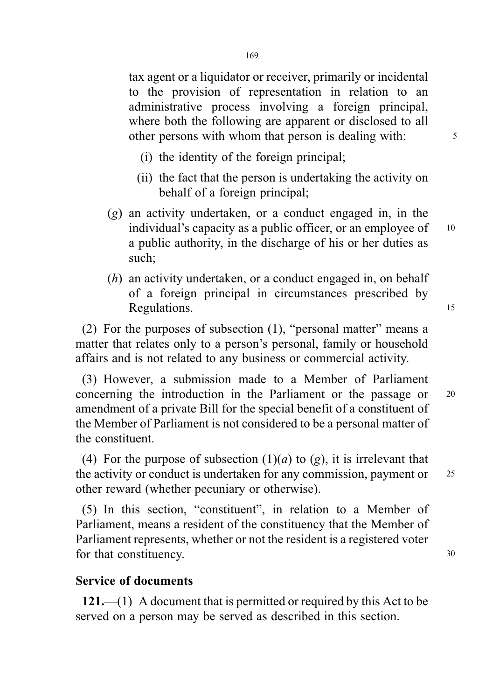- (i) the identity of the foreign principal;
- (ii) the fact that the person is undertaking the activity on behalf of a foreign principal;
- (g) an activity undertaken, or a conduct engaged in, in the individual's capacity as a public officer, or an employee of  $10$ a public authority, in the discharge of his or her duties as such;
- (h) an activity undertaken, or a conduct engaged in, on behalf of a foreign principal in circumstances prescribed by Regulations. 15

(2) For the purposes of subsection (1), "personal matter" means a matter that relates only to a person's personal, family or household affairs and is not related to any business or commercial activity.

(3) However, a submission made to a Member of Parliament concerning the introduction in the Parliament or the passage or <sup>20</sup> amendment of a private Bill for the special benefit of a constituent of the Member of Parliament is not considered to be a personal matter of the constituent.

(4) For the purpose of subsection  $(1)(a)$  to  $(g)$ , it is irrelevant that the activity or conduct is undertaken for any commission, payment or 25 other reward (whether pecuniary or otherwise).

(5) In this section, "constituent", in relation to a Member of Parliament, means a resident of the constituency that the Member of Parliament represents, whether or not the resident is a registered voter for that constituency. 30

## Service of documents

121.—(1) A document that is permitted or required by this Act to be served on a person may be served as described in this section.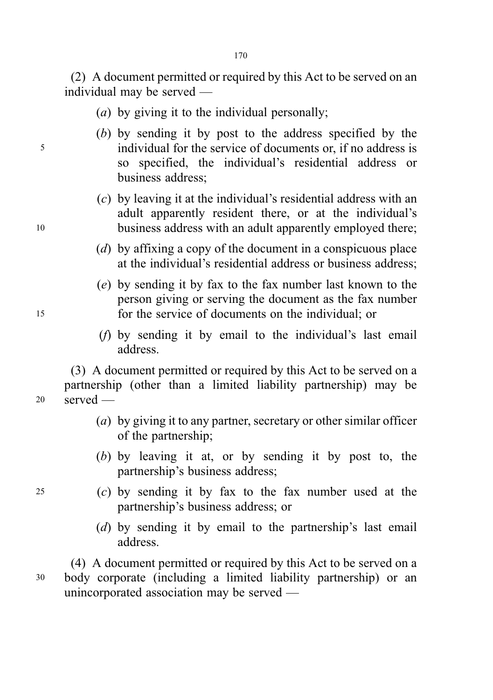(2) A document permitted or required by this Act to be served on an individual may be served —

- (a) by giving it to the individual personally;
- (b) by sending it by post to the address specified by the <sup>5</sup> individual for the service of documents or, if no address is so specified, the individual's residential address or business address;
- (c) by leaving it at the individual's residential address with an adult apparently resident there, or at the individual's <sup>10</sup> business address with an adult apparently employed there;
	- (d) by affixing a copy of the document in a conspicuous place at the individual's residential address or business address;
- (e) by sending it by fax to the fax number last known to the person giving or serving the document as the fax number <sup>15</sup> for the service of documents on the individual; or
	- (f) by sending it by email to the individual's last email address.

(3) A document permitted or required by this Act to be served on a partnership (other than a limited liability partnership) may be <sup>20</sup> served —

- (a) by giving it to any partner, secretary or other similar officer of the partnership;
- (b) by leaving it at, or by sending it by post to, the partnership's business address;
- <sup>25</sup> (c) by sending it by fax to the fax number used at the partnership's business address; or
	- (d) by sending it by email to the partnership's last email address.

(4) A document permitted or required by this Act to be served on a <sup>30</sup> body corporate (including a limited liability partnership) or an unincorporated association may be served —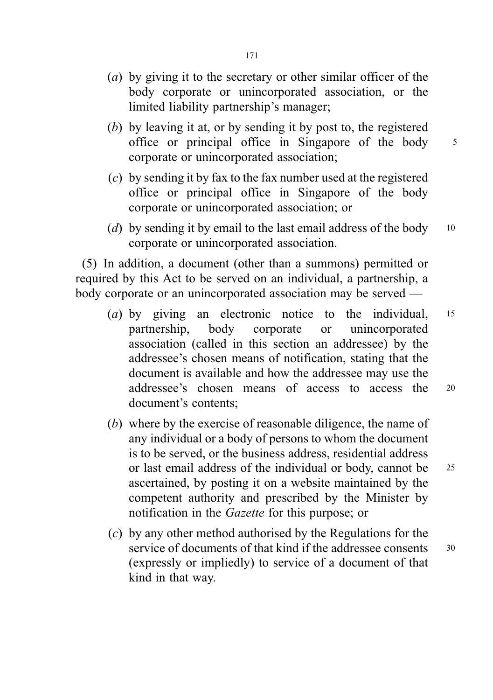- (a) by giving it to the secretary or other similar officer of the body corporate or unincorporated association, or the limited liability partnership's manager;
- (b) by leaving it at, or by sending it by post to, the registered office or principal office in Singapore of the body <sup>5</sup> corporate or unincorporated association;
- (c) by sending it by fax to the fax number used at the registered office or principal office in Singapore of the body corporate or unincorporated association; or
- (d) by sending it by email to the last email address of the body  $10$ corporate or unincorporated association.

(5) In addition, a document (other than a summons) permitted or required by this Act to be served on an individual, a partnership, a body corporate or an unincorporated association may be served —

- (a) by giving an electronic notice to the individual, 15 partnership, body corporate or unincorporated association (called in this section an addressee) by the addressee's chosen means of notification, stating that the document is available and how the addressee may use the addressee's chosen means of access to access the <sup>20</sup> document's contents;
- (b) where by the exercise of reasonable diligence, the name of any individual or a body of persons to whom the document is to be served, or the business address, residential address or last email address of the individual or body, cannot be <sup>25</sup> ascertained, by posting it on a website maintained by the competent authority and prescribed by the Minister by notification in the Gazette for this purpose; or
- (c) by any other method authorised by the Regulations for the service of documents of that kind if the addressee consents 30 (expressly or impliedly) to service of a document of that kind in that way.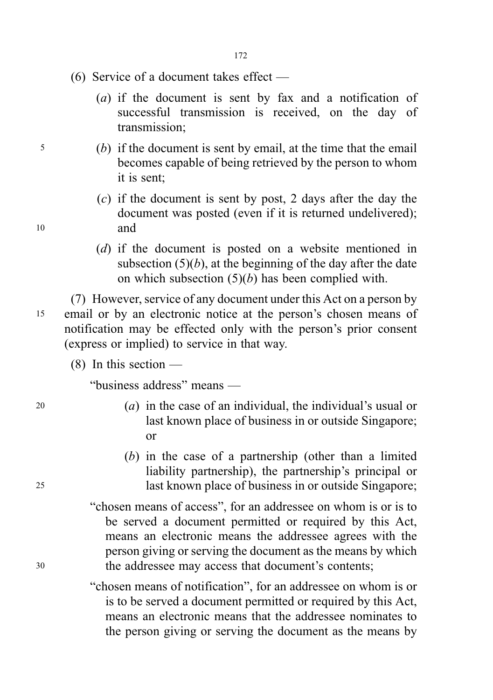- (6) Service of a document takes effect
	- (a) if the document is sent by fax and a notification of successful transmission is received, on the day of transmission;
- <sup>5</sup> (b) if the document is sent by email, at the time that the email becomes capable of being retrieved by the person to whom it is sent;
- (c) if the document is sent by post, 2 days after the day the document was posted (even if it is returned undelivered); <sup>10</sup> and
	- (d) if the document is posted on a website mentioned in subsection  $(5)(b)$ , at the beginning of the day after the date on which subsection  $(5)(b)$  has been complied with.

(7) However, service of any document under this Act on a person by <sup>15</sup> email or by an electronic notice at the person's chosen means of notification may be effected only with the person's prior consent (express or implied) to service in that way.

 $(8)$  In this section —

"business address" means —

- 20 (a) in the case of an individual, the individual's usual or last known place of business in or outside Singapore; or
- (b) in the case of a partnership (other than a limited liability partnership), the partnership's principal or <sup>25</sup> last known place of business in or outside Singapore;
- "chosen means of access", for an addressee on whom is or is to be served a document permitted or required by this Act, means an electronic means the addressee agrees with the person giving or serving the document as the means by which <sup>30</sup> the addressee may access that document's contents;

"chosen means of notification", for an addressee on whom is or is to be served a document permitted or required by this Act, means an electronic means that the addressee nominates to the person giving or serving the document as the means by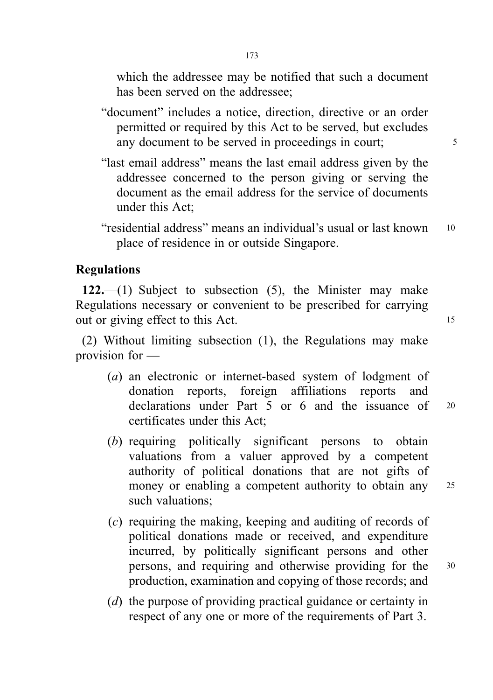which the addressee may be notified that such a document has been served on the addressee;

- "document" includes a notice, direction, directive or an order permitted or required by this Act to be served, but excludes any document to be served in proceedings in court;
- "last email address" means the last email address given by the addressee concerned to the person giving or serving the document as the email address for the service of documents under this Act;
- "residential address" means an individual's usual or last known <sup>10</sup> place of residence in or outside Singapore.

## Regulations

122.—(1) Subject to subsection  $(5)$ , the Minister may make Regulations necessary or convenient to be prescribed for carrying out or giving effect to this Act.

(2) Without limiting subsection (1), the Regulations may make provision for —

- (a) an electronic or internet-based system of lodgment of donation reports, foreign affiliations reports and declarations under Part 5 or 6 and the issuance of <sup>20</sup> certificates under this Act;
- (b) requiring politically significant persons to obtain valuations from a valuer approved by a competent authority of political donations that are not gifts of money or enabling a competent authority to obtain any 25 such valuations;
- (c) requiring the making, keeping and auditing of records of political donations made or received, and expenditure incurred, by politically significant persons and other persons, and requiring and otherwise providing for the <sup>30</sup> production, examination and copying of those records; and
- (d) the purpose of providing practical guidance or certainty in respect of any one or more of the requirements of Part 3.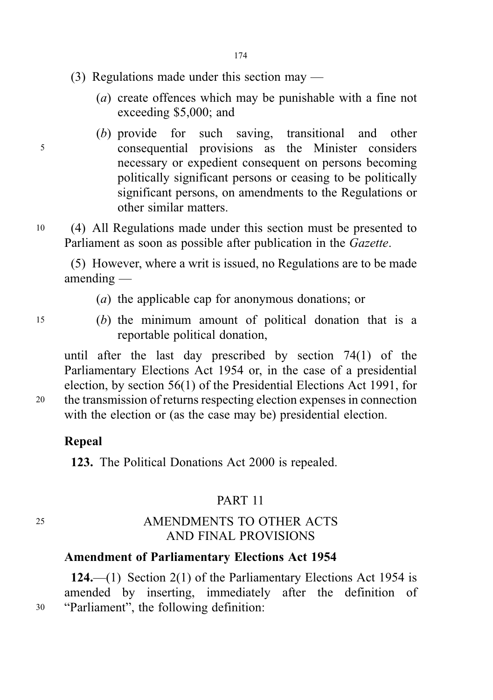- (3) Regulations made under this section may
	- (a) create offences which may be punishable with a fine not exceeding \$5,000; and
- (b) provide for such saving, transitional and other <sup>5</sup> consequential provisions as the Minister considers necessary or expedient consequent on persons becoming politically significant persons or ceasing to be politically significant persons, on amendments to the Regulations or other similar matters.
- <sup>10</sup> (4) All Regulations made under this section must be presented to Parliament as soon as possible after publication in the Gazette.

(5) However, where a writ is issued, no Regulations are to be made amending —

- (a) the applicable cap for anonymous donations; or
- <sup>15</sup> (b) the minimum amount of political donation that is a reportable political donation,

until after the last day prescribed by section 74(1) of the Parliamentary Elections Act 1954 or, in the case of a presidential election, by section 56(1) of the Presidential Elections Act 1991, for <sup>20</sup> the transmission of returns respecting election expenses in connection with the election or (as the case may be) presidential election.

## Repeal

123. The Political Donations Act 2000 is repealed.

## PART 11

## <sup>25</sup> AMENDMENTS TO OTHER ACTS AND FINAL PROVISIONS

## Amendment of Parliamentary Elections Act 1954

124.—(1) Section 2(1) of the Parliamentary Elections Act 1954 is amended by inserting, immediately after the definition of <sup>30</sup> "Parliament", the following definition: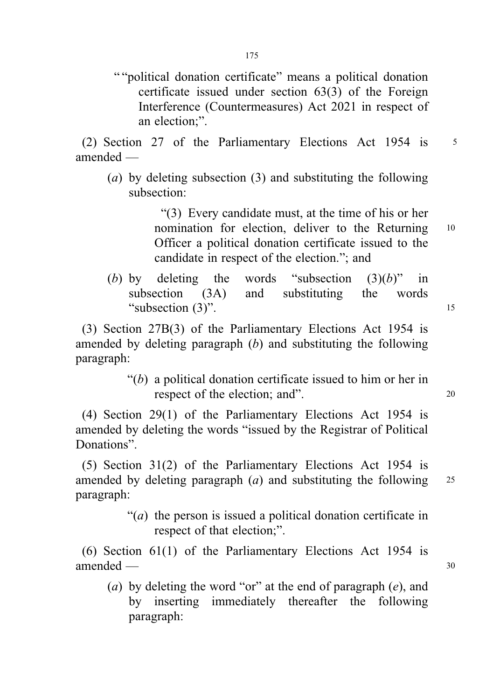175

" "political donation certificate" means a political donation certificate issued under section 63(3) of the Foreign Interference (Countermeasures) Act 2021 in respect of an election;".

(2) Section 27 of the Parliamentary Elections Act 1954 is 5 amended —

(a) by deleting subsection (3) and substituting the following subsection:

> "(3) Every candidate must, at the time of his or her nomination for election, deliver to the Returning <sup>10</sup> Officer a political donation certificate issued to the candidate in respect of the election."; and

(b) by deleting the words "subsection  $(3)(b)$ " in subsection (3A) and substituting the words "subsection (3)".

(3) Section 27B(3) of the Parliamentary Elections Act 1954 is amended by deleting paragraph  $(b)$  and substituting the following paragraph:

> " $(b)$  a political donation certificate issued to him or her in respect of the election; and". 20

(4) Section 29(1) of the Parliamentary Elections Act 1954 is amended by deleting the words "issued by the Registrar of Political Donations".

(5) Section 31(2) of the Parliamentary Elections Act 1954 is amended by deleting paragraph  $(a)$  and substituting the following  $25$ paragraph:

> "(*a*) the person is issued a political donation certificate in respect of that election;".

(6) Section 61(1) of the Parliamentary Elections Act 1954 is amended — 30

(a) by deleting the word "or" at the end of paragraph  $(e)$ , and by inserting immediately thereafter the following paragraph: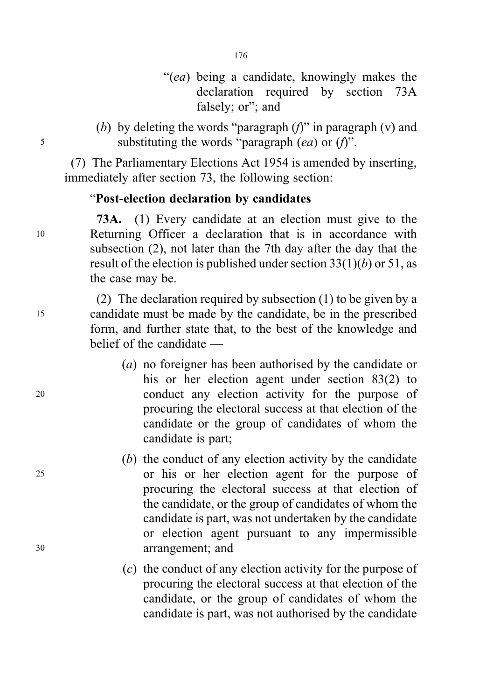- "(ea) being a candidate, knowingly makes the declaration required by section 73A falsely; or"; and
- (b) by deleting the words "paragraph  $(f)$ " in paragraph  $(v)$  and  $5$  substituting the words "paragraph (ea) or (f)".

(7) The Parliamentary Elections Act 1954 is amended by inserting, immediately after section 73, the following section:

## "Post-election declaration by candidates

73A.—(1) Every candidate at an election must give to the <sup>10</sup> Returning Officer a declaration that is in accordance with subsection (2), not later than the 7th day after the day that the result of the election is published under section  $33(1)(b)$  or 51, as the case may be.

(2) The declaration required by subsection (1) to be given by a <sup>15</sup> candidate must be made by the candidate, be in the prescribed form, and further state that, to the best of the knowledge and belief of the candidate —

- (a) no foreigner has been authorised by the candidate or his or her election agent under section 83(2) to <sup>20</sup> conduct any election activity for the purpose of procuring the electoral success at that election of the candidate or the group of candidates of whom the candidate is part;
- (b) the conduct of any election activity by the candidate <sup>25</sup> or his or her election agent for the purpose of procuring the electoral success at that election of the candidate, or the group of candidates of whom the candidate is part, was not undertaken by the candidate or election agent pursuant to any impermissible <sup>30</sup> arrangement; and
	- (c) the conduct of any election activity for the purpose of procuring the electoral success at that election of the candidate, or the group of candidates of whom the candidate is part, was not authorised by the candidate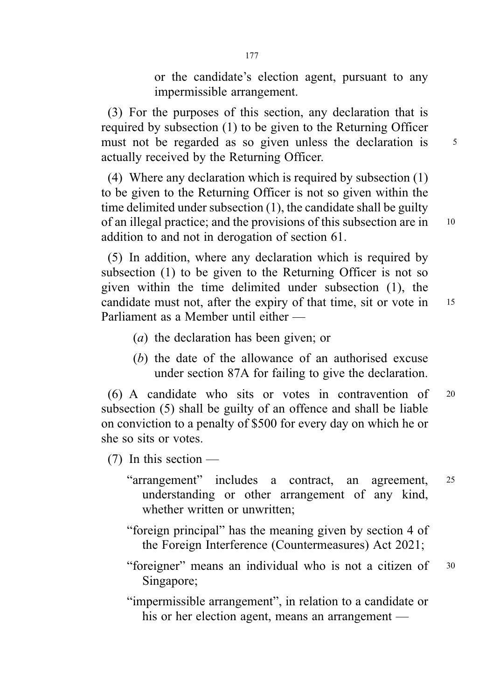or the candidate's election agent, pursuant to any impermissible arrangement.

(3) For the purposes of this section, any declaration that is required by subsection (1) to be given to the Returning Officer must not be regarded as so given unless the declaration is 5 actually received by the Returning Officer.

(4) Where any declaration which is required by subsection (1) to be given to the Returning Officer is not so given within the time delimited under subsection (1), the candidate shall be guilty of an illegal practice; and the provisions of this subsection are in <sup>10</sup> addition to and not in derogation of section 61.

(5) In addition, where any declaration which is required by subsection (1) to be given to the Returning Officer is not so given within the time delimited under subsection (1), the candidate must not, after the expiry of that time, sit or vote in 15 Parliament as a Member until either —

- (a) the declaration has been given; or
- (b) the date of the allowance of an authorised excuse under section 87A for failing to give the declaration.

(6) A candidate who sits or votes in contravention of <sup>20</sup> subsection (5) shall be guilty of an offence and shall be liable on conviction to a penalty of \$500 for every day on which he or she so sits or votes.

(7) In this section —

- "arrangement" includes a contract, an agreement, <sup>25</sup> understanding or other arrangement of any kind, whether written or unwritten;
- "foreign principal" has the meaning given by section 4 of the Foreign Interference (Countermeasures) Act 2021;
- "foreigner" means an individual who is not a citizen of <sup>30</sup> Singapore;

"impermissible arrangement", in relation to a candidate or his or her election agent, means an arrangement —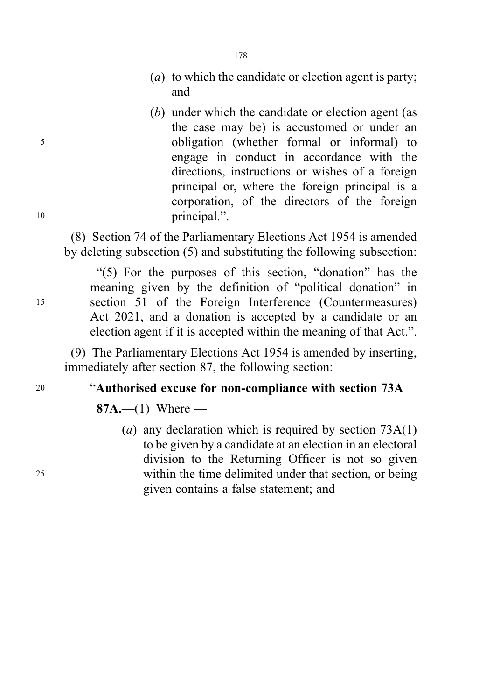- (a) to which the candidate or election agent is party; and
- (b) under which the candidate or election agent (as the case may be) is accustomed or under an <sup>5</sup> obligation (whether formal or informal) to engage in conduct in accordance with the directions, instructions or wishes of a foreign principal or, where the foreign principal is a corporation, of the directors of the foreign 10 principal.".

(8) Section 74 of the Parliamentary Elections Act 1954 is amended by deleting subsection (5) and substituting the following subsection:

178

"(5) For the purposes of this section, "donation" has the meaning given by the definition of "political donation" in <sup>15</sup> section 51 of the Foreign Interference (Countermeasures) Act 2021, and a donation is accepted by a candidate or an election agent if it is accepted within the meaning of that Act.".

(9) The Parliamentary Elections Act 1954 is amended by inserting, immediately after section 87, the following section:

#### <sup>20</sup> "Authorised excuse for non-compliance with section 73A

87A.—(1) Where —

(a) any declaration which is required by section  $73A(1)$ to be given by a candidate at an election in an electoral division to the Returning Officer is not so given <sup>25</sup> within the time delimited under that section, or being given contains a false statement; and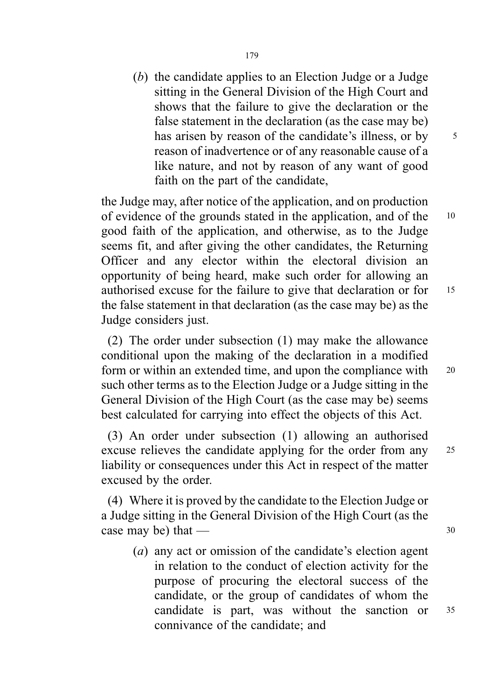(b) the candidate applies to an Election Judge or a Judge sitting in the General Division of the High Court and shows that the failure to give the declaration or the false statement in the declaration (as the case may be) has arisen by reason of the candidate's illness, or by 5 reason of inadvertence or of any reasonable cause of a like nature, and not by reason of any want of good faith on the part of the candidate,

the Judge may, after notice of the application, and on production of evidence of the grounds stated in the application, and of the <sup>10</sup> good faith of the application, and otherwise, as to the Judge seems fit, and after giving the other candidates, the Returning Officer and any elector within the electoral division an opportunity of being heard, make such order for allowing an authorised excuse for the failure to give that declaration or for <sup>15</sup> the false statement in that declaration (as the case may be) as the Judge considers just.

(2) The order under subsection (1) may make the allowance conditional upon the making of the declaration in a modified form or within an extended time, and upon the compliance with <sup>20</sup> such other terms as to the Election Judge or a Judge sitting in the General Division of the High Court (as the case may be) seems best calculated for carrying into effect the objects of this Act.

(3) An order under subsection (1) allowing an authorised excuse relieves the candidate applying for the order from any 25 liability or consequences under this Act in respect of the matter excused by the order.

(4) Where it is proved by the candidate to the Election Judge or a Judge sitting in the General Division of the High Court (as the case may be) that  $\frac{30}{30}$ 

(a) any act or omission of the candidate's election agent in relation to the conduct of election activity for the purpose of procuring the electoral success of the candidate, or the group of candidates of whom the candidate is part, was without the sanction or <sup>35</sup> connivance of the candidate; and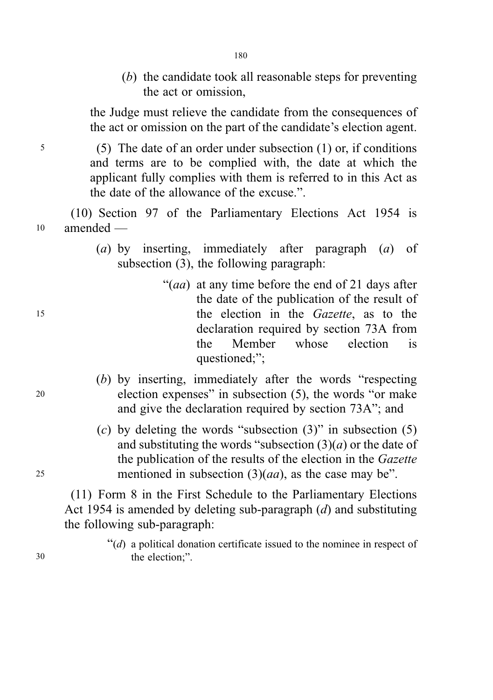- 180
- (b) the candidate took all reasonable steps for preventing the act or omission,

the Judge must relieve the candidate from the consequences of the act or omission on the part of the candidate's election agent.

<sup>5</sup> (5) The date of an order under subsection (1) or, if conditions and terms are to be complied with, the date at which the applicant fully complies with them is referred to in this Act as the date of the allowance of the excuse.".

(10) Section 97 of the Parliamentary Elections Act 1954 is <sup>10</sup> amended —

- (a) by inserting, immediately after paragraph (a) of subsection (3), the following paragraph:
- "(*aa*) at any time before the end of 21 days after the date of the publication of the result of <sup>15</sup> the election in the Gazette, as to the declaration required by section 73A from the Member whose election is questioned:":
- (b) by inserting, immediately after the words "respecting <sup>20</sup> election expenses" in subsection (5), the words "or make and give the declaration required by section 73A"; and
- (c) by deleting the words "subsection  $(3)$ " in subsection  $(5)$ and substituting the words "subsection  $(3)(a)$  or the date of the publication of the results of the election in the Gazette 25 mentioned in subsection  $(3)(aa)$ , as the case may be".

(11) Form 8 in the First Schedule to the Parliamentary Elections Act 1954 is amended by deleting sub-paragraph (d) and substituting the following sub-paragraph:

 $\mathcal{H}(d)$  a political donation certificate issued to the nominee in respect of 30 the election;".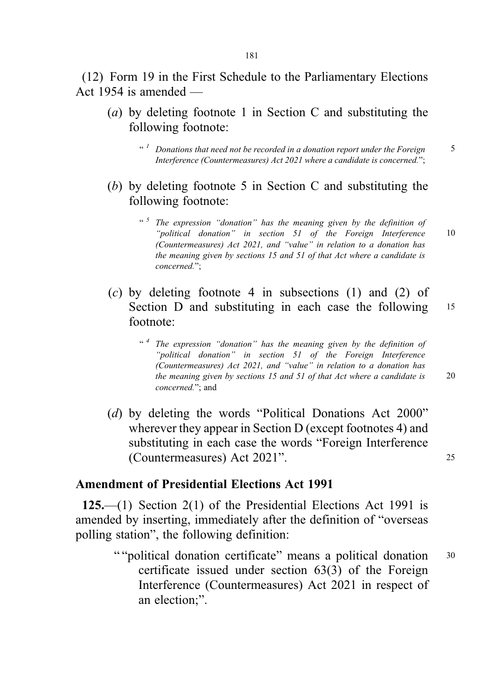(12) Form 19 in the First Schedule to the Parliamentary Elections Act 1954 is amended —

- (a) by deleting footnote 1 in Section C and substituting the following footnote:
	- $\cdot$   $\cdot$   $\cdot$  1 Donations that need not be recorded in a donation report under the Foreign  $\cdot$  5 Interference (Countermeasures) Act 2021 where a candidate is concerned.";
- (b) by deleting footnote 5 in Section C and substituting the following footnote:
	- "<sup>5</sup> The expression "donation" has the meaning given by the definition of "political donation" in section 51 of the Foreign Interference 10 (Countermeasures) Act 2021, and "value" in relation to a donation has the meaning given by sections 15 and 51 of that Act where a candidate is concerned.";
- (c) by deleting footnote 4 in subsections (1) and (2) of Section D and substituting in each case the following 15 footnote:
	- $\cdot$ <sup>4</sup> The expression "donation" has the meaning given by the definition of "political donation" in section 51 of the Foreign Interference (Countermeasures) Act 2021, and "value" in relation to a donation has the meaning given by sections 15 and 51 of that Act where a candidate is 20 concerned."; and
		-
- (d) by deleting the words "Political Donations Act 2000" wherever they appear in Section D (except footnotes 4) and substituting in each case the words "Foreign Interference (Countermeasures) Act 2021". <sup>25</sup>

## Amendment of Presidential Elections Act 1991

125.—(1) Section 2(1) of the Presidential Elections Act 1991 is amended by inserting, immediately after the definition of "overseas polling station", the following definition:

> " "political donation certificate" means a political donation 30 certificate issued under section 63(3) of the Foreign Interference (Countermeasures) Act 2021 in respect of an election;".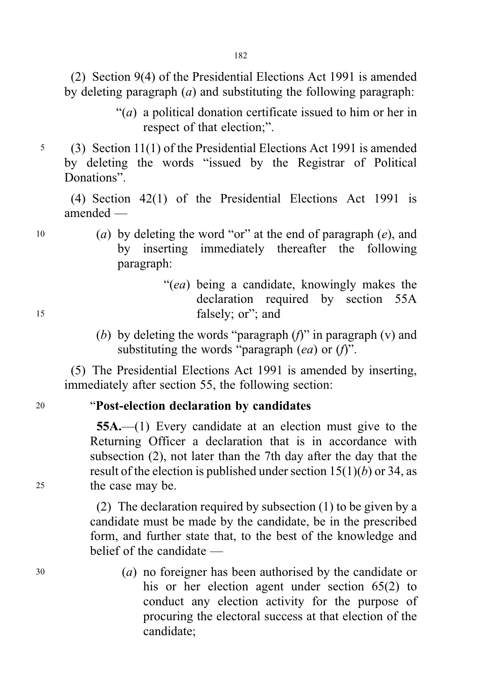(2) Section 9(4) of the Presidential Elections Act 1991 is amended by deleting paragraph  $(a)$  and substituting the following paragraph:

- "(a) a political donation certificate issued to him or her in respect of that election;".
- <sup>5</sup> (3) Section 11(1) of the Presidential Elections Act 1991 is amended by deleting the words "issued by the Registrar of Political Donations".

(4) Section 42(1) of the Presidential Elections Act 1991 is amended —

- 10 (a) by deleting the word "or" at the end of paragraph  $(e)$ , and by inserting immediately thereafter the following paragraph:
- "(ea) being a candidate, knowingly makes the declaration required by section 55A <sup>15</sup> falsely; or"; and
	- (b) by deleting the words "paragraph  $(f)$ " in paragraph  $(v)$  and substituting the words "paragraph  $(ea)$  or  $(f)$ ".

(5) The Presidential Elections Act 1991 is amended by inserting, immediately after section 55, the following section:

# <sup>20</sup> "Post-election declaration by candidates

55A.—(1) Every candidate at an election must give to the Returning Officer a declaration that is in accordance with subsection (2), not later than the 7th day after the day that the result of the election is published under section  $15(1)(b)$  or 34, as <sup>25</sup> the case may be.

> (2) The declaration required by subsection (1) to be given by a candidate must be made by the candidate, be in the prescribed form, and further state that, to the best of the knowledge and belief of the candidate —

<sup>30</sup> (a) no foreigner has been authorised by the candidate or his or her election agent under section 65(2) to conduct any election activity for the purpose of procuring the electoral success at that election of the candidate;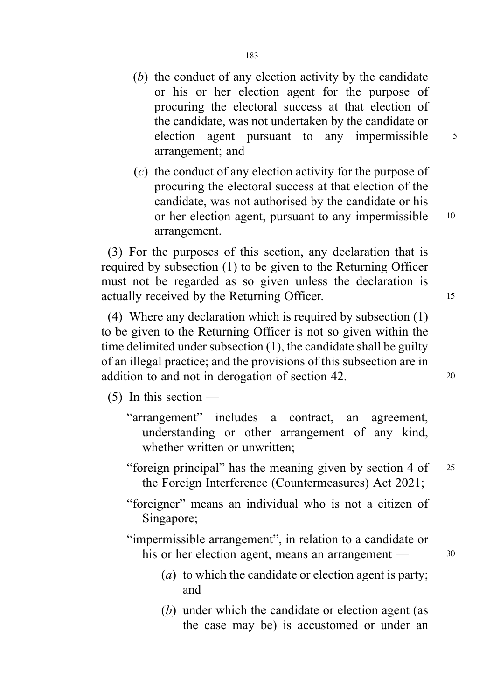- (b) the conduct of any election activity by the candidate or his or her election agent for the purpose of procuring the electoral success at that election of the candidate, was not undertaken by the candidate or election agent pursuant to any impermissible  $\frac{5}{10}$ arrangement; and
- (c) the conduct of any election activity for the purpose of procuring the electoral success at that election of the candidate, was not authorised by the candidate or his or her election agent, pursuant to any impermissible 10 arrangement.

(3) For the purposes of this section, any declaration that is required by subsection (1) to be given to the Returning Officer must not be regarded as so given unless the declaration is actually received by the Returning Officer. 15

(4) Where any declaration which is required by subsection (1) to be given to the Returning Officer is not so given within the time delimited under subsection (1), the candidate shall be guilty of an illegal practice; and the provisions of this subsection are in addition to and not in derogation of section 42.

 $(5)$  In this section —

- "arrangement" includes a contract, an agreement, understanding or other arrangement of any kind, whether written or unwritten:
- "foreign principal" has the meaning given by section 4 of <sup>25</sup> the Foreign Interference (Countermeasures) Act 2021;
- "foreigner" means an individual who is not a citizen of Singapore;

"impermissible arrangement", in relation to a candidate or his or her election agent, means an arrangement — 30

- 
- (a) to which the candidate or election agent is party; and
- (b) under which the candidate or election agent (as the case may be) is accustomed or under an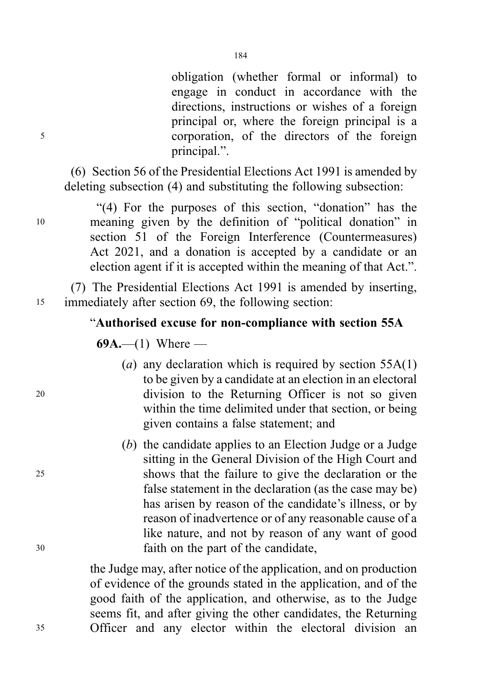obligation (whether formal or informal) to engage in conduct in accordance with the directions, instructions or wishes of a foreign principal or, where the foreign principal is a <sup>5</sup> corporation, of the directors of the foreign principal.".

(6) Section 56 of the Presidential Elections Act 1991 is amended by deleting subsection (4) and substituting the following subsection:

"(4) For the purposes of this section, "donation" has the <sup>10</sup> meaning given by the definition of "political donation" in section 51 of the Foreign Interference (Countermeasures) Act 2021, and a donation is accepted by a candidate or an election agent if it is accepted within the meaning of that Act.".

(7) The Presidential Elections Act 1991 is amended by inserting, <sup>15</sup> immediately after section 69, the following section:

# "Authorised excuse for non-compliance with section 55A

69A.—(1) Where —

- (a) any declaration which is required by section  $55A(1)$ to be given by a candidate at an election in an electoral <sup>20</sup> division to the Returning Officer is not so given within the time delimited under that section, or being given contains a false statement; and
- (b) the candidate applies to an Election Judge or a Judge sitting in the General Division of the High Court and <sup>25</sup> shows that the failure to give the declaration or the false statement in the declaration (as the case may be) has arisen by reason of the candidate's illness, or by reason of inadvertence or of any reasonable cause of a like nature, and not by reason of any want of good <sup>30</sup> faith on the part of the candidate,

the Judge may, after notice of the application, and on production of evidence of the grounds stated in the application, and of the good faith of the application, and otherwise, as to the Judge seems fit, and after giving the other candidates, the Returning <sup>35</sup> Officer and any elector within the electoral division an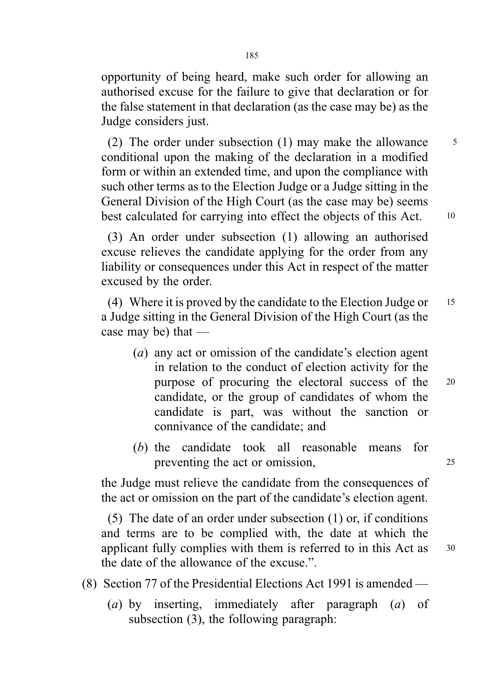opportunity of being heard, make such order for allowing an authorised excuse for the failure to give that declaration or for the false statement in that declaration (as the case may be) as the Judge considers just.

(2) The order under subsection  $(1)$  may make the allowance  $5$ conditional upon the making of the declaration in a modified form or within an extended time, and upon the compliance with such other terms as to the Election Judge or a Judge sitting in the General Division of the High Court (as the case may be) seems best calculated for carrying into effect the objects of this Act. 10

(3) An order under subsection (1) allowing an authorised excuse relieves the candidate applying for the order from any liability or consequences under this Act in respect of the matter excused by the order.

(4) Where it is proved by the candidate to the Election Judge or <sup>15</sup> a Judge sitting in the General Division of the High Court (as the case may be) that —

- (a) any act or omission of the candidate's election agent in relation to the conduct of election activity for the purpose of procuring the electoral success of the <sup>20</sup> candidate, or the group of candidates of whom the candidate is part, was without the sanction or connivance of the candidate; and
- (b) the candidate took all reasonable means for preventing the act or omission, 25

the Judge must relieve the candidate from the consequences of the act or omission on the part of the candidate's election agent.

(5) The date of an order under subsection (1) or, if conditions and terms are to be complied with, the date at which the applicant fully complies with them is referred to in this Act as <sup>30</sup> the date of the allowance of the excuse.".

- (8) Section 77 of the Presidential Elections Act 1991 is amended
	- (a) by inserting, immediately after paragraph (a) of subsection (3), the following paragraph: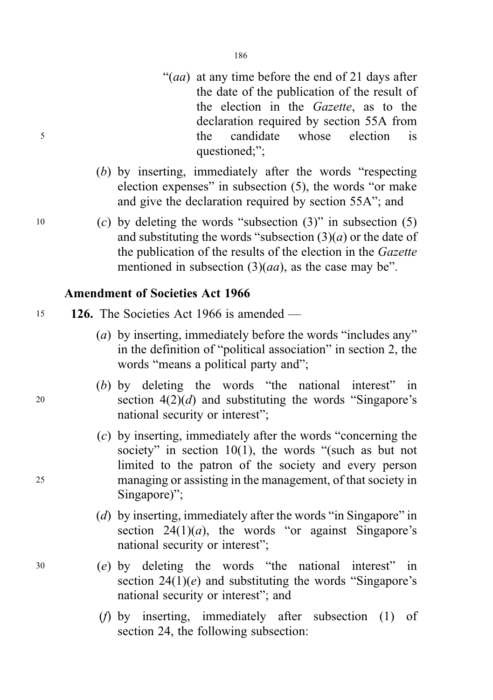- "(*aa*) at any time before the end of 21 days after the date of the publication of the result of the election in the Gazette, as to the declaration required by section 55A from <sup>5</sup> the candidate whose election is questioned;";
	- (b) by inserting, immediately after the words "respecting election expenses" in subsection (5), the words "or make and give the declaration required by section 55A"; and
- 10 (c) by deleting the words "subsection  $(3)$ " in subsection  $(5)$ and substituting the words "subsection  $(3)(a)$  or the date of the publication of the results of the election in the Gazette mentioned in subsection  $(3)(aa)$ , as the case may be".

## Amendment of Societies Act 1966

- <sup>15</sup> 126. The Societies Act 1966 is amended
	- (a) by inserting, immediately before the words "includes any" in the definition of "political association" in section 2, the words "means a political party and";
- (b) by deleting the words "the national interest" in 20 section  $4(2)(d)$  and substituting the words "Singapore's national security or interest";
- (c) by inserting, immediately after the words "concerning the society" in section  $10(1)$ , the words "(such as but not limited to the patron of the society and every person <sup>25</sup> managing or assisting in the management, of that society in Singapore)":
	- (d) by inserting, immediately after the words "in Singapore" in section  $24(1)(a)$ , the words "or against Singapore's national security or interest";
- <sup>30</sup> (e) by deleting the words "the national interest" in section  $24(1)(e)$  and substituting the words "Singapore's national security or interest"; and
	- (f) by inserting, immediately after subsection (1) of section 24, the following subsection: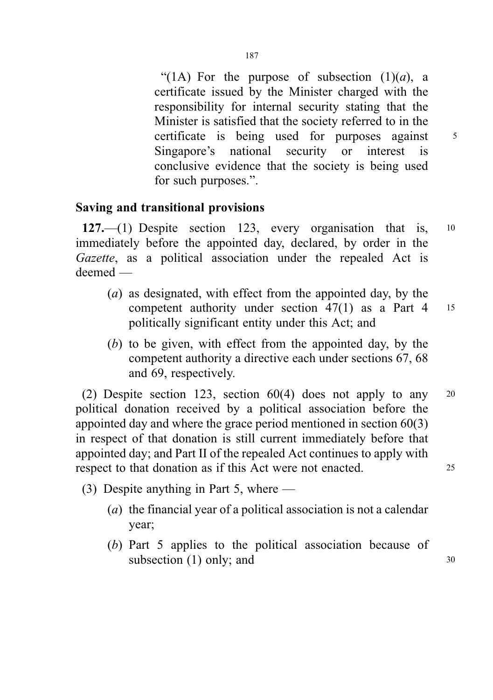"(1A) For the purpose of subsection  $(1)(a)$ , a certificate issued by the Minister charged with the responsibility for internal security stating that the Minister is satisfied that the society referred to in the certificate is being used for purposes against 5 Singapore's national security or interest is conclusive evidence that the society is being used for such purposes.".

# Saving and transitional provisions

127.—(1) Despite section 123, every organisation that is, <sup>10</sup> immediately before the appointed day, declared, by order in the Gazette, as a political association under the repealed Act is deemed —

- (a) as designated, with effect from the appointed day, by the competent authority under section 47(1) as a Part 4 <sup>15</sup> politically significant entity under this Act; and
- (b) to be given, with effect from the appointed day, by the competent authority a directive each under sections 67, 68 and 69, respectively.

(2) Despite section 123, section 60(4) does not apply to any <sup>20</sup> political donation received by a political association before the appointed day and where the grace period mentioned in section 60(3) in respect of that donation is still current immediately before that appointed day; and Part II of the repealed Act continues to apply with respect to that donation as if this Act were not enacted. 25

- (3) Despite anything in Part 5, where
	- (a) the financial year of a political association is not a calendar year;
	- (b) Part 5 applies to the political association because of subsection  $(1)$  only; and  $30$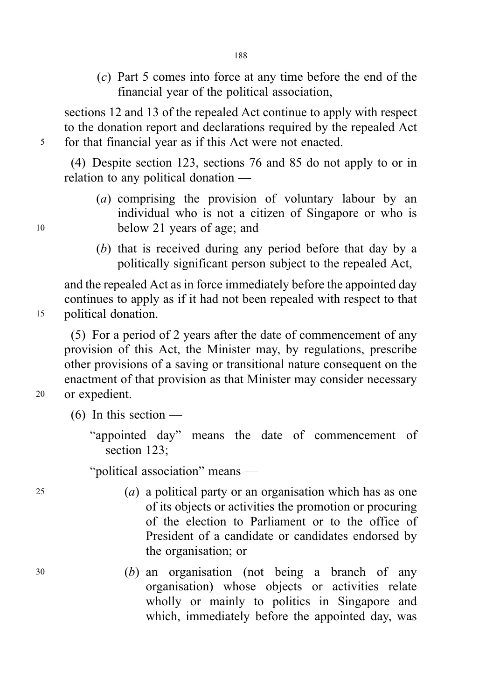(c) Part 5 comes into force at any time before the end of the financial year of the political association,

sections 12 and 13 of the repealed Act continue to apply with respect to the donation report and declarations required by the repealed Act <sup>5</sup> for that financial year as if this Act were not enacted.

(4) Despite section 123, sections 76 and 85 do not apply to or in relation to any political donation —

- (a) comprising the provision of voluntary labour by an individual who is not a citizen of Singapore or who is <sup>10</sup> below 21 years of age; and
	- (b) that is received during any period before that day by a politically significant person subject to the repealed Act,

and the repealed Act as in force immediately before the appointed day continues to apply as if it had not been repealed with respect to that <sup>15</sup> political donation.

(5) For a period of 2 years after the date of commencement of any provision of this Act, the Minister may, by regulations, prescribe other provisions of a saving or transitional nature consequent on the enactment of that provision as that Minister may consider necessary <sup>20</sup> or expedient.

 $(6)$  In this section —

"appointed day" means the date of commencement of section 123;

"political association" means —

- $(a)$  a political party or an organisation which has as one of its objects or activities the promotion or procuring of the election to Parliament or to the office of President of a candidate or candidates endorsed by the organisation; or
- <sup>30</sup> (b) an organisation (not being a branch of any organisation) whose objects or activities relate wholly or mainly to politics in Singapore and which, immediately before the appointed day, was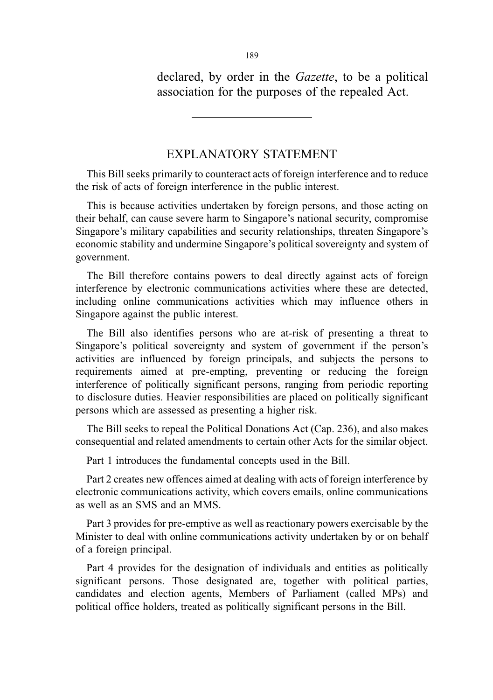declared, by order in the Gazette, to be a political association for the purposes of the repealed Act.

# EXPLANATORY STATEMENT

This Bill seeks primarily to counteract acts of foreign interference and to reduce the risk of acts of foreign interference in the public interest.

This is because activities undertaken by foreign persons, and those acting on their behalf, can cause severe harm to Singapore's national security, compromise Singapore's military capabilities and security relationships, threaten Singapore's economic stability and undermine Singapore's political sovereignty and system of government.

The Bill therefore contains powers to deal directly against acts of foreign interference by electronic communications activities where these are detected, including online communications activities which may influence others in Singapore against the public interest.

The Bill also identifies persons who are at-risk of presenting a threat to Singapore's political sovereignty and system of government if the person's activities are influenced by foreign principals, and subjects the persons to requirements aimed at pre-empting, preventing or reducing the foreign interference of politically significant persons, ranging from periodic reporting to disclosure duties. Heavier responsibilities are placed on politically significant persons which are assessed as presenting a higher risk.

The Bill seeks to repeal the Political Donations Act (Cap. 236), and also makes consequential and related amendments to certain other Acts for the similar object.

Part 1 introduces the fundamental concepts used in the Bill.

Part 2 creates new offences aimed at dealing with acts of foreign interference by electronic communications activity, which covers emails, online communications as well as an SMS and an MMS.

Part 3 provides for pre-emptive as well as reactionary powers exercisable by the Minister to deal with online communications activity undertaken by or on behalf of a foreign principal.

Part 4 provides for the designation of individuals and entities as politically significant persons. Those designated are, together with political parties, candidates and election agents, Members of Parliament (called MPs) and political office holders, treated as politically significant persons in the Bill.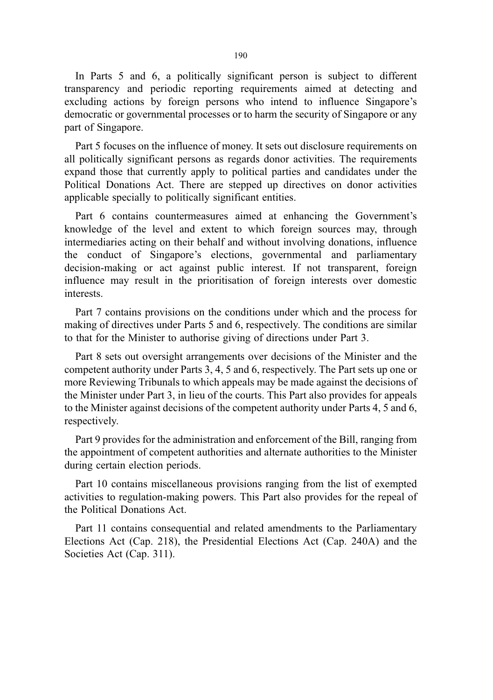In Parts 5 and 6, a politically significant person is subject to different transparency and periodic reporting requirements aimed at detecting and excluding actions by foreign persons who intend to influence Singapore's democratic or governmental processes or to harm the security of Singapore or any part of Singapore.

Part 5 focuses on the influence of money. It sets out disclosure requirements on all politically significant persons as regards donor activities. The requirements expand those that currently apply to political parties and candidates under the Political Donations Act. There are stepped up directives on donor activities applicable specially to politically significant entities.

Part 6 contains countermeasures aimed at enhancing the Government's knowledge of the level and extent to which foreign sources may, through intermediaries acting on their behalf and without involving donations, influence the conduct of Singapore's elections, governmental and parliamentary decision-making or act against public interest. If not transparent, foreign influence may result in the prioritisation of foreign interests over domestic interests.

Part 7 contains provisions on the conditions under which and the process for making of directives under Parts 5 and 6, respectively. The conditions are similar to that for the Minister to authorise giving of directions under Part 3.

Part 8 sets out oversight arrangements over decisions of the Minister and the competent authority under Parts 3, 4, 5 and 6, respectively. The Part sets up one or more Reviewing Tribunals to which appeals may be made against the decisions of the Minister under Part 3, in lieu of the courts. This Part also provides for appeals to the Minister against decisions of the competent authority under Parts 4, 5 and 6, respectively.

Part 9 provides for the administration and enforcement of the Bill, ranging from the appointment of competent authorities and alternate authorities to the Minister during certain election periods.

Part 10 contains miscellaneous provisions ranging from the list of exempted activities to regulation-making powers. This Part also provides for the repeal of the Political Donations Act.

Part 11 contains consequential and related amendments to the Parliamentary Elections Act (Cap. 218), the Presidential Elections Act (Cap. 240A) and the Societies Act (Cap. 311).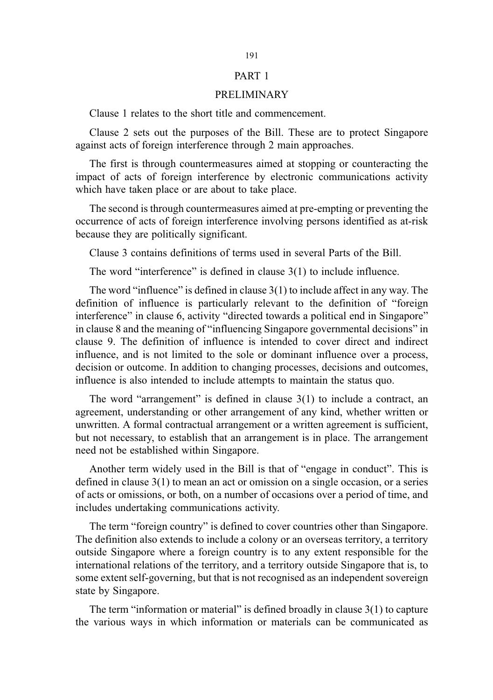#### PART 1

#### PRELIMINARY

Clause 1 relates to the short title and commencement.

Clause 2 sets out the purposes of the Bill. These are to protect Singapore against acts of foreign interference through 2 main approaches.

The first is through countermeasures aimed at stopping or counteracting the impact of acts of foreign interference by electronic communications activity which have taken place or are about to take place.

The second is through countermeasures aimed at pre-empting or preventing the occurrence of acts of foreign interference involving persons identified as at-risk because they are politically significant.

Clause 3 contains definitions of terms used in several Parts of the Bill.

The word "interference" is defined in clause 3(1) to include influence.

The word "influence" is defined in clause  $3(1)$  to include affect in any way. The definition of influence is particularly relevant to the definition of "foreign interference" in clause 6, activity "directed towards a political end in Singapore" in clause 8 and the meaning of "influencing Singapore governmental decisions" in clause 9. The definition of influence is intended to cover direct and indirect influence, and is not limited to the sole or dominant influence over a process, decision or outcome. In addition to changing processes, decisions and outcomes, influence is also intended to include attempts to maintain the status quo.

The word "arrangement" is defined in clause 3(1) to include a contract, an agreement, understanding or other arrangement of any kind, whether written or unwritten. A formal contractual arrangement or a written agreement is sufficient, but not necessary, to establish that an arrangement is in place. The arrangement need not be established within Singapore.

Another term widely used in the Bill is that of "engage in conduct". This is defined in clause 3(1) to mean an act or omission on a single occasion, or a series of acts or omissions, or both, on a number of occasions over a period of time, and includes undertaking communications activity.

The term "foreign country" is defined to cover countries other than Singapore. The definition also extends to include a colony or an overseas territory, a territory outside Singapore where a foreign country is to any extent responsible for the international relations of the territory, and a territory outside Singapore that is, to some extent self-governing, but that is not recognised as an independent sovereign state by Singapore.

The term "information or material" is defined broadly in clause 3(1) to capture the various ways in which information or materials can be communicated as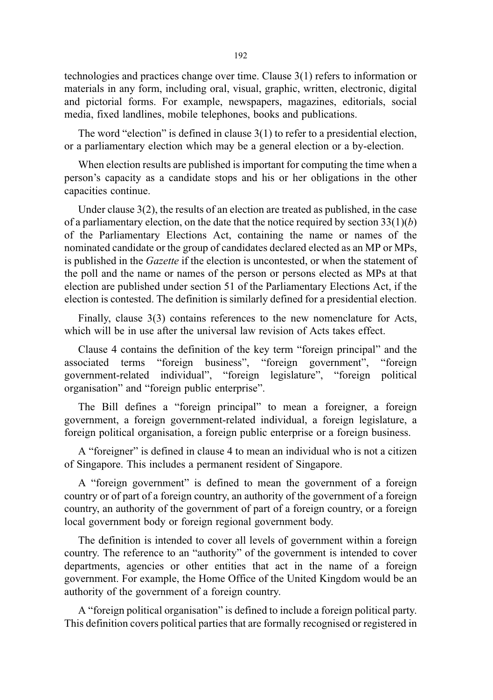technologies and practices change over time. Clause 3(1) refers to information or materials in any form, including oral, visual, graphic, written, electronic, digital and pictorial forms. For example, newspapers, magazines, editorials, social media, fixed landlines, mobile telephones, books and publications.

The word "election" is defined in clause 3(1) to refer to a presidential election, or a parliamentary election which may be a general election or a by-election.

When election results are published is important for computing the time when a person's capacity as a candidate stops and his or her obligations in the other capacities continue.

Under clause 3(2), the results of an election are treated as published, in the case of a parliamentary election, on the date that the notice required by section  $33(1)(b)$ of the Parliamentary Elections Act, containing the name or names of the nominated candidate or the group of candidates declared elected as an MP or MPs, is published in the Gazette if the election is uncontested, or when the statement of the poll and the name or names of the person or persons elected as MPs at that election are published under section 51 of the Parliamentary Elections Act, if the election is contested. The definition is similarly defined for a presidential election.

Finally, clause 3(3) contains references to the new nomenclature for Acts, which will be in use after the universal law revision of Acts takes effect.

Clause 4 contains the definition of the key term "foreign principal" and the associated terms "foreign business", "foreign government", "foreign government-related individual", "foreign legislature", "foreign political organisation" and "foreign public enterprise".

The Bill defines a "foreign principal" to mean a foreigner, a foreign government, a foreign government-related individual, a foreign legislature, a foreign political organisation, a foreign public enterprise or a foreign business.

A "foreigner" is defined in clause 4 to mean an individual who is not a citizen of Singapore. This includes a permanent resident of Singapore.

A "foreign government" is defined to mean the government of a foreign country or of part of a foreign country, an authority of the government of a foreign country, an authority of the government of part of a foreign country, or a foreign local government body or foreign regional government body.

The definition is intended to cover all levels of government within a foreign country. The reference to an "authority" of the government is intended to cover departments, agencies or other entities that act in the name of a foreign government. For example, the Home Office of the United Kingdom would be an authority of the government of a foreign country.

A "foreign political organisation" is defined to include a foreign political party. This definition covers political parties that are formally recognised or registered in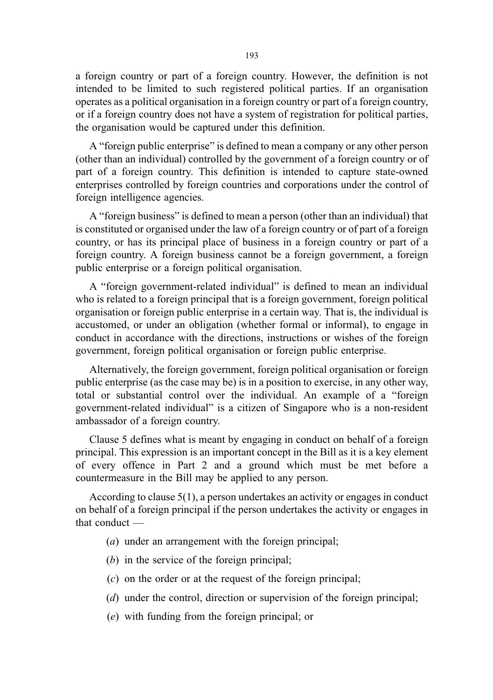a foreign country or part of a foreign country. However, the definition is not intended to be limited to such registered political parties. If an organisation operates as a political organisation in a foreign country or part of a foreign country, or if a foreign country does not have a system of registration for political parties, the organisation would be captured under this definition.

A "foreign public enterprise" is defined to mean a company or any other person (other than an individual) controlled by the government of a foreign country or of part of a foreign country. This definition is intended to capture state-owned enterprises controlled by foreign countries and corporations under the control of foreign intelligence agencies.

A "foreign business" is defined to mean a person (other than an individual) that is constituted or organised under the law of a foreign country or of part of a foreign country, or has its principal place of business in a foreign country or part of a foreign country. A foreign business cannot be a foreign government, a foreign public enterprise or a foreign political organisation.

A "foreign government-related individual" is defined to mean an individual who is related to a foreign principal that is a foreign government, foreign political organisation or foreign public enterprise in a certain way. That is, the individual is accustomed, or under an obligation (whether formal or informal), to engage in conduct in accordance with the directions, instructions or wishes of the foreign government, foreign political organisation or foreign public enterprise.

Alternatively, the foreign government, foreign political organisation or foreign public enterprise (as the case may be) is in a position to exercise, in any other way, total or substantial control over the individual. An example of a "foreign government-related individual" is a citizen of Singapore who is a non-resident ambassador of a foreign country.

Clause 5 defines what is meant by engaging in conduct on behalf of a foreign principal. This expression is an important concept in the Bill as it is a key element of every offence in Part 2 and a ground which must be met before a countermeasure in the Bill may be applied to any person.

According to clause 5(1), a person undertakes an activity or engages in conduct on behalf of a foreign principal if the person undertakes the activity or engages in that conduct —

- (a) under an arrangement with the foreign principal;
- (b) in the service of the foreign principal;
- (c) on the order or at the request of the foreign principal;
- (d) under the control, direction or supervision of the foreign principal;
- (e) with funding from the foreign principal; or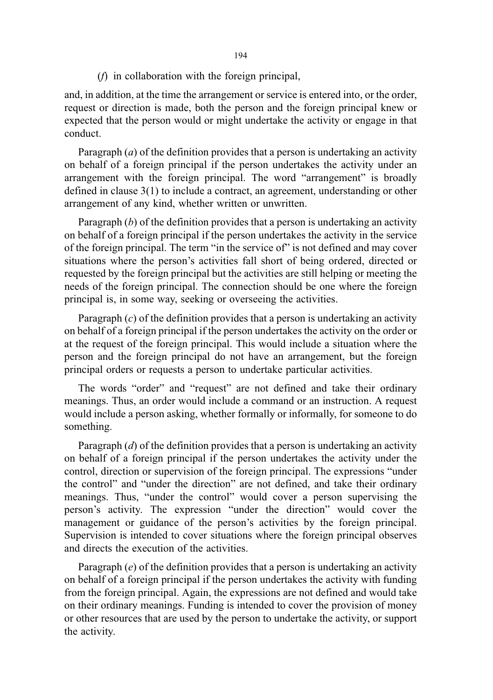(f) in collaboration with the foreign principal,

and, in addition, at the time the arrangement or service is entered into, or the order, request or direction is made, both the person and the foreign principal knew or expected that the person would or might undertake the activity or engage in that conduct.

Paragraph  $(a)$  of the definition provides that a person is undertaking an activity on behalf of a foreign principal if the person undertakes the activity under an arrangement with the foreign principal. The word "arrangement" is broadly defined in clause 3(1) to include a contract, an agreement, understanding or other arrangement of any kind, whether written or unwritten.

Paragraph  $(b)$  of the definition provides that a person is undertaking an activity on behalf of a foreign principal if the person undertakes the activity in the service of the foreign principal. The term "in the service of" is not defined and may cover situations where the person's activities fall short of being ordered, directed or requested by the foreign principal but the activities are still helping or meeting the needs of the foreign principal. The connection should be one where the foreign principal is, in some way, seeking or overseeing the activities.

Paragraph  $(c)$  of the definition provides that a person is undertaking an activity on behalf of a foreign principal if the person undertakes the activity on the order or at the request of the foreign principal. This would include a situation where the person and the foreign principal do not have an arrangement, but the foreign principal orders or requests a person to undertake particular activities.

The words "order" and "request" are not defined and take their ordinary meanings. Thus, an order would include a command or an instruction. A request would include a person asking, whether formally or informally, for someone to do something.

Paragraph  $(d)$  of the definition provides that a person is undertaking an activity on behalf of a foreign principal if the person undertakes the activity under the control, direction or supervision of the foreign principal. The expressions "under the control" and "under the direction" are not defined, and take their ordinary meanings. Thus, "under the control" would cover a person supervising the person's activity. The expression "under the direction" would cover the management or guidance of the person's activities by the foreign principal. Supervision is intended to cover situations where the foreign principal observes and directs the execution of the activities.

Paragraph  $(e)$  of the definition provides that a person is undertaking an activity on behalf of a foreign principal if the person undertakes the activity with funding from the foreign principal. Again, the expressions are not defined and would take on their ordinary meanings. Funding is intended to cover the provision of money or other resources that are used by the person to undertake the activity, or support the activity.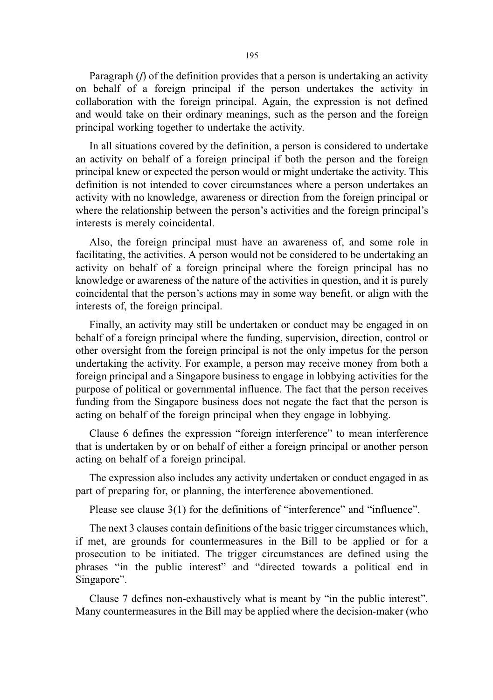Paragraph (f) of the definition provides that a person is undertaking an activity on behalf of a foreign principal if the person undertakes the activity in collaboration with the foreign principal. Again, the expression is not defined and would take on their ordinary meanings, such as the person and the foreign principal working together to undertake the activity.

In all situations covered by the definition, a person is considered to undertake an activity on behalf of a foreign principal if both the person and the foreign principal knew or expected the person would or might undertake the activity. This definition is not intended to cover circumstances where a person undertakes an activity with no knowledge, awareness or direction from the foreign principal or where the relationship between the person's activities and the foreign principal's interests is merely coincidental.

Also, the foreign principal must have an awareness of, and some role in facilitating, the activities. A person would not be considered to be undertaking an activity on behalf of a foreign principal where the foreign principal has no knowledge or awareness of the nature of the activities in question, and it is purely coincidental that the person's actions may in some way benefit, or align with the interests of, the foreign principal.

Finally, an activity may still be undertaken or conduct may be engaged in on behalf of a foreign principal where the funding, supervision, direction, control or other oversight from the foreign principal is not the only impetus for the person undertaking the activity. For example, a person may receive money from both a foreign principal and a Singapore business to engage in lobbying activities for the purpose of political or governmental influence. The fact that the person receives funding from the Singapore business does not negate the fact that the person is acting on behalf of the foreign principal when they engage in lobbying.

Clause 6 defines the expression "foreign interference" to mean interference that is undertaken by or on behalf of either a foreign principal or another person acting on behalf of a foreign principal.

The expression also includes any activity undertaken or conduct engaged in as part of preparing for, or planning, the interference abovementioned.

Please see clause 3(1) for the definitions of "interference" and "influence".

The next 3 clauses contain definitions of the basic trigger circumstances which, if met, are grounds for countermeasures in the Bill to be applied or for a prosecution to be initiated. The trigger circumstances are defined using the phrases "in the public interest" and "directed towards a political end in Singapore".

Clause 7 defines non-exhaustively what is meant by "in the public interest". Many countermeasures in the Bill may be applied where the decision-maker (who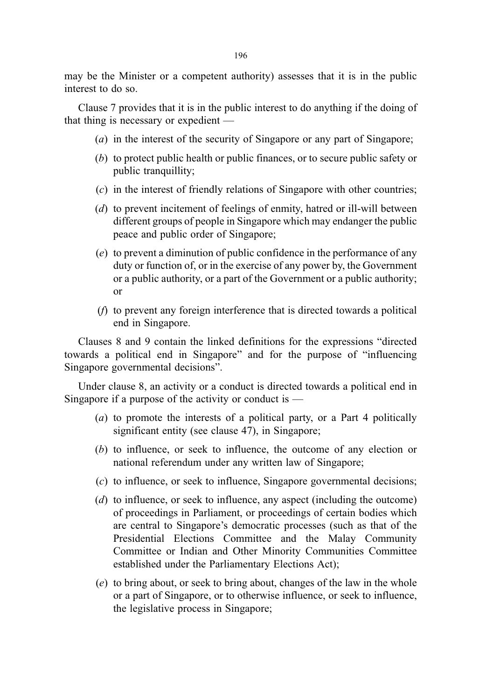may be the Minister or a competent authority) assesses that it is in the public interest to do so.

Clause 7 provides that it is in the public interest to do anything if the doing of that thing is necessary or expedient —

- (a) in the interest of the security of Singapore or any part of Singapore;
- (b) to protect public health or public finances, or to secure public safety or public tranquillity;
- (c) in the interest of friendly relations of Singapore with other countries;
- (d) to prevent incitement of feelings of enmity, hatred or ill-will between different groups of people in Singapore which may endanger the public peace and public order of Singapore;
- (e) to prevent a diminution of public confidence in the performance of any duty or function of, or in the exercise of any power by, the Government or a public authority, or a part of the Government or a public authority; or
- (f) to prevent any foreign interference that is directed towards a political end in Singapore.

Clauses 8 and 9 contain the linked definitions for the expressions "directed towards a political end in Singapore" and for the purpose of "influencing Singapore governmental decisions".

Under clause 8, an activity or a conduct is directed towards a political end in Singapore if a purpose of the activity or conduct is  $-$ 

- (a) to promote the interests of a political party, or a Part 4 politically significant entity (see clause 47), in Singapore;
- (b) to influence, or seek to influence, the outcome of any election or national referendum under any written law of Singapore;
- (c) to influence, or seek to influence, Singapore governmental decisions;
- (d) to influence, or seek to influence, any aspect (including the outcome) of proceedings in Parliament, or proceedings of certain bodies which are central to Singapore's democratic processes (such as that of the Presidential Elections Committee and the Malay Community Committee or Indian and Other Minority Communities Committee established under the Parliamentary Elections Act);
- (e) to bring about, or seek to bring about, changes of the law in the whole or a part of Singapore, or to otherwise influence, or seek to influence, the legislative process in Singapore;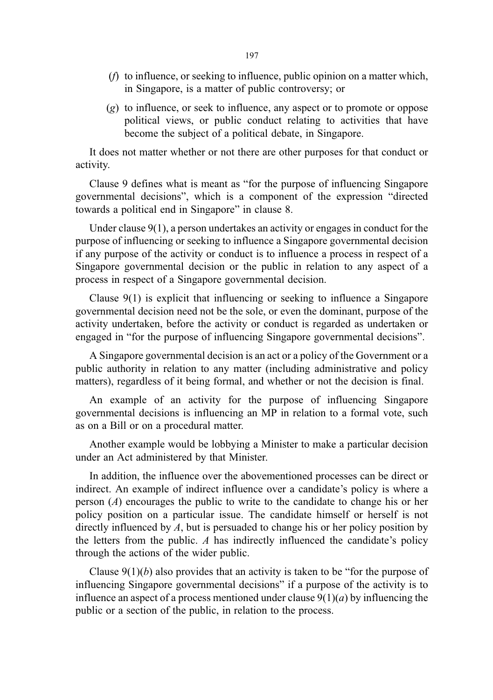- (f) to influence, or seeking to influence, public opinion on a matter which, in Singapore, is a matter of public controversy; or
- (g) to influence, or seek to influence, any aspect or to promote or oppose political views, or public conduct relating to activities that have become the subject of a political debate, in Singapore.

It does not matter whether or not there are other purposes for that conduct or activity.

Clause 9 defines what is meant as "for the purpose of influencing Singapore governmental decisions", which is a component of the expression "directed towards a political end in Singapore" in clause 8.

Under clause 9(1), a person undertakes an activity or engages in conduct for the purpose of influencing or seeking to influence a Singapore governmental decision if any purpose of the activity or conduct is to influence a process in respect of a Singapore governmental decision or the public in relation to any aspect of a process in respect of a Singapore governmental decision.

Clause 9(1) is explicit that influencing or seeking to influence a Singapore governmental decision need not be the sole, or even the dominant, purpose of the activity undertaken, before the activity or conduct is regarded as undertaken or engaged in "for the purpose of influencing Singapore governmental decisions".

A Singapore governmental decision is an act or a policy of the Government or a public authority in relation to any matter (including administrative and policy matters), regardless of it being formal, and whether or not the decision is final.

An example of an activity for the purpose of influencing Singapore governmental decisions is influencing an MP in relation to a formal vote, such as on a Bill or on a procedural matter.

Another example would be lobbying a Minister to make a particular decision under an Act administered by that Minister.

In addition, the influence over the abovementioned processes can be direct or indirect. An example of indirect influence over a candidate's policy is where a person (A) encourages the public to write to the candidate to change his or her policy position on a particular issue. The candidate himself or herself is not directly influenced by  $A$ , but is persuaded to change his or her policy position by the letters from the public.  $A$  has indirectly influenced the candidate's policy through the actions of the wider public.

Clause  $9(1)(b)$  also provides that an activity is taken to be "for the purpose of influencing Singapore governmental decisions" if a purpose of the activity is to influence an aspect of a process mentioned under clause  $9(1)(a)$  by influencing the public or a section of the public, in relation to the process.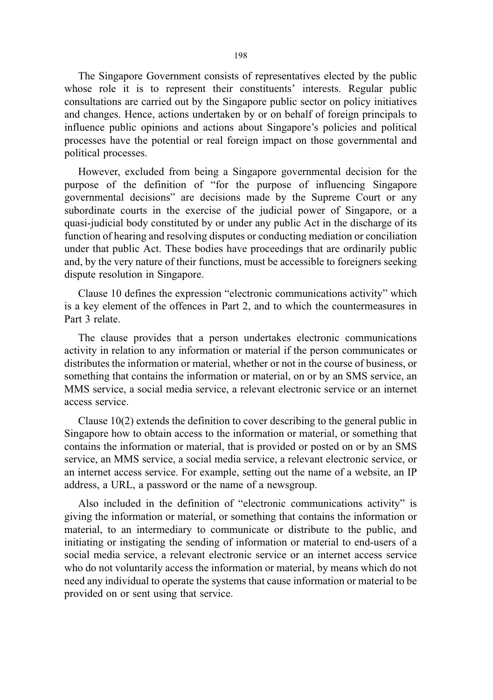The Singapore Government consists of representatives elected by the public whose role it is to represent their constituents' interests. Regular public consultations are carried out by the Singapore public sector on policy initiatives and changes. Hence, actions undertaken by or on behalf of foreign principals to influence public opinions and actions about Singapore's policies and political processes have the potential or real foreign impact on those governmental and political processes.

However, excluded from being a Singapore governmental decision for the purpose of the definition of "for the purpose of influencing Singapore governmental decisions" are decisions made by the Supreme Court or any subordinate courts in the exercise of the judicial power of Singapore, or a quasi-judicial body constituted by or under any public Act in the discharge of its function of hearing and resolving disputes or conducting mediation or conciliation under that public Act. These bodies have proceedings that are ordinarily public and, by the very nature of their functions, must be accessible to foreigners seeking dispute resolution in Singapore.

Clause 10 defines the expression "electronic communications activity" which is a key element of the offences in Part 2, and to which the countermeasures in Part 3 relate.

The clause provides that a person undertakes electronic communications activity in relation to any information or material if the person communicates or distributes the information or material, whether or not in the course of business, or something that contains the information or material, on or by an SMS service, an MMS service, a social media service, a relevant electronic service or an internet access service.

Clause 10(2) extends the definition to cover describing to the general public in Singapore how to obtain access to the information or material, or something that contains the information or material, that is provided or posted on or by an SMS service, an MMS service, a social media service, a relevant electronic service, or an internet access service. For example, setting out the name of a website, an IP address, a URL, a password or the name of a newsgroup.

Also included in the definition of "electronic communications activity" is giving the information or material, or something that contains the information or material, to an intermediary to communicate or distribute to the public, and initiating or instigating the sending of information or material to end-users of a social media service, a relevant electronic service or an internet access service who do not voluntarily access the information or material, by means which do not need any individual to operate the systems that cause information or material to be provided on or sent using that service.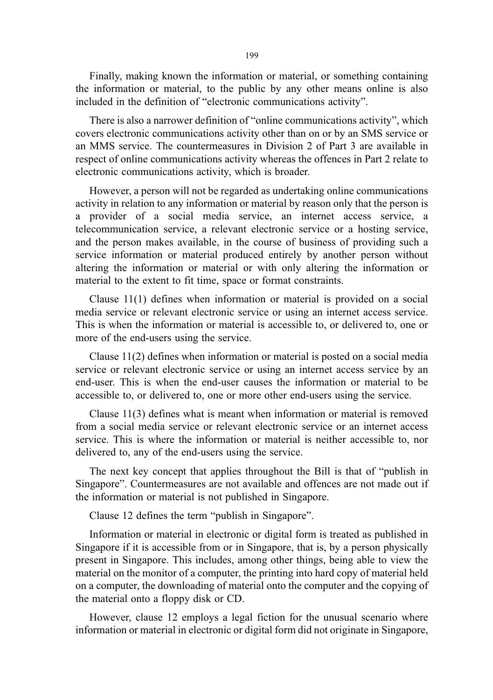Finally, making known the information or material, or something containing the information or material, to the public by any other means online is also included in the definition of "electronic communications activity".

There is also a narrower definition of "online communications activity", which covers electronic communications activity other than on or by an SMS service or an MMS service. The countermeasures in Division 2 of Part 3 are available in respect of online communications activity whereas the offences in Part 2 relate to electronic communications activity, which is broader.

However, a person will not be regarded as undertaking online communications activity in relation to any information or material by reason only that the person is a provider of a social media service, an internet access service, a telecommunication service, a relevant electronic service or a hosting service, and the person makes available, in the course of business of providing such a service information or material produced entirely by another person without altering the information or material or with only altering the information or material to the extent to fit time, space or format constraints.

Clause 11(1) defines when information or material is provided on a social media service or relevant electronic service or using an internet access service. This is when the information or material is accessible to, or delivered to, one or more of the end-users using the service.

Clause 11(2) defines when information or material is posted on a social media service or relevant electronic service or using an internet access service by an end-user. This is when the end-user causes the information or material to be accessible to, or delivered to, one or more other end-users using the service.

Clause 11(3) defines what is meant when information or material is removed from a social media service or relevant electronic service or an internet access service. This is where the information or material is neither accessible to, nor delivered to, any of the end-users using the service.

The next key concept that applies throughout the Bill is that of "publish in Singapore". Countermeasures are not available and offences are not made out if the information or material is not published in Singapore.

Clause 12 defines the term "publish in Singapore".

Information or material in electronic or digital form is treated as published in Singapore if it is accessible from or in Singapore, that is, by a person physically present in Singapore. This includes, among other things, being able to view the material on the monitor of a computer, the printing into hard copy of material held on a computer, the downloading of material onto the computer and the copying of the material onto a floppy disk or CD.

However, clause 12 employs a legal fiction for the unusual scenario where information or material in electronic or digital form did not originate in Singapore,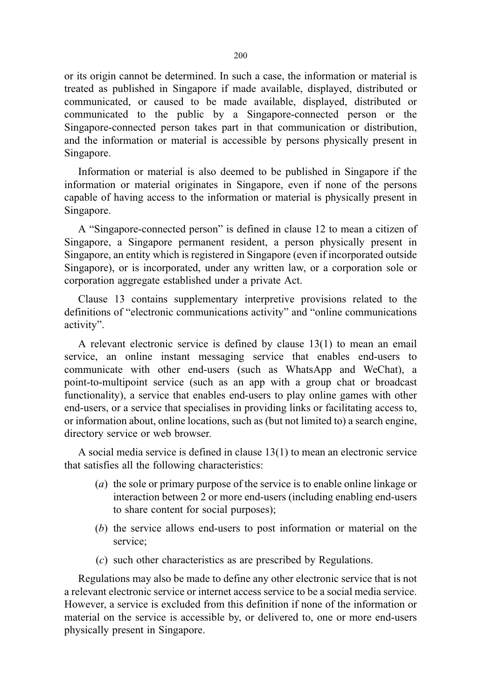or its origin cannot be determined. In such a case, the information or material is treated as published in Singapore if made available, displayed, distributed or communicated, or caused to be made available, displayed, distributed or communicated to the public by a Singapore-connected person or the Singapore-connected person takes part in that communication or distribution, and the information or material is accessible by persons physically present in Singapore.

Information or material is also deemed to be published in Singapore if the information or material originates in Singapore, even if none of the persons capable of having access to the information or material is physically present in Singapore.

A "Singapore-connected person" is defined in clause 12 to mean a citizen of Singapore, a Singapore permanent resident, a person physically present in Singapore, an entity which is registered in Singapore (even if incorporated outside Singapore), or is incorporated, under any written law, or a corporation sole or corporation aggregate established under a private Act.

Clause 13 contains supplementary interpretive provisions related to the definitions of "electronic communications activity" and "online communications activity".

A relevant electronic service is defined by clause 13(1) to mean an email service, an online instant messaging service that enables end-users to communicate with other end-users (such as WhatsApp and WeChat), a point-to-multipoint service (such as an app with a group chat or broadcast functionality), a service that enables end-users to play online games with other end-users, or a service that specialises in providing links or facilitating access to, or information about, online locations, such as (but not limited to) a search engine, directory service or web browser.

A social media service is defined in clause 13(1) to mean an electronic service that satisfies all the following characteristics:

- (a) the sole or primary purpose of the service is to enable online linkage or interaction between 2 or more end-users (including enabling end-users to share content for social purposes);
- (b) the service allows end-users to post information or material on the service;
- (c) such other characteristics as are prescribed by Regulations.

Regulations may also be made to define any other electronic service that is not a relevant electronic service or internet access service to be a social media service. However, a service is excluded from this definition if none of the information or material on the service is accessible by, or delivered to, one or more end-users physically present in Singapore.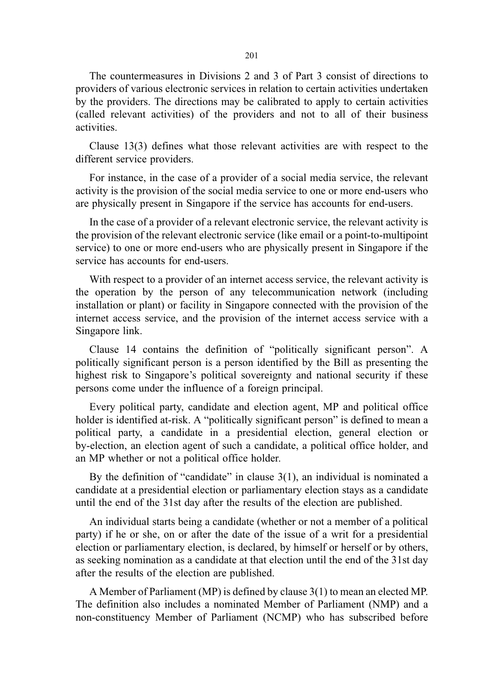The countermeasures in Divisions 2 and 3 of Part 3 consist of directions to providers of various electronic services in relation to certain activities undertaken by the providers. The directions may be calibrated to apply to certain activities (called relevant activities) of the providers and not to all of their business activities.

Clause 13(3) defines what those relevant activities are with respect to the different service providers.

For instance, in the case of a provider of a social media service, the relevant activity is the provision of the social media service to one or more end-users who are physically present in Singapore if the service has accounts for end-users.

In the case of a provider of a relevant electronic service, the relevant activity is the provision of the relevant electronic service (like email or a point-to-multipoint service) to one or more end-users who are physically present in Singapore if the service has accounts for end-users.

With respect to a provider of an internet access service, the relevant activity is the operation by the person of any telecommunication network (including installation or plant) or facility in Singapore connected with the provision of the internet access service, and the provision of the internet access service with a Singapore link.

Clause 14 contains the definition of "politically significant person". A politically significant person is a person identified by the Bill as presenting the highest risk to Singapore's political sovereignty and national security if these persons come under the influence of a foreign principal.

Every political party, candidate and election agent, MP and political office holder is identified at-risk. A "politically significant person" is defined to mean a political party, a candidate in a presidential election, general election or by-election, an election agent of such a candidate, a political office holder, and an MP whether or not a political office holder.

By the definition of "candidate" in clause 3(1), an individual is nominated a candidate at a presidential election or parliamentary election stays as a candidate until the end of the 31st day after the results of the election are published.

An individual starts being a candidate (whether or not a member of a political party) if he or she, on or after the date of the issue of a writ for a presidential election or parliamentary election, is declared, by himself or herself or by others, as seeking nomination as a candidate at that election until the end of the 31st day after the results of the election are published.

A Member of Parliament (MP) is defined by clause 3(1) to mean an elected MP. The definition also includes a nominated Member of Parliament (NMP) and a non-constituency Member of Parliament (NCMP) who has subscribed before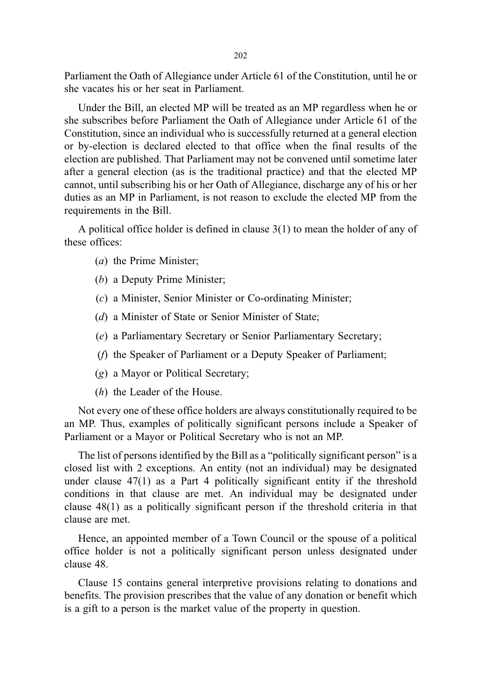Parliament the Oath of Allegiance under Article 61 of the Constitution, until he or she vacates his or her seat in Parliament.

Under the Bill, an elected MP will be treated as an MP regardless when he or she subscribes before Parliament the Oath of Allegiance under Article 61 of the Constitution, since an individual who is successfully returned at a general election or by-election is declared elected to that office when the final results of the election are published. That Parliament may not be convened until sometime later after a general election (as is the traditional practice) and that the elected MP cannot, until subscribing his or her Oath of Allegiance, discharge any of his or her duties as an MP in Parliament, is not reason to exclude the elected MP from the requirements in the Bill.

A political office holder is defined in clause 3(1) to mean the holder of any of these offices:

- (a) the Prime Minister;
- (b) a Deputy Prime Minister;
- (c) a Minister, Senior Minister or Co-ordinating Minister;
- (d) a Minister of State or Senior Minister of State;
- (e) a Parliamentary Secretary or Senior Parliamentary Secretary;
- (f) the Speaker of Parliament or a Deputy Speaker of Parliament;
- (g) a Mayor or Political Secretary;
- (h) the Leader of the House.

Not every one of these office holders are always constitutionally required to be an MP. Thus, examples of politically significant persons include a Speaker of Parliament or a Mayor or Political Secretary who is not an MP.

The list of persons identified by the Bill as a "politically significant person" is a closed list with 2 exceptions. An entity (not an individual) may be designated under clause 47(1) as a Part 4 politically significant entity if the threshold conditions in that clause are met. An individual may be designated under clause 48(1) as a politically significant person if the threshold criteria in that clause are met.

Hence, an appointed member of a Town Council or the spouse of a political office holder is not a politically significant person unless designated under clause 48.

Clause 15 contains general interpretive provisions relating to donations and benefits. The provision prescribes that the value of any donation or benefit which is a gift to a person is the market value of the property in question.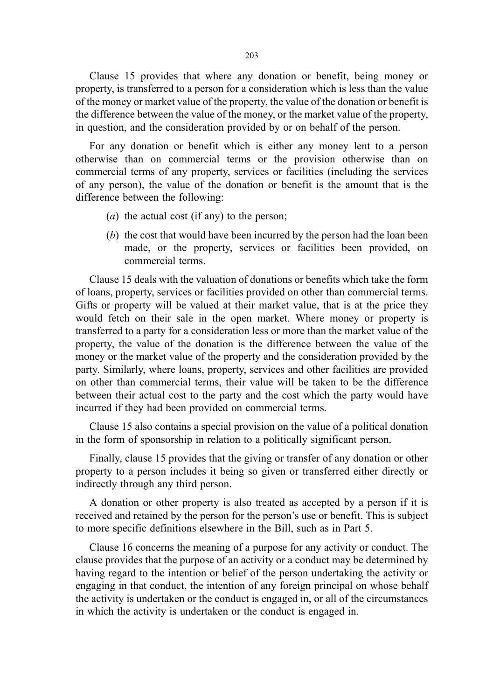Clause 15 provides that where any donation or benefit, being money or property, is transferred to a person for a consideration which is less than the value of the money or market value of the property, the value of the donation or benefit is the difference between the value of the money, or the market value of the property, in question, and the consideration provided by or on behalf of the person.

For any donation or benefit which is either any money lent to a person otherwise than on commercial terms or the provision otherwise than on commercial terms of any property, services or facilities (including the services of any person), the value of the donation or benefit is the amount that is the difference between the following:

- (*a*) the actual cost (if any) to the person;
- (b) the cost that would have been incurred by the person had the loan been made, or the property, services or facilities been provided, on commercial terms.

Clause 15 deals with the valuation of donations or benefits which take the form of loans, property, services or facilities provided on other than commercial terms. Gifts or property will be valued at their market value, that is at the price they would fetch on their sale in the open market. Where money or property is transferred to a party for a consideration less or more than the market value of the property, the value of the donation is the difference between the value of the money or the market value of the property and the consideration provided by the party. Similarly, where loans, property, services and other facilities are provided on other than commercial terms, their value will be taken to be the difference between their actual cost to the party and the cost which the party would have incurred if they had been provided on commercial terms.

Clause 15 also contains a special provision on the value of a political donation in the form of sponsorship in relation to a politically significant person.

Finally, clause 15 provides that the giving or transfer of any donation or other property to a person includes it being so given or transferred either directly or indirectly through any third person.

A donation or other property is also treated as accepted by a person if it is received and retained by the person for the person's use or benefit. This is subject to more specific definitions elsewhere in the Bill, such as in Part 5.

Clause 16 concerns the meaning of a purpose for any activity or conduct. The clause provides that the purpose of an activity or a conduct may be determined by having regard to the intention or belief of the person undertaking the activity or engaging in that conduct, the intention of any foreign principal on whose behalf the activity is undertaken or the conduct is engaged in, or all of the circumstances in which the activity is undertaken or the conduct is engaged in.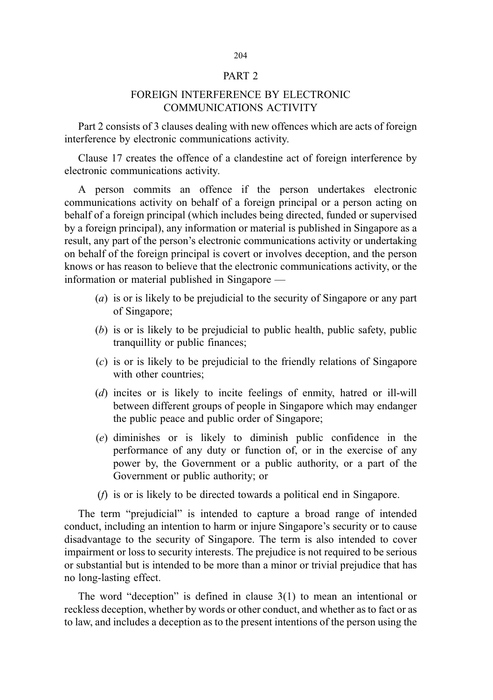### PART 2

## FOREIGN INTERFERENCE BY ELECTRONIC COMMUNICATIONS ACTIVITY

Part 2 consists of 3 clauses dealing with new offences which are acts of foreign interference by electronic communications activity.

Clause 17 creates the offence of a clandestine act of foreign interference by electronic communications activity.

A person commits an offence if the person undertakes electronic communications activity on behalf of a foreign principal or a person acting on behalf of a foreign principal (which includes being directed, funded or supervised by a foreign principal), any information or material is published in Singapore as a result, any part of the person's electronic communications activity or undertaking on behalf of the foreign principal is covert or involves deception, and the person knows or has reason to believe that the electronic communications activity, or the information or material published in Singapore —

- (a) is or is likely to be prejudicial to the security of Singapore or any part of Singapore;
- (b) is or is likely to be prejudicial to public health, public safety, public tranquillity or public finances;
- (c) is or is likely to be prejudicial to the friendly relations of Singapore with other countries;
- (d) incites or is likely to incite feelings of enmity, hatred or ill-will between different groups of people in Singapore which may endanger the public peace and public order of Singapore;
- (e) diminishes or is likely to diminish public confidence in the performance of any duty or function of, or in the exercise of any power by, the Government or a public authority, or a part of the Government or public authority; or
- (f) is or is likely to be directed towards a political end in Singapore.

The term "prejudicial" is intended to capture a broad range of intended conduct, including an intention to harm or injure Singapore's security or to cause disadvantage to the security of Singapore. The term is also intended to cover impairment or loss to security interests. The prejudice is not required to be serious or substantial but is intended to be more than a minor or trivial prejudice that has no long-lasting effect.

The word "deception" is defined in clause 3(1) to mean an intentional or reckless deception, whether by words or other conduct, and whether as to fact or as to law, and includes a deception as to the present intentions of the person using the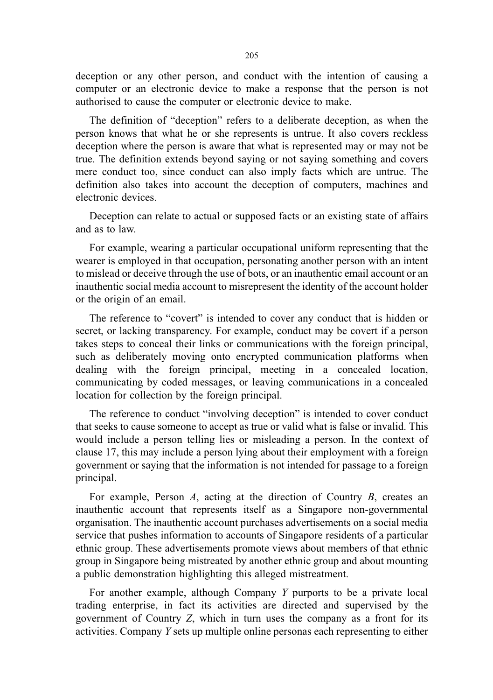deception or any other person, and conduct with the intention of causing a computer or an electronic device to make a response that the person is not authorised to cause the computer or electronic device to make.

The definition of "deception" refers to a deliberate deception, as when the person knows that what he or she represents is untrue. It also covers reckless deception where the person is aware that what is represented may or may not be true. The definition extends beyond saying or not saying something and covers mere conduct too, since conduct can also imply facts which are untrue. The definition also takes into account the deception of computers, machines and electronic devices.

Deception can relate to actual or supposed facts or an existing state of affairs and as to law.

For example, wearing a particular occupational uniform representing that the wearer is employed in that occupation, personating another person with an intent to mislead or deceive through the use of bots, or an inauthentic email account or an inauthentic social media account to misrepresent the identity of the account holder or the origin of an email.

The reference to "covert" is intended to cover any conduct that is hidden or secret, or lacking transparency. For example, conduct may be covert if a person takes steps to conceal their links or communications with the foreign principal, such as deliberately moving onto encrypted communication platforms when dealing with the foreign principal, meeting in a concealed location, communicating by coded messages, or leaving communications in a concealed location for collection by the foreign principal.

The reference to conduct "involving deception" is intended to cover conduct that seeks to cause someone to accept as true or valid what is false or invalid. This would include a person telling lies or misleading a person. In the context of clause 17, this may include a person lying about their employment with a foreign government or saying that the information is not intended for passage to a foreign principal.

For example, Person A, acting at the direction of Country B, creates an inauthentic account that represents itself as a Singapore non-governmental organisation. The inauthentic account purchases advertisements on a social media service that pushes information to accounts of Singapore residents of a particular ethnic group. These advertisements promote views about members of that ethnic group in Singapore being mistreated by another ethnic group and about mounting a public demonstration highlighting this alleged mistreatment.

For another example, although Company Y purports to be a private local trading enterprise, in fact its activities are directed and supervised by the government of Country Z, which in turn uses the company as a front for its activities. Company Y sets up multiple online personas each representing to either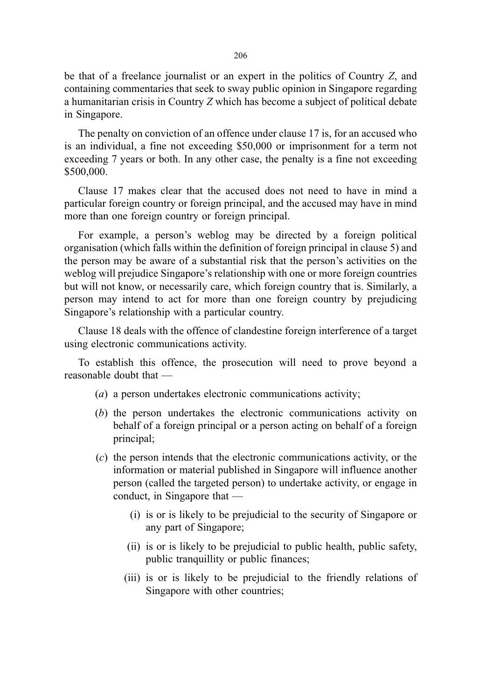be that of a freelance journalist or an expert in the politics of Country Z, and containing commentaries that seek to sway public opinion in Singapore regarding a humanitarian crisis in Country Z which has become a subject of political debate in Singapore.

The penalty on conviction of an offence under clause 17 is, for an accused who is an individual, a fine not exceeding \$50,000 or imprisonment for a term not exceeding 7 years or both. In any other case, the penalty is a fine not exceeding \$500,000.

Clause 17 makes clear that the accused does not need to have in mind a particular foreign country or foreign principal, and the accused may have in mind more than one foreign country or foreign principal.

For example, a person's weblog may be directed by a foreign political organisation (which falls within the definition of foreign principal in clause 5) and the person may be aware of a substantial risk that the person's activities on the weblog will prejudice Singapore's relationship with one or more foreign countries but will not know, or necessarily care, which foreign country that is. Similarly, a person may intend to act for more than one foreign country by prejudicing Singapore's relationship with a particular country.

Clause 18 deals with the offence of clandestine foreign interference of a target using electronic communications activity.

To establish this offence, the prosecution will need to prove beyond a reasonable doubt that —

- (a) a person undertakes electronic communications activity;
- (b) the person undertakes the electronic communications activity on behalf of a foreign principal or a person acting on behalf of a foreign principal;
- (c) the person intends that the electronic communications activity, or the information or material published in Singapore will influence another person (called the targeted person) to undertake activity, or engage in conduct, in Singapore that —
	- (i) is or is likely to be prejudicial to the security of Singapore or any part of Singapore;
	- (ii) is or is likely to be prejudicial to public health, public safety, public tranquillity or public finances;
	- (iii) is or is likely to be prejudicial to the friendly relations of Singapore with other countries;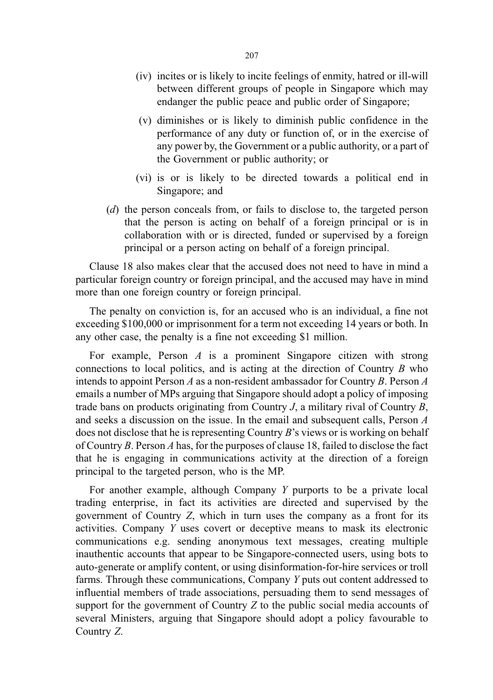- (iv) incites or is likely to incite feelings of enmity, hatred or ill-will between different groups of people in Singapore which may endanger the public peace and public order of Singapore;
- (v) diminishes or is likely to diminish public confidence in the performance of any duty or function of, or in the exercise of any power by, the Government or a public authority, or a part of the Government or public authority; or
- (vi) is or is likely to be directed towards a political end in Singapore; and
- (d) the person conceals from, or fails to disclose to, the targeted person that the person is acting on behalf of a foreign principal or is in collaboration with or is directed, funded or supervised by a foreign principal or a person acting on behalf of a foreign principal.

Clause 18 also makes clear that the accused does not need to have in mind a particular foreign country or foreign principal, and the accused may have in mind more than one foreign country or foreign principal.

The penalty on conviction is, for an accused who is an individual, a fine not exceeding \$100,000 or imprisonment for a term not exceeding 14 years or both. In any other case, the penalty is a fine not exceeding \$1 million.

For example, Person  $A$  is a prominent Singapore citizen with strong connections to local politics, and is acting at the direction of Country  $B$  who intends to appoint Person A as a non-resident ambassador for Country B. Person A emails a number of MPs arguing that Singapore should adopt a policy of imposing trade bans on products originating from Country  $J$ , a military rival of Country  $B$ , and seeks a discussion on the issue. In the email and subsequent calls, Person A does not disclose that he is representing Country B's views or is working on behalf of Country B. Person A has, for the purposes of clause 18, failed to disclose the fact that he is engaging in communications activity at the direction of a foreign principal to the targeted person, who is the MP.

For another example, although Company Y purports to be a private local trading enterprise, in fact its activities are directed and supervised by the government of Country Z, which in turn uses the company as a front for its activities. Company Y uses covert or deceptive means to mask its electronic communications e.g. sending anonymous text messages, creating multiple inauthentic accounts that appear to be Singapore-connected users, using bots to auto-generate or amplify content, or using disinformation-for-hire services or troll farms. Through these communications, Company Y puts out content addressed to influential members of trade associations, persuading them to send messages of support for the government of Country Z to the public social media accounts of several Ministers, arguing that Singapore should adopt a policy favourable to Country Z.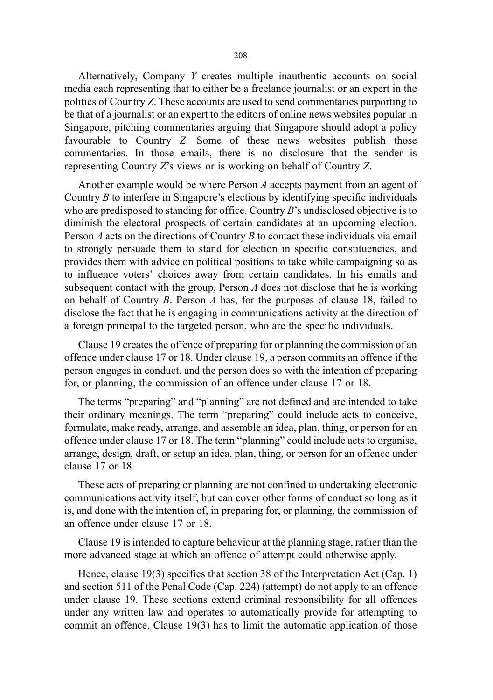Alternatively, Company Y creates multiple inauthentic accounts on social media each representing that to either be a freelance journalist or an expert in the politics of Country Z. These accounts are used to send commentaries purporting to be that of a journalist or an expert to the editors of online news websites popular in Singapore, pitching commentaries arguing that Singapore should adopt a policy favourable to Country Z. Some of these news websites publish those commentaries. In those emails, there is no disclosure that the sender is representing Country Z's views or is working on behalf of Country Z.

Another example would be where Person A accepts payment from an agent of Country B to interfere in Singapore's elections by identifying specific individuals who are predisposed to standing for office. Country B's undisclosed objective is to diminish the electoral prospects of certain candidates at an upcoming election. Person  $A$  acts on the directions of Country  $B$  to contact these individuals via email to strongly persuade them to stand for election in specific constituencies, and provides them with advice on political positions to take while campaigning so as to influence voters' choices away from certain candidates. In his emails and subsequent contact with the group, Person  $A$  does not disclose that he is working on behalf of Country B. Person A has, for the purposes of clause 18, failed to disclose the fact that he is engaging in communications activity at the direction of a foreign principal to the targeted person, who are the specific individuals.

Clause 19 creates the offence of preparing for or planning the commission of an offence under clause 17 or 18. Under clause 19, a person commits an offence if the person engages in conduct, and the person does so with the intention of preparing for, or planning, the commission of an offence under clause 17 or 18.

The terms "preparing" and "planning" are not defined and are intended to take their ordinary meanings. The term "preparing" could include acts to conceive, formulate, make ready, arrange, and assemble an idea, plan, thing, or person for an offence under clause 17 or 18. The term "planning" could include acts to organise, arrange, design, draft, or setup an idea, plan, thing, or person for an offence under clause 17 or 18.

These acts of preparing or planning are not confined to undertaking electronic communications activity itself, but can cover other forms of conduct so long as it is, and done with the intention of, in preparing for, or planning, the commission of an offence under clause 17 or 18.

Clause 19 is intended to capture behaviour at the planning stage, rather than the more advanced stage at which an offence of attempt could otherwise apply.

Hence, clause 19(3) specifies that section 38 of the Interpretation Act (Cap. 1) and section 511 of the Penal Code (Cap. 224) (attempt) do not apply to an offence under clause 19. These sections extend criminal responsibility for all offences under any written law and operates to automatically provide for attempting to commit an offence. Clause 19(3) has to limit the automatic application of those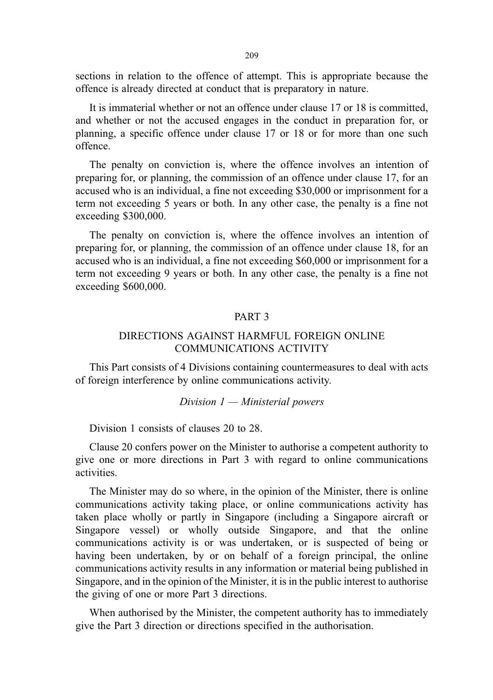209

sections in relation to the offence of attempt. This is appropriate because the offence is already directed at conduct that is preparatory in nature.

It is immaterial whether or not an offence under clause 17 or 18 is committed, and whether or not the accused engages in the conduct in preparation for, or planning, a specific offence under clause 17 or 18 or for more than one such offence.

The penalty on conviction is, where the offence involves an intention of preparing for, or planning, the commission of an offence under clause 17, for an accused who is an individual, a fine not exceeding \$30,000 or imprisonment for a term not exceeding 5 years or both. In any other case, the penalty is a fine not exceeding \$300,000.

The penalty on conviction is, where the offence involves an intention of preparing for, or planning, the commission of an offence under clause 18, for an accused who is an individual, a fine not exceeding \$60,000 or imprisonment for a term not exceeding 9 years or both. In any other case, the penalty is a fine not exceeding \$600,000.

### PART 3

## DIRECTIONS AGAINST HARMFUL FOREIGN ONLINE COMMUNICATIONS ACTIVITY

This Part consists of 4 Divisions containing countermeasures to deal with acts of foreign interference by online communications activity.

#### Division  $1 -$ Ministerial powers

Division 1 consists of clauses 20 to 28.

Clause 20 confers power on the Minister to authorise a competent authority to give one or more directions in Part 3 with regard to online communications activities.

The Minister may do so where, in the opinion of the Minister, there is online communications activity taking place, or online communications activity has taken place wholly or partly in Singapore (including a Singapore aircraft or Singapore vessel) or wholly outside Singapore, and that the online communications activity is or was undertaken, or is suspected of being or having been undertaken, by or on behalf of a foreign principal, the online communications activity results in any information or material being published in Singapore, and in the opinion of the Minister, it is in the public interest to authorise the giving of one or more Part 3 directions.

When authorised by the Minister, the competent authority has to immediately give the Part 3 direction or directions specified in the authorisation.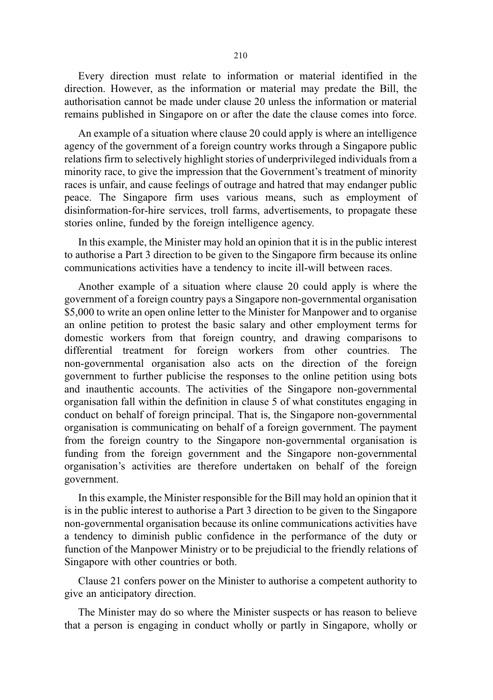Every direction must relate to information or material identified in the direction. However, as the information or material may predate the Bill, the authorisation cannot be made under clause 20 unless the information or material remains published in Singapore on or after the date the clause comes into force.

An example of a situation where clause 20 could apply is where an intelligence agency of the government of a foreign country works through a Singapore public relations firm to selectively highlight stories of underprivileged individuals from a minority race, to give the impression that the Government's treatment of minority races is unfair, and cause feelings of outrage and hatred that may endanger public peace. The Singapore firm uses various means, such as employment of disinformation-for-hire services, troll farms, advertisements, to propagate these stories online, funded by the foreign intelligence agency.

In this example, the Minister may hold an opinion that it is in the public interest to authorise a Part 3 direction to be given to the Singapore firm because its online communications activities have a tendency to incite ill-will between races.

Another example of a situation where clause 20 could apply is where the government of a foreign country pays a Singapore non-governmental organisation \$5,000 to write an open online letter to the Minister for Manpower and to organise an online petition to protest the basic salary and other employment terms for domestic workers from that foreign country, and drawing comparisons to differential treatment for foreign workers from other countries. The non-governmental organisation also acts on the direction of the foreign government to further publicise the responses to the online petition using bots and inauthentic accounts. The activities of the Singapore non-governmental organisation fall within the definition in clause 5 of what constitutes engaging in conduct on behalf of foreign principal. That is, the Singapore non-governmental organisation is communicating on behalf of a foreign government. The payment from the foreign country to the Singapore non-governmental organisation is funding from the foreign government and the Singapore non-governmental organisation's activities are therefore undertaken on behalf of the foreign government.

In this example, the Minister responsible for the Bill may hold an opinion that it is in the public interest to authorise a Part 3 direction to be given to the Singapore non-governmental organisation because its online communications activities have a tendency to diminish public confidence in the performance of the duty or function of the Manpower Ministry or to be prejudicial to the friendly relations of Singapore with other countries or both.

Clause 21 confers power on the Minister to authorise a competent authority to give an anticipatory direction.

The Minister may do so where the Minister suspects or has reason to believe that a person is engaging in conduct wholly or partly in Singapore, wholly or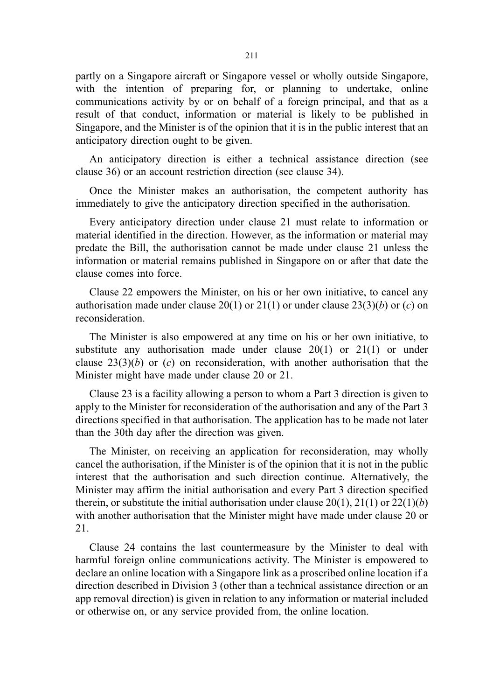partly on a Singapore aircraft or Singapore vessel or wholly outside Singapore, with the intention of preparing for, or planning to undertake, online communications activity by or on behalf of a foreign principal, and that as a result of that conduct, information or material is likely to be published in Singapore, and the Minister is of the opinion that it is in the public interest that an anticipatory direction ought to be given.

An anticipatory direction is either a technical assistance direction (see clause 36) or an account restriction direction (see clause 34).

Once the Minister makes an authorisation, the competent authority has immediately to give the anticipatory direction specified in the authorisation.

Every anticipatory direction under clause 21 must relate to information or material identified in the direction. However, as the information or material may predate the Bill, the authorisation cannot be made under clause 21 unless the information or material remains published in Singapore on or after that date the clause comes into force.

Clause 22 empowers the Minister, on his or her own initiative, to cancel any authorisation made under clause 20(1) or 21(1) or under clause 23(3)(b) or (c) on reconsideration.

The Minister is also empowered at any time on his or her own initiative, to substitute any authorisation made under clause  $20(1)$  or  $21(1)$  or under clause  $23(3)(b)$  or (c) on reconsideration, with another authorisation that the Minister might have made under clause 20 or 21.

Clause 23 is a facility allowing a person to whom a Part 3 direction is given to apply to the Minister for reconsideration of the authorisation and any of the Part 3 directions specified in that authorisation. The application has to be made not later than the 30th day after the direction was given.

The Minister, on receiving an application for reconsideration, may wholly cancel the authorisation, if the Minister is of the opinion that it is not in the public interest that the authorisation and such direction continue. Alternatively, the Minister may affirm the initial authorisation and every Part 3 direction specified therein, or substitute the initial authorisation under clause  $20(1)$ ,  $21(1)$  or  $22(1)(b)$ with another authorisation that the Minister might have made under clause 20 or 21.

Clause 24 contains the last countermeasure by the Minister to deal with harmful foreign online communications activity. The Minister is empowered to declare an online location with a Singapore link as a proscribed online location if a direction described in Division 3 (other than a technical assistance direction or an app removal direction) is given in relation to any information or material included or otherwise on, or any service provided from, the online location.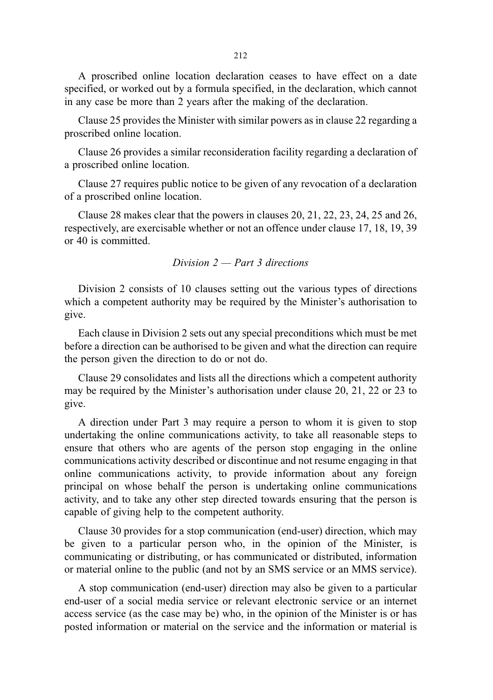A proscribed online location declaration ceases to have effect on a date specified, or worked out by a formula specified, in the declaration, which cannot in any case be more than 2 years after the making of the declaration.

Clause 25 provides the Minister with similar powers as in clause 22 regarding a proscribed online location.

Clause 26 provides a similar reconsideration facility regarding a declaration of a proscribed online location.

Clause 27 requires public notice to be given of any revocation of a declaration of a proscribed online location.

Clause 28 makes clear that the powers in clauses 20, 21, 22, 23, 24, 25 and 26, respectively, are exercisable whether or not an offence under clause 17, 18, 19, 39 or 40 is committed.

### Division  $2$  — Part 3 directions

Division 2 consists of 10 clauses setting out the various types of directions which a competent authority may be required by the Minister's authorisation to give.

Each clause in Division 2 sets out any special preconditions which must be met before a direction can be authorised to be given and what the direction can require the person given the direction to do or not do.

Clause 29 consolidates and lists all the directions which a competent authority may be required by the Minister's authorisation under clause 20, 21, 22 or 23 to give.

A direction under Part 3 may require a person to whom it is given to stop undertaking the online communications activity, to take all reasonable steps to ensure that others who are agents of the person stop engaging in the online communications activity described or discontinue and not resume engaging in that online communications activity, to provide information about any foreign principal on whose behalf the person is undertaking online communications activity, and to take any other step directed towards ensuring that the person is capable of giving help to the competent authority.

Clause 30 provides for a stop communication (end-user) direction, which may be given to a particular person who, in the opinion of the Minister, is communicating or distributing, or has communicated or distributed, information or material online to the public (and not by an SMS service or an MMS service).

A stop communication (end-user) direction may also be given to a particular end-user of a social media service or relevant electronic service or an internet access service (as the case may be) who, in the opinion of the Minister is or has posted information or material on the service and the information or material is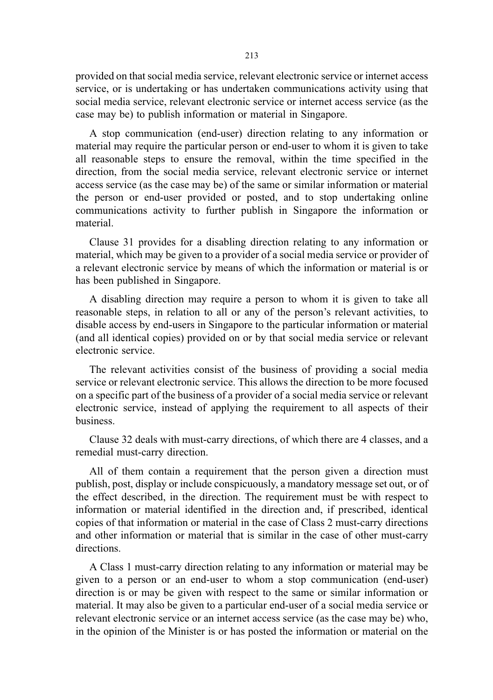provided on that social media service, relevant electronic service or internet access service, or is undertaking or has undertaken communications activity using that social media service, relevant electronic service or internet access service (as the case may be) to publish information or material in Singapore.

A stop communication (end-user) direction relating to any information or material may require the particular person or end-user to whom it is given to take all reasonable steps to ensure the removal, within the time specified in the direction, from the social media service, relevant electronic service or internet access service (as the case may be) of the same or similar information or material the person or end-user provided or posted, and to stop undertaking online communications activity to further publish in Singapore the information or material.

Clause 31 provides for a disabling direction relating to any information or material, which may be given to a provider of a social media service or provider of a relevant electronic service by means of which the information or material is or has been published in Singapore.

A disabling direction may require a person to whom it is given to take all reasonable steps, in relation to all or any of the person's relevant activities, to disable access by end-users in Singapore to the particular information or material (and all identical copies) provided on or by that social media service or relevant electronic service.

The relevant activities consist of the business of providing a social media service or relevant electronic service. This allows the direction to be more focused on a specific part of the business of a provider of a social media service or relevant electronic service, instead of applying the requirement to all aspects of their business.

Clause 32 deals with must-carry directions, of which there are 4 classes, and a remedial must-carry direction.

All of them contain a requirement that the person given a direction must publish, post, display or include conspicuously, a mandatory message set out, or of the effect described, in the direction. The requirement must be with respect to information or material identified in the direction and, if prescribed, identical copies of that information or material in the case of Class 2 must-carry directions and other information or material that is similar in the case of other must-carry directions.

A Class 1 must-carry direction relating to any information or material may be given to a person or an end-user to whom a stop communication (end-user) direction is or may be given with respect to the same or similar information or material. It may also be given to a particular end-user of a social media service or relevant electronic service or an internet access service (as the case may be) who, in the opinion of the Minister is or has posted the information or material on the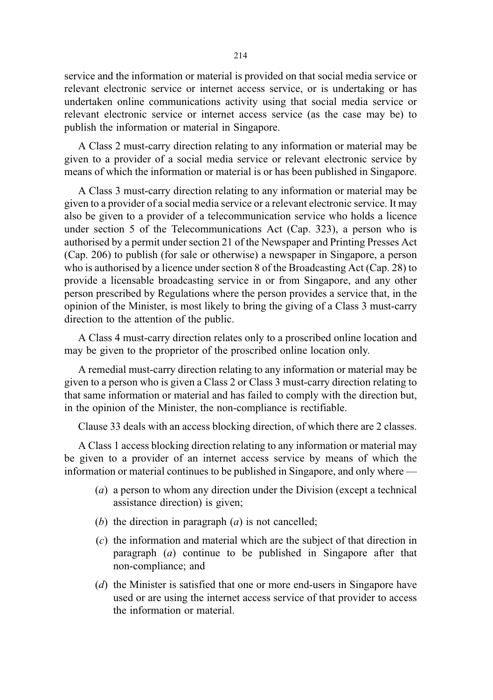service and the information or material is provided on that social media service or relevant electronic service or internet access service, or is undertaking or has undertaken online communications activity using that social media service or relevant electronic service or internet access service (as the case may be) to publish the information or material in Singapore.

A Class 2 must-carry direction relating to any information or material may be given to a provider of a social media service or relevant electronic service by means of which the information or material is or has been published in Singapore.

A Class 3 must-carry direction relating to any information or material may be given to a provider of a social media service or a relevant electronic service. It may also be given to a provider of a telecommunication service who holds a licence under section 5 of the Telecommunications Act (Cap. 323), a person who is authorised by a permit under section 21 of the Newspaper and Printing Presses Act (Cap. 206) to publish (for sale or otherwise) a newspaper in Singapore, a person who is authorised by a licence under section 8 of the Broadcasting Act (Cap. 28) to provide a licensable broadcasting service in or from Singapore, and any other person prescribed by Regulations where the person provides a service that, in the opinion of the Minister, is most likely to bring the giving of a Class 3 must-carry direction to the attention of the public.

A Class 4 must-carry direction relates only to a proscribed online location and may be given to the proprietor of the proscribed online location only.

A remedial must-carry direction relating to any information or material may be given to a person who is given a Class 2 or Class 3 must-carry direction relating to that same information or material and has failed to comply with the direction but, in the opinion of the Minister, the non-compliance is rectifiable.

Clause 33 deals with an access blocking direction, of which there are 2 classes.

A Class 1 access blocking direction relating to any information or material may be given to a provider of an internet access service by means of which the information or material continues to be published in Singapore, and only where —

- (a) a person to whom any direction under the Division (except a technical assistance direction) is given;
- (b) the direction in paragraph  $(a)$  is not cancelled;
- (c) the information and material which are the subject of that direction in paragraph (a) continue to be published in Singapore after that non-compliance; and
- (d) the Minister is satisfied that one or more end-users in Singapore have used or are using the internet access service of that provider to access the information or material.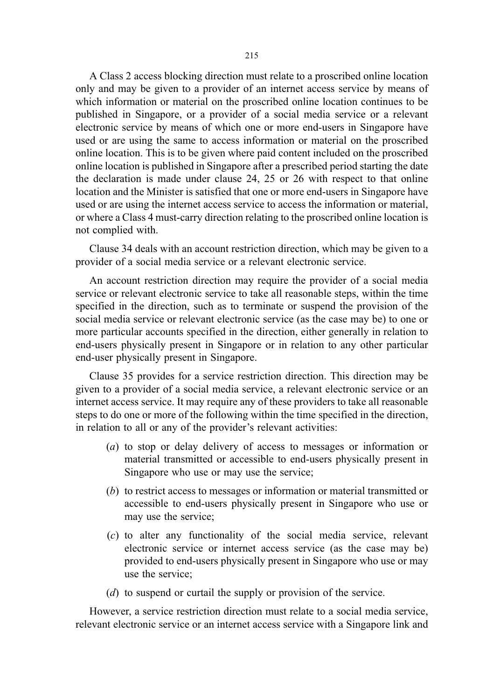A Class 2 access blocking direction must relate to a proscribed online location only and may be given to a provider of an internet access service by means of which information or material on the proscribed online location continues to be published in Singapore, or a provider of a social media service or a relevant electronic service by means of which one or more end-users in Singapore have used or are using the same to access information or material on the proscribed online location. This is to be given where paid content included on the proscribed online location is published in Singapore after a prescribed period starting the date the declaration is made under clause 24, 25 or 26 with respect to that online location and the Minister is satisfied that one or more end-users in Singapore have used or are using the internet access service to access the information or material, or where a Class 4 must-carry direction relating to the proscribed online location is not complied with.

Clause 34 deals with an account restriction direction, which may be given to a provider of a social media service or a relevant electronic service.

An account restriction direction may require the provider of a social media service or relevant electronic service to take all reasonable steps, within the time specified in the direction, such as to terminate or suspend the provision of the social media service or relevant electronic service (as the case may be) to one or more particular accounts specified in the direction, either generally in relation to end-users physically present in Singapore or in relation to any other particular end-user physically present in Singapore.

Clause 35 provides for a service restriction direction. This direction may be given to a provider of a social media service, a relevant electronic service or an internet access service. It may require any of these providers to take all reasonable steps to do one or more of the following within the time specified in the direction, in relation to all or any of the provider's relevant activities:

- (a) to stop or delay delivery of access to messages or information or material transmitted or accessible to end-users physically present in Singapore who use or may use the service;
- (b) to restrict access to messages or information or material transmitted or accessible to end-users physically present in Singapore who use or may use the service;
- (c) to alter any functionality of the social media service, relevant electronic service or internet access service (as the case may be) provided to end-users physically present in Singapore who use or may use the service;
- (d) to suspend or curtail the supply or provision of the service.

However, a service restriction direction must relate to a social media service, relevant electronic service or an internet access service with a Singapore link and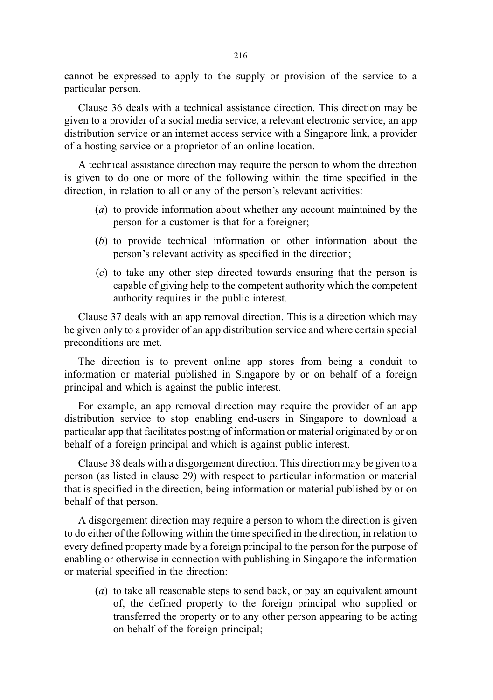cannot be expressed to apply to the supply or provision of the service to a particular person.

Clause 36 deals with a technical assistance direction. This direction may be given to a provider of a social media service, a relevant electronic service, an app distribution service or an internet access service with a Singapore link, a provider of a hosting service or a proprietor of an online location.

A technical assistance direction may require the person to whom the direction is given to do one or more of the following within the time specified in the direction, in relation to all or any of the person's relevant activities:

- (a) to provide information about whether any account maintained by the person for a customer is that for a foreigner;
- (b) to provide technical information or other information about the person's relevant activity as specified in the direction;
- (c) to take any other step directed towards ensuring that the person is capable of giving help to the competent authority which the competent authority requires in the public interest.

Clause 37 deals with an app removal direction. This is a direction which may be given only to a provider of an app distribution service and where certain special preconditions are met.

The direction is to prevent online app stores from being a conduit to information or material published in Singapore by or on behalf of a foreign principal and which is against the public interest.

For example, an app removal direction may require the provider of an app distribution service to stop enabling end-users in Singapore to download a particular app that facilitates posting of information or material originated by or on behalf of a foreign principal and which is against public interest.

Clause 38 deals with a disgorgement direction. This direction may be given to a person (as listed in clause 29) with respect to particular information or material that is specified in the direction, being information or material published by or on behalf of that person.

A disgorgement direction may require a person to whom the direction is given to do either of the following within the time specified in the direction, in relation to every defined property made by a foreign principal to the person for the purpose of enabling or otherwise in connection with publishing in Singapore the information or material specified in the direction:

(a) to take all reasonable steps to send back, or pay an equivalent amount of, the defined property to the foreign principal who supplied or transferred the property or to any other person appearing to be acting on behalf of the foreign principal;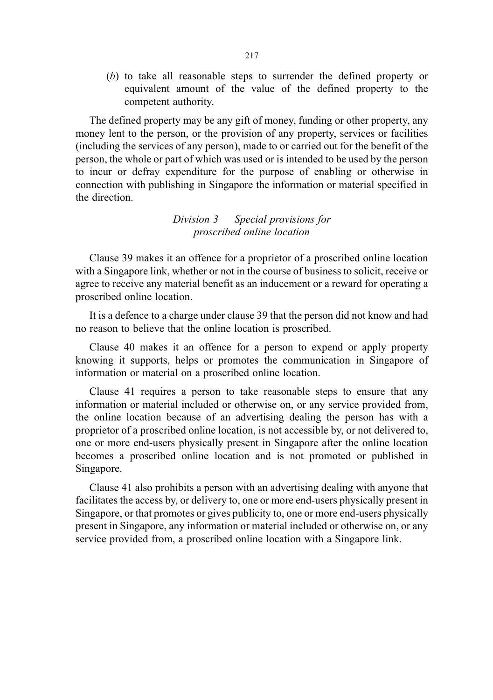(b) to take all reasonable steps to surrender the defined property or equivalent amount of the value of the defined property to the competent authority.

The defined property may be any gift of money, funding or other property, any money lent to the person, or the provision of any property, services or facilities (including the services of any person), made to or carried out for the benefit of the person, the whole or part of which was used or is intended to be used by the person to incur or defray expenditure for the purpose of enabling or otherwise in connection with publishing in Singapore the information or material specified in the direction.

> Division  $3$  — Special provisions for proscribed online location

Clause 39 makes it an offence for a proprietor of a proscribed online location with a Singapore link, whether or not in the course of business to solicit, receive or agree to receive any material benefit as an inducement or a reward for operating a proscribed online location.

It is a defence to a charge under clause 39 that the person did not know and had no reason to believe that the online location is proscribed.

Clause 40 makes it an offence for a person to expend or apply property knowing it supports, helps or promotes the communication in Singapore of information or material on a proscribed online location.

Clause 41 requires a person to take reasonable steps to ensure that any information or material included or otherwise on, or any service provided from, the online location because of an advertising dealing the person has with a proprietor of a proscribed online location, is not accessible by, or not delivered to, one or more end-users physically present in Singapore after the online location becomes a proscribed online location and is not promoted or published in Singapore.

Clause 41 also prohibits a person with an advertising dealing with anyone that facilitates the access by, or delivery to, one or more end-users physically present in Singapore, or that promotes or gives publicity to, one or more end-users physically present in Singapore, any information or material included or otherwise on, or any service provided from, a proscribed online location with a Singapore link.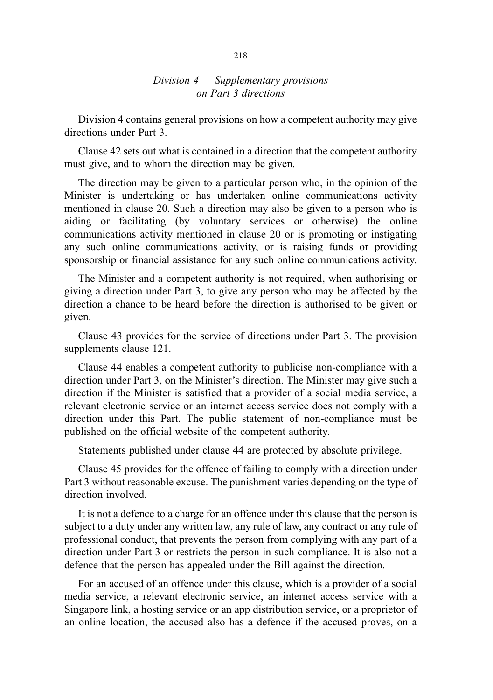## Division  $4 -$  Supplementary provisions on Part 3 directions

Division 4 contains general provisions on how a competent authority may give directions under Part 3.

Clause 42 sets out what is contained in a direction that the competent authority must give, and to whom the direction may be given.

The direction may be given to a particular person who, in the opinion of the Minister is undertaking or has undertaken online communications activity mentioned in clause 20. Such a direction may also be given to a person who is aiding or facilitating (by voluntary services or otherwise) the online communications activity mentioned in clause 20 or is promoting or instigating any such online communications activity, or is raising funds or providing sponsorship or financial assistance for any such online communications activity.

The Minister and a competent authority is not required, when authorising or giving a direction under Part 3, to give any person who may be affected by the direction a chance to be heard before the direction is authorised to be given or given.

Clause 43 provides for the service of directions under Part 3. The provision supplements clause 121.

Clause 44 enables a competent authority to publicise non-compliance with a direction under Part 3, on the Minister's direction. The Minister may give such a direction if the Minister is satisfied that a provider of a social media service, a relevant electronic service or an internet access service does not comply with a direction under this Part. The public statement of non-compliance must be published on the official website of the competent authority.

Statements published under clause 44 are protected by absolute privilege.

Clause 45 provides for the offence of failing to comply with a direction under Part 3 without reasonable excuse. The punishment varies depending on the type of direction involved.

It is not a defence to a charge for an offence under this clause that the person is subject to a duty under any written law, any rule of law, any contract or any rule of professional conduct, that prevents the person from complying with any part of a direction under Part 3 or restricts the person in such compliance. It is also not a defence that the person has appealed under the Bill against the direction.

For an accused of an offence under this clause, which is a provider of a social media service, a relevant electronic service, an internet access service with a Singapore link, a hosting service or an app distribution service, or a proprietor of an online location, the accused also has a defence if the accused proves, on a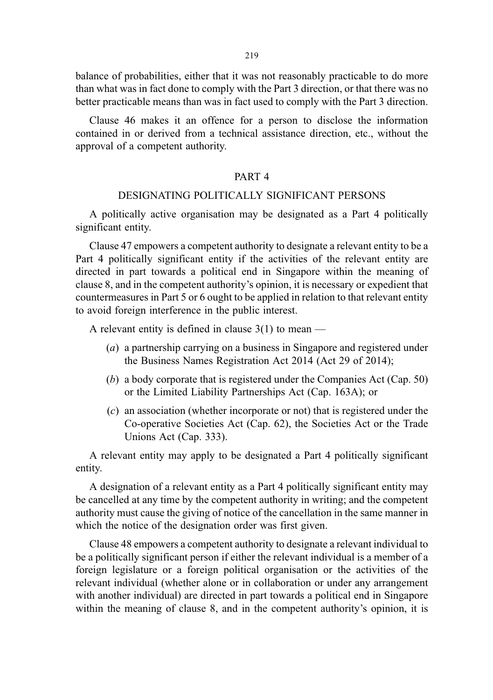balance of probabilities, either that it was not reasonably practicable to do more than what was in fact done to comply with the Part 3 direction, or that there was no better practicable means than was in fact used to comply with the Part 3 direction.

Clause 46 makes it an offence for a person to disclose the information contained in or derived from a technical assistance direction, etc., without the approval of a competent authority.

## PART 4

## DESIGNATING POLITICALLY SIGNIFICANT PERSONS

A politically active organisation may be designated as a Part 4 politically significant entity.

Clause 47 empowers a competent authority to designate a relevant entity to be a Part 4 politically significant entity if the activities of the relevant entity are directed in part towards a political end in Singapore within the meaning of clause 8, and in the competent authority's opinion, it is necessary or expedient that countermeasures in Part 5 or 6 ought to be applied in relation to that relevant entity to avoid foreign interference in the public interest.

A relevant entity is defined in clause  $3(1)$  to mean —

- (a) a partnership carrying on a business in Singapore and registered under the Business Names Registration Act 2014 (Act 29 of 2014);
- (b) a body corporate that is registered under the Companies Act (Cap. 50) or the Limited Liability Partnerships Act (Cap. 163A); or
- (c) an association (whether incorporate or not) that is registered under the Co-operative Societies Act (Cap. 62), the Societies Act or the Trade Unions Act (Cap. 333).

A relevant entity may apply to be designated a Part 4 politically significant entity.

A designation of a relevant entity as a Part 4 politically significant entity may be cancelled at any time by the competent authority in writing; and the competent authority must cause the giving of notice of the cancellation in the same manner in which the notice of the designation order was first given.

Clause 48 empowers a competent authority to designate a relevant individual to be a politically significant person if either the relevant individual is a member of a foreign legislature or a foreign political organisation or the activities of the relevant individual (whether alone or in collaboration or under any arrangement with another individual) are directed in part towards a political end in Singapore within the meaning of clause 8, and in the competent authority's opinion, it is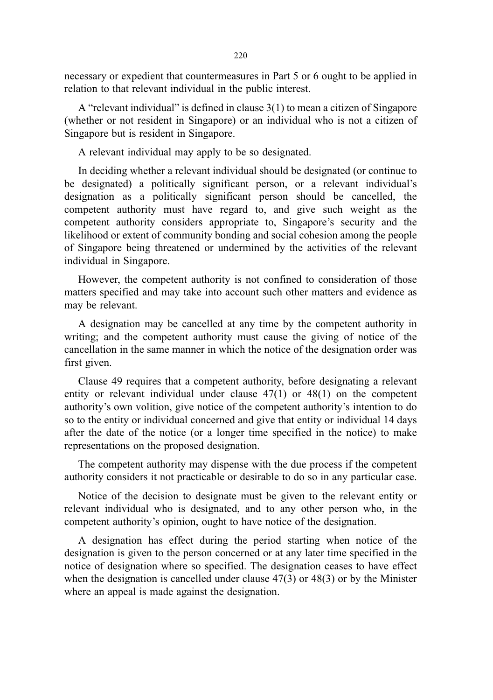necessary or expedient that countermeasures in Part 5 or 6 ought to be applied in relation to that relevant individual in the public interest.

A "relevant individual" is defined in clause 3(1) to mean a citizen of Singapore (whether or not resident in Singapore) or an individual who is not a citizen of Singapore but is resident in Singapore.

A relevant individual may apply to be so designated.

In deciding whether a relevant individual should be designated (or continue to be designated) a politically significant person, or a relevant individual's designation as a politically significant person should be cancelled, the competent authority must have regard to, and give such weight as the competent authority considers appropriate to, Singapore's security and the likelihood or extent of community bonding and social cohesion among the people of Singapore being threatened or undermined by the activities of the relevant individual in Singapore.

However, the competent authority is not confined to consideration of those matters specified and may take into account such other matters and evidence as may be relevant.

A designation may be cancelled at any time by the competent authority in writing; and the competent authority must cause the giving of notice of the cancellation in the same manner in which the notice of the designation order was first given.

Clause 49 requires that a competent authority, before designating a relevant entity or relevant individual under clause 47(1) or 48(1) on the competent authority's own volition, give notice of the competent authority's intention to do so to the entity or individual concerned and give that entity or individual 14 days after the date of the notice (or a longer time specified in the notice) to make representations on the proposed designation.

The competent authority may dispense with the due process if the competent authority considers it not practicable or desirable to do so in any particular case.

Notice of the decision to designate must be given to the relevant entity or relevant individual who is designated, and to any other person who, in the competent authority's opinion, ought to have notice of the designation.

A designation has effect during the period starting when notice of the designation is given to the person concerned or at any later time specified in the notice of designation where so specified. The designation ceases to have effect when the designation is cancelled under clause 47(3) or 48(3) or by the Minister where an appeal is made against the designation.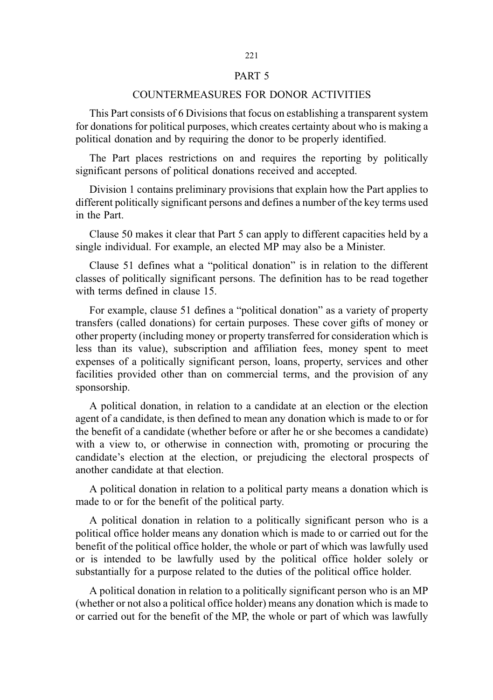## PART 5

### COUNTERMEASURES FOR DONOR ACTIVITIES

This Part consists of 6 Divisions that focus on establishing a transparent system for donations for political purposes, which creates certainty about who is making a political donation and by requiring the donor to be properly identified.

The Part places restrictions on and requires the reporting by politically significant persons of political donations received and accepted.

Division 1 contains preliminary provisions that explain how the Part applies to different politically significant persons and defines a number of the key terms used in the Part.

Clause 50 makes it clear that Part 5 can apply to different capacities held by a single individual. For example, an elected MP may also be a Minister.

Clause 51 defines what a "political donation" is in relation to the different classes of politically significant persons. The definition has to be read together with terms defined in clause 15.

For example, clause 51 defines a "political donation" as a variety of property transfers (called donations) for certain purposes. These cover gifts of money or other property (including money or property transferred for consideration which is less than its value), subscription and affiliation fees, money spent to meet expenses of a politically significant person, loans, property, services and other facilities provided other than on commercial terms, and the provision of any sponsorship.

A political donation, in relation to a candidate at an election or the election agent of a candidate, is then defined to mean any donation which is made to or for the benefit of a candidate (whether before or after he or she becomes a candidate) with a view to, or otherwise in connection with, promoting or procuring the candidate's election at the election, or prejudicing the electoral prospects of another candidate at that election.

A political donation in relation to a political party means a donation which is made to or for the benefit of the political party.

A political donation in relation to a politically significant person who is a political office holder means any donation which is made to or carried out for the benefit of the political office holder, the whole or part of which was lawfully used or is intended to be lawfully used by the political office holder solely or substantially for a purpose related to the duties of the political office holder.

A political donation in relation to a politically significant person who is an MP (whether or not also a political office holder) means any donation which is made to or carried out for the benefit of the MP, the whole or part of which was lawfully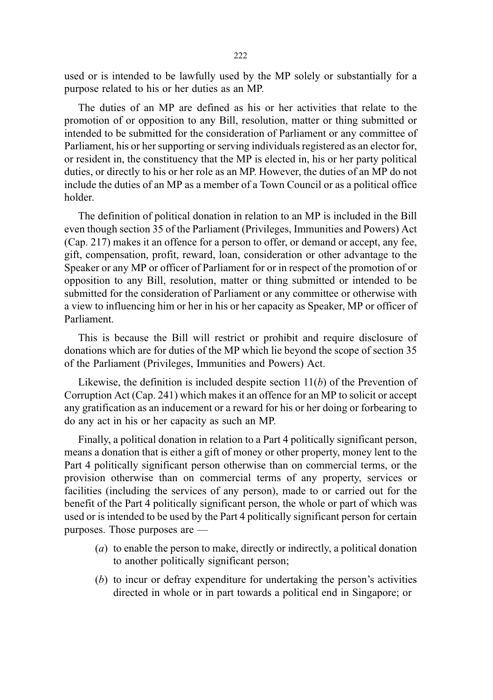used or is intended to be lawfully used by the MP solely or substantially for a purpose related to his or her duties as an MP.

The duties of an MP are defined as his or her activities that relate to the promotion of or opposition to any Bill, resolution, matter or thing submitted or intended to be submitted for the consideration of Parliament or any committee of Parliament, his or her supporting or serving individuals registered as an elector for, or resident in, the constituency that the MP is elected in, his or her party political duties, or directly to his or her role as an MP. However, the duties of an MP do not include the duties of an MP as a member of a Town Council or as a political office holder.

The definition of political donation in relation to an MP is included in the Bill even though section 35 of the Parliament (Privileges, Immunities and Powers) Act (Cap. 217) makes it an offence for a person to offer, or demand or accept, any fee, gift, compensation, profit, reward, loan, consideration or other advantage to the Speaker or any MP or officer of Parliament for or in respect of the promotion of or opposition to any Bill, resolution, matter or thing submitted or intended to be submitted for the consideration of Parliament or any committee or otherwise with a view to influencing him or her in his or her capacity as Speaker, MP or officer of Parliament.

This is because the Bill will restrict or prohibit and require disclosure of donations which are for duties of the MP which lie beyond the scope of section 35 of the Parliament (Privileges, Immunities and Powers) Act.

Likewise, the definition is included despite section  $11(b)$  of the Prevention of Corruption Act (Cap. 241) which makes it an offence for an MP to solicit or accept any gratification as an inducement or a reward for his or her doing or forbearing to do any act in his or her capacity as such an MP.

Finally, a political donation in relation to a Part 4 politically significant person, means a donation that is either a gift of money or other property, money lent to the Part 4 politically significant person otherwise than on commercial terms, or the provision otherwise than on commercial terms of any property, services or facilities (including the services of any person), made to or carried out for the benefit of the Part 4 politically significant person, the whole or part of which was used or is intended to be used by the Part 4 politically significant person for certain purposes. Those purposes are —

- (a) to enable the person to make, directly or indirectly, a political donation to another politically significant person;
- (b) to incur or defray expenditure for undertaking the person's activities directed in whole or in part towards a political end in Singapore; or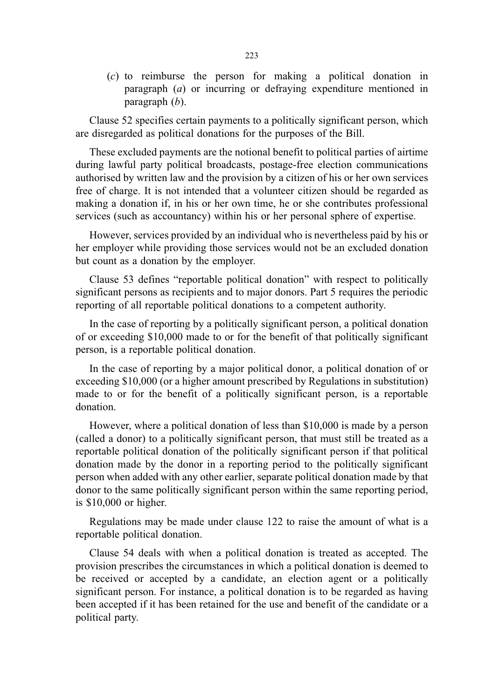(c) to reimburse the person for making a political donation in paragraph (a) or incurring or defraying expenditure mentioned in paragraph (b).

Clause 52 specifies certain payments to a politically significant person, which are disregarded as political donations for the purposes of the Bill.

These excluded payments are the notional benefit to political parties of airtime during lawful party political broadcasts, postage-free election communications authorised by written law and the provision by a citizen of his or her own services free of charge. It is not intended that a volunteer citizen should be regarded as making a donation if, in his or her own time, he or she contributes professional services (such as accountancy) within his or her personal sphere of expertise.

However, services provided by an individual who is nevertheless paid by his or her employer while providing those services would not be an excluded donation but count as a donation by the employer.

Clause 53 defines "reportable political donation" with respect to politically significant persons as recipients and to major donors. Part 5 requires the periodic reporting of all reportable political donations to a competent authority.

In the case of reporting by a politically significant person, a political donation of or exceeding \$10,000 made to or for the benefit of that politically significant person, is a reportable political donation.

In the case of reporting by a major political donor, a political donation of or exceeding \$10,000 (or a higher amount prescribed by Regulations in substitution) made to or for the benefit of a politically significant person, is a reportable donation.

However, where a political donation of less than \$10,000 is made by a person (called a donor) to a politically significant person, that must still be treated as a reportable political donation of the politically significant person if that political donation made by the donor in a reporting period to the politically significant person when added with any other earlier, separate political donation made by that donor to the same politically significant person within the same reporting period, is \$10,000 or higher.

Regulations may be made under clause 122 to raise the amount of what is a reportable political donation.

Clause 54 deals with when a political donation is treated as accepted. The provision prescribes the circumstances in which a political donation is deemed to be received or accepted by a candidate, an election agent or a politically significant person. For instance, a political donation is to be regarded as having been accepted if it has been retained for the use and benefit of the candidate or a political party.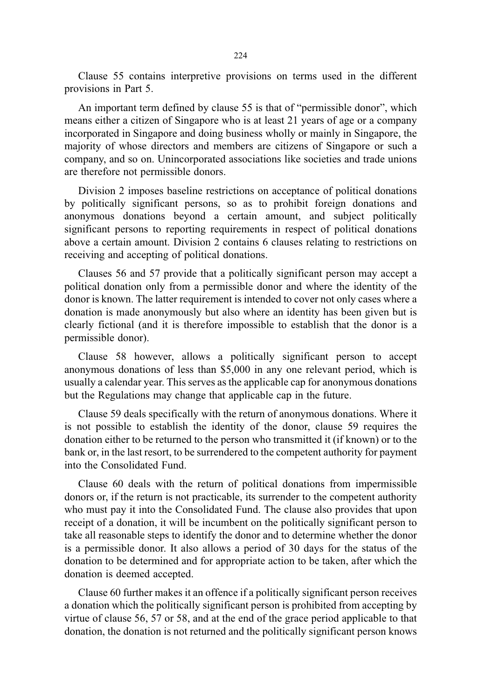Clause 55 contains interpretive provisions on terms used in the different provisions in Part 5.

An important term defined by clause 55 is that of "permissible donor", which means either a citizen of Singapore who is at least 21 years of age or a company incorporated in Singapore and doing business wholly or mainly in Singapore, the majority of whose directors and members are citizens of Singapore or such a company, and so on. Unincorporated associations like societies and trade unions are therefore not permissible donors.

Division 2 imposes baseline restrictions on acceptance of political donations by politically significant persons, so as to prohibit foreign donations and anonymous donations beyond a certain amount, and subject politically significant persons to reporting requirements in respect of political donations above a certain amount. Division 2 contains 6 clauses relating to restrictions on receiving and accepting of political donations.

Clauses 56 and 57 provide that a politically significant person may accept a political donation only from a permissible donor and where the identity of the donor is known. The latter requirement is intended to cover not only cases where a donation is made anonymously but also where an identity has been given but is clearly fictional (and it is therefore impossible to establish that the donor is a permissible donor).

Clause 58 however, allows a politically significant person to accept anonymous donations of less than \$5,000 in any one relevant period, which is usually a calendar year. This serves as the applicable cap for anonymous donations but the Regulations may change that applicable cap in the future.

Clause 59 deals specifically with the return of anonymous donations. Where it is not possible to establish the identity of the donor, clause 59 requires the donation either to be returned to the person who transmitted it (if known) or to the bank or, in the last resort, to be surrendered to the competent authority for payment into the Consolidated Fund.

Clause 60 deals with the return of political donations from impermissible donors or, if the return is not practicable, its surrender to the competent authority who must pay it into the Consolidated Fund. The clause also provides that upon receipt of a donation, it will be incumbent on the politically significant person to take all reasonable steps to identify the donor and to determine whether the donor is a permissible donor. It also allows a period of 30 days for the status of the donation to be determined and for appropriate action to be taken, after which the donation is deemed accepted.

Clause 60 further makes it an offence if a politically significant person receives a donation which the politically significant person is prohibited from accepting by virtue of clause 56, 57 or 58, and at the end of the grace period applicable to that donation, the donation is not returned and the politically significant person knows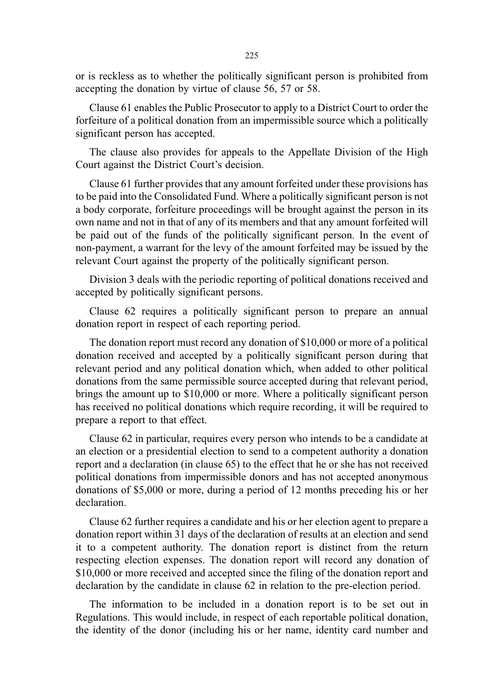or is reckless as to whether the politically significant person is prohibited from accepting the donation by virtue of clause 56, 57 or 58.

Clause 61 enables the Public Prosecutor to apply to a District Court to order the forfeiture of a political donation from an impermissible source which a politically significant person has accepted.

The clause also provides for appeals to the Appellate Division of the High Court against the District Court's decision.

Clause 61 further provides that any amount forfeited under these provisions has to be paid into the Consolidated Fund. Where a politically significant person is not a body corporate, forfeiture proceedings will be brought against the person in its own name and not in that of any of its members and that any amount forfeited will be paid out of the funds of the politically significant person. In the event of non-payment, a warrant for the levy of the amount forfeited may be issued by the relevant Court against the property of the politically significant person.

Division 3 deals with the periodic reporting of political donations received and accepted by politically significant persons.

Clause 62 requires a politically significant person to prepare an annual donation report in respect of each reporting period.

The donation report must record any donation of \$10,000 or more of a political donation received and accepted by a politically significant person during that relevant period and any political donation which, when added to other political donations from the same permissible source accepted during that relevant period, brings the amount up to \$10,000 or more. Where a politically significant person has received no political donations which require recording, it will be required to prepare a report to that effect.

Clause 62 in particular, requires every person who intends to be a candidate at an election or a presidential election to send to a competent authority a donation report and a declaration (in clause 65) to the effect that he or she has not received political donations from impermissible donors and has not accepted anonymous donations of \$5,000 or more, during a period of 12 months preceding his or her declaration.

Clause 62 further requires a candidate and his or her election agent to prepare a donation report within 31 days of the declaration of results at an election and send it to a competent authority. The donation report is distinct from the return respecting election expenses. The donation report will record any donation of \$10,000 or more received and accepted since the filing of the donation report and declaration by the candidate in clause 62 in relation to the pre-election period.

The information to be included in a donation report is to be set out in Regulations. This would include, in respect of each reportable political donation, the identity of the donor (including his or her name, identity card number and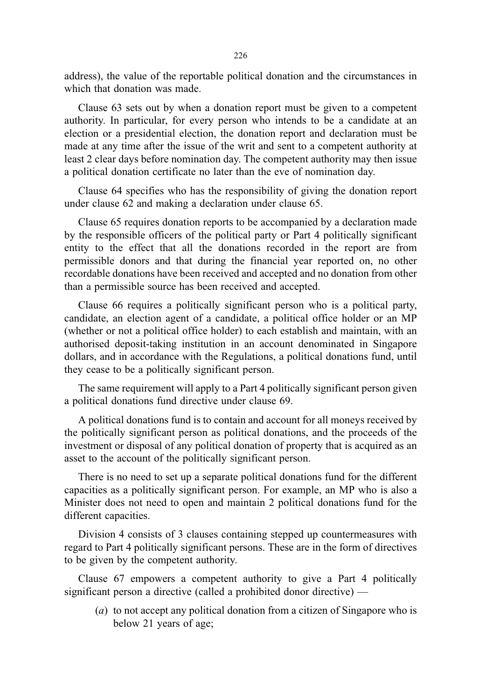address), the value of the reportable political donation and the circumstances in which that donation was made.

Clause 63 sets out by when a donation report must be given to a competent authority. In particular, for every person who intends to be a candidate at an election or a presidential election, the donation report and declaration must be made at any time after the issue of the writ and sent to a competent authority at least 2 clear days before nomination day. The competent authority may then issue a political donation certificate no later than the eve of nomination day.

Clause 64 specifies who has the responsibility of giving the donation report under clause 62 and making a declaration under clause 65.

Clause 65 requires donation reports to be accompanied by a declaration made by the responsible officers of the political party or Part 4 politically significant entity to the effect that all the donations recorded in the report are from permissible donors and that during the financial year reported on, no other recordable donations have been received and accepted and no donation from other than a permissible source has been received and accepted.

Clause 66 requires a politically significant person who is a political party, candidate, an election agent of a candidate, a political office holder or an MP (whether or not a political office holder) to each establish and maintain, with an authorised deposit-taking institution in an account denominated in Singapore dollars, and in accordance with the Regulations, a political donations fund, until they cease to be a politically significant person.

The same requirement will apply to a Part 4 politically significant person given a political donations fund directive under clause 69.

A political donations fund is to contain and account for all moneys received by the politically significant person as political donations, and the proceeds of the investment or disposal of any political donation of property that is acquired as an asset to the account of the politically significant person.

There is no need to set up a separate political donations fund for the different capacities as a politically significant person. For example, an MP who is also a Minister does not need to open and maintain 2 political donations fund for the different capacities.

Division 4 consists of 3 clauses containing stepped up countermeasures with regard to Part 4 politically significant persons. These are in the form of directives to be given by the competent authority.

Clause 67 empowers a competent authority to give a Part 4 politically significant person a directive (called a prohibited donor directive) —

(a) to not accept any political donation from a citizen of Singapore who is below 21 years of age;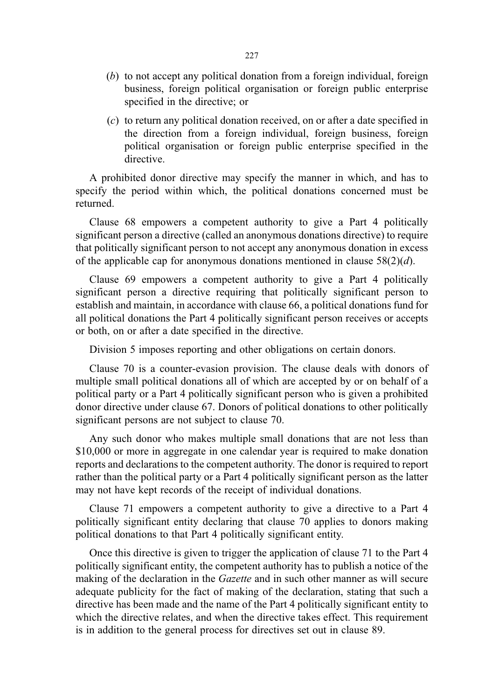- (b) to not accept any political donation from a foreign individual, foreign business, foreign political organisation or foreign public enterprise specified in the directive; or
- (c) to return any political donation received, on or after a date specified in the direction from a foreign individual, foreign business, foreign political organisation or foreign public enterprise specified in the directive.

A prohibited donor directive may specify the manner in which, and has to specify the period within which, the political donations concerned must be returned.

Clause 68 empowers a competent authority to give a Part 4 politically significant person a directive (called an anonymous donations directive) to require that politically significant person to not accept any anonymous donation in excess of the applicable cap for anonymous donations mentioned in clause  $58(2)(d)$ .

Clause 69 empowers a competent authority to give a Part 4 politically significant person a directive requiring that politically significant person to establish and maintain, in accordance with clause 66, a political donations fund for all political donations the Part 4 politically significant person receives or accepts or both, on or after a date specified in the directive.

Division 5 imposes reporting and other obligations on certain donors.

Clause 70 is a counter-evasion provision. The clause deals with donors of multiple small political donations all of which are accepted by or on behalf of a political party or a Part 4 politically significant person who is given a prohibited donor directive under clause 67. Donors of political donations to other politically significant persons are not subject to clause 70.

Any such donor who makes multiple small donations that are not less than \$10,000 or more in aggregate in one calendar year is required to make donation reports and declarations to the competent authority. The donor is required to report rather than the political party or a Part 4 politically significant person as the latter may not have kept records of the receipt of individual donations.

Clause 71 empowers a competent authority to give a directive to a Part 4 politically significant entity declaring that clause 70 applies to donors making political donations to that Part 4 politically significant entity.

Once this directive is given to trigger the application of clause 71 to the Part 4 politically significant entity, the competent authority has to publish a notice of the making of the declaration in the *Gazette* and in such other manner as will secure adequate publicity for the fact of making of the declaration, stating that such a directive has been made and the name of the Part 4 politically significant entity to which the directive relates, and when the directive takes effect. This requirement is in addition to the general process for directives set out in clause 89.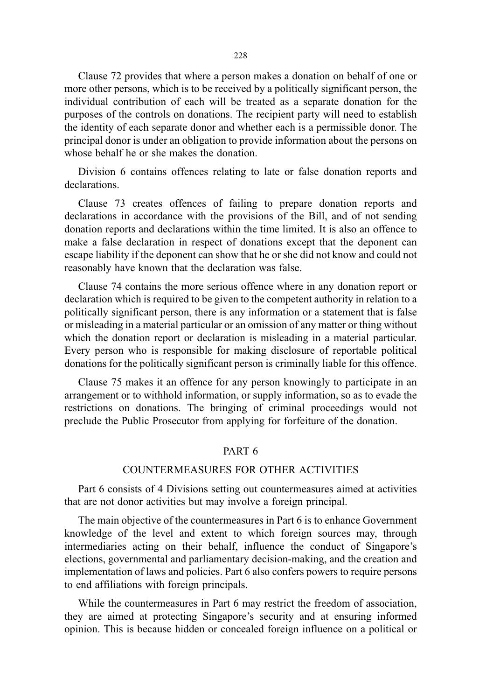Clause 72 provides that where a person makes a donation on behalf of one or more other persons, which is to be received by a politically significant person, the individual contribution of each will be treated as a separate donation for the purposes of the controls on donations. The recipient party will need to establish the identity of each separate donor and whether each is a permissible donor. The principal donor is under an obligation to provide information about the persons on whose behalf he or she makes the donation.

Division 6 contains offences relating to late or false donation reports and declarations.

Clause 73 creates offences of failing to prepare donation reports and declarations in accordance with the provisions of the Bill, and of not sending donation reports and declarations within the time limited. It is also an offence to make a false declaration in respect of donations except that the deponent can escape liability if the deponent can show that he or she did not know and could not reasonably have known that the declaration was false.

Clause 74 contains the more serious offence where in any donation report or declaration which is required to be given to the competent authority in relation to a politically significant person, there is any information or a statement that is false or misleading in a material particular or an omission of any matter or thing without which the donation report or declaration is misleading in a material particular. Every person who is responsible for making disclosure of reportable political donations for the politically significant person is criminally liable for this offence.

Clause 75 makes it an offence for any person knowingly to participate in an arrangement or to withhold information, or supply information, so as to evade the restrictions on donations. The bringing of criminal proceedings would not preclude the Public Prosecutor from applying for forfeiture of the donation.

## PART 6

## COUNTERMEASURES FOR OTHER ACTIVITIES

Part 6 consists of 4 Divisions setting out countermeasures aimed at activities that are not donor activities but may involve a foreign principal.

The main objective of the countermeasures in Part 6 is to enhance Government knowledge of the level and extent to which foreign sources may, through intermediaries acting on their behalf, influence the conduct of Singapore's elections, governmental and parliamentary decision-making, and the creation and implementation of laws and policies. Part 6 also confers powers to require persons to end affiliations with foreign principals.

While the countermeasures in Part 6 may restrict the freedom of association, they are aimed at protecting Singapore's security and at ensuring informed opinion. This is because hidden or concealed foreign influence on a political or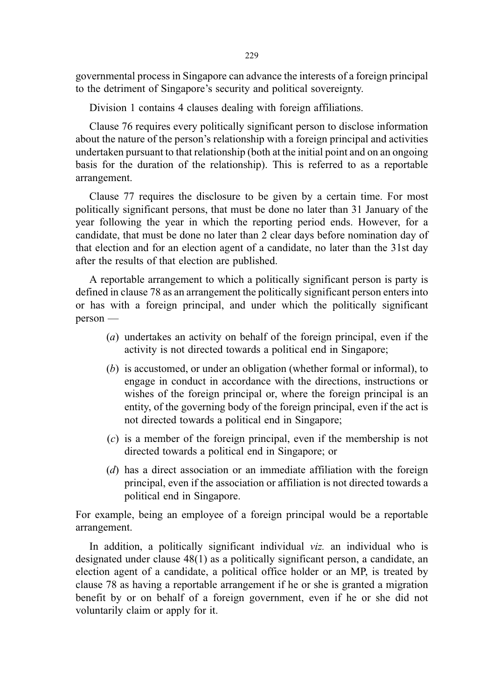governmental process in Singapore can advance the interests of a foreign principal to the detriment of Singapore's security and political sovereignty.

Division 1 contains 4 clauses dealing with foreign affiliations.

Clause 76 requires every politically significant person to disclose information about the nature of the person's relationship with a foreign principal and activities undertaken pursuant to that relationship (both at the initial point and on an ongoing basis for the duration of the relationship). This is referred to as a reportable arrangement.

Clause 77 requires the disclosure to be given by a certain time. For most politically significant persons, that must be done no later than 31 January of the year following the year in which the reporting period ends. However, for a candidate, that must be done no later than 2 clear days before nomination day of that election and for an election agent of a candidate, no later than the 31st day after the results of that election are published.

A reportable arrangement to which a politically significant person is party is defined in clause 78 as an arrangement the politically significant person enters into or has with a foreign principal, and under which the politically significant person —

- (a) undertakes an activity on behalf of the foreign principal, even if the activity is not directed towards a political end in Singapore;
- (b) is accustomed, or under an obligation (whether formal or informal), to engage in conduct in accordance with the directions, instructions or wishes of the foreign principal or, where the foreign principal is an entity, of the governing body of the foreign principal, even if the act is not directed towards a political end in Singapore;
- (c) is a member of the foreign principal, even if the membership is not directed towards a political end in Singapore; or
- (d) has a direct association or an immediate affiliation with the foreign principal, even if the association or affiliation is not directed towards a political end in Singapore.

For example, being an employee of a foreign principal would be a reportable arrangement.

In addition, a politically significant individual viz. an individual who is designated under clause 48(1) as a politically significant person, a candidate, an election agent of a candidate, a political office holder or an MP, is treated by clause 78 as having a reportable arrangement if he or she is granted a migration benefit by or on behalf of a foreign government, even if he or she did not voluntarily claim or apply for it.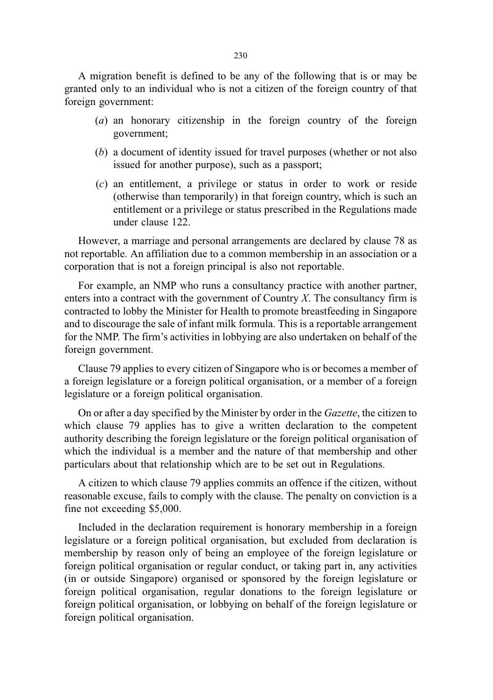A migration benefit is defined to be any of the following that is or may be granted only to an individual who is not a citizen of the foreign country of that foreign government:

- (a) an honorary citizenship in the foreign country of the foreign government;
- (b) a document of identity issued for travel purposes (whether or not also issued for another purpose), such as a passport;
- (c) an entitlement, a privilege or status in order to work or reside (otherwise than temporarily) in that foreign country, which is such an entitlement or a privilege or status prescribed in the Regulations made under clause 122.

However, a marriage and personal arrangements are declared by clause 78 as not reportable. An affiliation due to a common membership in an association or a corporation that is not a foreign principal is also not reportable.

For example, an NMP who runs a consultancy practice with another partner, enters into a contract with the government of Country X. The consultancy firm is contracted to lobby the Minister for Health to promote breastfeeding in Singapore and to discourage the sale of infant milk formula. This is a reportable arrangement for the NMP. The firm's activities in lobbying are also undertaken on behalf of the foreign government.

Clause 79 applies to every citizen of Singapore who is or becomes a member of a foreign legislature or a foreign political organisation, or a member of a foreign legislature or a foreign political organisation.

On or after a day specified by the Minister by order in the Gazette, the citizen to which clause 79 applies has to give a written declaration to the competent authority describing the foreign legislature or the foreign political organisation of which the individual is a member and the nature of that membership and other particulars about that relationship which are to be set out in Regulations.

A citizen to which clause 79 applies commits an offence if the citizen, without reasonable excuse, fails to comply with the clause. The penalty on conviction is a fine not exceeding \$5,000.

Included in the declaration requirement is honorary membership in a foreign legislature or a foreign political organisation, but excluded from declaration is membership by reason only of being an employee of the foreign legislature or foreign political organisation or regular conduct, or taking part in, any activities (in or outside Singapore) organised or sponsored by the foreign legislature or foreign political organisation, regular donations to the foreign legislature or foreign political organisation, or lobbying on behalf of the foreign legislature or foreign political organisation.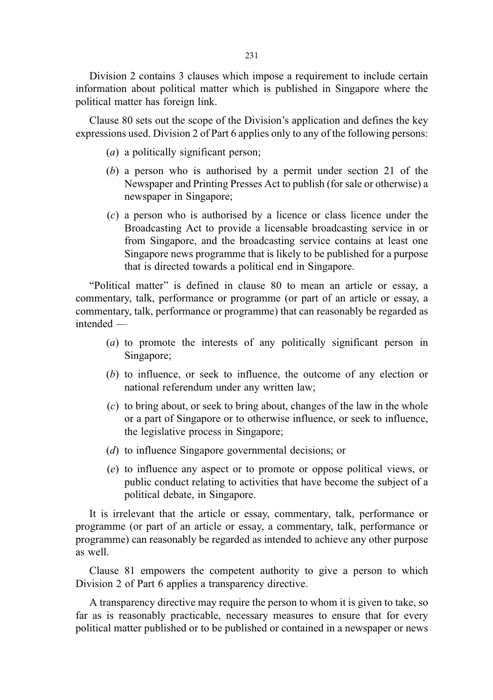Division 2 contains 3 clauses which impose a requirement to include certain information about political matter which is published in Singapore where the political matter has foreign link.

Clause 80 sets out the scope of the Division's application and defines the key expressions used. Division 2 of Part 6 applies only to any of the following persons:

- (a) a politically significant person;
- (b) a person who is authorised by a permit under section 21 of the Newspaper and Printing Presses Act to publish (for sale or otherwise) a newspaper in Singapore;
- (c) a person who is authorised by a licence or class licence under the Broadcasting Act to provide a licensable broadcasting service in or from Singapore, and the broadcasting service contains at least one Singapore news programme that is likely to be published for a purpose that is directed towards a political end in Singapore.

"Political matter" is defined in clause 80 to mean an article or essay, a commentary, talk, performance or programme (or part of an article or essay, a commentary, talk, performance or programme) that can reasonably be regarded as intended —

- (a) to promote the interests of any politically significant person in Singapore;
- (b) to influence, or seek to influence, the outcome of any election or national referendum under any written law;
- (c) to bring about, or seek to bring about, changes of the law in the whole or a part of Singapore or to otherwise influence, or seek to influence, the legislative process in Singapore;
- (d) to influence Singapore governmental decisions; or
- (e) to influence any aspect or to promote or oppose political views, or public conduct relating to activities that have become the subject of a political debate, in Singapore.

It is irrelevant that the article or essay, commentary, talk, performance or programme (or part of an article or essay, a commentary, talk, performance or programme) can reasonably be regarded as intended to achieve any other purpose as well.

Clause 81 empowers the competent authority to give a person to which Division 2 of Part 6 applies a transparency directive.

A transparency directive may require the person to whom it is given to take, so far as is reasonably practicable, necessary measures to ensure that for every political matter published or to be published or contained in a newspaper or news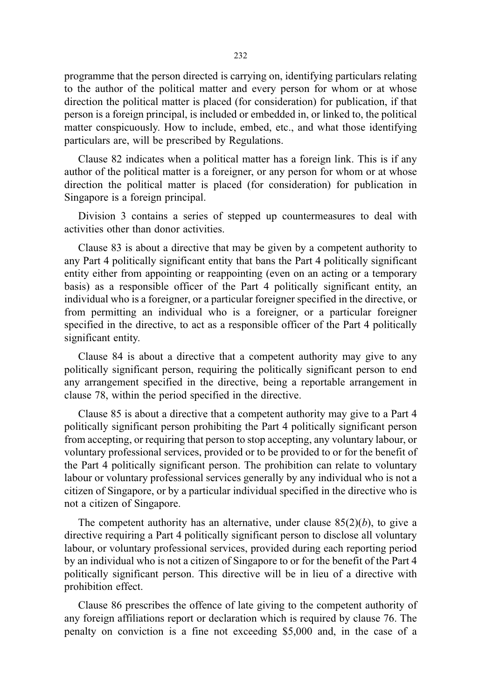programme that the person directed is carrying on, identifying particulars relating to the author of the political matter and every person for whom or at whose direction the political matter is placed (for consideration) for publication, if that person is a foreign principal, is included or embedded in, or linked to, the political matter conspicuously. How to include, embed, etc., and what those identifying particulars are, will be prescribed by Regulations.

Clause 82 indicates when a political matter has a foreign link. This is if any author of the political matter is a foreigner, or any person for whom or at whose direction the political matter is placed (for consideration) for publication in Singapore is a foreign principal.

Division 3 contains a series of stepped up countermeasures to deal with activities other than donor activities.

Clause 83 is about a directive that may be given by a competent authority to any Part 4 politically significant entity that bans the Part 4 politically significant entity either from appointing or reappointing (even on an acting or a temporary basis) as a responsible officer of the Part 4 politically significant entity, an individual who is a foreigner, or a particular foreigner specified in the directive, or from permitting an individual who is a foreigner, or a particular foreigner specified in the directive, to act as a responsible officer of the Part 4 politically significant entity.

Clause 84 is about a directive that a competent authority may give to any politically significant person, requiring the politically significant person to end any arrangement specified in the directive, being a reportable arrangement in clause 78, within the period specified in the directive.

Clause 85 is about a directive that a competent authority may give to a Part 4 politically significant person prohibiting the Part 4 politically significant person from accepting, or requiring that person to stop accepting, any voluntary labour, or voluntary professional services, provided or to be provided to or for the benefit of the Part 4 politically significant person. The prohibition can relate to voluntary labour or voluntary professional services generally by any individual who is not a citizen of Singapore, or by a particular individual specified in the directive who is not a citizen of Singapore.

The competent authority has an alternative, under clause  $85(2)(b)$ , to give a directive requiring a Part 4 politically significant person to disclose all voluntary labour, or voluntary professional services, provided during each reporting period by an individual who is not a citizen of Singapore to or for the benefit of the Part 4 politically significant person. This directive will be in lieu of a directive with prohibition effect.

Clause 86 prescribes the offence of late giving to the competent authority of any foreign affiliations report or declaration which is required by clause 76. The penalty on conviction is a fine not exceeding \$5,000 and, in the case of a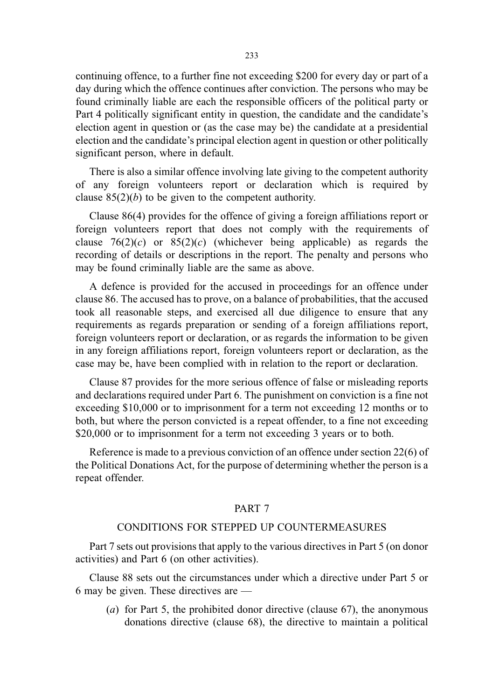continuing offence, to a further fine not exceeding \$200 for every day or part of a day during which the offence continues after conviction. The persons who may be found criminally liable are each the responsible officers of the political party or Part 4 politically significant entity in question, the candidate and the candidate's election agent in question or (as the case may be) the candidate at a presidential election and the candidate's principal election agent in question or other politically significant person, where in default.

There is also a similar offence involving late giving to the competent authority of any foreign volunteers report or declaration which is required by clause  $85(2)(b)$  to be given to the competent authority.

Clause 86(4) provides for the offence of giving a foreign affiliations report or foreign volunteers report that does not comply with the requirements of clause  $76(2)(c)$  or  $85(2)(c)$  (whichever being applicable) as regards the recording of details or descriptions in the report. The penalty and persons who may be found criminally liable are the same as above.

A defence is provided for the accused in proceedings for an offence under clause 86. The accused has to prove, on a balance of probabilities, that the accused took all reasonable steps, and exercised all due diligence to ensure that any requirements as regards preparation or sending of a foreign affiliations report, foreign volunteers report or declaration, or as regards the information to be given in any foreign affiliations report, foreign volunteers report or declaration, as the case may be, have been complied with in relation to the report or declaration.

Clause 87 provides for the more serious offence of false or misleading reports and declarations required under Part 6. The punishment on conviction is a fine not exceeding \$10,000 or to imprisonment for a term not exceeding 12 months or to both, but where the person convicted is a repeat offender, to a fine not exceeding \$20,000 or to imprisonment for a term not exceeding 3 years or to both.

Reference is made to a previous conviction of an offence under section 22(6) of the Political Donations Act, for the purpose of determining whether the person is a repeat offender.

## PART 7

## CONDITIONS FOR STEPPED UP COUNTERMEASURES

Part 7 sets out provisions that apply to the various directives in Part 5 (on donor activities) and Part 6 (on other activities).

Clause 88 sets out the circumstances under which a directive under Part 5 or 6 may be given. These directives are —

(a) for Part 5, the prohibited donor directive (clause 67), the anonymous donations directive (clause 68), the directive to maintain a political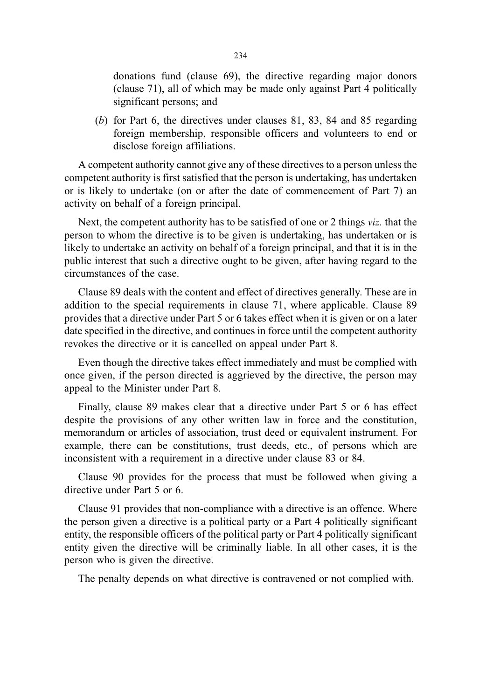donations fund (clause 69), the directive regarding major donors (clause 71), all of which may be made only against Part 4 politically significant persons; and

(b) for Part 6, the directives under clauses 81, 83, 84 and 85 regarding foreign membership, responsible officers and volunteers to end or disclose foreign affiliations.

A competent authority cannot give any of these directives to a person unless the competent authority is first satisfied that the person is undertaking, has undertaken or is likely to undertake (on or after the date of commencement of Part 7) an activity on behalf of a foreign principal.

Next, the competent authority has to be satisfied of one or 2 things viz. that the person to whom the directive is to be given is undertaking, has undertaken or is likely to undertake an activity on behalf of a foreign principal, and that it is in the public interest that such a directive ought to be given, after having regard to the circumstances of the case.

Clause 89 deals with the content and effect of directives generally. These are in addition to the special requirements in clause 71, where applicable. Clause 89 provides that a directive under Part 5 or 6 takes effect when it is given or on a later date specified in the directive, and continues in force until the competent authority revokes the directive or it is cancelled on appeal under Part 8.

Even though the directive takes effect immediately and must be complied with once given, if the person directed is aggrieved by the directive, the person may appeal to the Minister under Part 8.

Finally, clause 89 makes clear that a directive under Part 5 or 6 has effect despite the provisions of any other written law in force and the constitution, memorandum or articles of association, trust deed or equivalent instrument. For example, there can be constitutions, trust deeds, etc., of persons which are inconsistent with a requirement in a directive under clause 83 or 84.

Clause 90 provides for the process that must be followed when giving a directive under Part 5 or 6.

Clause 91 provides that non-compliance with a directive is an offence. Where the person given a directive is a political party or a Part 4 politically significant entity, the responsible officers of the political party or Part 4 politically significant entity given the directive will be criminally liable. In all other cases, it is the person who is given the directive.

The penalty depends on what directive is contravened or not complied with.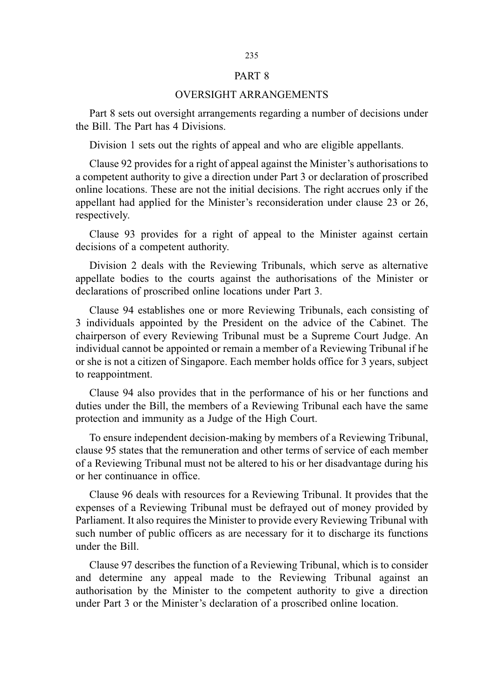#### PART 8

## OVERSIGHT ARRANGEMENTS

Part 8 sets out oversight arrangements regarding a number of decisions under the Bill. The Part has 4 Divisions.

Division 1 sets out the rights of appeal and who are eligible appellants.

Clause 92 provides for a right of appeal against the Minister's authorisations to a competent authority to give a direction under Part 3 or declaration of proscribed online locations. These are not the initial decisions. The right accrues only if the appellant had applied for the Minister's reconsideration under clause 23 or 26, respectively.

Clause 93 provides for a right of appeal to the Minister against certain decisions of a competent authority.

Division 2 deals with the Reviewing Tribunals, which serve as alternative appellate bodies to the courts against the authorisations of the Minister or declarations of proscribed online locations under Part 3.

Clause 94 establishes one or more Reviewing Tribunals, each consisting of 3 individuals appointed by the President on the advice of the Cabinet. The chairperson of every Reviewing Tribunal must be a Supreme Court Judge. An individual cannot be appointed or remain a member of a Reviewing Tribunal if he or she is not a citizen of Singapore. Each member holds office for 3 years, subject to reappointment.

Clause 94 also provides that in the performance of his or her functions and duties under the Bill, the members of a Reviewing Tribunal each have the same protection and immunity as a Judge of the High Court.

To ensure independent decision-making by members of a Reviewing Tribunal, clause 95 states that the remuneration and other terms of service of each member of a Reviewing Tribunal must not be altered to his or her disadvantage during his or her continuance in office.

Clause 96 deals with resources for a Reviewing Tribunal. It provides that the expenses of a Reviewing Tribunal must be defrayed out of money provided by Parliament. It also requires the Minister to provide every Reviewing Tribunal with such number of public officers as are necessary for it to discharge its functions under the Bill.

Clause 97 describes the function of a Reviewing Tribunal, which is to consider and determine any appeal made to the Reviewing Tribunal against an authorisation by the Minister to the competent authority to give a direction under Part 3 or the Minister's declaration of a proscribed online location.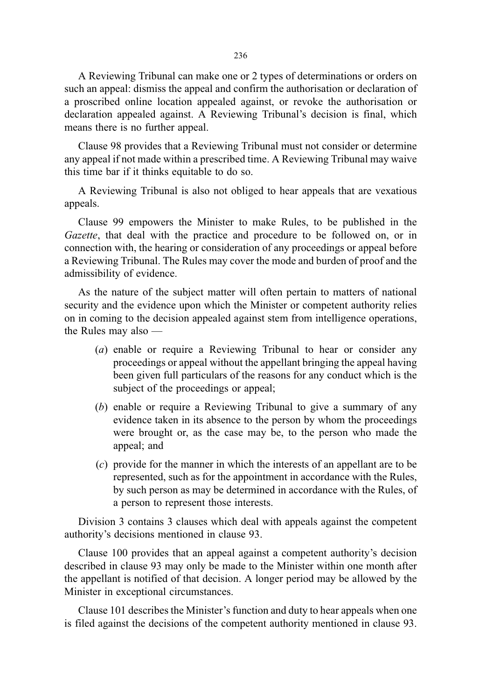A Reviewing Tribunal can make one or 2 types of determinations or orders on such an appeal: dismiss the appeal and confirm the authorisation or declaration of a proscribed online location appealed against, or revoke the authorisation or declaration appealed against. A Reviewing Tribunal's decision is final, which means there is no further appeal.

Clause 98 provides that a Reviewing Tribunal must not consider or determine any appeal if not made within a prescribed time. A Reviewing Tribunal may waive this time bar if it thinks equitable to do so.

A Reviewing Tribunal is also not obliged to hear appeals that are vexatious appeals.

Clause 99 empowers the Minister to make Rules, to be published in the Gazette, that deal with the practice and procedure to be followed on, or in connection with, the hearing or consideration of any proceedings or appeal before a Reviewing Tribunal. The Rules may cover the mode and burden of proof and the admissibility of evidence.

As the nature of the subject matter will often pertain to matters of national security and the evidence upon which the Minister or competent authority relies on in coming to the decision appealed against stem from intelligence operations, the Rules may also —

- (a) enable or require a Reviewing Tribunal to hear or consider any proceedings or appeal without the appellant bringing the appeal having been given full particulars of the reasons for any conduct which is the subject of the proceedings or appeal;
- (b) enable or require a Reviewing Tribunal to give a summary of any evidence taken in its absence to the person by whom the proceedings were brought or, as the case may be, to the person who made the appeal; and
- (c) provide for the manner in which the interests of an appellant are to be represented, such as for the appointment in accordance with the Rules, by such person as may be determined in accordance with the Rules, of a person to represent those interests.

Division 3 contains 3 clauses which deal with appeals against the competent authority's decisions mentioned in clause 93.

Clause 100 provides that an appeal against a competent authority's decision described in clause 93 may only be made to the Minister within one month after the appellant is notified of that decision. A longer period may be allowed by the Minister in exceptional circumstances.

Clause 101 describes the Minister's function and duty to hear appeals when one is filed against the decisions of the competent authority mentioned in clause 93.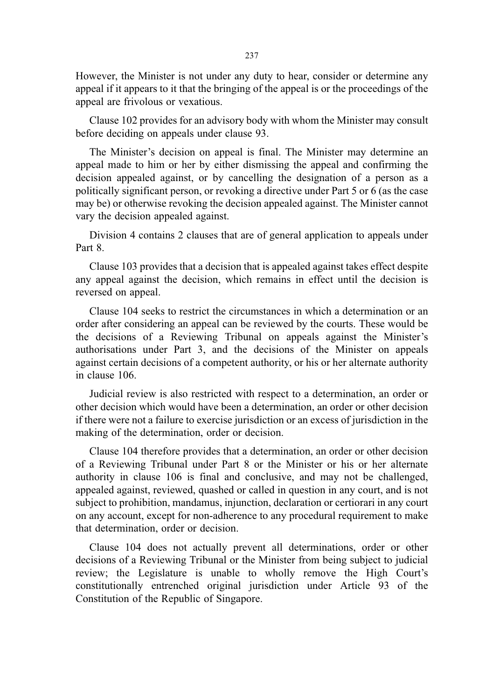However, the Minister is not under any duty to hear, consider or determine any appeal if it appears to it that the bringing of the appeal is or the proceedings of the appeal are frivolous or vexatious.

Clause 102 provides for an advisory body with whom the Minister may consult before deciding on appeals under clause 93.

The Minister's decision on appeal is final. The Minister may determine an appeal made to him or her by either dismissing the appeal and confirming the decision appealed against, or by cancelling the designation of a person as a politically significant person, or revoking a directive under Part 5 or 6 (as the case may be) or otherwise revoking the decision appealed against. The Minister cannot vary the decision appealed against.

Division 4 contains 2 clauses that are of general application to appeals under Part 8.

Clause 103 provides that a decision that is appealed against takes effect despite any appeal against the decision, which remains in effect until the decision is reversed on appeal.

Clause 104 seeks to restrict the circumstances in which a determination or an order after considering an appeal can be reviewed by the courts. These would be the decisions of a Reviewing Tribunal on appeals against the Minister's authorisations under Part 3, and the decisions of the Minister on appeals against certain decisions of a competent authority, or his or her alternate authority in clause 106.

Judicial review is also restricted with respect to a determination, an order or other decision which would have been a determination, an order or other decision if there were not a failure to exercise jurisdiction or an excess of jurisdiction in the making of the determination, order or decision.

Clause 104 therefore provides that a determination, an order or other decision of a Reviewing Tribunal under Part 8 or the Minister or his or her alternate authority in clause 106 is final and conclusive, and may not be challenged, appealed against, reviewed, quashed or called in question in any court, and is not subject to prohibition, mandamus, injunction, declaration or certiorari in any court on any account, except for non-adherence to any procedural requirement to make that determination, order or decision.

Clause 104 does not actually prevent all determinations, order or other decisions of a Reviewing Tribunal or the Minister from being subject to judicial review; the Legislature is unable to wholly remove the High Court's constitutionally entrenched original jurisdiction under Article 93 of the Constitution of the Republic of Singapore.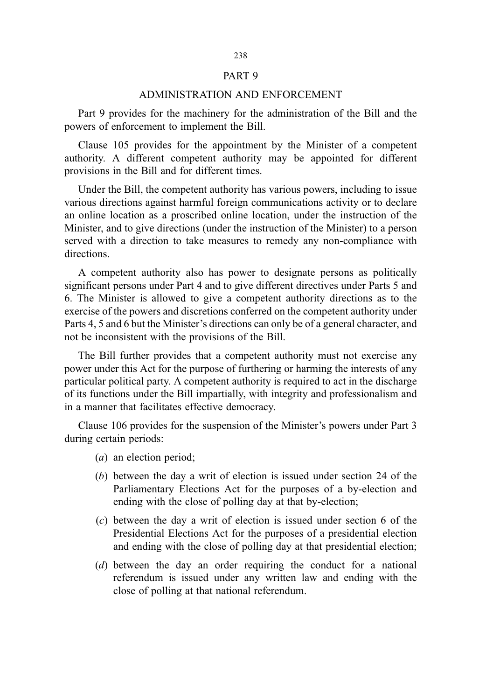### PART 9

## ADMINISTRATION AND ENFORCEMENT

Part 9 provides for the machinery for the administration of the Bill and the powers of enforcement to implement the Bill.

Clause 105 provides for the appointment by the Minister of a competent authority. A different competent authority may be appointed for different provisions in the Bill and for different times.

Under the Bill, the competent authority has various powers, including to issue various directions against harmful foreign communications activity or to declare an online location as a proscribed online location, under the instruction of the Minister, and to give directions (under the instruction of the Minister) to a person served with a direction to take measures to remedy any non-compliance with directions.

A competent authority also has power to designate persons as politically significant persons under Part 4 and to give different directives under Parts 5 and 6. The Minister is allowed to give a competent authority directions as to the exercise of the powers and discretions conferred on the competent authority under Parts 4, 5 and 6 but the Minister's directions can only be of a general character, and not be inconsistent with the provisions of the Bill.

The Bill further provides that a competent authority must not exercise any power under this Act for the purpose of furthering or harming the interests of any particular political party. A competent authority is required to act in the discharge of its functions under the Bill impartially, with integrity and professionalism and in a manner that facilitates effective democracy.

Clause 106 provides for the suspension of the Minister's powers under Part 3 during certain periods:

- (a) an election period;
- (b) between the day a writ of election is issued under section 24 of the Parliamentary Elections Act for the purposes of a by-election and ending with the close of polling day at that by-election;
- (c) between the day a writ of election is issued under section 6 of the Presidential Elections Act for the purposes of a presidential election and ending with the close of polling day at that presidential election;
- (d) between the day an order requiring the conduct for a national referendum is issued under any written law and ending with the close of polling at that national referendum.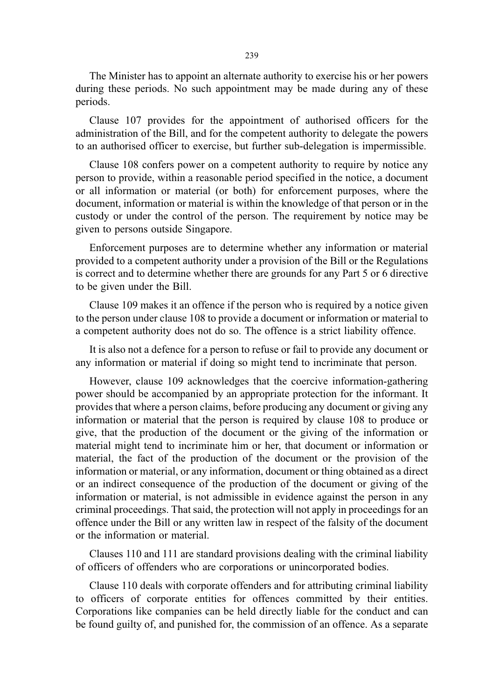The Minister has to appoint an alternate authority to exercise his or her powers during these periods. No such appointment may be made during any of these periods.

Clause 107 provides for the appointment of authorised officers for the administration of the Bill, and for the competent authority to delegate the powers to an authorised officer to exercise, but further sub-delegation is impermissible.

Clause 108 confers power on a competent authority to require by notice any person to provide, within a reasonable period specified in the notice, a document or all information or material (or both) for enforcement purposes, where the document, information or material is within the knowledge of that person or in the custody or under the control of the person. The requirement by notice may be given to persons outside Singapore.

Enforcement purposes are to determine whether any information or material provided to a competent authority under a provision of the Bill or the Regulations is correct and to determine whether there are grounds for any Part 5 or 6 directive to be given under the Bill.

Clause 109 makes it an offence if the person who is required by a notice given to the person under clause 108 to provide a document or information or material to a competent authority does not do so. The offence is a strict liability offence.

It is also not a defence for a person to refuse or fail to provide any document or any information or material if doing so might tend to incriminate that person.

However, clause 109 acknowledges that the coercive information-gathering power should be accompanied by an appropriate protection for the informant. It provides that where a person claims, before producing any document or giving any information or material that the person is required by clause 108 to produce or give, that the production of the document or the giving of the information or material might tend to incriminate him or her, that document or information or material, the fact of the production of the document or the provision of the information or material, or any information, document or thing obtained as a direct or an indirect consequence of the production of the document or giving of the information or material, is not admissible in evidence against the person in any criminal proceedings. That said, the protection will not apply in proceedings for an offence under the Bill or any written law in respect of the falsity of the document or the information or material.

Clauses 110 and 111 are standard provisions dealing with the criminal liability of officers of offenders who are corporations or unincorporated bodies.

Clause 110 deals with corporate offenders and for attributing criminal liability to officers of corporate entities for offences committed by their entities. Corporations like companies can be held directly liable for the conduct and can be found guilty of, and punished for, the commission of an offence. As a separate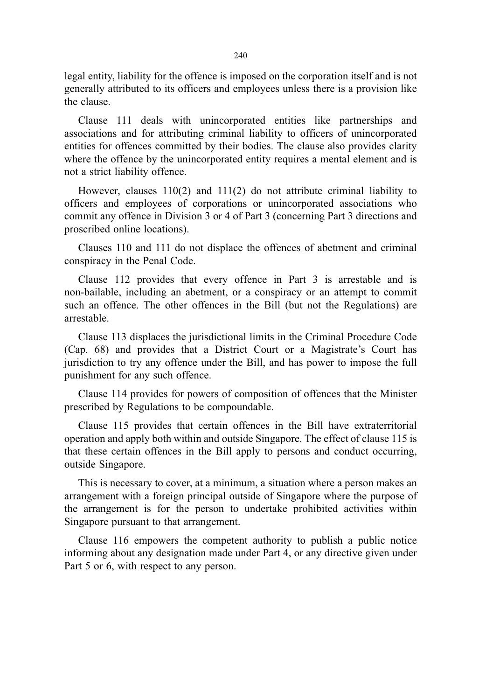legal entity, liability for the offence is imposed on the corporation itself and is not generally attributed to its officers and employees unless there is a provision like the clause.

Clause 111 deals with unincorporated entities like partnerships and associations and for attributing criminal liability to officers of unincorporated entities for offences committed by their bodies. The clause also provides clarity where the offence by the unincorporated entity requires a mental element and is not a strict liability offence.

However, clauses 110(2) and 111(2) do not attribute criminal liability to officers and employees of corporations or unincorporated associations who commit any offence in Division 3 or 4 of Part 3 (concerning Part 3 directions and proscribed online locations).

Clauses 110 and 111 do not displace the offences of abetment and criminal conspiracy in the Penal Code.

Clause 112 provides that every offence in Part 3 is arrestable and is non-bailable, including an abetment, or a conspiracy or an attempt to commit such an offence. The other offences in the Bill (but not the Regulations) are arrestable.

Clause 113 displaces the jurisdictional limits in the Criminal Procedure Code (Cap. 68) and provides that a District Court or a Magistrate's Court has jurisdiction to try any offence under the Bill, and has power to impose the full punishment for any such offence.

Clause 114 provides for powers of composition of offences that the Minister prescribed by Regulations to be compoundable.

Clause 115 provides that certain offences in the Bill have extraterritorial operation and apply both within and outside Singapore. The effect of clause 115 is that these certain offences in the Bill apply to persons and conduct occurring, outside Singapore.

This is necessary to cover, at a minimum, a situation where a person makes an arrangement with a foreign principal outside of Singapore where the purpose of the arrangement is for the person to undertake prohibited activities within Singapore pursuant to that arrangement.

Clause 116 empowers the competent authority to publish a public notice informing about any designation made under Part 4, or any directive given under Part 5 or 6, with respect to any person.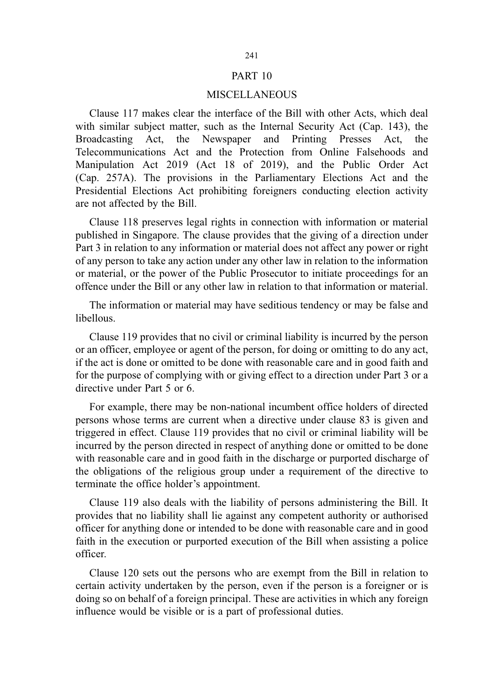#### PART 10

#### MISCELLANEOUS

Clause 117 makes clear the interface of the Bill with other Acts, which deal with similar subject matter, such as the Internal Security Act (Cap. 143), the Broadcasting Act, the Newspaper and Printing Presses Act, the Telecommunications Act and the Protection from Online Falsehoods and Manipulation Act 2019 (Act 18 of 2019), and the Public Order Act (Cap. 257A). The provisions in the Parliamentary Elections Act and the Presidential Elections Act prohibiting foreigners conducting election activity are not affected by the Bill.

Clause 118 preserves legal rights in connection with information or material published in Singapore. The clause provides that the giving of a direction under Part 3 in relation to any information or material does not affect any power or right of any person to take any action under any other law in relation to the information or material, or the power of the Public Prosecutor to initiate proceedings for an offence under the Bill or any other law in relation to that information or material.

The information or material may have seditious tendency or may be false and libellous.

Clause 119 provides that no civil or criminal liability is incurred by the person or an officer, employee or agent of the person, for doing or omitting to do any act, if the act is done or omitted to be done with reasonable care and in good faith and for the purpose of complying with or giving effect to a direction under Part 3 or a directive under Part 5 or 6.

For example, there may be non-national incumbent office holders of directed persons whose terms are current when a directive under clause 83 is given and triggered in effect. Clause 119 provides that no civil or criminal liability will be incurred by the person directed in respect of anything done or omitted to be done with reasonable care and in good faith in the discharge or purported discharge of the obligations of the religious group under a requirement of the directive to terminate the office holder's appointment.

Clause 119 also deals with the liability of persons administering the Bill. It provides that no liability shall lie against any competent authority or authorised officer for anything done or intended to be done with reasonable care and in good faith in the execution or purported execution of the Bill when assisting a police officer.

Clause 120 sets out the persons who are exempt from the Bill in relation to certain activity undertaken by the person, even if the person is a foreigner or is doing so on behalf of a foreign principal. These are activities in which any foreign influence would be visible or is a part of professional duties.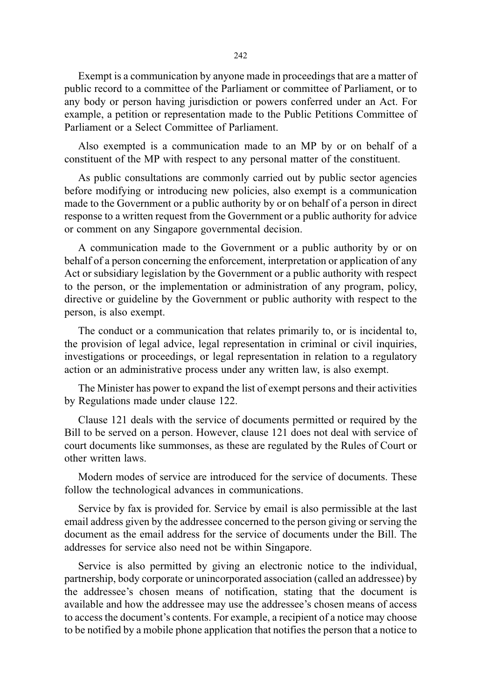Exempt is a communication by anyone made in proceedings that are a matter of public record to a committee of the Parliament or committee of Parliament, or to any body or person having jurisdiction or powers conferred under an Act. For example, a petition or representation made to the Public Petitions Committee of Parliament or a Select Committee of Parliament.

Also exempted is a communication made to an MP by or on behalf of a constituent of the MP with respect to any personal matter of the constituent.

As public consultations are commonly carried out by public sector agencies before modifying or introducing new policies, also exempt is a communication made to the Government or a public authority by or on behalf of a person in direct response to a written request from the Government or a public authority for advice or comment on any Singapore governmental decision.

A communication made to the Government or a public authority by or on behalf of a person concerning the enforcement, interpretation or application of any Act or subsidiary legislation by the Government or a public authority with respect to the person, or the implementation or administration of any program, policy, directive or guideline by the Government or public authority with respect to the person, is also exempt.

The conduct or a communication that relates primarily to, or is incidental to, the provision of legal advice, legal representation in criminal or civil inquiries, investigations or proceedings, or legal representation in relation to a regulatory action or an administrative process under any written law, is also exempt.

The Minister has power to expand the list of exempt persons and their activities by Regulations made under clause 122.

Clause 121 deals with the service of documents permitted or required by the Bill to be served on a person. However, clause 121 does not deal with service of court documents like summonses, as these are regulated by the Rules of Court or other written laws.

Modern modes of service are introduced for the service of documents. These follow the technological advances in communications.

Service by fax is provided for. Service by email is also permissible at the last email address given by the addressee concerned to the person giving or serving the document as the email address for the service of documents under the Bill. The addresses for service also need not be within Singapore.

Service is also permitted by giving an electronic notice to the individual, partnership, body corporate or unincorporated association (called an addressee) by the addressee's chosen means of notification, stating that the document is available and how the addressee may use the addressee's chosen means of access to access the document's contents. For example, a recipient of a notice may choose to be notified by a mobile phone application that notifies the person that a notice to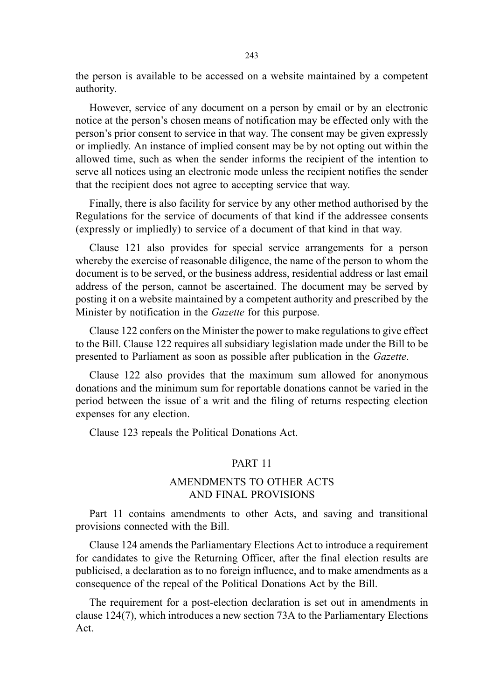the person is available to be accessed on a website maintained by a competent authority.

However, service of any document on a person by email or by an electronic notice at the person's chosen means of notification may be effected only with the person's prior consent to service in that way. The consent may be given expressly or impliedly. An instance of implied consent may be by not opting out within the allowed time, such as when the sender informs the recipient of the intention to serve all notices using an electronic mode unless the recipient notifies the sender that the recipient does not agree to accepting service that way.

Finally, there is also facility for service by any other method authorised by the Regulations for the service of documents of that kind if the addressee consents (expressly or impliedly) to service of a document of that kind in that way.

Clause 121 also provides for special service arrangements for a person whereby the exercise of reasonable diligence, the name of the person to whom the document is to be served, or the business address, residential address or last email address of the person, cannot be ascertained. The document may be served by posting it on a website maintained by a competent authority and prescribed by the Minister by notification in the Gazette for this purpose.

Clause 122 confers on the Minister the power to make regulations to give effect to the Bill. Clause 122 requires all subsidiary legislation made under the Bill to be presented to Parliament as soon as possible after publication in the Gazette.

Clause 122 also provides that the maximum sum allowed for anonymous donations and the minimum sum for reportable donations cannot be varied in the period between the issue of a writ and the filing of returns respecting election expenses for any election.

Clause 123 repeals the Political Donations Act.

## PART 11

## AMENDMENTS TO OTHER ACTS AND FINAL PROVISIONS

Part 11 contains amendments to other Acts, and saving and transitional provisions connected with the Bill.

Clause 124 amends the Parliamentary Elections Act to introduce a requirement for candidates to give the Returning Officer, after the final election results are publicised, a declaration as to no foreign influence, and to make amendments as a consequence of the repeal of the Political Donations Act by the Bill.

The requirement for a post-election declaration is set out in amendments in clause 124(7), which introduces a new section 73A to the Parliamentary Elections Act.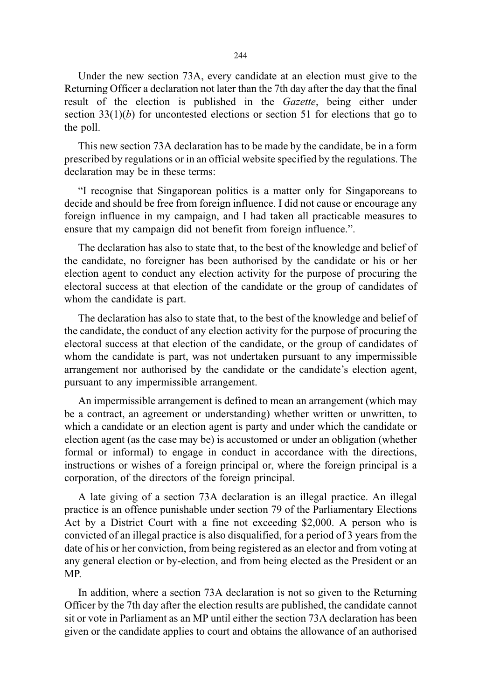Under the new section 73A, every candidate at an election must give to the Returning Officer a declaration not later than the 7th day after the day that the final result of the election is published in the Gazette, being either under section  $33(1)(b)$  for uncontested elections or section 51 for elections that go to the poll.

This new section 73A declaration has to be made by the candidate, be in a form prescribed by regulations or in an official website specified by the regulations. The declaration may be in these terms:

"I recognise that Singaporean politics is a matter only for Singaporeans to decide and should be free from foreign influence. I did not cause or encourage any foreign influence in my campaign, and I had taken all practicable measures to ensure that my campaign did not benefit from foreign influence.".

The declaration has also to state that, to the best of the knowledge and belief of the candidate, no foreigner has been authorised by the candidate or his or her election agent to conduct any election activity for the purpose of procuring the electoral success at that election of the candidate or the group of candidates of whom the candidate is part.

The declaration has also to state that, to the best of the knowledge and belief of the candidate, the conduct of any election activity for the purpose of procuring the electoral success at that election of the candidate, or the group of candidates of whom the candidate is part, was not undertaken pursuant to any impermissible arrangement nor authorised by the candidate or the candidate's election agent, pursuant to any impermissible arrangement.

An impermissible arrangement is defined to mean an arrangement (which may be a contract, an agreement or understanding) whether written or unwritten, to which a candidate or an election agent is party and under which the candidate or election agent (as the case may be) is accustomed or under an obligation (whether formal or informal) to engage in conduct in accordance with the directions, instructions or wishes of a foreign principal or, where the foreign principal is a corporation, of the directors of the foreign principal.

A late giving of a section 73A declaration is an illegal practice. An illegal practice is an offence punishable under section 79 of the Parliamentary Elections Act by a District Court with a fine not exceeding \$2,000. A person who is convicted of an illegal practice is also disqualified, for a period of 3 years from the date of his or her conviction, from being registered as an elector and from voting at any general election or by-election, and from being elected as the President or an MP.

In addition, where a section 73A declaration is not so given to the Returning Officer by the 7th day after the election results are published, the candidate cannot sit or vote in Parliament as an MP until either the section 73A declaration has been given or the candidate applies to court and obtains the allowance of an authorised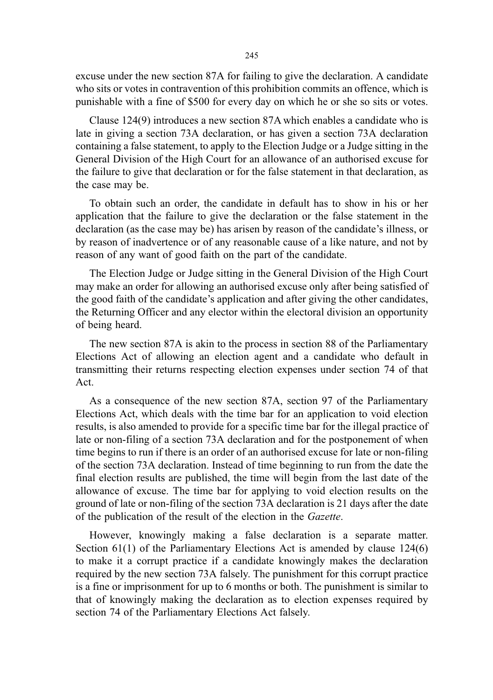excuse under the new section 87A for failing to give the declaration. A candidate who sits or votes in contravention of this prohibition commits an offence, which is punishable with a fine of \$500 for every day on which he or she so sits or votes.

Clause 124(9) introduces a new section 87A which enables a candidate who is late in giving a section 73A declaration, or has given a section 73A declaration containing a false statement, to apply to the Election Judge or a Judge sitting in the General Division of the High Court for an allowance of an authorised excuse for the failure to give that declaration or for the false statement in that declaration, as the case may be.

To obtain such an order, the candidate in default has to show in his or her application that the failure to give the declaration or the false statement in the declaration (as the case may be) has arisen by reason of the candidate's illness, or by reason of inadvertence or of any reasonable cause of a like nature, and not by reason of any want of good faith on the part of the candidate.

The Election Judge or Judge sitting in the General Division of the High Court may make an order for allowing an authorised excuse only after being satisfied of the good faith of the candidate's application and after giving the other candidates, the Returning Officer and any elector within the electoral division an opportunity of being heard.

The new section 87A is akin to the process in section 88 of the Parliamentary Elections Act of allowing an election agent and a candidate who default in transmitting their returns respecting election expenses under section 74 of that Act.

As a consequence of the new section 87A, section 97 of the Parliamentary Elections Act, which deals with the time bar for an application to void election results, is also amended to provide for a specific time bar for the illegal practice of late or non-filing of a section 73A declaration and for the postponement of when time begins to run if there is an order of an authorised excuse for late or non-filing of the section 73A declaration. Instead of time beginning to run from the date the final election results are published, the time will begin from the last date of the allowance of excuse. The time bar for applying to void election results on the ground of late or non-filing of the section 73A declaration is 21 days after the date of the publication of the result of the election in the Gazette.

However, knowingly making a false declaration is a separate matter. Section 61(1) of the Parliamentary Elections Act is amended by clause 124(6) to make it a corrupt practice if a candidate knowingly makes the declaration required by the new section 73A falsely. The punishment for this corrupt practice is a fine or imprisonment for up to 6 months or both. The punishment is similar to that of knowingly making the declaration as to election expenses required by section 74 of the Parliamentary Elections Act falsely.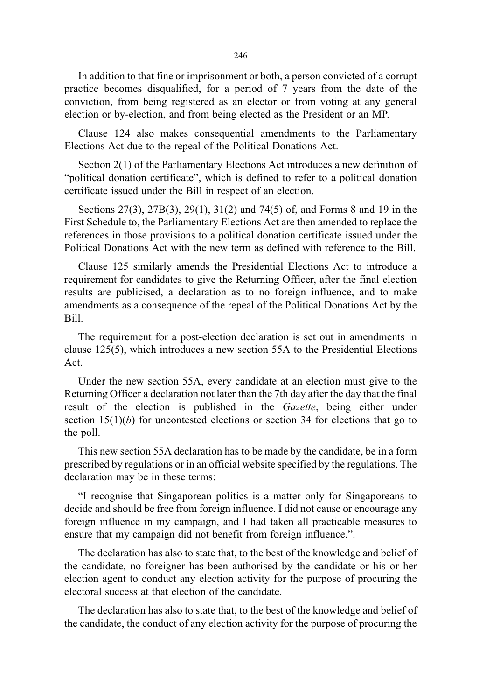246

In addition to that fine or imprisonment or both, a person convicted of a corrupt practice becomes disqualified, for a period of 7 years from the date of the conviction, from being registered as an elector or from voting at any general election or by-election, and from being elected as the President or an MP.

Clause 124 also makes consequential amendments to the Parliamentary Elections Act due to the repeal of the Political Donations Act.

Section 2(1) of the Parliamentary Elections Act introduces a new definition of "political donation certificate", which is defined to refer to a political donation certificate issued under the Bill in respect of an election.

Sections 27(3), 27B(3), 29(1), 31(2) and 74(5) of, and Forms 8 and 19 in the First Schedule to, the Parliamentary Elections Act are then amended to replace the references in those provisions to a political donation certificate issued under the Political Donations Act with the new term as defined with reference to the Bill.

Clause 125 similarly amends the Presidential Elections Act to introduce a requirement for candidates to give the Returning Officer, after the final election results are publicised, a declaration as to no foreign influence, and to make amendments as a consequence of the repeal of the Political Donations Act by the Bill.

The requirement for a post-election declaration is set out in amendments in clause 125(5), which introduces a new section 55A to the Presidential Elections Act.

Under the new section 55A, every candidate at an election must give to the Returning Officer a declaration not later than the 7th day after the day that the final result of the election is published in the Gazette, being either under section  $15(1)(b)$  for uncontested elections or section 34 for elections that go to the poll.

This new section 55A declaration has to be made by the candidate, be in a form prescribed by regulations or in an official website specified by the regulations. The declaration may be in these terms:

"I recognise that Singaporean politics is a matter only for Singaporeans to decide and should be free from foreign influence. I did not cause or encourage any foreign influence in my campaign, and I had taken all practicable measures to ensure that my campaign did not benefit from foreign influence.".

The declaration has also to state that, to the best of the knowledge and belief of the candidate, no foreigner has been authorised by the candidate or his or her election agent to conduct any election activity for the purpose of procuring the electoral success at that election of the candidate.

The declaration has also to state that, to the best of the knowledge and belief of the candidate, the conduct of any election activity for the purpose of procuring the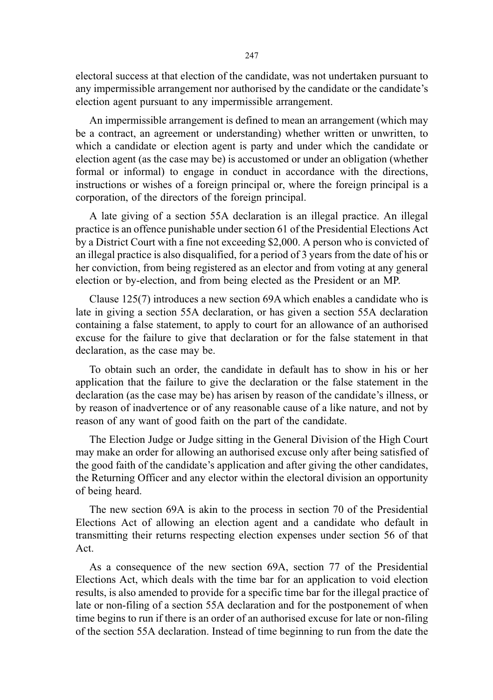electoral success at that election of the candidate, was not undertaken pursuant to any impermissible arrangement nor authorised by the candidate or the candidate's election agent pursuant to any impermissible arrangement.

An impermissible arrangement is defined to mean an arrangement (which may be a contract, an agreement or understanding) whether written or unwritten, to which a candidate or election agent is party and under which the candidate or election agent (as the case may be) is accustomed or under an obligation (whether formal or informal) to engage in conduct in accordance with the directions, instructions or wishes of a foreign principal or, where the foreign principal is a corporation, of the directors of the foreign principal.

A late giving of a section 55A declaration is an illegal practice. An illegal practice is an offence punishable under section 61 of the Presidential Elections Act by a District Court with a fine not exceeding \$2,000. A person who is convicted of an illegal practice is also disqualified, for a period of 3 years from the date of his or her conviction, from being registered as an elector and from voting at any general election or by-election, and from being elected as the President or an MP.

Clause 125(7) introduces a new section 69A which enables a candidate who is late in giving a section 55A declaration, or has given a section 55A declaration containing a false statement, to apply to court for an allowance of an authorised excuse for the failure to give that declaration or for the false statement in that declaration, as the case may be.

To obtain such an order, the candidate in default has to show in his or her application that the failure to give the declaration or the false statement in the declaration (as the case may be) has arisen by reason of the candidate's illness, or by reason of inadvertence or of any reasonable cause of a like nature, and not by reason of any want of good faith on the part of the candidate.

The Election Judge or Judge sitting in the General Division of the High Court may make an order for allowing an authorised excuse only after being satisfied of the good faith of the candidate's application and after giving the other candidates, the Returning Officer and any elector within the electoral division an opportunity of being heard.

The new section 69A is akin to the process in section 70 of the Presidential Elections Act of allowing an election agent and a candidate who default in transmitting their returns respecting election expenses under section 56 of that Act.

As a consequence of the new section 69A, section 77 of the Presidential Elections Act, which deals with the time bar for an application to void election results, is also amended to provide for a specific time bar for the illegal practice of late or non-filing of a section 55A declaration and for the postponement of when time begins to run if there is an order of an authorised excuse for late or non-filing of the section 55A declaration. Instead of time beginning to run from the date the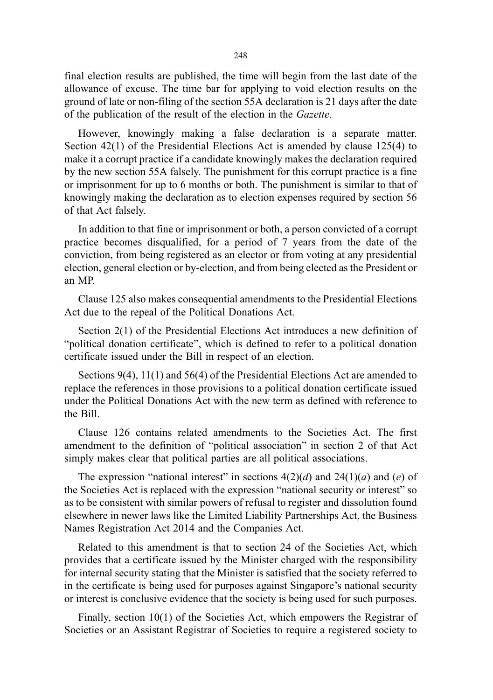final election results are published, the time will begin from the last date of the allowance of excuse. The time bar for applying to void election results on the ground of late or non-filing of the section 55A declaration is 21 days after the date of the publication of the result of the election in the Gazette.

However, knowingly making a false declaration is a separate matter. Section 42(1) of the Presidential Elections Act is amended by clause 125(4) to make it a corrupt practice if a candidate knowingly makes the declaration required by the new section 55A falsely. The punishment for this corrupt practice is a fine or imprisonment for up to 6 months or both. The punishment is similar to that of knowingly making the declaration as to election expenses required by section 56 of that Act falsely.

In addition to that fine or imprisonment or both, a person convicted of a corrupt practice becomes disqualified, for a period of 7 years from the date of the conviction, from being registered as an elector or from voting at any presidential election, general election or by-election, and from being elected as the President or an MP.

Clause 125 also makes consequential amendments to the Presidential Elections Act due to the repeal of the Political Donations Act.

Section 2(1) of the Presidential Elections Act introduces a new definition of "political donation certificate", which is defined to refer to a political donation certificate issued under the Bill in respect of an election.

Sections 9(4), 11(1) and 56(4) of the Presidential Elections Act are amended to replace the references in those provisions to a political donation certificate issued under the Political Donations Act with the new term as defined with reference to the Bill.

Clause 126 contains related amendments to the Societies Act. The first amendment to the definition of "political association" in section 2 of that Act simply makes clear that political parties are all political associations.

The expression "national interest" in sections  $4(2)(d)$  and  $24(1)(a)$  and (e) of the Societies Act is replaced with the expression "national security or interest" so as to be consistent with similar powers of refusal to register and dissolution found elsewhere in newer laws like the Limited Liability Partnerships Act, the Business Names Registration Act 2014 and the Companies Act.

Related to this amendment is that to section 24 of the Societies Act, which provides that a certificate issued by the Minister charged with the responsibility for internal security stating that the Minister is satisfied that the society referred to in the certificate is being used for purposes against Singapore's national security or interest is conclusive evidence that the society is being used for such purposes.

Finally, section 10(1) of the Societies Act, which empowers the Registrar of Societies or an Assistant Registrar of Societies to require a registered society to